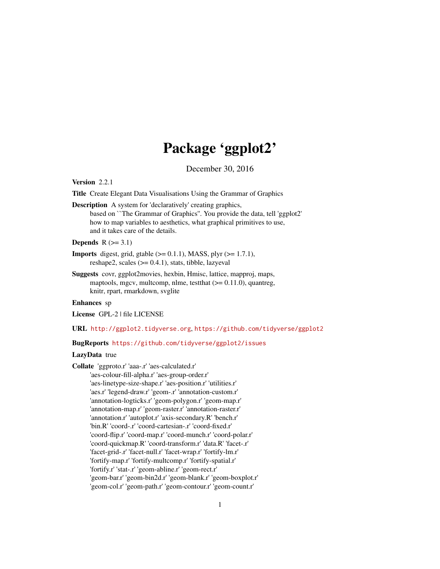# Package 'ggplot2'

December 30, 2016

<span id="page-0-0"></span>Version 2.2.1

Title Create Elegant Data Visualisations Using the Grammar of Graphics

Description A system for 'declaratively' creating graphics, based on ``The Grammar of Graphics''. You provide the data, tell 'ggplot2' how to map variables to aesthetics, what graphical primitives to use, and it takes care of the details.

Depends  $R$  ( $>=$  3.1)

**Imports** digest, grid, gtable  $(>= 0.1.1)$ , MASS, plyr  $(>= 1.7.1)$ , reshape2, scales  $(>= 0.4.1)$ , stats, tibble, lazyeval

Suggests covr, ggplot2movies, hexbin, Hmisc, lattice, mapproj, maps, maptools, mgcv, multcomp, nlme, test that  $(>= 0.11.0)$ , quantreg, knitr, rpart, rmarkdown, svglite

Enhances sp

License GPL-2 | file LICENSE

URL <http://ggplot2.tidyverse.org>, <https://github.com/tidyverse/ggplot2>

# BugReports <https://github.com/tidyverse/ggplot2/issues>

# LazyData true

Collate 'ggproto.r' 'aaa-.r' 'aes-calculated.r'

'aes-colour-fill-alpha.r' 'aes-group-order.r' 'aes-linetype-size-shape.r' 'aes-position.r' 'utilities.r' 'aes.r' 'legend-draw.r' 'geom-.r' 'annotation-custom.r' 'annotation-logticks.r' 'geom-polygon.r' 'geom-map.r' 'annotation-map.r' 'geom-raster.r' 'annotation-raster.r' 'annotation.r' 'autoplot.r' 'axis-secondary.R' 'bench.r' 'bin.R' 'coord-.r' 'coord-cartesian-.r' 'coord-fixed.r' 'coord-flip.r' 'coord-map.r' 'coord-munch.r' 'coord-polar.r' 'coord-quickmap.R' 'coord-transform.r' 'data.R' 'facet-.r' 'facet-grid-.r' 'facet-null.r' 'facet-wrap.r' 'fortify-lm.r' 'fortify-map.r' 'fortify-multcomp.r' 'fortify-spatial.r' 'fortify.r' 'stat-.r' 'geom-abline.r' 'geom-rect.r' 'geom-bar.r' 'geom-bin2d.r' 'geom-blank.r' 'geom-boxplot.r' 'geom-col.r' 'geom-path.r' 'geom-contour.r' 'geom-count.r'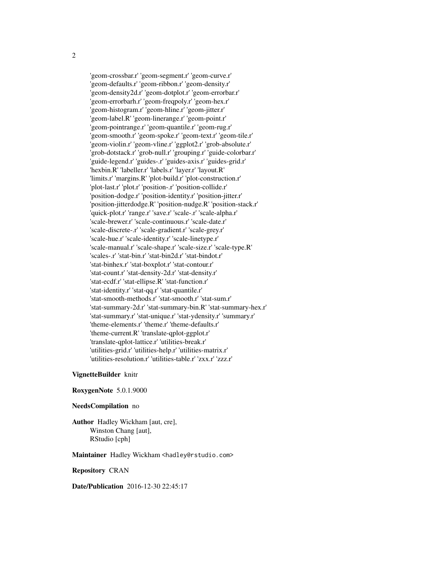'geom-crossbar.r' 'geom-segment.r' 'geom-curve.r' 'geom-defaults.r' 'geom-ribbon.r' 'geom-density.r' 'geom-density2d.r' 'geom-dotplot.r' 'geom-errorbar.r' 'geom-errorbarh.r' 'geom-freqpoly.r' 'geom-hex.r' 'geom-histogram.r' 'geom-hline.r' 'geom-jitter.r' 'geom-label.R' 'geom-linerange.r' 'geom-point.r' 'geom-pointrange.r' 'geom-quantile.r' 'geom-rug.r' 'geom-smooth.r' 'geom-spoke.r' 'geom-text.r' 'geom-tile.r' 'geom-violin.r' 'geom-vline.r' 'ggplot2.r' 'grob-absolute.r' 'grob-dotstack.r' 'grob-null.r' 'grouping.r' 'guide-colorbar.r' 'guide-legend.r' 'guides-.r' 'guides-axis.r' 'guides-grid.r' 'hexbin.R' 'labeller.r' 'labels.r' 'layer.r' 'layout.R' 'limits.r' 'margins.R' 'plot-build.r' 'plot-construction.r' 'plot-last.r' 'plot.r' 'position-.r' 'position-collide.r' 'position-dodge.r' 'position-identity.r' 'position-jitter.r' 'position-jitterdodge.R' 'position-nudge.R' 'position-stack.r' 'quick-plot.r' 'range.r' 'save.r' 'scale-.r' 'scale-alpha.r' 'scale-brewer.r' 'scale-continuous.r' 'scale-date.r' 'scale-discrete-.r' 'scale-gradient.r' 'scale-grey.r' 'scale-hue.r' 'scale-identity.r' 'scale-linetype.r' 'scale-manual.r' 'scale-shape.r' 'scale-size.r' 'scale-type.R' 'scales-.r' 'stat-bin.r' 'stat-bin2d.r' 'stat-bindot.r' 'stat-binhex.r' 'stat-boxplot.r' 'stat-contour.r' 'stat-count.r' 'stat-density-2d.r' 'stat-density.r' 'stat-ecdf.r' 'stat-ellipse.R' 'stat-function.r' 'stat-identity.r' 'stat-qq.r' 'stat-quantile.r' 'stat-smooth-methods.r' 'stat-smooth.r' 'stat-sum.r' 'stat-summary-2d.r' 'stat-summary-bin.R' 'stat-summary-hex.r' 'stat-summary.r' 'stat-unique.r' 'stat-ydensity.r' 'summary.r' 'theme-elements.r' 'theme.r' 'theme-defaults.r' 'theme-current.R' 'translate-qplot-ggplot.r' 'translate-qplot-lattice.r' 'utilities-break.r' 'utilities-grid.r' 'utilities-help.r' 'utilities-matrix.r' 'utilities-resolution.r' 'utilities-table.r' 'zxx.r' 'zzz.r'

#### VignetteBuilder knitr

#### RoxygenNote 5.0.1.9000

#### NeedsCompilation no

Author Hadley Wickham [aut, cre], Winston Chang [aut], RStudio [cph]

# Maintainer Hadley Wickham <hadley@rstudio.com>

# Repository CRAN

Date/Publication 2016-12-30 22:45:17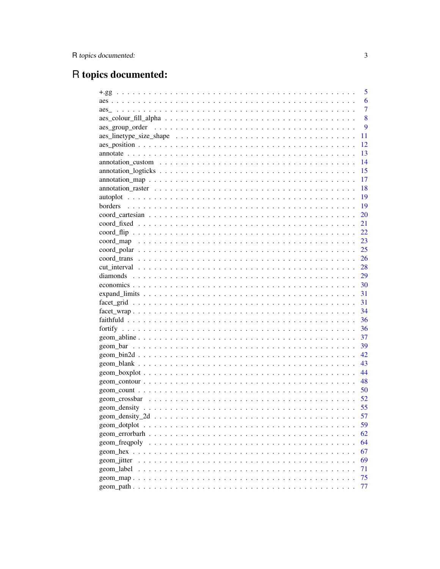# R topics documented:

|                                                                                                                | 5              |
|----------------------------------------------------------------------------------------------------------------|----------------|
|                                                                                                                | 6              |
|                                                                                                                | $\overline{7}$ |
|                                                                                                                | 8              |
|                                                                                                                | 9              |
|                                                                                                                | 11             |
|                                                                                                                | 12             |
|                                                                                                                | 13             |
| $annotation\_custom \dots \dots \dots \dots \dots \dots \dots \dots \dots \dots \dots \dots \dots \dots \dots$ | 14             |
|                                                                                                                | 15             |
|                                                                                                                | 17             |
|                                                                                                                | 18             |
|                                                                                                                | 19             |
|                                                                                                                | 19             |
|                                                                                                                | 20             |
|                                                                                                                | 21             |
|                                                                                                                | 22             |
|                                                                                                                | 23             |
|                                                                                                                | 25             |
|                                                                                                                | 26             |
|                                                                                                                | 28             |
|                                                                                                                | 29             |
|                                                                                                                | 30             |
|                                                                                                                | 31             |
|                                                                                                                | 31             |
|                                                                                                                | 34             |
|                                                                                                                | 36             |
|                                                                                                                | 36             |
|                                                                                                                | 37             |
|                                                                                                                | 39             |
|                                                                                                                | 42             |
|                                                                                                                | 43             |
|                                                                                                                | 44             |
|                                                                                                                |                |
|                                                                                                                | 50             |
|                                                                                                                | 52             |
|                                                                                                                |                |
|                                                                                                                | 57             |
|                                                                                                                | 59             |
|                                                                                                                | 62             |
|                                                                                                                | 64             |
|                                                                                                                | 67             |
| geom jitter                                                                                                    | 69             |
| geom_label                                                                                                     | 71             |
|                                                                                                                | 75             |
|                                                                                                                | 77             |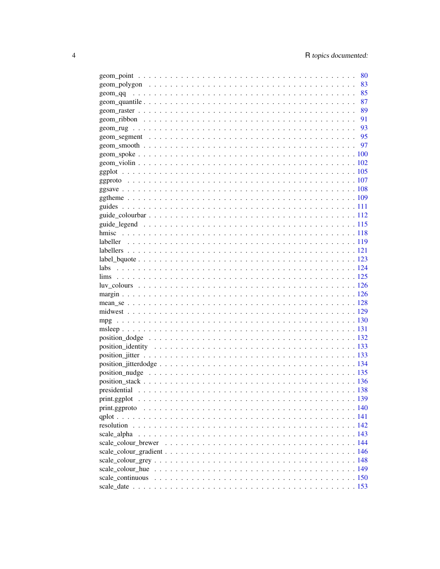|                                                                                                        | 83 |
|--------------------------------------------------------------------------------------------------------|----|
| $geom_q q \ldots \ldots \ldots \ldots \ldots \ldots \ldots \ldots \ldots \ldots \ldots \ldots \ldots$  | 85 |
|                                                                                                        | 87 |
|                                                                                                        | 89 |
|                                                                                                        | 91 |
|                                                                                                        | 93 |
|                                                                                                        |    |
|                                                                                                        |    |
|                                                                                                        |    |
|                                                                                                        |    |
|                                                                                                        |    |
|                                                                                                        |    |
|                                                                                                        |    |
|                                                                                                        |    |
|                                                                                                        |    |
|                                                                                                        |    |
|                                                                                                        |    |
|                                                                                                        |    |
|                                                                                                        |    |
|                                                                                                        |    |
|                                                                                                        |    |
| labs                                                                                                   |    |
|                                                                                                        |    |
|                                                                                                        |    |
|                                                                                                        |    |
|                                                                                                        |    |
|                                                                                                        |    |
|                                                                                                        |    |
|                                                                                                        |    |
|                                                                                                        |    |
|                                                                                                        |    |
|                                                                                                        |    |
|                                                                                                        |    |
|                                                                                                        |    |
|                                                                                                        |    |
|                                                                                                        |    |
| $print.g. plot              139$                                                                       |    |
|                                                                                                        |    |
|                                                                                                        |    |
|                                                                                                        |    |
|                                                                                                        |    |
|                                                                                                        |    |
|                                                                                                        |    |
|                                                                                                        |    |
| scale colour hue $\ldots \ldots \ldots \ldots \ldots \ldots \ldots \ldots \ldots \ldots \ldots \ldots$ |    |
|                                                                                                        |    |
|                                                                                                        |    |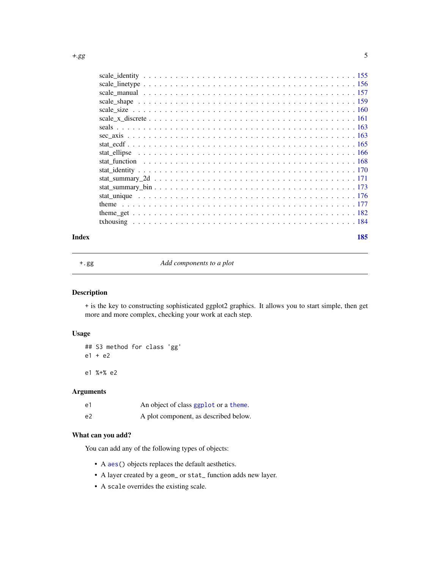<span id="page-4-0"></span>

#### **Index** 2008 **[185](#page-184-0)**

+.gg *Add components to a plot*

# Description

+ is the key to constructing sophisticated ggplot2 graphics. It allows you to start simple, then get more and more complex, checking your work at each step.

# Usage

```
## S3 method for class 'gg'
e1 + e2
```
e1 %+% e2

# Arguments

| e1 | An object of class ggplot or a theme. |
|----|---------------------------------------|
| e2 | A plot component, as described below. |

# What can you add?

You can add any of the following types of objects:

- A [aes\(](#page-5-1)) objects replaces the default aesthetics.
- A layer created by a geom\_ or stat\_ function adds new layer.
- A scale overrides the existing scale.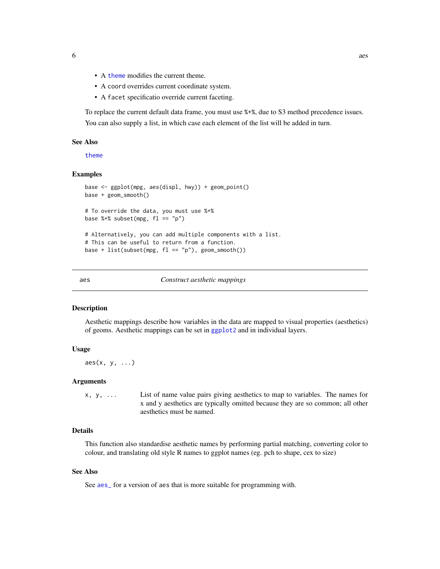- <span id="page-5-0"></span>• A [theme](#page-176-1) modifies the current theme.
- A coord overrides current coordinate system.
- A facet specificatio override current faceting.

To replace the current default data frame, you must use %+%, due to S3 method precedence issues. You can also supply a list, in which case each element of the list will be added in turn.

#### See Also

[theme](#page-176-1)

### Examples

```
base <- ggplot(mpg, aes(displ, hwy)) + geom_point()
base + geom_smooth()
# To override the data, you must use %+%
base %+% subset(mpg, f1 == "p")# Alternatively, you can add multiple components with a list.
# This can be useful to return from a function.
base + list(subset(mpg, f1 == "p"), geom_smooth())
```
<span id="page-5-1"></span>aes *Construct aesthetic mappings*

#### Description

Aesthetic mappings describe how variables in the data are mapped to visual properties (aesthetics) of geoms. Aesthetic mappings can be set in [ggplot2](#page-0-0) and in individual layers.

#### Usage

 $\text{aes}(x, y, \ldots)$ 

#### Arguments

x, y, ... List of name value pairs giving aesthetics to map to variables. The names for x and y aesthetics are typically omitted because they are so common; all other aesthetics must be named.

# Details

This function also standardise aesthetic names by performing partial matching, converting color to colour, and translating old style R names to ggplot names (eg. pch to shape, cex to size)

# See Also

See [aes\\_](#page-6-1) for a version of aes that is more suitable for programming with.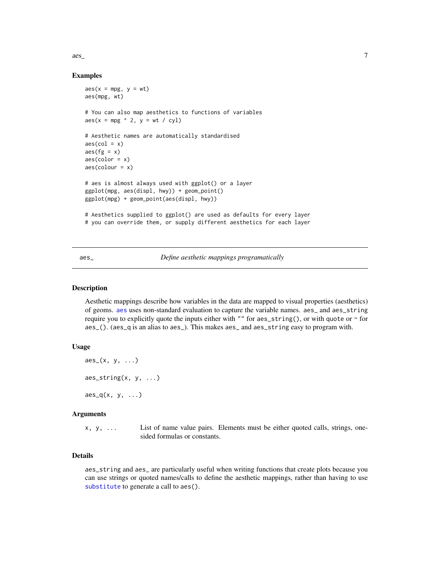<span id="page-6-0"></span>aes\_ 7

#### Examples

```
\text{aes}(x = mpg, y = wt)aes(mpg, wt)
# You can also map aesthetics to functions of variables
\text{aes}(x = mpg \land 2, y = wt / cyl)# Aesthetic names are automatically standardised
\text{aes}(\text{col} = x)\text{aes}(fg = x)\text{aes}(\text{color} = x)\text{aes}(\text{colour} = x)# aes is almost always used with ggplot() or a layer
ggplot(mpg, aes(displ, hwy)) + geom_point()
ggplot(mpg) + geom_point(aes(displ, hwy))
# Aesthetics supplied to ggplot() are used as defaults for every layer
# you can override them, or supply different aesthetics for each layer
```
<span id="page-6-1"></span>aes\_ *Define aesthetic mappings programatically*

#### Description

Aesthetic mappings describe how variables in the data are mapped to visual properties (aesthetics) of geoms. [aes](#page-5-1) uses non-standard evaluation to capture the variable names. aes\_ and aes\_string require you to explicitly quote the inputs either with "" for aes\_string(), or with quote or ~ for aes\_(). (aes\_q is an alias to aes\_). This makes aes\_ and aes\_string easy to program with.

#### Usage

```
\text{aes}_x(x, y, \ldots)\text{aes\_string}(x, y, \ldots)\text{aes}_q(x, y, \ldots)
```
#### Arguments

x, y, ... List of name value pairs. Elements must be either quoted calls, strings, onesided formulas or constants.

# Details

aes\_string and aes\_ are particularly useful when writing functions that create plots because you can use strings or quoted names/calls to define the aesthetic mappings, rather than having to use [substitute](#page-0-0) to generate a call to aes().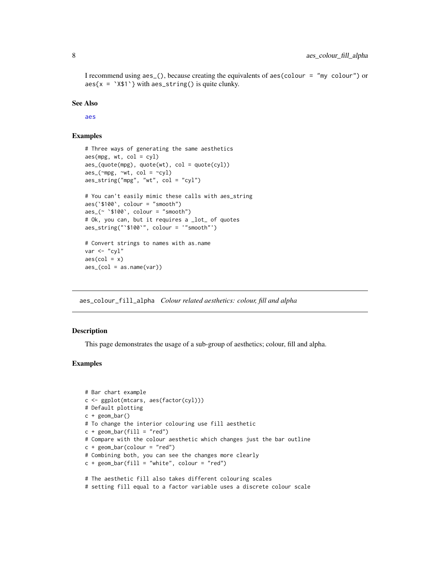<span id="page-7-0"></span>I recommend using aes\_(), because creating the equivalents of aes(colour = "my colour") or  $aes\{x = 'X$1'\}$  with  $aes\_string()$  is quite clunky.

#### See Also

[aes](#page-5-1)

# Examples

```
# Three ways of generating the same aesthetics
aes(mpg, wt, col = cyl)\text{aes}_{\text{u}}(\text{quote}(\text{mpg}), \text{ quote}(\text{wt}), \text{col} = \text{quote}(\text{cyl}))\text{aes}_{\text{max}}(\text{cmpg}, \text{cmt}, \text{col} = \text{cm}aes_string("mpg", "wt", col = "cyl")
# You can't easily mimic these calls with aes_string
aes(`$100`, colour = "smooth")
\text{aes}_{-}(\sim \text{\$100}, \text{ colour} = \text{"smooth"})# Ok, you can, but it requires a _lot_ of quotes
aes_string("`$100`", colour = '"smooth"')
# Convert strings to names with as.name
var <- "cyl"
\text{aes}(\text{col} = x)\text{aes\_}(col = as.name(var))
```
aes\_colour\_fill\_alpha *Colour related aesthetics: colour, fill and alpha*

# Description

This page demonstrates the usage of a sub-group of aesthetics; colour, fill and alpha.

# Examples

```
# Bar chart example
c <- ggplot(mtcars, aes(factor(cyl)))
# Default plotting
c + geom_bar()
# To change the interior colouring use fill aesthetic
c + geom\_bar(fill = "red")# Compare with the colour aesthetic which changes just the bar outline
c + geom\_bar(colour = "red")# Combining both, you can see the changes more clearly
c + geom\_bar(fill = "white", colour = "red")# The aesthetic fill also takes different colouring scales
```
# setting fill equal to a factor variable uses a discrete colour scale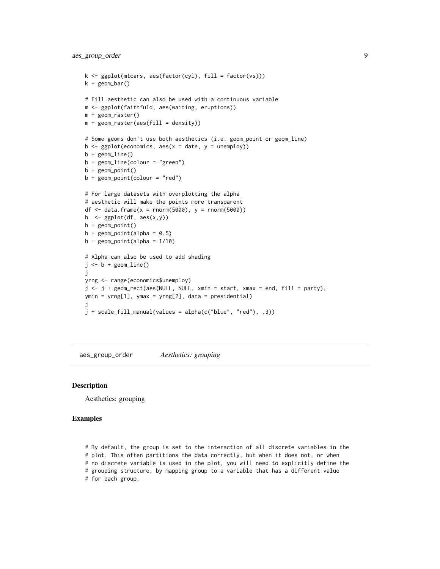<span id="page-8-0"></span>aes\_group\_order 9

```
k \leq ggplot(mtcars, aes(factor(cyl), fill = factor(vs)))
k + geom_bar()
# Fill aesthetic can also be used with a continuous variable
m <- ggplot(faithfuld, aes(waiting, eruptions))
m + geom_raster()
m + geometry = density))
# Some geoms don't use both aesthetics (i.e. geom_point or geom_line)
b \leq ggplot(economics, aes(x = date, y = unemploy))
b + geom_line()
b + geom_line(colour = "green")
b + geom_point()
b + geom\_point(colour = "red")# For large datasets with overplotting the alpha
# aesthetic will make the points more transparent
df \le data.frame(x = rnorm(5000), y = rnorm(5000))
h <- ggplot(df, aes(x,y))
h + geom_point()
h + geom_point(alpha = 0.5)
h + geom\_point(alpha = 1/10)# Alpha can also be used to add shading
j \leftarrow b + \text{geom\_line}()j
yrng <- range(economics$unemploy)
j \leftarrow j + \text{geom\_rect}(\text{aes}(\text{NULL}, \text{NULL}, \text{xml} = \text{start}, \text{xmax} = \text{end}, \text{fill} = \text{party}),ymin = yrng[1], ymax = yrng[2], data = presidential)
j
j + scale_fill_manual(values = alpha(c("blue", "red"), .3))
```
aes\_group\_order *Aesthetics: grouping*

#### Description

Aesthetics: grouping

#### Examples

# By default, the group is set to the interaction of all discrete variables in the # plot. This often partitions the data correctly, but when it does not, or when # no discrete variable is used in the plot, you will need to explicitly define the # grouping structure, by mapping group to a variable that has a different value # for each group.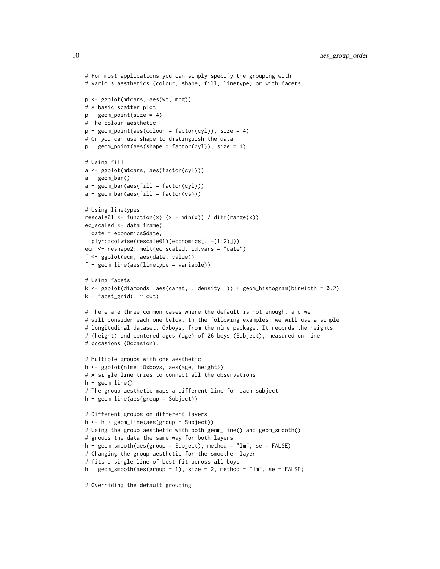```
# For most applications you can simply specify the grouping with
# various aesthetics (colour, shape, fill, linetype) or with facets.
p <- ggplot(mtcars, aes(wt, mpg))
# A basic scatter plot
p + geom\_point(size = 4)# The colour aesthetic
p + geom\_point(aes(colour = factor(cyl)), size = 4)# Or you can use shape to distinguish the data
p + geom\_point(aes(shape = factor(cyl)), size = 4)# Using fill
a <- ggplot(mtcars, aes(factor(cyl)))
a + geom_bar()
a + geom\_bar(aes(fill = factor(cyl)))a + geom\_bar(aes(fill = factor(vs)))# Using linetypes
rescale01 <- function(x) (x - min(x)) / diff(range(x))
ec_scaled <- data.frame(
  date = economics$date,
  plyr::colwise(rescale01)(economics[, -(1:2)]))
ecm <- reshape2::melt(ec_scaled, id.vars = "date")
f <- ggplot(ecm, aes(date, value))
f + geom_line(aes(linetype = variable))
# Using facets
k \leq ggplot(diamonds, aes(carat, ..density..)) + geom_histogram(binwidth = 0.2)
k + facet_grid(. \sim cut)
# There are three common cases where the default is not enough, and we
# will consider each one below. In the following examples, we will use a simple
# longitudinal dataset, Oxboys, from the nlme package. It records the heights
# (height) and centered ages (age) of 26 boys (Subject), measured on nine
# occasions (Occasion).
# Multiple groups with one aesthetic
h <- ggplot(nlme::Oxboys, aes(age, height))
# A single line tries to connect all the observations
h + geom_line()
# The group aesthetic maps a different line for each subject
h + geom_line(aes(group = Subject))
# Different groups on different layers
h \le -h + \text{geom\_line}(aes(\text{group} = \text{Subject}))# Using the group aesthetic with both geom_line() and geom_smooth()
# groups the data the same way for both layers
h + geom_smooth(aes(group = Subject), method = "lm", se = FALSE)
# Changing the group aesthetic for the smoother layer
# fits a single line of best fit across all boys
h + geom\_smooth(aes(group = 1), size = 2, method = "lm", se = FALSE)# Overriding the default grouping
```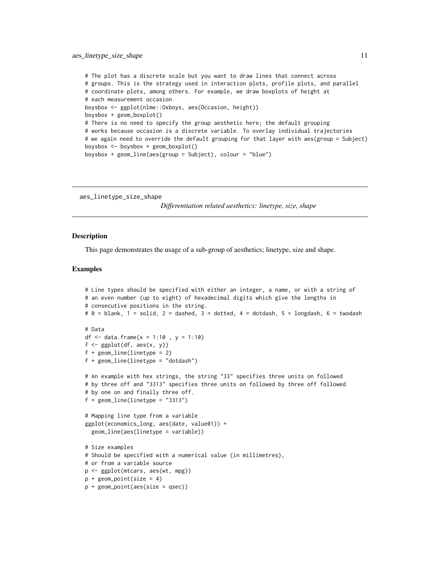```
# The plot has a discrete scale but you want to draw lines that connect across
# groups. This is the strategy used in interaction plots, profile plots, and parallel
# coordinate plots, among others. For example, we draw boxplots of height at
# each measurement occasion
boysbox <- ggplot(nlme::Oxboys, aes(Occasion, height))
boysbox + geom_boxplot()
# There is no need to specify the group aesthetic here; the default grouping
# works because occasion is a discrete variable. To overlay individual trajectories
# we again need to override the default grouping for that layer with aes(group = Subject)
boysbox <- boysbox + geom_boxplot()
boysbox + geom_line(aes(group = Subject), colour = "blue")
```

```
aes_linetype_size_shape
```
*Differentiation related aesthetics: linetype, size, shape*

#### Description

This page demonstrates the usage of a sub-group of aesthetics; linetype, size and shape.

```
# Line types should be specified with either an integer, a name, or with a string of
# an even number (up to eight) of hexadecimal digits which give the lengths in
# consecutive positions in the string.
# \theta = blank, 1 = solid, 2 = dashed, 3 = dotted, 4 = dotdash, 5 = longdash, 6 = twodash
# Data
df <- data.frame(x = 1:10, y = 1:10)
f \leftarrow \text{ggplot}(df, \text{aes}(x, y))f + geom_line(linetype = 2)
f + geom\_line(linetype = "dotdash")# An example with hex strings, the string "33" specifies three units on followed
# by three off and "3313" specifies three units on followed by three off followed
# by one on and finally three off.
f + geom\_line(linetype = "3313")# Mapping line type from a variable
ggplot(economics_long, aes(date, value01)) +
 geom_line(aes(linetype = variable))
# Size examples
# Should be specified with a numerical value (in millimetres),
# or from a variable source
p <- ggplot(mtcars, aes(wt, mpg))
p + geom\_point(size = 4)p + geom_point(aes(size = qsec))
```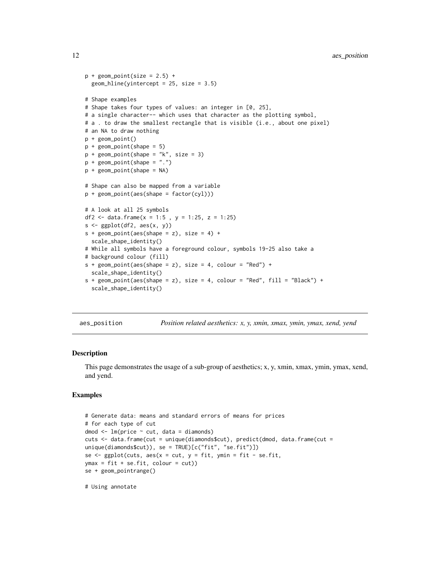```
p + geom\_point(size = 2.5) +geom\_hline(yintercept = 25, size = 3.5)# Shape examples
# Shape takes four types of values: an integer in [0, 25],
# a single character-- which uses that character as the plotting symbol,
# a . to draw the smallest rectangle that is visible (i.e., about one pixel)
# an NA to draw nothing
p + geom_point()
p + geom\_point(shape = 5)p + geom\_point(shape = "k", size = 3)p + geom\_point(shape = "."p + geom_point(shape = NA)
# Shape can also be mapped from a variable
p + geom_point(aes(shape = factor(cyl)))
# A look at all 25 symbols
df2 <- data.frame(x = 1:5, y = 1:25, z = 1:25)
s \leftarrow \text{ggplot}(df2, \text{aes}(x, y))s + geom\_point(aes(shape = z), size = 4) +scale_shape_identity()
# While all symbols have a foreground colour, symbols 19-25 also take a
# background colour (fill)
s + geom_point(aes(shape = z), size = 4, colour = "Red") +
  scale_shape_identity()
s + geom\_point(aes(shape = z), size = 4, colour = "Red", fill = "Black") +scale_shape_identity()
```
aes\_position *Position related aesthetics: x, y, xmin, xmax, ymin, ymax, xend, yend*

#### **Description**

This page demonstrates the usage of a sub-group of aesthetics; x, y, xmin, xmax, ymin, ymax, xend, and yend.

#### Examples

```
# Generate data: means and standard errors of means for prices
# for each type of cut
dmod \leq lm(price \sim cut, data = diamonds)
cuts <- data.frame(cut = unique(diamonds$cut), predict(dmod, data.frame(cut =
unique(diamonds$cut)), se = TRUE)[c("fit", "se.fit")])
se \leq ggplot(cuts, aes(x = cut, y = fit, ymin = fit - se.fit,
ymax = fit + se.fit, colour = cut))
se + geom_pointrange()
```
# Using annotate

<span id="page-11-0"></span>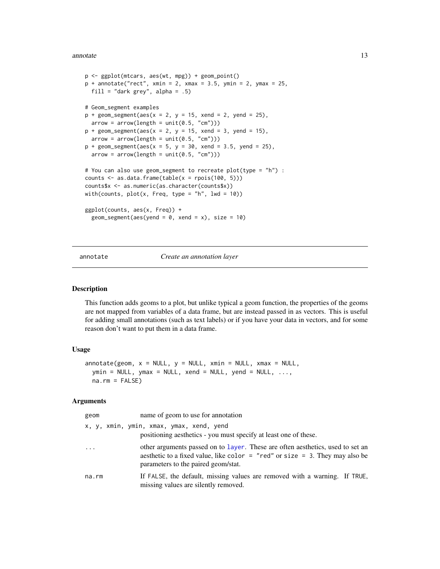#### <span id="page-12-0"></span>annotate and the set of the set of the set of the set of the set of the set of the set of the set of the set of the set of the set of the set of the set of the set of the set of the set of the set of the set of the set of

```
p <- ggplot(mtcars, aes(wt, mpg)) + geom_point()
p + annotate("rect", xmin = 2, xmax = 3.5, ymin = 2, ymax = 25,
 fill = "dark grey", alpha = .5)
# Geom_segment examples
p + geom\_segment(aes(x = 2, y = 15, xend = 2, yend = 25),
 arrow = arrow(length = unit(0.5, "cm")))p + geom\_segment(aes(x = 2, y = 15, xend = 3, yend = 15),
 arrow = arrow(length = unit(0.5, "cm")))p + geom\_segment(aes(x = 5, y = 30, xend = 3.5, yend = 25),arrow = arrow(length = unit(0.5, "cm")))# You can also use geom_segment to recreate plot(type = "h") :
counts \leq as.data.frame(table(x = rpois(100, 5)))
counts$x <- as.numeric(as.character(counts$x))
with(counts, plot(x, Freq, type = "h", lwd = 10))ggplot(counts, aes(x, Freq)) +
 geom_segment(aes(yend = 0, xend = x), size = 10)
```
annotate *Create an annotation layer*

# **Description**

This function adds geoms to a plot, but unlike typical a geom function, the properties of the geoms are not mapped from variables of a data frame, but are instead passed in as vectors. This is useful for adding small annotations (such as text labels) or if you have your data in vectors, and for some reason don't want to put them in a data frame.

#### Usage

```
\text{annotate}(\text{geom}, x = \text{NULL}, y = \text{NULL}, x\text{min} = \text{NULL}, x\text{max} = \text{NULL},ymin = NULL, ymax = NULL, xend = NULL, yend = NULL, ...na.rm = FALSE)
```

| geom     | name of geom to use for annotation                                                                                                                                                                        |
|----------|-----------------------------------------------------------------------------------------------------------------------------------------------------------------------------------------------------------|
|          | x, y, xmin, ymin, xmax, ymax, xend, yend<br>positioning aesthetics - you must specify at least one of these.                                                                                              |
| $\cdots$ | other arguments passed on to layer. These are often aesthetics, used to set an<br>aesthetic to a fixed value, like color $=$ "red" or size $=$ 3. They may also be<br>parameters to the paired geom/stat. |
| na.rm    | If FALSE, the default, missing values are removed with a warning. If TRUE,<br>missing values are silently removed.                                                                                        |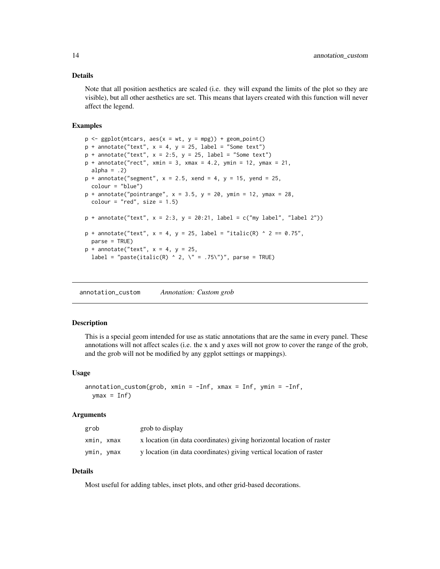#### <span id="page-13-0"></span>Details

Note that all position aesthetics are scaled (i.e. they will expand the limits of the plot so they are visible), but all other aesthetics are set. This means that layers created with this function will never affect the legend.

# Examples

 $p \leftarrow \text{ggplot}(\text{mtcars}, \text{aes}(x = wt, y = mpg)) + \text{geom\_point}()$  $p +$  annotate("text",  $x = 4$ ,  $y = 25$ , label = "Some text")  $p +$  annotate("text",  $x = 2:5$ ,  $y = 25$ , label = "Some text")  $p +$  annotate("rect", xmin = 3, xmax = 4.2, ymin = 12, ymax = 21, alpha =  $.2$ )  $p +$  annotate("segment",  $x = 2.5$ , xend = 4,  $y = 15$ , yend = 25, colour = "blue")  $p +$  annotate("pointrange",  $x = 3.5$ ,  $y = 20$ , ymin = 12, ymax = 28,  $colour = "red", size = 1.5)$  $p +$  annotate("text",  $x = 2:3$ ,  $y = 20:21$ , label = c("my label", "label 2"))  $p +$  annotate("text",  $x = 4$ ,  $y = 25$ , label = "italic(R) ^ 2 == 0.75", parse = TRUE)  $p +$  annotate("text",  $x = 4$ ,  $y = 25$ , label = "paste(italic(R) ^ 2, \" = .75\")", parse = TRUE)

annotation\_custom *Annotation: Custom grob*

#### Description

This is a special geom intended for use as static annotations that are the same in every panel. These annotations will not affect scales (i.e. the x and y axes will not grow to cover the range of the grob, and the grob will not be modified by any ggplot settings or mappings).

#### Usage

```
\text{annotation\_custom(grob, xmin = -Inf, xmax = Inf, ymin = -Inf},ymax = Inf)
```
#### Arguments

| grob       | grob to display                                                       |
|------------|-----------------------------------------------------------------------|
| xmin, xmax | x location (in data coordinates) giving horizontal location of raster |
| ymin, ymax | y location (in data coordinates) giving vertical location of raster   |

# Details

Most useful for adding tables, inset plots, and other grid-based decorations.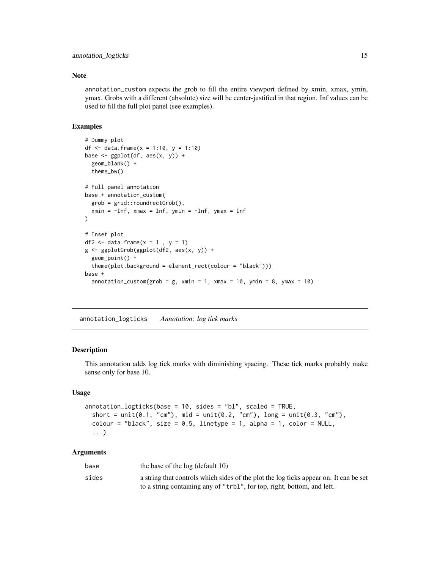#### <span id="page-14-0"></span>Note

annotation\_custom expects the grob to fill the entire viewport defined by xmin, xmax, ymin, ymax. Grobs with a different (absolute) size will be center-justified in that region. Inf values can be used to fill the full plot panel (see examples).

# Examples

```
# Dummy plot
df \le data.frame(x = 1:10, y = 1:10)
base <- ggplot(df, aes(x, y)) +
  geom_blank() +
  theme_bw()
# Full panel annotation
base + annotation_custom(
  grob = grid::roundrectGrob(),
  xmin = -Inf, xmax = Inf, ymin = -Inf, ymax = Inf)
# Inset plot
df2 \leftarrow data.frame(x = 1, y = 1)
g <- ggplotGrob(ggplot(df2, aes(x, y)) +
  geom_point() +
  theme(plot.background = element_rect(colour = "black")))
base +
  annotation_custom(grob = g, xmin = 1, xmax = 10, ymin = 8, ymax = 10)
```
annotation\_logticks *Annotation: log tick marks*

#### Description

This annotation adds log tick marks with diminishing spacing. These tick marks probably make sense only for base 10.

#### Usage

```
annotation_logticks(base = 10, sides = "bl", scaled = TRUE,
  short = unit(0.1, "cm"), mid = unit(0.2, "cm"), long = unit(0.3, "cm"),
 colour = "black", size = 0.5, linetype = 1, alpha = 1, color = NULL,
  ...)
```

| base  | the base of the $log$ (default 10)                                                    |
|-------|---------------------------------------------------------------------------------------|
| sides | a string that controls which sides of the plot the log ticks appear on. It can be set |
|       | to a string containing any of "trbl", for top, right, bottom, and left.               |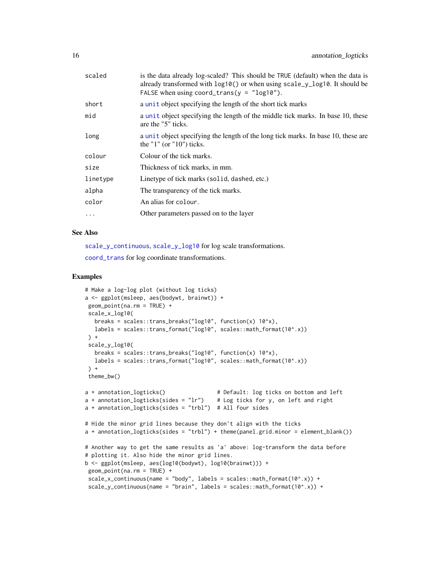| scaled   | is the data already log-scaled? This should be TRUE (default) when the data is<br>already transformed with $log10()$ or when using scale_y_log10. It should be<br>FALSE when using coord_trans( $y = "log10")$ . |
|----------|------------------------------------------------------------------------------------------------------------------------------------------------------------------------------------------------------------------|
| short    | a unit object specifying the length of the short tick marks                                                                                                                                                      |
| mid      | a unit object specifying the length of the middle tick marks. In base 10, these<br>are the "5" ticks.                                                                                                            |
| long     | a unit object specifying the length of the long tick marks. In base 10, these are<br>the "1" (or "10") ticks.                                                                                                    |
| colour   | Colour of the tick marks.                                                                                                                                                                                        |
| size     | Thickness of tick marks, in mm.                                                                                                                                                                                  |
| linetype | Linetype of tick marks (solid, dashed, etc.)                                                                                                                                                                     |
| alpha    | The transparency of the tick marks.                                                                                                                                                                              |
| color    | An alias for colour.                                                                                                                                                                                             |
| $\cdots$ | Other parameters passed on to the layer                                                                                                                                                                          |
|          |                                                                                                                                                                                                                  |

# See Also

[scale\\_y\\_continuous](#page-149-1), [scale\\_y\\_log10](#page-149-1) for log scale transformations. [coord\\_trans](#page-25-1) for log coordinate transformations.

```
# Make a log-log plot (without log ticks)
a <- ggplot(msleep, aes(bodywt, brainwt)) +
geom_point(na.rm = TRUE) +
scale_x_log10(
  breaks = scales::trans_breaks("log10", function(x) 10^x),
  labels = scales::trans_format("log10", scales::math_format(10^.x))
) +scale_y_log10(
  breaks = scales::trans_breaks("log10", function(x) 10^x),
  labels = scales::trans_format("log10", scales::math_format(10^.x))
) +
theme_bw()
a + annotation_logticks() \qquad # Default: log ticks on bottom and left
a + annotation_logticks(sides = "lr") # Log ticks for y, on left and right
a + annotation_logticks(sides = "trbl") # All four sides
# Hide the minor grid lines because they don't align with the ticks
a + annotation_logticks(sides = "trbl") + theme(panel.grid.minor = element_blank())
# Another way to get the same results as 'a' above: log-transform the data before
# plotting it. Also hide the minor grid lines.
b <- ggplot(msleep, aes(log10(bodywt), log10(brainwt))) +
geom_point(na.rm = TRUE) +
scale_x_{continuous(name = "body", labels = scales::mathb_{continuous} +scale_y_{continuous(name = "brain", labels = scales::math_f{month_function(x), ) +}
```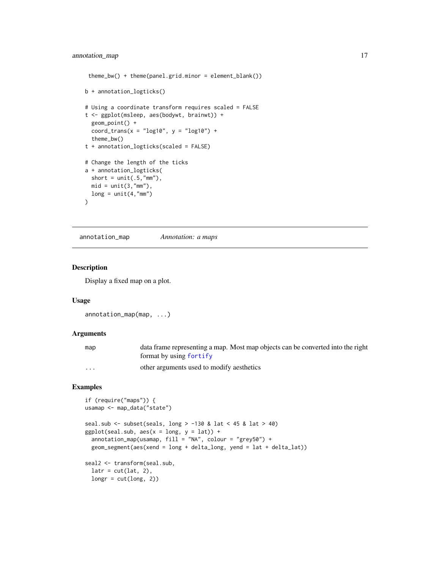```
theme_bw() + theme(panel.grid.minor = element_blank())
b + annotation_logticks()
# Using a coordinate transform requires scaled = FALSE
t <- ggplot(msleep, aes(bodywt, brainwt)) +
  geom_point() +
  coord_trans(x = "log10", y = "log10") +
  theme_bw()
t + annotation_logticks(scaled = FALSE)
# Change the length of the ticks
a + annotation_logticks(
  short = unit(.5, "mm"),
 mid = unit(3, "mm"),
 long = unit(4, "mm")\mathcal{L}
```
annotation\_map *Annotation: a maps*

#### Description

Display a fixed map on a plot.

#### Usage

```
annotation_map(map, ...)
```
#### Arguments

| map      | data frame representing a map. Most map objects can be converted into the right |
|----------|---------------------------------------------------------------------------------|
|          | format by using for tify                                                        |
| $\cdots$ | other arguments used to modify aesthetics                                       |

```
if (require("maps")) {
usamap <- map_data("state")
seal.sub <- subset(seals, long > -130 & lat < 45 & lat > 40)
ggplot(seal.sub, aes(x = long, y = lat)) +annotation_map(usamap, fill = "NA", colour = "grey50") +
  geom_segment(aes(xend = long + delta_long, yend = lat + delta_lat))
seal2 <- transform(seal.sub,
  latr = cut(lat, 2),
  longr = cut(long, 2)
```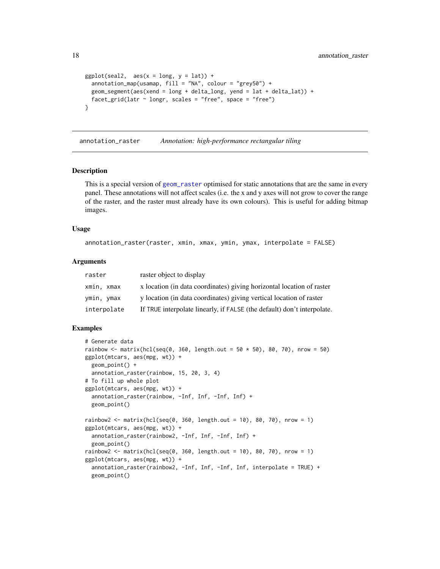```
ggplot(seal2, aes(x = long, y = lat)) +annotation_map(usamap, fill = "NA", colour = "grey50") +
  geom_segment(aes(xend = long + delta_long, yend = lat + delta_lat)) +
  facet_grid(latr \sim longr, scales = "free", space = "free")
}
```
annotation\_raster *Annotation: high-performance rectangular tiling*

#### Description

This is a special version of [geom\\_raster](#page-88-1) optimised for static annotations that are the same in every panel. These annotations will not affect scales (i.e. the x and y axes will not grow to cover the range of the raster, and the raster must already have its own colours). This is useful for adding bitmap images.

#### Usage

```
annotation_raster(raster, xmin, xmax, ymin, ymax, interpolate = FALSE)
```
#### Arguments

| raster      | raster object to display                                                |
|-------------|-------------------------------------------------------------------------|
| xmin. xmax  | x location (in data coordinates) giving horizontal location of raster   |
| ymin, ymax  | y location (in data coordinates) giving vertical location of raster     |
| interpolate | If TRUE interpolate linearly, if FALSE (the default) don't interpolate. |

```
# Generate data
rainbow <- matrix(hcl(seq(0, 360, length.out = 50 * 50), 80, 70), nrow = 50)
ggplot(mtcars, aes(mpg, wt)) +
 geom_point() +
 annotation_raster(rainbow, 15, 20, 3, 4)
# To fill up whole plot
ggplot(mtcars, aes(mpg, wt)) +
 annotation_raster(rainbow, -Inf, Inf, -Inf, Inf) +
 geom_point()
rainbow2 <- matrix(hcl(seq(0, 360, length.out = 10), 80, 70), nrow = 1)
ggplot(mtcars, aes(mpg, wt)) +
 annotation_raster(rainbow2, -Inf, Inf, -Inf, Inf) +
 geom_point()
rainbow2 <- matrix(hcl(seq(0, 360, length.out = 10), 80, 70), nrow = 1)
ggplot(mtcars, aes(mpg, wt)) +
 annotation_raster(rainbow2, -Inf, Inf, -Inf, Inf, interpolate = TRUE) +
 geom_point()
```
<span id="page-17-0"></span>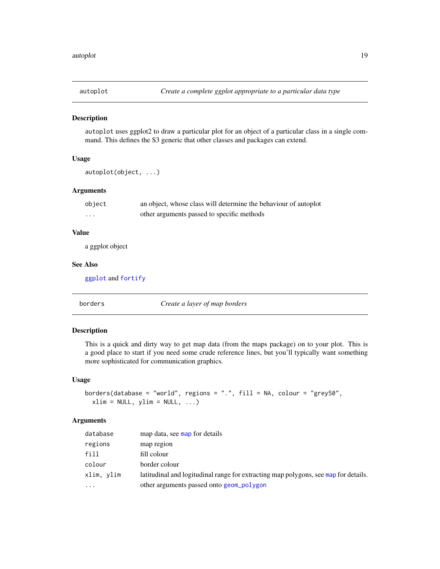<span id="page-18-0"></span>

# Description

autoplot uses ggplot2 to draw a particular plot for an object of a particular class in a single command. This defines the S3 generic that other classes and packages can extend.

# Usage

```
autoplot(object, ...)
```
# Arguments

| object | an object, whose class will determine the behaviour of autoplot |
|--------|-----------------------------------------------------------------|
| .      | other arguments passed to specific methods                      |

# Value

a ggplot object

# See Also

[ggplot](#page-104-1) and [fortify](#page-35-1)

borders *Create a layer of map borders*

# Description

This is a quick and dirty way to get map data (from the maps package) on to your plot. This is a good place to start if you need some crude reference lines, but you'll typically want something more sophisticated for communication graphics.

# Usage

```
borders(database = "world", regions = ".", fill = NA, colour = "grey50",
 xlim = NULL, ylim = NULL, ...
```

| database   | map data, see map for details                                                       |
|------------|-------------------------------------------------------------------------------------|
| regions    | map region                                                                          |
| fill       | fill colour                                                                         |
| colour     | border colour                                                                       |
| xlim, ylim | latitudinal and logitudinal range for extracting map polygons, see map for details. |
| $\ddotsc$  | other arguments passed onto geom_polygon                                            |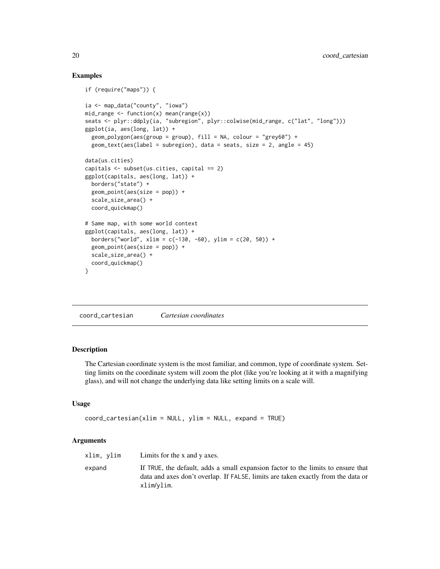### Examples

```
if (require("maps")) {
ia <- map_data("county", "iowa")
mid\_range \leftarrow function(x) mean(range(x))
seats <- plyr::ddply(ia, "subregion", plyr::colwise(mid_range, c("lat", "long")))
ggplot(ia, aes(long, lat)) +
  geom_polygon(aes(group = group), fill = NA, colour = "grey60") +
  geom_text(aes(label = subregion), data = seats, size = 2, angle = 45)
data(us.cities)
capitals <- subset(us.cities, capital == 2)
ggplot(capitals, aes(long, lat)) +
  borders("state") +
  geom_point(aes(size = pop)) +
  scale_size_area() +
  coord_quickmap()
# Same map, with some world context
ggplot(capitals, aes(long, lat)) +
  borders("world", xlim = c(-130, -60), ylim = c(20, 50)) +
  geom_point(aes(size = pop)) +
  scale_size_area() +
  coord_quickmap()
}
```
coord\_cartesian *Cartesian coordinates*

# Description

The Cartesian coordinate system is the most familiar, and common, type of coordinate system. Setting limits on the coordinate system will zoom the plot (like you're looking at it with a magnifying glass), and will not change the underlying data like setting limits on a scale will.

#### Usage

```
coord\_cartesian(xlim = NULL, ylim = NULL, expand = TRUE)
```

| xlim, ylim | Limits for the x and y axes.                                                                                                                                                       |
|------------|------------------------------------------------------------------------------------------------------------------------------------------------------------------------------------|
| expand     | If TRUE, the default, adds a small expansion factor to the limits to ensure that<br>data and axes don't overlap. If FALSE, limits are taken exactly from the data or<br>xlim/vlim. |

<span id="page-19-0"></span>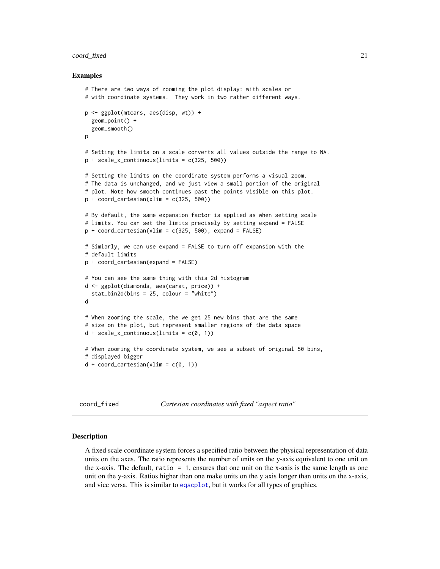#### <span id="page-20-0"></span>coord\_fixed 21

#### Examples

```
# There are two ways of zooming the plot display: with scales or
# with coordinate systems. They work in two rather different ways.
p <- ggplot(mtcars, aes(disp, wt)) +
 geom_point() +
 geom_smooth()
p
# Setting the limits on a scale converts all values outside the range to NA.
p + scale_x_{continuous(limits = c(325, 500))# Setting the limits on the coordinate system performs a visual zoom.
# The data is unchanged, and we just view a small portion of the original
# plot. Note how smooth continues past the points visible on this plot.
p + coord_cartesian(xlim = c(325, 500))# By default, the same expansion factor is applied as when setting scale
# limits. You can set the limits precisely by setting expand = FALSE
p + \text{coord\_cartesian}(\text{xlim} = c(325, 500), \text{expand} = \text{FALSE})# Simiarly, we can use expand = FALSE to turn off expansion with the
# default limits
p + coord_cartesian(expand = FALSE)
# You can see the same thing with this 2d histogram
d <- ggplot(diamonds, aes(carat, price)) +
 stat_bin2d(bins = 25, colour = "white")
d
# When zooming the scale, the we get 25 new bins that are the same
# size on the plot, but represent smaller regions of the data space
d + scale_x_{continuous(limits = c(0, 1))# When zooming the coordinate system, we see a subset of original 50 bins,
# displayed bigger
d + coord_{cartesian(xlim = c(0, 1))}
```
coord\_fixed *Cartesian coordinates with fixed "aspect ratio"*

#### **Description**

A fixed scale coordinate system forces a specified ratio between the physical representation of data units on the axes. The ratio represents the number of units on the y-axis equivalent to one unit on the x-axis. The default, ratio = 1, ensures that one unit on the x-axis is the same length as one unit on the y-axis. Ratios higher than one make units on the y axis longer than units on the x-axis, and vice versa. This is similar to [eqscplot](#page-0-0), but it works for all types of graphics.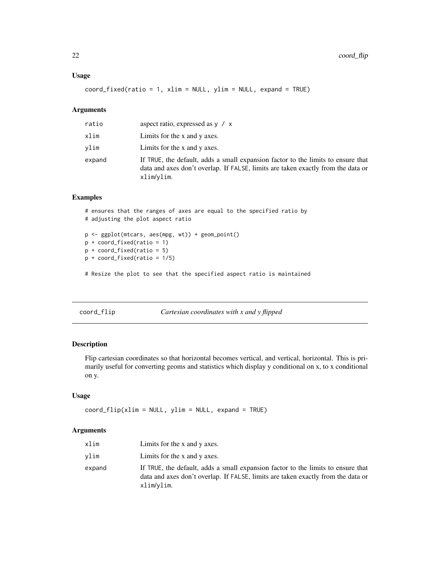# <span id="page-21-0"></span>Usage

 $coord_fixed(ratio = 1, xlim = NULL, ylim = NULL, expand = TRUE)$ 

#### Arguments

| ratio  | aspect ratio, expressed as $y / x$                                                                                                                                                 |
|--------|------------------------------------------------------------------------------------------------------------------------------------------------------------------------------------|
| xlim   | Limits for the x and y axes.                                                                                                                                                       |
| vlim   | Limits for the x and y axes.                                                                                                                                                       |
| expand | If TRUE, the default, adds a small expansion factor to the limits to ensure that<br>data and axes don't overlap. If FALSE, limits are taken exactly from the data or<br>xlim/ylim. |

# Examples

# ensures that the ranges of axes are equal to the specified ratio by # adjusting the plot aspect ratio p <- ggplot(mtcars, aes(mpg, wt)) + geom\_point() p + coord\_fixed(ratio = 1) p + coord\_fixed(ratio = 5)  $p + coord\_fixed(ratio = 1/5)$ # Resize the plot to see that the specified aspect ratio is maintained

| Cartesian coordinates with x and y flipped<br>coord_flip |  |  |
|----------------------------------------------------------|--|--|
|----------------------------------------------------------|--|--|

# Description

Flip cartesian coordinates so that horizontal becomes vertical, and vertical, horizontal. This is primarily useful for converting geoms and statistics which display y conditional on x, to x conditional on y.

#### Usage

coord\_flip(xlim = NULL, ylim = NULL, expand = TRUE)

| xlim   | Limits for the x and y axes.                                                                                                                                                       |
|--------|------------------------------------------------------------------------------------------------------------------------------------------------------------------------------------|
| vlim   | Limits for the x and y axes.                                                                                                                                                       |
| expand | If TRUE, the default, adds a small expansion factor to the limits to ensure that<br>data and axes don't overlap. If FALSE, limits are taken exactly from the data or<br>xlim/ylim. |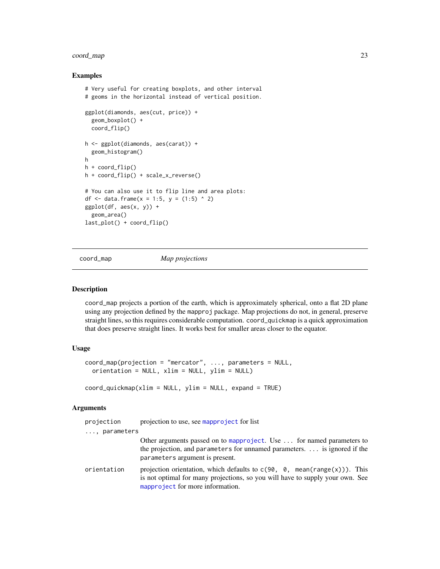# <span id="page-22-0"></span>coord\_map 23

#### Examples

```
# Very useful for creating boxplots, and other interval
# geoms in the horizontal instead of vertical position.
ggplot(diamonds, aes(cut, price)) +
  geom_boxplot() +
  coord_flip()
h <- ggplot(diamonds, aes(carat)) +
  geom_histogram()
h
h + coord_flip()
h + coord_flip() + scale_x_reverse()
# You can also use it to flip line and area plots:
df <- data.frame(x = 1:5, y = (1:5) ^ 2)
ggplot(df, aes(x, y)) +
  geom_area()
last_plot() + coord_flip()
```
coord\_map *Map projections*

#### Description

coord\_map projects a portion of the earth, which is approximately spherical, onto a flat 2D plane using any projection defined by the mapproj package. Map projections do not, in general, preserve straight lines, so this requires considerable computation. coord\_quickmap is a quick approximation that does preserve straight lines. It works best for smaller areas closer to the equator.

#### Usage

```
coord_map(projection = "mercator", ..., parameters = NULL,
  orientation = NULL, xlim = NULL, ylim = NULL)
```

```
coord_quickmap(xlim = NULL, ylim = NULL, expand = TRUE)
```

| projection            | projection to use, see mapproject for list                                                                                                                                                                     |
|-----------------------|----------------------------------------------------------------------------------------------------------------------------------------------------------------------------------------------------------------|
| $\ldots$ , parameters |                                                                                                                                                                                                                |
|                       | Other arguments passed on to mapproject. Use  for named parameters to<br>the projection, and parameters for unnamed parameters.  is ignored if the<br>parameters argument is present.                          |
| orientation           | projection orientation, which defaults to $c(90, 0, \text{mean}(\text{range}(x)))$ . This<br>is not optimal for many projections, so you will have to supply your own. See<br>mapproject for more information. |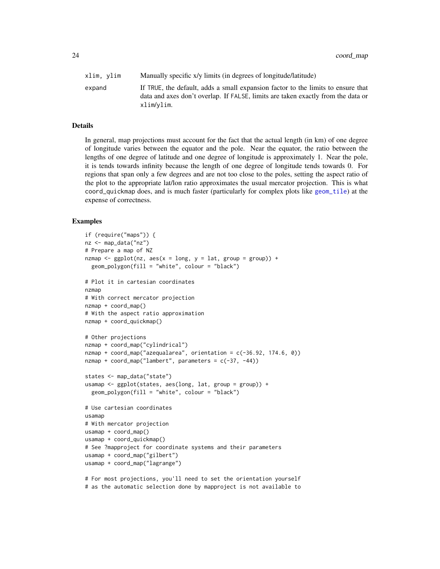24 coord\_map

| xlim, ylim | Manually specific x/y limits (in degrees of longitude/latitude)                                                                                                                    |
|------------|------------------------------------------------------------------------------------------------------------------------------------------------------------------------------------|
| expand     | If TRUE, the default, adds a small expansion factor to the limits to ensure that<br>data and axes don't overlap. If FALSE, limits are taken exactly from the data or<br>xlim/vlim. |

#### **Details**

In general, map projections must account for the fact that the actual length (in km) of one degree of longitude varies between the equator and the pole. Near the equator, the ratio between the lengths of one degree of latitude and one degree of longitude is approximately 1. Near the pole, it is tends towards infinity because the length of one degree of longitude tends towards 0. For regions that span only a few degrees and are not too close to the poles, setting the aspect ratio of the plot to the appropriate lat/lon ratio approximates the usual mercator projection. This is what coord\_quickmap does, and is much faster (particularly for complex plots like [geom\\_tile](#page-88-2)) at the expense of correctness.

```
if (require("maps")) {
nz <- map_data("nz")
# Prepare a map of NZ
nzmap \leq ggplot(nz, aes(x = long, y = lat, group = group)) +
  geom_polygon(fill = "white", colour = "black")
# Plot it in cartesian coordinates
nzmap
# With correct mercator projection
nzmap + coord map()
# With the aspect ratio approximation
nzmap + coord_quickmap()
# Other projections
nzmap + coord_map("cylindrical")
nzmap + coord_map("azequalarea", orientation = c(-36.92, 174.6, 0))
nzmap + coord_map("lambert", parameters = c(-37, -44))states <- map_data("state")
usamap <- ggplot(states, aes(long, lat, group = group)) +
  geom_polygon(fill = "white", colour = "black")
# Use cartesian coordinates
usamap
# With mercator projection
usamap + coord_map()
usamap + coord_quickmap()
# See ?mapproject for coordinate systems and their parameters
usamap + coord_map("gilbert")
usamap + coord_map("lagrange")
# For most projections, you'll need to set the orientation yourself
```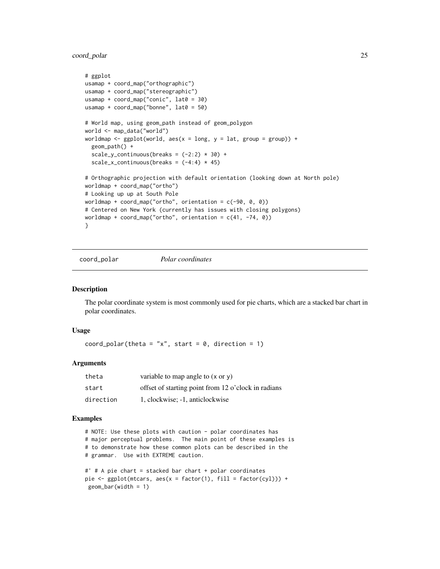# <span id="page-24-0"></span>coord\_polar 25

```
# ggplot
usamap + coord_map("orthographic")
usamap + coord_map("stereographic")
usamap + coord_map("conic", lat0 = 30)
usamap + coord_map("bonne", lat0 = 50)
# World map, using geom_path instead of geom_polygon
world <- map_data("world")
worldmap \leq ggplot(world, aes(x = long, y = lat, group = group)) +
  geom_path() +
  scale_y_continuous(breaks = (-2:2) * 30) +
  scale_x_continuous(breaks = (-4:4) * 45)
# Orthographic projection with default orientation (looking down at North pole)
worldmap + coord_map("ortho")
# Looking up up at South Pole
worldmap + coord_map("ortho", orientation = c(-90, 0, 0))
# Centered on New York (currently has issues with closing polygons)
worldmap + coord_map("ortho", orientation = c(41, -74, 0))
}
```
coord\_polar *Polar coordinates*

#### Description

The polar coordinate system is most commonly used for pie charts, which are a stacked bar chart in polar coordinates.

#### Usage

coord\_polar(theta = "x", start =  $0$ , direction = 1)

#### Arguments

| theta     | variable to map angle to $(x \text{ or } y)$        |
|-----------|-----------------------------------------------------|
| start     | offset of starting point from 12 o'clock in radians |
| direction | 1, clockwise; -1, anticlockwise                     |

```
# NOTE: Use these plots with caution - polar coordinates has
# major perceptual problems. The main point of these examples is
# to demonstrate how these common plots can be described in the
# grammar. Use with EXTREME caution.
#' # A pie chart = stacked bar chart + polar coordinates
pie <- ggplot(mtcars, aes(x = factor(1), fill = factor(cyl))) +
geom_bar(width = 1)
```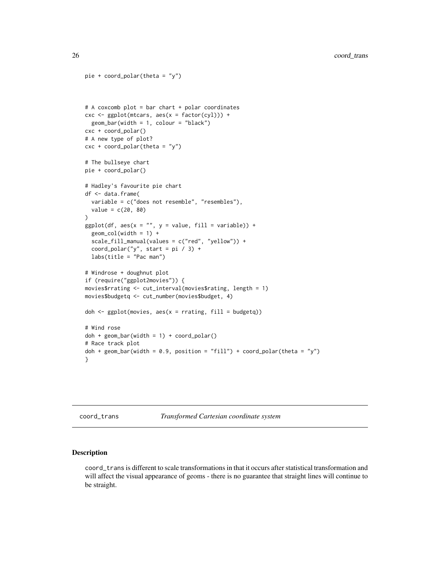```
pie + coord_polar(theta = "y")
# A coxcomb plot = bar chart + polar coordinates
\csc \leftarrow \text{ggplot}(\text{mtcars}, \text{aes}(x = \text{factor}(cyl))) +geom_bar(width = 1, colour = "black")cxc + coord_polar()
# A new type of plot?
cx + coord\_polar(theta = "y")# The bullseye chart
pie + coord_polar()
# Hadley's favourite pie chart
df <- data.frame(
  variable = c("does not resemble", "resembles"),
  value = c(20, 80)\lambdaggplot(df, aes(x = "", y = value, fill = variable)) +geom_col(width = 1) +
  scale_fill_manual(values = c("red", "yellow")) +
  coord\_polar("y", start = pi / 3) +labs(title = "Pac man")
# Windrose + doughnut plot
if (require("ggplot2movies")) {
movies$rrating <- cut_interval(movies$rating, length = 1)
movies$budgetq <- cut_number(movies$budget, 4)
doh \leq ggplot(movies, aes(x = rrating, fill = budgetq))
# Wind rose
doh + geom_bar(width = 1) + coord_polar()
# Race track plot
doh + geom_bar(width = 0.9, position = "fill") + coord_polar(theta = "y")
}
```
<span id="page-25-1"></span>coord\_trans *Transformed Cartesian coordinate system*

# Description

coord\_trans is different to scale transformations in that it occurs after statistical transformation and will affect the visual appearance of geoms - there is no guarantee that straight lines will continue to be straight.

<span id="page-25-0"></span>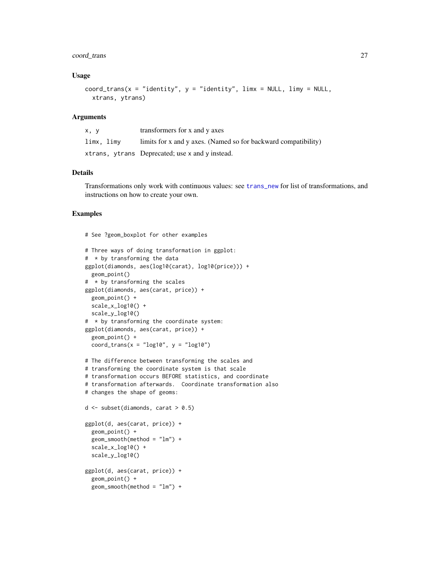# coord\_trans 27

### Usage

```
coord_trans(x = "identity", y = "identity", limx = NULL, limy = NULL,
  xtrans, ytrans)
```
#### Arguments

| x. v       | transformers for x and y axes                                  |
|------------|----------------------------------------------------------------|
| limx, limy | limits for x and y axes. (Named so for backward compatibility) |
|            | xtrans, ytrans Deprecated; use x and y instead.                |

#### Details

Transformations only work with continuous values: see [trans\\_new](#page-0-0) for list of transformations, and instructions on how to create your own.

#### Examples

# See ?geom\_boxplot for other examples

```
# Three ways of doing transformation in ggplot:
# * by transforming the data
ggplot(diamonds, aes(log10(carat), log10(price))) +
  geom_point()
# * by transforming the scales
ggplot(diamonds, aes(carat, price)) +
  geom_point() +
  scale_x_log10() +
  scale_y_log10()
# * by transforming the coordinate system:
ggplot(diamonds, aes(carat, price)) +
  geom_point() +
  coord_trans(x = "log10", y = "log10")# The difference between transforming the scales and
# transforming the coordinate system is that scale
# transformation occurs BEFORE statistics, and coordinate
# transformation afterwards. Coordinate transformation also
# changes the shape of geoms:
d \leq - subset(diamonds, carat > 0.5)
ggplot(d, aes(carat, price)) +
  geom_point() +
  geom_smooth(method = "lm") +
  scale_x_log10() +
  scale_y_log10()
ggplot(d, aes(carat, price)) +
  geom_point() +
  geom_smooth(method = "lm") +
```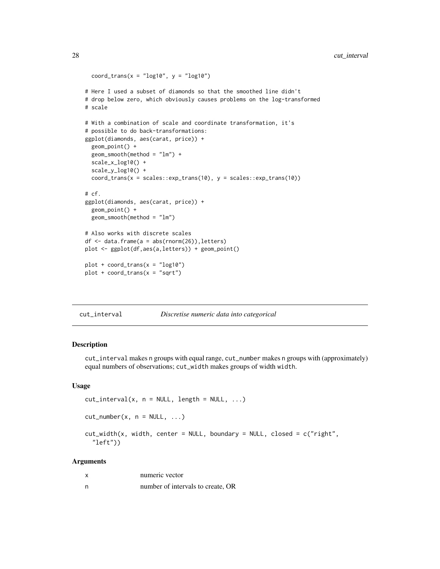```
coord_trans(x = "log10", y = "log10")
# Here I used a subset of diamonds so that the smoothed line didn't
# drop below zero, which obviously causes problems on the log-transformed
# scale
# With a combination of scale and coordinate transformation, it's
# possible to do back-transformations:
ggplot(diamonds, aes(carat, price)) +
  geom_point() +
  geom_smooth(method = "lm") +
  scale_x_log10() +
  scale_y_log10() +
  coord_transform(x = scales::exp_transform(10), y = scales::exp_transform(10))# cf.
ggplot(diamonds, aes(carat, price)) +
  geom_point() +
  geom_smooth(method = "lm")
# Also works with discrete scales
df <- data.frame(a = abs(rnorm(26)),letters)
plot <- ggplot(df,aes(a,letters)) + geom_point()
plot + coord_trans(x = "log10")
plot + coord_trans(x = "sqrt")
```

| Discretise numeric data into categorical<br>cut_interval |
|----------------------------------------------------------|
|----------------------------------------------------------|

# <span id="page-27-1"></span>Description

cut\_interval makes n groups with equal range, cut\_number makes n groups with (approximately) equal numbers of observations; cut\_width makes groups of width width.

#### Usage

```
cut\_interval(x, n = NULL, length = NULL, ...)cut_number(x, n = NULL, ...)cut\_width(x, width, center = NULL, boundary = NULL, closed = c("right","left"))
```

| X | numeric vector                    |
|---|-----------------------------------|
| n | number of intervals to create, OR |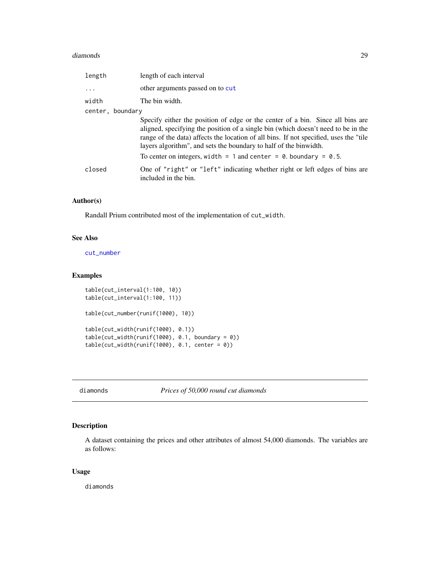#### <span id="page-28-0"></span>diamonds 29

| length           | length of each interval                                                                                                                                                                                                                                                                                                                                                                                |
|------------------|--------------------------------------------------------------------------------------------------------------------------------------------------------------------------------------------------------------------------------------------------------------------------------------------------------------------------------------------------------------------------------------------------------|
| $\ddots$ .       | other arguments passed on to cut                                                                                                                                                                                                                                                                                                                                                                       |
| width            | The bin width.                                                                                                                                                                                                                                                                                                                                                                                         |
| center, boundary |                                                                                                                                                                                                                                                                                                                                                                                                        |
|                  | Specify either the position of edge or the center of a bin. Since all bins are<br>aligned, specifying the position of a single bin (which doesn't need to be in the<br>range of the data) affects the location of all bins. If not specified, uses the "tile"<br>layers algorithm", and sets the boundary to half of the binwidth.<br>To center on integers, width = 1 and center = 0. boundary = 0.5. |
| closed           | One of "right" or "left" indicating whether right or left edges of bins are<br>included in the bin.                                                                                                                                                                                                                                                                                                    |

# Author(s)

Randall Prium contributed most of the implementation of cut\_width.

# See Also

[cut\\_number](#page-27-1)

# Examples

```
table(cut_interval(1:100, 10))
table(cut_interval(1:100, 11))
table(cut_number(runif(1000), 10))
table(cut_width(runif(1000), 0.1))
table(cut\_width(runif(1000), 0.1, boundary = 0))table(cut\_width(runif(1000), 0.1, center = 0))
```
diamonds *Prices of 50,000 round cut diamonds*

# Description

A dataset containing the prices and other attributes of almost 54,000 diamonds. The variables are as follows:

# Usage

diamonds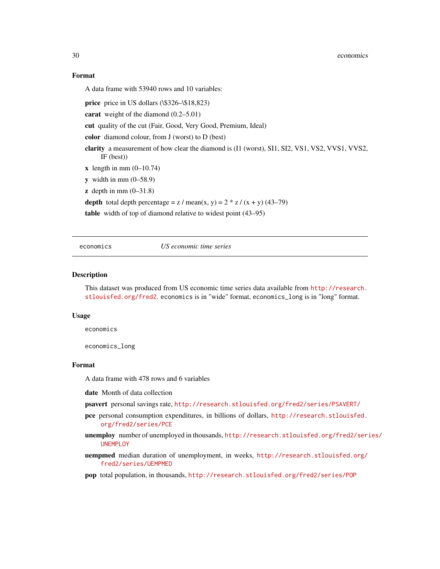#### Format

A data frame with 53940 rows and 10 variables:

price price in US dollars (\\$326-\\$18,823)

carat weight of the diamond (0.2–5.01)

cut quality of the cut (Fair, Good, Very Good, Premium, Ideal)

color diamond colour, from J (worst) to D (best)

clarity a measurement of how clear the diamond is (I1 (worst), SI1, SI2, VS1, VS2, VVS1, VVS2, IF (best))

- $x$  length in mm  $(0-10.74)$
- $y$  width in mm  $(0-58.9)$
- $\mathbf{z}$  depth in mm  $(0-31.8)$

depth total depth percentage =  $z / \text{mean}(x, y) = 2 * z / (x + y) (43-79)$ 

table width of top of diamond relative to widest point (43-95)

economics *US economic time series*

#### Description

This dataset was produced from US economic time series data available from [http://research.](http://research.stlouisfed.org/fred2) [stlouisfed.org/fred2](http://research.stlouisfed.org/fred2). economics is in "wide" format, economics\_long is in "long" format.

#### Usage

economics

economics\_long

#### Format

A data frame with 478 rows and 6 variables

date Month of data collection

psavert personal savings rate, <http://research.stlouisfed.org/fred2/series/PSAVERT/>

- pce personal consumption expenditures, in billions of dollars, [http://research.stlouisfed.](http://research.stlouisfed.org/fred2/series/PCE) [org/fred2/series/PCE](http://research.stlouisfed.org/fred2/series/PCE)
- unemploy number of unemployed in thousands, [http://research.stlouisfed.org/fred2/seri](http://research.stlouisfed.org/fred2/series/UNEMPLOY)es/ [UNEMPLOY](http://research.stlouisfed.org/fred2/series/UNEMPLOY)
- uempmed median duration of unemployment, in weeks, [http://research.stlouisfed.org/](http://research.stlouisfed.org/fred2/series/UEMPMED) [fred2/series/UEMPMED](http://research.stlouisfed.org/fred2/series/UEMPMED)

pop total population, in thousands, <http://research.stlouisfed.org/fred2/series/POP>

<span id="page-29-0"></span>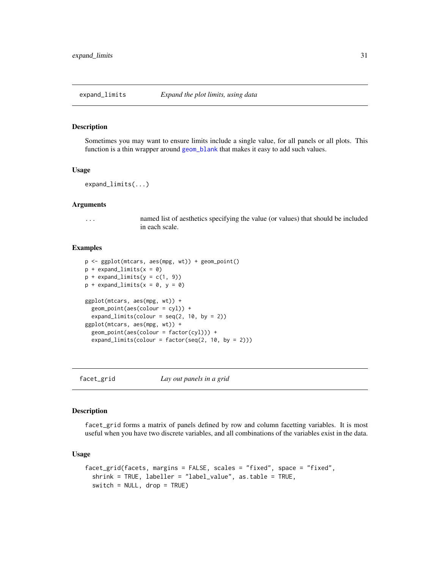#### <span id="page-30-0"></span>Description

Sometimes you may want to ensure limits include a single value, for all panels or all plots. This function is a thin wrapper around [geom\\_blank](#page-42-1) that makes it easy to add such values.

#### Usage

expand\_limits(...)

#### Arguments

... named list of aesthetics specifying the value (or values) that should be included in each scale.

#### Examples

```
p <- ggplot(mtcars, aes(mpg, wt)) + geom_point()
p + expand\_limits(x = 0)p + expand\_limits(y = c(1, 9))p + expand\_limits(x = 0, y = 0)ggplot(mtcars, aes(mpg, wt)) +
 geom_point(aes(colour = cyl)) +
 expand_limits(colour = seq(2, 10, by = 2))
ggplot(mtcars, aes(mpg, wt)) +
 geom\_point(aes(colour = factor(cyl))) +expand_limits(colour = factor(seq(2, 10, by = 2)))
```
<span id="page-30-1"></span>facet\_grid *Lay out panels in a grid*

#### Description

facet\_grid forms a matrix of panels defined by row and column facetting variables. It is most useful when you have two discrete variables, and all combinations of the variables exist in the data.

# Usage

```
facet_grid(facets, margins = FALSE, scales = "fixed", space = "fixed",
  shrink = TRUE, labeller = "label_value", as.table = TRUE,
  switch = NULL, drop = TRUE)
```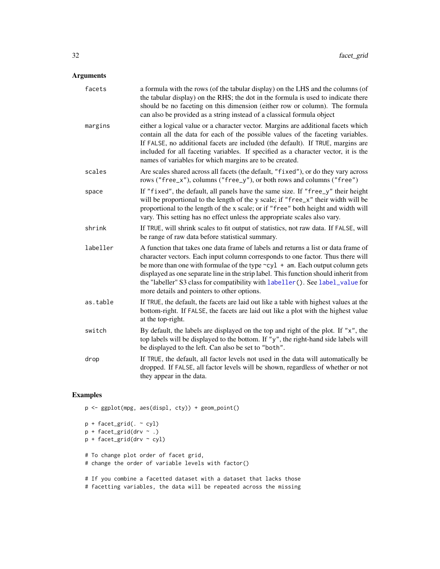# Arguments

| facets   | a formula with the rows (of the tabular display) on the LHS and the columns (of<br>the tabular display) on the RHS; the dot in the formula is used to indicate there<br>should be no faceting on this dimension (either row or column). The formula<br>can also be provided as a string instead of a classical formula object                                                                                                                                                         |
|----------|---------------------------------------------------------------------------------------------------------------------------------------------------------------------------------------------------------------------------------------------------------------------------------------------------------------------------------------------------------------------------------------------------------------------------------------------------------------------------------------|
| margins  | either a logical value or a character vector. Margins are additional facets which<br>contain all the data for each of the possible values of the faceting variables.<br>If FALSE, no additional facets are included (the default). If TRUE, margins are<br>included for all faceting variables. If specified as a character vector, it is the<br>names of variables for which margins are to be created.                                                                              |
| scales   | Are scales shared across all facets (the default, "fixed"), or do they vary across<br>rows ("free_x"), columns ("free_y"), or both rows and columns ("free")                                                                                                                                                                                                                                                                                                                          |
| space    | If "fixed", the default, all panels have the same size. If "free_y" their height<br>will be proportional to the length of the y scale; if "free_x" their width will be<br>proportional to the length of the x scale; or if "free" both height and width will<br>vary. This setting has no effect unless the appropriate scales also vary.                                                                                                                                             |
| shrink   | If TRUE, will shrink scales to fit output of statistics, not raw data. If FALSE, will<br>be range of raw data before statistical summary.                                                                                                                                                                                                                                                                                                                                             |
| labeller | A function that takes one data frame of labels and returns a list or data frame of<br>character vectors. Each input column corresponds to one factor. Thus there will<br>be more than one with formulae of the type $\sim$ cyl + am. Each output column gets<br>displayed as one separate line in the strip label. This function should inherit from<br>the "labeller" S3 class for compatibility with labeller(). See label_value for<br>more details and pointers to other options. |
| as.table | If TRUE, the default, the facets are laid out like a table with highest values at the<br>bottom-right. If FALSE, the facets are laid out like a plot with the highest value<br>at the top-right.                                                                                                                                                                                                                                                                                      |
| switch   | By default, the labels are displayed on the top and right of the plot. If "x", the<br>top labels will be displayed to the bottom. If "y", the right-hand side labels will<br>be displayed to the left. Can also be set to "both".                                                                                                                                                                                                                                                     |
| drop     | If TRUE, the default, all factor levels not used in the data will automatically be<br>dropped. If FALSE, all factor levels will be shown, regardless of whether or not<br>they appear in the data.                                                                                                                                                                                                                                                                                    |

# Examples

p <- ggplot(mpg, aes(displ, cty)) + geom\_point() p + facet\_grid(. ~ cyl)  $p +$  facet\_grid(drv ~ .)  $p + \text{facet\_grid}(drv \sim cyl)$ # To change plot order of facet grid, # change the order of variable levels with factor()

# If you combine a facetted dataset with a dataset that lacks those # facetting variables, the data will be repeated across the missing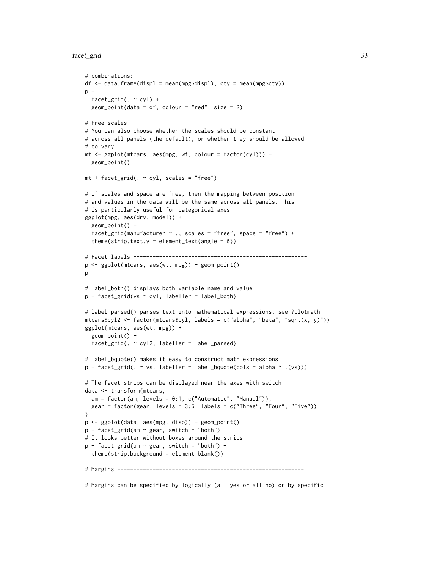#### facet\_grid 33

```
# combinations:
df <- data.frame(displ = mean(mpg$displ), cty = mean(mpg$cty))
p +facet_grid(. \sim cyl) +
  geom\_point(data = df, colour = "red", size = 2)# Free scales -------------------------------------------------------
# You can also choose whether the scales should be constant
# across all panels (the default), or whether they should be allowed
# to vary
mt <- ggplot(mtcars, aes(mpg, wt, colour = factor(cyl))) +
  geom_point()
mt + facet\_grid( . ~ cyl, scales = "free")# If scales and space are free, then the mapping between position
# and values in the data will be the same across all panels. This
# is particularly useful for categorical axes
ggplot(mpg, aes(drv, model)) +
  geom_point() +
  facet_grid(manufacturer ~ ., scales = "free", space = "free") +
  theme(strip.text.y = element_text(angle = 0))
# Facet labels ------------------------------------------------------
p <- ggplot(mtcars, aes(wt, mpg)) + geom_point()
p
# label_both() displays both variable name and value
p + facet_grid(vs ~ cyl, labeller = label_both)
# label_parsed() parses text into mathematical expressions, see ?plotmath
mtcars$cyl2 <- factor(mtcars$cyl, labels = c("alpha", "beta", "sqrt(x, y)"))
ggplot(mtcars, aes(wt, mpg)) +
  geom_point() +
  facet_grid(. ~ cyl2, labeller = label_parsed)
# label_bquote() makes it easy to construct math expressions
p + \text{facet\_grid}(. \sim vs, \text{ labeller = label\_bquote}(\text{cols = alpha } \cdot .(vs)))# The facet strips can be displayed near the axes with switch
data <- transform(mtcars,
  am = factor(am, levels = 0:1, c("Automatic", "Manual")),
  gear = factor(gear, levels = 3:5, labels = c("Three", "Four", "Five"))
)
p <- ggplot(data, aes(mpg, disp)) + geom_point()
p + facet_grid(am \sim gear, switch = "both")
# It looks better without boxes around the strips
p + facet_grid(am \sim gear, switch = "both") +
  theme(strip.background = element_blank())
# Margins ----------------------------------------------------------
```
# Margins can be specified by logically (all yes or all no) or by specific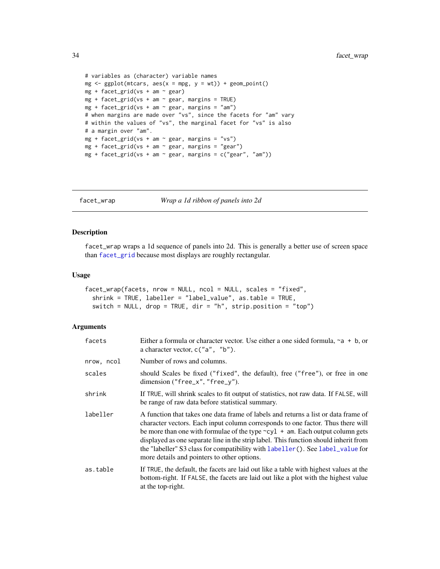```
# variables as (character) variable names
mg \leq-ggplot(mtcars, aes(x = mpg, y = wt)) + geom\_point()mg + facet_grid(vs + am \sim gear)
mg + facet_grid(vs + am \sim gear, margins = TRUE)
mg + facet_grid(vs + am \sim gear, margins = "am")
# when margins are made over "vs", since the facets for "am" vary
# within the values of "vs", the marginal facet for "vs" is also
# a margin over "am".
mg + facet_grid(vs + am \sim gear, margins = "vs")
mg + facet_grid(vs + am \sim gear, margins = "gear")
mg + facet\_grid(vs + am ~ year, margins = c("gear", "am")
```
facet\_wrap *Wrap a 1d ribbon of panels into 2d*

# Description

facet\_wrap wraps a 1d sequence of panels into 2d. This is generally a better use of screen space than [facet\\_grid](#page-30-1) because most displays are roughly rectangular.

#### Usage

```
facet_wrap(facets, nrow = NULL, ncol = NULL, scales = "fixed",
  shrink = TRUE, labeller = "label_value", as.table = TRUE,
  switch = NULL, drop = TRUE, dir = "h", strip.position = "top")
```

| facets     | Either a formula or character vector. Use either a one sided formula, $\sim a + b$ , or<br>a character vector, $c("a", "b").$                                                                                                                                                                                                                                                                                                                                                         |
|------------|---------------------------------------------------------------------------------------------------------------------------------------------------------------------------------------------------------------------------------------------------------------------------------------------------------------------------------------------------------------------------------------------------------------------------------------------------------------------------------------|
| nrow, ncol | Number of rows and columns.                                                                                                                                                                                                                                                                                                                                                                                                                                                           |
| scales     | should Scales be fixed ("fixed", the default), free ("free"), or free in one<br>dimension ("free_x", "free_y").                                                                                                                                                                                                                                                                                                                                                                       |
| shrink     | If TRUE, will shrink scales to fit output of statistics, not raw data. If FALSE, will<br>be range of raw data before statistical summary.                                                                                                                                                                                                                                                                                                                                             |
| labeller   | A function that takes one data frame of labels and returns a list or data frame of<br>character vectors. Each input column corresponds to one factor. Thus there will<br>be more than one with formulae of the type $\sim$ cyl + am. Each output column gets<br>displayed as one separate line in the strip label. This function should inherit from<br>the "labeller" S3 class for compatibility with labeller(). See label_value for<br>more details and pointers to other options. |
| as.table   | If TRUE, the default, the facets are laid out like a table with highest values at the<br>bottom-right. If FALSE, the facets are laid out like a plot with the highest value<br>at the top-right.                                                                                                                                                                                                                                                                                      |

<span id="page-33-0"></span>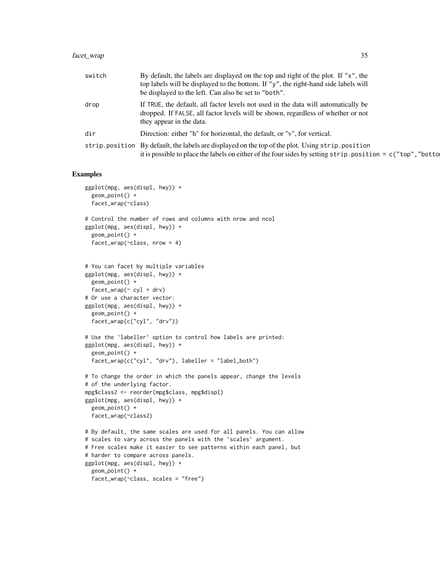# facet\_wrap 35

| switch | By default, the labels are displayed on the top and right of the plot. If " $x$ ", the<br>top labels will be displayed to the bottom. If "y", the right-hand side labels will<br>be displayed to the left. Can also be set to "both". |
|--------|---------------------------------------------------------------------------------------------------------------------------------------------------------------------------------------------------------------------------------------|
| drop   | If TRUE, the default, all factor levels not used in the data will automatically be<br>dropped. If FALSE, all factor levels will be shown, regardless of whether or not<br>they appear in the data.                                    |
| dir    | Direction: either "h" for horizontal, the default, or "v", for vertical.                                                                                                                                                              |
|        | strip.position By default, the labels are displayed on the top of the plot. Using strip.position<br>it is possible to place the labels on either of the four sides by setting $strip. position = c("top", "botto$                     |

```
ggplot(mpg, aes(displ, hwy)) +
  geom_point() +
  facet_wrap(~class)
# Control the number of rows and columns with nrow and ncol
ggplot(mpg, aes(displ, hwy)) +
  geom_point() +
  facet_wrap(\sim class, nrow = 4)# You can facet by multiple variables
ggplot(mpg, aes(displ, hwy)) +
  geom_point() +
  factor_{wrap}(\sim cyl + dry)# Or use a character vector:
ggplot(mpg, aes(displ, hwy)) +
  geom_point() +
  facet_wrap(c("cyl", "drv"))
# Use the `labeller` option to control how labels are printed:
ggplot(mpg, aes(displ, hwy)) +
  geom_point() +
  facet_wrap(c("cyl", "drv"), labeller = "label_both")
# To change the order in which the panels appear, change the levels
# of the underlying factor.
mpg$class2 <- reorder(mpg$class, mpg$displ)
ggplot(mpg, aes(displ, hwy)) +
  geom_point() +
  facet_wrap(~class2)
# By default, the same scales are used for all panels. You can allow
# scales to vary across the panels with the 'scales' argument.
# Free scales make it easier to see patterns within each panel, but
# harder to compare across panels.
ggplot(mpg, aes(displ, hwy)) +
  geom_point() +
  facet_wrap(~class, scales = "free")
```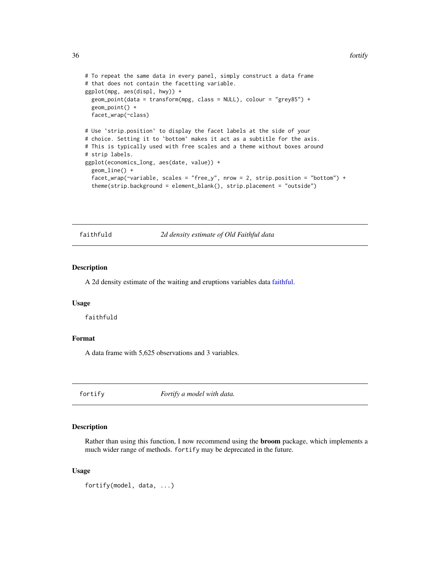```
# To repeat the same data in every panel, simply construct a data frame
# that does not contain the facetting variable.
ggplot(mpg, aes(displ, hwy)) +
 geom_point(data = transform(mpg, class = NULL), colour = "grey85") +
 geom_point() +
 facet_wrap(~class)
# Use `strip.position` to display the facet labels at the side of your
# choice. Setting it to `bottom` makes it act as a subtitle for the axis.
# This is typically used with free scales and a theme without boxes around
# strip labels.
ggplot(economics_long, aes(date, value)) +
 geom_line() +
 facet_wrap(\neg variable, scales = "free_y", nrow = 2, strip.position = "bottom") +theme(strip.background = element_blank(), strip.placement = "outside")
```
faithfuld *2d density estimate of Old Faithful data*

#### Description

A 2d density estimate of the waiting and eruptions variables data [faithful.](#page-0-0)

# Usage

faithfuld

# Format

A data frame with 5,625 observations and 3 variables.

<span id="page-35-1"></span>fortify *Fortify a model with data.*

# Description

Rather than using this function, I now recommend using the broom package, which implements a much wider range of methods. fortify may be deprecated in the future.

# Usage

fortify(model, data, ...)

<span id="page-35-0"></span>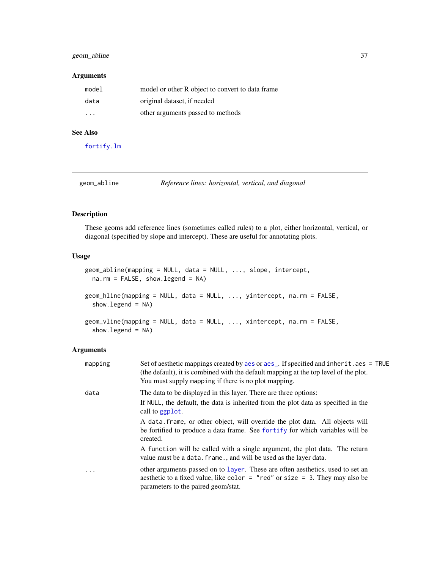## geom\_abline 37

### Arguments

| model                   | model or other R object to convert to data frame |
|-------------------------|--------------------------------------------------|
| data                    | original dataset, if needed                      |
| $\cdot$ $\cdot$ $\cdot$ | other arguments passed to methods                |

## See Also

[fortify.lm](#page-0-0)

## Description

These geoms add reference lines (sometimes called rules) to a plot, either horizontal, vertical, or diagonal (specified by slope and intercept). These are useful for annotating plots.

## Usage

```
geom_abline(mapping = NULL, data = NULL, ..., slope, intercept,
 na.rm = FALSE, show.legend = NA)
geom_hline(mapping = NULL, data = NULL, ..., yintercept, na.rm = FALSE,
  show.legend = NA)
geom_vline(mapping = NULL, data = NULL, ..., xintercept, na.rm = FALSE,
  show.legend = NA)
```

| mapping   | Set of aesthetic mappings created by aes or aes_. If specified and inherit.aes = TRUE<br>(the default), it is combined with the default mapping at the top level of the plot.<br>You must supply mapping if there is no plot mapping. |
|-----------|---------------------------------------------------------------------------------------------------------------------------------------------------------------------------------------------------------------------------------------|
| data      | The data to be displayed in this layer. There are three options:<br>If NULL, the default, the data is inherited from the plot data as specified in the                                                                                |
|           | call to ggplot.                                                                                                                                                                                                                       |
|           | A data frame, or other object, will override the plot data. All objects will<br>be fortified to produce a data frame. See fortify for which variables will be<br>created.                                                             |
|           | A function will be called with a single argument, the plot data. The return<br>value must be a data. frame., and will be used as the layer data.                                                                                      |
| $\ddotsc$ | other arguments passed on to layer. These are often aesthetics, used to set an<br>aesthetic to a fixed value, like color = "red" or size = 3. They may also be<br>parameters to the paired geom/stat.                                 |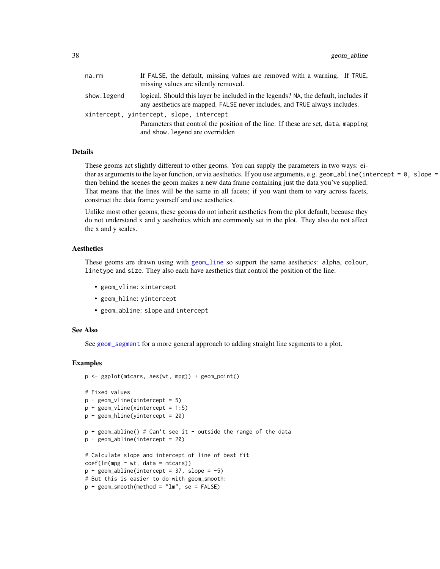| na.rm       | If FALSE, the default, missing values are removed with a warning. If TRUE,<br>missing values are silently removed.                                                |
|-------------|-------------------------------------------------------------------------------------------------------------------------------------------------------------------|
| show.legend | logical. Should this layer be included in the legends? NA, the default, includes if<br>any aesthetics are mapped. FALSE never includes, and TRUE always includes. |
|             | xintercept, yintercept, slope, intercept<br>Parameters that control the position of the line. If these are set, data, mapping<br>and show. legend are overridden  |

#### Details

These geoms act slightly different to other geoms. You can supply the parameters in two ways: either as arguments to the layer function, or via aesthetics. If you use arguments, e.g. geom\_abline(intercept =  $0$ , slope = then behind the scenes the geom makes a new data frame containing just the data you've supplied. That means that the lines will be the same in all facets; if you want them to vary across facets, construct the data frame yourself and use aesthetics.

Unlike most other geoms, these geoms do not inherit aesthetics from the plot default, because they do not understand x and y aesthetics which are commonly set in the plot. They also do not affect the x and y scales.

#### Aesthetics

These geoms are drawn using with [geom\\_line](#page-76-0) so support the same aesthetics: alpha, colour, linetype and size. They also each have aesthetics that control the position of the line:

- geom\_vline: xintercept
- geom\_hline: yintercept
- geom\_abline: slope and intercept

#### See Also

See [geom\\_segment](#page-94-0) for a more general approach to adding straight line segments to a plot.

#### Examples

```
p <- ggplot(mtcars, aes(wt, mpg)) + geom_point()
# Fixed values
p + geom\_vline(xintercept = 5)p + geom\_vline(xintercept = 1:5)p + geom_hline(yintercept = 20)
p + geom\_abline() # Can't see it - outside the range of the data
p + geom_abline(intercept = 20)
# Calculate slope and intercept of line of best fit
coef(lm(mpg ~ wt, data = mtcars))
p + geom\_abline(intexcept = 37, slope = -5)# But this is easier to do with geom_smooth:
p + geom\_smooth(method = "lm", se = FALSE)
```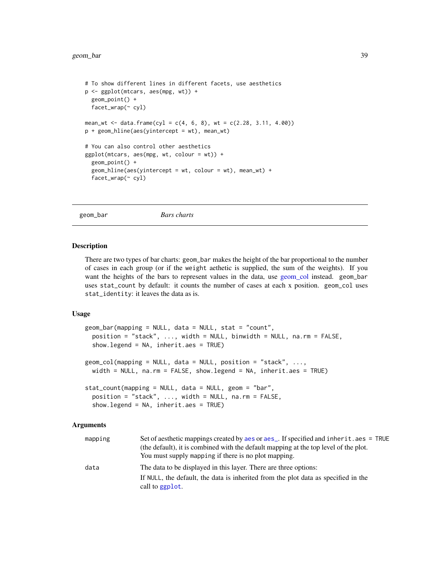```
# To show different lines in different facets, use aesthetics
p <- ggplot(mtcars, aes(mpg, wt)) +
 geom_point() +
 facet_wrap(~ cyl)
mean_wt \leq data. frame(cyl = c(4, 6, 8), wt = c(2.28, 3.11, 4.00))
p + geom_hline(aes(yintercept = wt), mean_wt)
# You can also control other aesthetics
ggplot(mtcars, aes(mpg, wt, colour = wt)) +
 geom_point() +
 geom_hline(aes(yintercept = wt, colour = wt), mean_wt) +
 facet_wrap(~ cyl)
```
<span id="page-38-1"></span>geom\_bar *Bars charts*

#### <span id="page-38-0"></span>Description

There are two types of bar charts: geom\_bar makes the height of the bar proportional to the number of cases in each group (or if the weight aethetic is supplied, the sum of the weights). If you want the heights of the bars to represent values in the data, use [geom\\_col](#page-38-0) instead. geom\_bar uses stat\_count by default: it counts the number of cases at each x position. geom\_col uses stat\_identity: it leaves the data as is.

#### Usage

```
geom_bar(mapping = NULL, data = NULL, stat = "count",position = "stack", ..., width = NULL, binwidth = NULL, na.rm = FALSE,
  show.legend = NA, inherit.aes = TRUE)
geom\_col(mapping = NULL, data = NULL, position = "stack", ...,
 width = NULL, na.rm = FALSE, show.legend = NA, inherit.aes = TRUE)
stat_count(mapping = NULL, data = NULL, geom = "bar",
 position = "stack", \ldots, width = NULL, na.rm = FALSE,
  show.legend = NA, inherit.aes = TRUE)
```

| mapping | Set of aesthetic mappings created by a es or a es_. If specified and inherit.aes = TRUE<br>(the default), it is combined with the default mapping at the top level of the plot.<br>You must supply mapping if there is no plot mapping. |
|---------|-----------------------------------------------------------------------------------------------------------------------------------------------------------------------------------------------------------------------------------------|
| data    | The data to be displayed in this layer. There are three options:<br>If NULL, the default, the data is inherited from the plot data as specified in the                                                                                  |
|         | call to ggplot.                                                                                                                                                                                                                         |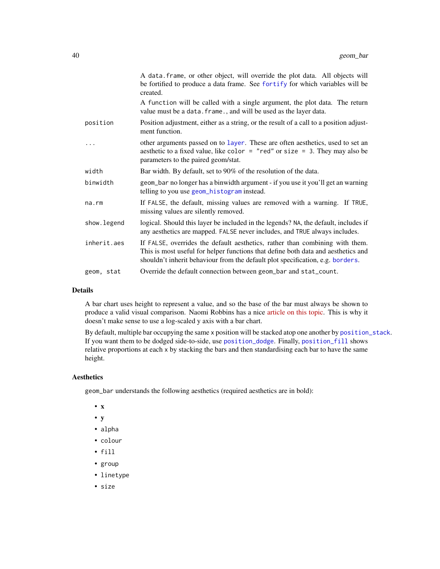|             | A data. frame, or other object, will override the plot data. All objects will<br>be fortified to produce a data frame. See fortify for which variables will be<br>created.                                                                          |
|-------------|-----------------------------------------------------------------------------------------------------------------------------------------------------------------------------------------------------------------------------------------------------|
|             | A function will be called with a single argument, the plot data. The return<br>value must be a data. frame., and will be used as the layer data.                                                                                                    |
| position    | Position adjustment, either as a string, or the result of a call to a position adjust-<br>ment function.                                                                                                                                            |
|             | other arguments passed on to layer. These are often aesthetics, used to set an<br>aesthetic to a fixed value, like color = "red" or size = 3. They may also be<br>parameters to the paired geom/stat.                                               |
| width       | Bar width. By default, set to 90% of the resolution of the data.                                                                                                                                                                                    |
| binwidth    | geom_bar no longer has a binwidth argument - if you use it you'll get an warning<br>telling to you use geom_histogram instead.                                                                                                                      |
| na.rm       | If FALSE, the default, missing values are removed with a warning. If TRUE,<br>missing values are silently removed.                                                                                                                                  |
| show.legend | logical. Should this layer be included in the legends? NA, the default, includes if<br>any aesthetics are mapped. FALSE never includes, and TRUE always includes.                                                                                   |
| inherit.aes | If FALSE, overrides the default aesthetics, rather than combining with them.<br>This is most useful for helper functions that define both data and aesthetics and<br>shouldn't inherit behaviour from the default plot specification, e.g. borders. |
| geom, stat  | Override the default connection between geom_bar and stat_count.                                                                                                                                                                                    |

### Details

A bar chart uses height to represent a value, and so the base of the bar must always be shown to produce a valid visual comparison. Naomi Robbins has a nice [article on this topic.](http://www.b-eye-network.com/view/index.php?cid=2468) This is why it doesn't make sense to use a log-scaled y axis with a bar chart.

By default, multiple bar occupying the same x position will be stacked atop one another by [position\\_stack](#page-135-0). If you want them to be dodged side-to-side, use [position\\_dodge](#page-131-0). Finally, [position\\_fill](#page-135-1) shows relative proportions at each x by stacking the bars and then standardising each bar to have the same height.

#### Aesthetics

geom\_bar understands the following aesthetics (required aesthetics are in bold):

- x
- y
- alpha
- colour
- fill
- group
- linetype
- size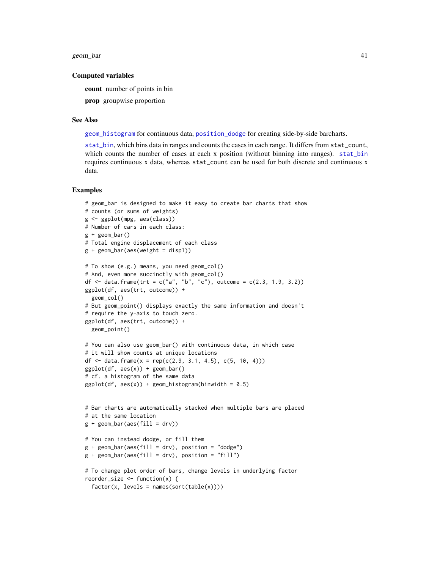geom\_bar 41

#### Computed variables

count number of points in bin

prop groupwise proportion

#### See Also

[geom\\_histogram](#page-63-0) for continuous data, [position\\_dodge](#page-131-0) for creating side-by-side barcharts.

[stat\\_bin](#page-63-0), which bins data in ranges and counts the cases in each range. It differs from stat\_count, which counts the number of cases at each x position (without binning into ranges). [stat\\_bin](#page-63-0) requires continuous x data, whereas stat\_count can be used for both discrete and continuous x data.

### Examples

```
# geom_bar is designed to make it easy to create bar charts that show
# counts (or sums of weights)
g <- ggplot(mpg, aes(class))
# Number of cars in each class:
g + geom\_bar()# Total engine displacement of each class
g + geom\_bar(aes(weight = disp1))# To show (e.g.) means, you need geom_col()
# And, even more succinctly with geom_col()
df <- data.frame(trt = c("a", "b", "c"), outcome = c(2.3, 1.9, 3.2))
ggplot(df, aes(trt, outcome)) +
  geom_col()
# But geom_point() displays exactly the same information and doesn't
# require the y-axis to touch zero.
ggplot(df, aes(trt, outcome)) +
  geom_point()
# You can also use geom_bar() with continuous data, in which case
# it will show counts at unique locations
df <- data.frame(x = rep(c(2.9, 3.1, 4.5), c(5, 10, 4)))
ggplot(df, aes(x)) + geom-bar()# cf. a histogram of the same data
ggplot(df, aes(x)) + geom\_histogram(binwidth = 0.5)# Bar charts are automatically stacked when multiple bars are placed
# at the same location
g + geom\_bar(aes(fill = dry))# You can instead dodge, or fill them
g + geom\_bar(aes(fill = dry), position = "dodge")
g + geom\_bar(aes(fill = dry), position = "fill")
# To change plot order of bars, change levels in underlying factor
reorder_size <- function(x) {
  factor(x, levels = names(sort(table(x))))
```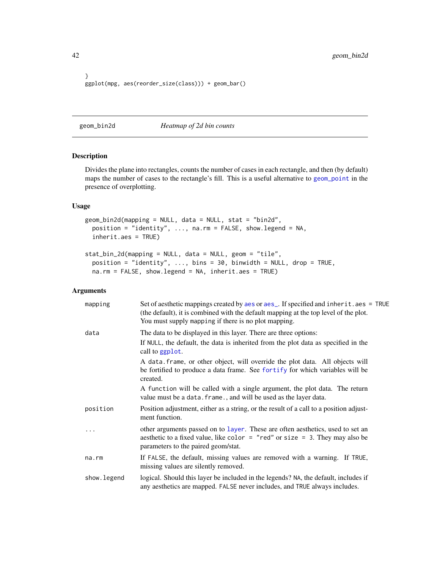```
}
ggplot(mpg, aes(reorder_size(class))) + geom_bar()
```
## <span id="page-41-0"></span>geom\_bin2d *Heatmap of 2d bin counts*

## <span id="page-41-1"></span>Description

Divides the plane into rectangles, counts the number of cases in each rectangle, and then (by default) maps the number of cases to the rectangle's fill. This is a useful alternative to [geom\\_point](#page-79-0) in the presence of overplotting.

## Usage

```
geom_bin2d(mapping = NULL, data = NULL, stat = "bin2d",
 position = "identity", ..., na.rm = FALSE, show.legend = NA,
  inherit.aes = TRUE)
stat_bin_2d(mapping = NULL, data = NULL, geom = "tile",
  position = "identity", \ldots, bins = 30, binwidth = NULL, drop = TRUE,
 na.rm = FALSE, show.legend = NA, inherit.aes = TRUE)
```

| mapping     | Set of aesthetic mappings created by aes or aes_. If specified and inherit.aes = TRUE<br>(the default), it is combined with the default mapping at the top level of the plot.<br>You must supply mapping if there is no plot mapping. |
|-------------|---------------------------------------------------------------------------------------------------------------------------------------------------------------------------------------------------------------------------------------|
| data        | The data to be displayed in this layer. There are three options:                                                                                                                                                                      |
|             | If NULL, the default, the data is inherited from the plot data as specified in the<br>call to ggplot.                                                                                                                                 |
|             | A data frame, or other object, will override the plot data. All objects will<br>be fortified to produce a data frame. See fortify for which variables will be<br>created.                                                             |
|             | A function will be called with a single argument, the plot data. The return<br>value must be a data. frame., and will be used as the layer data.                                                                                      |
| position    | Position adjustment, either as a string, or the result of a call to a position adjust-<br>ment function.                                                                                                                              |
| .           | other arguments passed on to layer. These are often aesthetics, used to set an<br>aesthetic to a fixed value, like color = "red" or size = 3. They may also be<br>parameters to the paired geom/stat.                                 |
| $na$ . $rm$ | If FALSE, the default, missing values are removed with a warning. If TRUE,<br>missing values are silently removed.                                                                                                                    |
| show.legend | logical. Should this layer be included in the legends? NA, the default, includes if<br>any aesthetics are mapped. FALSE never includes, and TRUE always includes.                                                                     |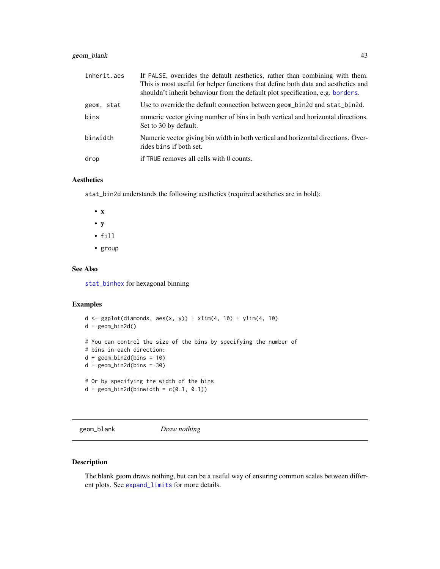## geom\_blank 43

| inherit.aes | If FALSE, overrides the default aesthetics, rather than combining with them.<br>This is most useful for helper functions that define both data and aesthetics and<br>shouldn't inherit behaviour from the default plot specification, e.g. borders. |
|-------------|-----------------------------------------------------------------------------------------------------------------------------------------------------------------------------------------------------------------------------------------------------|
| geom, stat  | Use to override the default connection between geom bin2d and stat bin2d.                                                                                                                                                                           |
| bins        | numeric vector giving number of bins in both vertical and horizontal directions.<br>Set to 30 by default.                                                                                                                                           |
| binwidth    | Numeric vector giving bin width in both vertical and horizontal directions. Over-<br>rides bins if both set.                                                                                                                                        |
| drop        | if TRUE removes all cells with 0 counts.                                                                                                                                                                                                            |

### Aesthetics

stat\_bin2d understands the following aesthetics (required aesthetics are in bold):

- $\mathbf{x}$
- y
- fill
- group

### See Also

[stat\\_binhex](#page-66-0) for hexagonal binning

## Examples

```
d \leq ggplot(diamonds, aes(x, y)) + xlim(4, 10) + ylim(4, 10)
d + geom_bin2d()
# You can control the size of the bins by specifying the number of
# bins in each direction:
d + geom\_bin2d(bins = 10)d + geom\_bin2d(bins = 30)# Or by specifying the width of the bins
d + geom\_bin2d(binwidth = c(0.1, 0.1))
```
geom\_blank *Draw nothing*

# Description

The blank geom draws nothing, but can be a useful way of ensuring common scales between different plots. See [expand\\_limits](#page-30-0) for more details.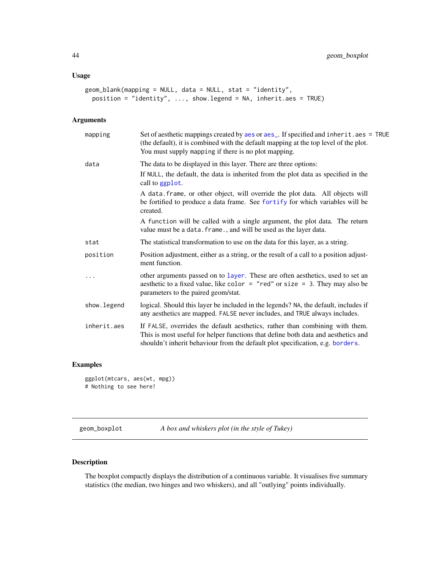```
geom_blank(mapping = NULL, data = NULL, stat = "identity",
 position = "identity", ..., show.legend = NA, inherit.aes = TRUE)
```
### Arguments

| mapping      | Set of aesthetic mappings created by aes or aes_. If specified and inherit.aes = TRUE<br>(the default), it is combined with the default mapping at the top level of the plot.<br>You must supply mapping if there is no plot mapping.               |
|--------------|-----------------------------------------------------------------------------------------------------------------------------------------------------------------------------------------------------------------------------------------------------|
| data         | The data to be displayed in this layer. There are three options:                                                                                                                                                                                    |
|              | If NULL, the default, the data is inherited from the plot data as specified in the<br>call to ggplot.                                                                                                                                               |
|              | A data. frame, or other object, will override the plot data. All objects will<br>be fortified to produce a data frame. See fortify for which variables will be<br>created.                                                                          |
|              | A function will be called with a single argument, the plot data. The return<br>value must be a data. frame., and will be used as the layer data.                                                                                                    |
| stat         | The statistical transformation to use on the data for this layer, as a string.                                                                                                                                                                      |
| position     | Position adjustment, either as a string, or the result of a call to a position adjust-<br>ment function.                                                                                                                                            |
|              | other arguments passed on to layer. These are often aesthetics, used to set an<br>aesthetic to a fixed value, like color = "red" or size = 3. They may also be<br>parameters to the paired geom/stat.                                               |
| show. legend | logical. Should this layer be included in the legends? NA, the default, includes if<br>any aesthetics are mapped. FALSE never includes, and TRUE always includes.                                                                                   |
| inherit.aes  | If FALSE, overrides the default aesthetics, rather than combining with them.<br>This is most useful for helper functions that define both data and aesthetics and<br>shouldn't inherit behaviour from the default plot specification, e.g. borders. |

## Examples

```
ggplot(mtcars, aes(wt, mpg))
# Nothing to see here!
```
<span id="page-43-0"></span>geom\_boxplot *A box and whiskers plot (in the style of Tukey)*

# Description

The boxplot compactly displays the distribution of a continuous variable. It visualises five summary statistics (the median, two hinges and two whiskers), and all "outlying" points individually.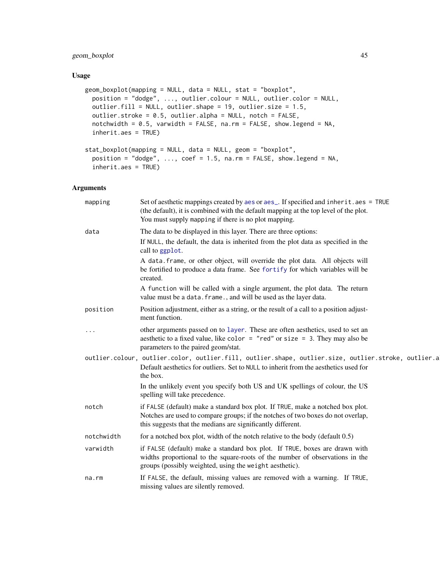## geom\_boxplot 45

### Usage

```
geom_boxplot(mapping = NULL, data = NULL, stat = "boxplot",
 position = "dodge", ..., outlier.colour = NULL, outlier.color = NULL,
 outlier.fill = NULL, outlier.shape = 19, outlier.size = 1.5,
 outlier.stroke = 0.5, outlier.alpha = NULL, notch = FALSE,
 notchwidth = 0.5, varwidth = FALSE, na.rm = FALSE, show.legend = NA,
  inherit.aes = TRUE)
stat_boxplot(mapping = NULL, data = NULL, geom = "boxplot",
  position = "dodge", \ldots, coef = 1.5, na.rm = FALSE, show.legend = NA,
  inherit.aes = TRUE)
```

| mapping    | Set of aesthetic mappings created by aes or aes_. If specified and inherit.aes = TRUE<br>(the default), it is combined with the default mapping at the top level of the plot.<br>You must supply mapping if there is no plot mapping. |
|------------|---------------------------------------------------------------------------------------------------------------------------------------------------------------------------------------------------------------------------------------|
| data       | The data to be displayed in this layer. There are three options:<br>If NULL, the default, the data is inherited from the plot data as specified in the<br>call to ggplot.                                                             |
|            | A data frame, or other object, will override the plot data. All objects will<br>be fortified to produce a data frame. See fortify for which variables will be<br>created.                                                             |
|            | A function will be called with a single argument, the plot data. The return<br>value must be a data. frame., and will be used as the layer data.                                                                                      |
| position   | Position adjustment, either as a string, or the result of a call to a position adjust-<br>ment function.                                                                                                                              |
| .          | other arguments passed on to layer. These are often aesthetics, used to set an<br>aesthetic to a fixed value, like color = "red" or size = 3. They may also be<br>parameters to the paired geom/stat.                                 |
|            | outlier.colour, outlier.color, outlier.fill, outlier.shape, outlier.size, outlier.stroke, outlier.a<br>Default aesthetics for outliers. Set to NULL to inherit from the aesthetics used for<br>the box.                               |
|            | In the unlikely event you specify both US and UK spellings of colour, the US<br>spelling will take precedence.                                                                                                                        |
| notch      | if FALSE (default) make a standard box plot. If TRUE, make a notched box plot.<br>Notches are used to compare groups; if the notches of two boxes do not overlap,<br>this suggests that the medians are significantly different.      |
| notchwidth | for a notched box plot, width of the notch relative to the body (default $0.5$ )                                                                                                                                                      |
| varwidth   | if FALSE (default) make a standard box plot. If TRUE, boxes are drawn with<br>widths proportional to the square-roots of the number of observations in the<br>groups (possibly weighted, using the weight aesthetic).                 |
| na.rm      | If FALSE, the default, missing values are removed with a warning. If TRUE,<br>missing values are silently removed.                                                                                                                    |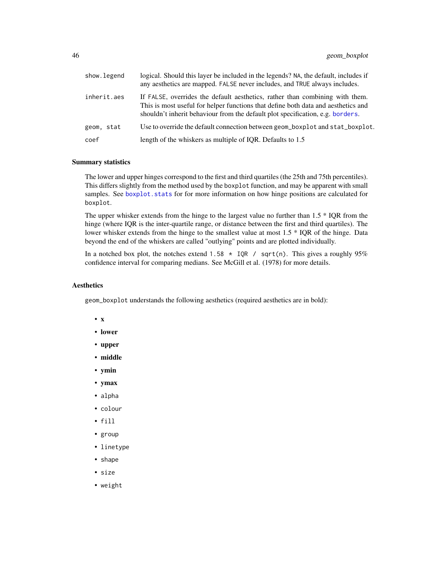| show.legend | logical. Should this layer be included in the legends? NA, the default, includes if<br>any aesthetics are mapped. FALSE never includes, and TRUE always includes.                                                                                   |
|-------------|-----------------------------------------------------------------------------------------------------------------------------------------------------------------------------------------------------------------------------------------------------|
| inherit.aes | If FALSE, overrides the default aesthetics, rather than combining with them.<br>This is most useful for helper functions that define both data and aesthetics and<br>shouldn't inherit behaviour from the default plot specification, e.g. borders. |
| geom, stat  | Use to override the default connection between geom boxplot and stat boxplot.                                                                                                                                                                       |
| coef        | length of the whiskers as multiple of IQR. Defaults to 1.5                                                                                                                                                                                          |

#### Summary statistics

The lower and upper hinges correspond to the first and third quartiles (the 25th and 75th percentiles). This differs slightly from the method used by the boxplot function, and may be apparent with small samples. See [boxplot.stats](#page-0-0) for for more information on how hinge positions are calculated for boxplot.

The upper whisker extends from the hinge to the largest value no further than 1.5 \* IQR from the hinge (where IQR is the inter-quartile range, or distance between the first and third quartiles). The lower whisker extends from the hinge to the smallest value at most 1.5 \* IQR of the hinge. Data beyond the end of the whiskers are called "outlying" points and are plotted individually.

In a notched box plot, the notches extend 1.58  $\star$  IQR / sqrt(n). This gives a roughly 95% confidence interval for comparing medians. See McGill et al. (1978) for more details.

## **Aesthetics**

geom\_boxplot understands the following aesthetics (required aesthetics are in bold):

- x
- lower
- upper
- middle
- ymin
- ymax
- alpha
- colour
- fill
- group
- linetype
- shape
- size • weight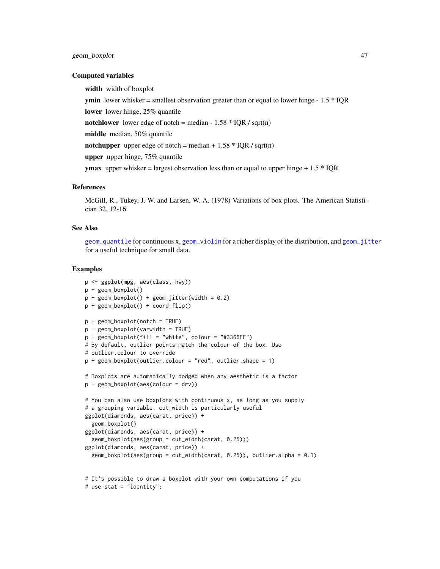### geom\_boxplot 47

#### Computed variables

width width of boxplot

**ymin** lower whisker = smallest observation greater than or equal to lower hinge -  $1.5 * IQR$ 

lower lower hinge, 25% quantile

notchlower lower edge of notch = median -  $1.58 * IQR / sqrt(n)$ 

middle median, 50% quantile

notchupper upper edge of notch = median +  $1.58 * IQR / sqrt(n)$ 

upper upper hinge, 75% quantile

**ymax** upper whisker = largest observation less than or equal to upper hinge  $+ 1.5 * IQR$ 

### References

McGill, R., Tukey, J. W. and Larsen, W. A. (1978) Variations of box plots. The American Statistician 32, 12-16.

#### See Also

[geom\\_quantile](#page-86-0) for continuous x, [geom\\_violin](#page-101-0) for a richer display of the distribution, and [geom\\_jitter](#page-68-0) for a useful technique for small data.

#### Examples

```
p <- ggplot(mpg, aes(class, hwy))
p + geom_boxplot()
p + geom\_boxplot() + geom\_jitter(width = 0.2)p + geom_boxplot() + coord_flip()
p + geom_boxplot(notch = TRUE)
p + geom\_boxplot(varwidth = TRUE)p + geom\_boxplot(fill = "white", colour = "#3366FF")# By default, outlier points match the colour of the box. Use
# outlier.colour to override
p + geom_boxplot(outlier.colour = "red", outlier.shape = 1)
# Boxplots are automatically dodged when any aesthetic is a factor
p + geom_boxplot(aes(colour = drv))
# You can also use boxplots with continuous x, as long as you supply
# a grouping variable. cut_width is particularly useful
ggplot(diamonds, aes(carat, price)) +
  geom_boxplot()
ggplot(diamonds, aes(carat, price)) +
  geom_boxplot(aes(group = cut_width(carat, 0.25)))ggplot(diamonds, aes(carat, price)) +
  geom_boxplot(aes(group = cut_width(carat, 0.25)), outlier.alpha = 0.1)# It's possible to draw a boxplot with your own computations if you
```

```
# use stat = "identity":
```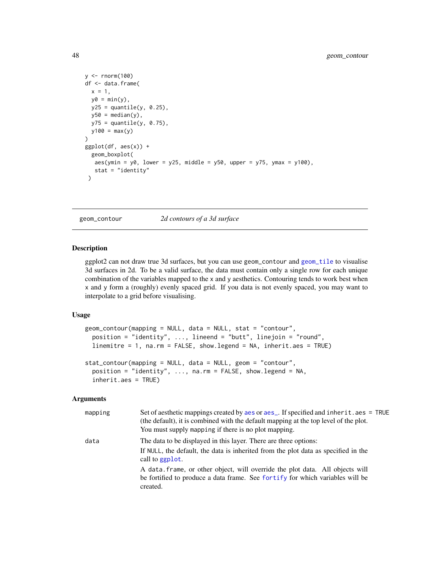```
y \leftarrow \text{norm}(100)df <- data.frame(
  x = 1,
  y0 = min(y),
  y25 = quantile(y, 0.25),
  y50 = median(y),
  y75 = quantile(y, 0.75),
  y100 = max(y)\lambdaggplot(df, aes(x)) +geom_boxplot(
   aes(ymin = y0, \text{ lower} = y25, \text{ middle} = y50, \text{ upper} = y75, \text{ ymax} = y100),stat = "identity"
 )
```
<span id="page-47-1"></span>geom\_contour *2d contours of a 3d surface*

### <span id="page-47-0"></span>**Description**

ggplot2 can not draw true 3d surfaces, but you can use geom\_contour and [geom\\_tile](#page-88-0) to visualise 3d surfaces in 2d. To be a valid surface, the data must contain only a single row for each unique combination of the variables mapped to the x and y aesthetics. Contouring tends to work best when x and y form a (roughly) evenly spaced grid. If you data is not evenly spaced, you may want to interpolate to a grid before visualising.

#### Usage

```
geom_contour(mapping = NULL, data = NULL, stat = "contour",
 position = "identity", ..., lineend = "butt", linejoin = "round",
 linemitre = 1, na.rm = FALSE, show.legend = NA, inherit.aes = TRUE)
stat_contour(mapping = NULL, data = NULL, geom = "contour",
 position = "identity", ..., na.rm = FALSE, show.legend = NA,
 inherit.aes = TRUE)
```

| mapping | Set of aesthetic mappings created by aes or aes_. If specified and inherit.aes = TRUE<br>(the default), it is combined with the default mapping at the top level of the plot.<br>You must supply mapping if there is no plot mapping.                                                                                                                  |
|---------|--------------------------------------------------------------------------------------------------------------------------------------------------------------------------------------------------------------------------------------------------------------------------------------------------------------------------------------------------------|
| data    | The data to be displayed in this layer. There are three options:<br>If NULL, the default, the data is inherited from the plot data as specified in the<br>call to ggplot.<br>A data frame, or other object, will override the plot data. All objects will<br>be fortified to produce a data frame. See fortify for which variables will be<br>created. |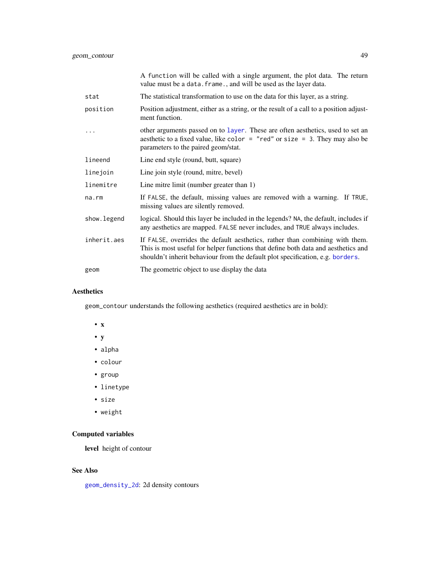|             | A function will be called with a single argument, the plot data. The return<br>value must be a data. frame., and will be used as the layer data.                                                                                                    |
|-------------|-----------------------------------------------------------------------------------------------------------------------------------------------------------------------------------------------------------------------------------------------------|
| stat        | The statistical transformation to use on the data for this layer, as a string.                                                                                                                                                                      |
| position    | Position adjustment, either as a string, or the result of a call to a position adjust-<br>ment function.                                                                                                                                            |
|             | other arguments passed on to layer. These are often aesthetics, used to set an<br>aesthetic to a fixed value, like color = "red" or size = 3. They may also be<br>parameters to the paired geom/stat.                                               |
| lineend     | Line end style (round, butt, square)                                                                                                                                                                                                                |
| linejoin    | Line join style (round, mitre, bevel)                                                                                                                                                                                                               |
| linemitre   | Line mitre limit (number greater than 1)                                                                                                                                                                                                            |
| na.rm       | If FALSE, the default, missing values are removed with a warning. If TRUE,<br>missing values are silently removed.                                                                                                                                  |
| show.legend | logical. Should this layer be included in the legends? NA, the default, includes if<br>any aesthetics are mapped. FALSE never includes, and TRUE always includes.                                                                                   |
| inherit.aes | If FALSE, overrides the default aesthetics, rather than combining with them.<br>This is most useful for helper functions that define both data and aesthetics and<br>shouldn't inherit behaviour from the default plot specification, e.g. borders. |
| geom        | The geometric object to use display the data                                                                                                                                                                                                        |

## Aesthetics

geom\_contour understands the following aesthetics (required aesthetics are in bold):

- x
- y
- alpha
- colour
- group
- linetype
- size
- weight

# Computed variables

level height of contour

## See Also

[geom\\_density\\_2d](#page-56-0): 2d density contours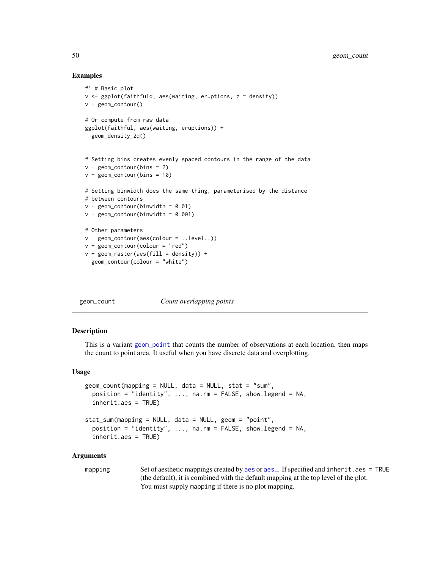### Examples

```
#' # Basic plot
v \leq ggplot(faithfuld, aes(waiting, eruptions, z = density))
v + geom_contour()
# Or compute from raw data
ggplot(faithful, aes(waiting, eruptions)) +
  geom_density_2d()
# Setting bins creates evenly spaced contours in the range of the data
v + geom\_contour(bins = 2)v + geom\_contour(bins = 10)# Setting binwidth does the same thing, parameterised by the distance
# between contours
v + geom\_contour(binwidth = 0.01)v + geom_{\text{contour}}(binwidth = 0.001)# Other parameters
v + geom_contour(aes(colour = ..level..))
v + geom\_contour(colour = "red")v + geom\_raster(aes(fill = density)) +geom_contour(colour = "white")
```
geom\_count *Count overlapping points*

### Description

This is a variant [geom\\_point](#page-79-0) that counts the number of observations at each location, then maps the count to point area. It useful when you have discrete data and overplotting.

#### Usage

```
geom\_count(mapping = NULL, data = NULL, stat = "sum",position = "identity", ..., na.rm = FALSE, show.legend = NA,
  inherit.aes = TRUE)
stat_sum(mapping = NULL, data = NULL, geom = "point",
 position = "identity", ..., na.rm = FALSE, show.legend = NA,
  inherit.aes = TRUE)
```

```
aesaes_. If specified and inherit.aes = TRUE
              (the default), it is combined with the default mapping at the top level of the plot.
              You must supply mapping if there is no plot mapping.
```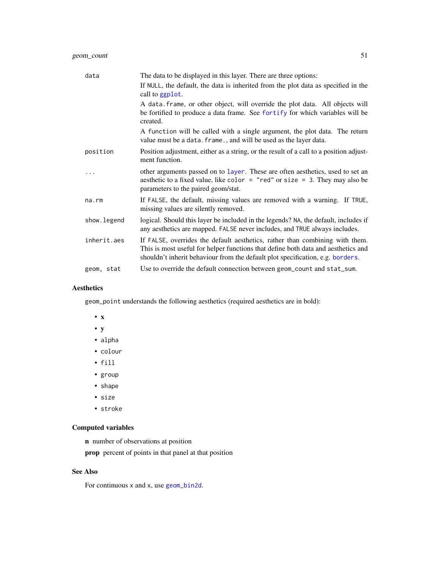| data         | The data to be displayed in this layer. There are three options:                                                                                                                                                                                    |
|--------------|-----------------------------------------------------------------------------------------------------------------------------------------------------------------------------------------------------------------------------------------------------|
|              | If NULL, the default, the data is inherited from the plot data as specified in the<br>call to ggplot.                                                                                                                                               |
|              | A data frame, or other object, will override the plot data. All objects will<br>be fortified to produce a data frame. See fortify for which variables will be<br>created.                                                                           |
|              | A function will be called with a single argument, the plot data. The return<br>value must be a data. frame., and will be used as the layer data.                                                                                                    |
| position     | Position adjustment, either as a string, or the result of a call to a position adjust-<br>ment function.                                                                                                                                            |
| .            | other arguments passed on to layer. These are often aesthetics, used to set an<br>aesthetic to a fixed value, like color = "red" or size = 3. They may also be<br>parameters to the paired geom/stat.                                               |
| $na$ . $rm$  | If FALSE, the default, missing values are removed with a warning. If TRUE,<br>missing values are silently removed.                                                                                                                                  |
| show. legend | logical. Should this layer be included in the legends? NA, the default, includes if<br>any aesthetics are mapped. FALSE never includes, and TRUE always includes.                                                                                   |
| inherit.aes  | If FALSE, overrides the default aesthetics, rather than combining with them.<br>This is most useful for helper functions that define both data and aesthetics and<br>shouldn't inherit behaviour from the default plot specification, e.g. borders. |
| geom, stat   | Use to override the default connection between geom_count and stat_sum.                                                                                                                                                                             |

# Aesthetics

geom\_point understands the following aesthetics (required aesthetics are in bold):

- x
- y
- alpha
- colour
- fill
- group
- shape
- size
- stroke

# Computed variables

n number of observations at position

prop percent of points in that panel at that position

# See Also

For continuous x and x, use [geom\\_bin2d](#page-41-0).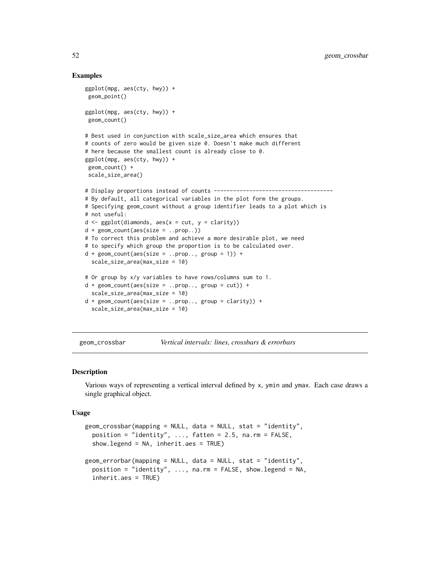### Examples

```
ggplot(mpg, aes(cty, hwy)) +
 geom_point()
ggplot(mpg, aes(cty, hwy)) +
 geom_count()
# Best used in conjunction with scale_size_area which ensures that
# counts of zero would be given size 0. Doesn't make much different
# here because the smallest count is already close to 0.
ggplot(mpg, aes(cty, hwy)) +
 geom_count() +
 scale_size_area()
# Display proportions instead of counts -------------------------------------
# By default, all categorical variables in the plot form the groups.
# Specifying geom_count without a group identifier leads to a plot which is
# not useful:
d \leq ggplot(diamonds, aes(x = cut, y = clarity))
d + geom\_count(aes(size = . . prop. .))# To correct this problem and achieve a more desirable plot, we need
# to specify which group the proportion is to be calculated over.
d + geom\_count(aes(size = . . prop.. , group = 1)) +scale_size_area(max_size = 10)
# Or group by x/y variables to have rows/columns sum to 1.
d + geom\_count(aes(size = ..prop.., group = cut)) +scale_size_area(max_size = 10)
d + geom\_count(aes(size = ..prop.., group = clarity)) +scale_size_area(max_size = 10)
```
geom\_crossbar *Vertical intervals: lines, crossbars & errorbars*

#### <span id="page-51-0"></span>Description

Various ways of representing a vertical interval defined by x, ymin and ymax. Each case draws a single graphical object.

#### Usage

```
geom_crossbar(mapping = NULL, data = NULL, stat = "identity",
 position = "identity", \ldots, fatten = 2.5, na.rm = FALSE,
  show.legend = NA, inherit.aes = TRUE)
geom_errorbar(mapping = NULL, data = NULL, stat = "identity",
  position = "identity", \ldots, na.rm = FALSE, show.legend = NA,
  inherit.aes = TRUE)
```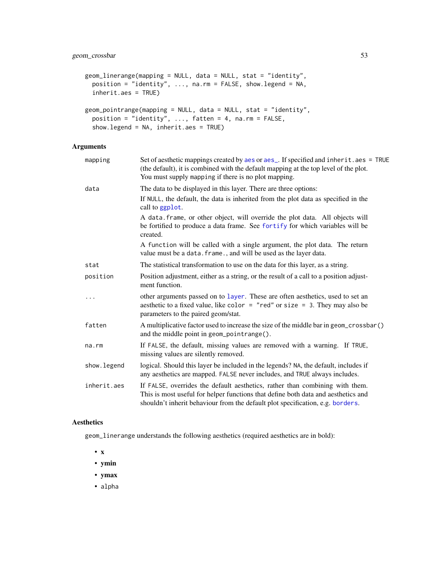```
geom_linerange(mapping = NULL, data = NULL, stat = "identity",
 position = "identity", ..., na.rm = FALSE, show.legend = NA,
  inherit.aes = TRUE)
geom_pointrange(mapping = NULL, data = NULL, stat = "identity",
 position = "identity", ..., fatten = 4, na.rm = FALSE,
  show.legend = NA, inherit.aes = TRUE)
```
### Arguments

| mapping      | Set of aesthetic mappings created by aes or aes_. If specified and inherit.aes = TRUE<br>(the default), it is combined with the default mapping at the top level of the plot.<br>You must supply mapping if there is no plot mapping.               |
|--------------|-----------------------------------------------------------------------------------------------------------------------------------------------------------------------------------------------------------------------------------------------------|
| data         | The data to be displayed in this layer. There are three options:                                                                                                                                                                                    |
|              | If NULL, the default, the data is inherited from the plot data as specified in the<br>call to ggplot.                                                                                                                                               |
|              | A data frame, or other object, will override the plot data. All objects will<br>be fortified to produce a data frame. See fortify for which variables will be<br>created.                                                                           |
|              | A function will be called with a single argument, the plot data. The return<br>value must be a data. frame., and will be used as the layer data.                                                                                                    |
| stat         | The statistical transformation to use on the data for this layer, as a string.                                                                                                                                                                      |
| position     | Position adjustment, either as a string, or the result of a call to a position adjust-<br>ment function.                                                                                                                                            |
|              | other arguments passed on to layer. These are often aesthetics, used to set an<br>aesthetic to a fixed value, like color = "red" or size = 3. They may also be<br>parameters to the paired geom/stat.                                               |
| fatten       | A multiplicative factor used to increase the size of the middle bar in geom_crossbar()<br>and the middle point in geom_pointrange().                                                                                                                |
| na.rm        | If FALSE, the default, missing values are removed with a warning. If TRUE,<br>missing values are silently removed.                                                                                                                                  |
| show. legend | logical. Should this layer be included in the legends? NA, the default, includes if<br>any aesthetics are mapped. FALSE never includes, and TRUE always includes.                                                                                   |
| inherit.aes  | If FALSE, overrides the default aesthetics, rather than combining with them.<br>This is most useful for helper functions that define both data and aesthetics and<br>shouldn't inherit behaviour from the default plot specification, e.g. borders. |

## Aesthetics

geom\_linerange understands the following aesthetics (required aesthetics are in bold):

- x
- ymin
- ymax
- alpha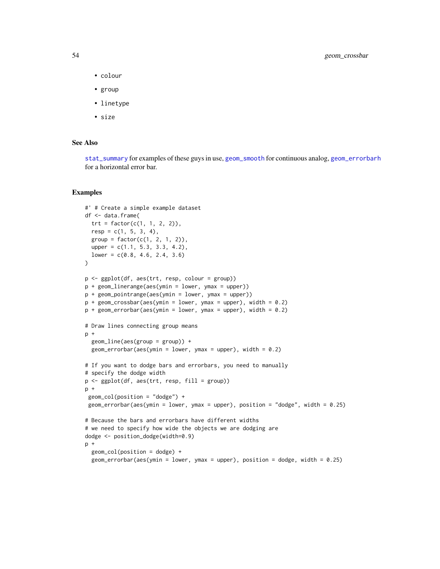54 geom\_crossbar

- colour
- group
- linetype
- size

## See Also

[stat\\_summary](#page-172-0) for examples of these guys in use, [geom\\_smooth](#page-96-0) for continuous analog, [geom\\_errorbarh](#page-61-0) for a horizontal error bar.

#### Examples

```
#' # Create a simple example dataset
df <- data.frame(
  trt = factor(c(1, 1, 2, 2)),resp = c(1, 5, 3, 4),group = factor(c(1, 2, 1, 2)),upper = c(1.1, 5.3, 3.3, 4.2),
  lower = c(0.8, 4.6, 2.4, 3.6))
p \leftarrow \text{ggplot}(df, \text{aes}(\text{trt}, \text{resp}, \text{colour} = \text{group}))p + geom_linerange(aes(ymin = lower, ymax = upper))
p + geom_pointrange(aes(ymin = lower, ymax = upper))
p + geom\_crossbar(aes(ymin = lower, ymax = upper), width = 0.2)p + geom_errorbar(aes(ymin = lower, ymax = upper), width = 0.2)# Draw lines connecting group means
p +geom_line(aes(group = group)) +
  geom_errorbar(aes(ymin = lower, ymax = upper), width = 0.2)
# If you want to dodge bars and errorbars, you need to manually
# specify the dodge width
p \leftarrow \text{ggplot}(df, \text{aes}(\text{trt}, \text{resp}, \text{fill} = \text{group}))p +geom_col(position = "dodge") +
 geom_errorbar(aes(ymin = lower, ymax = upper), position = "dodge", width = 0.25)
# Because the bars and errorbars have different widths
# we need to specify how wide the objects we are dodging are
dodge <- position_dodge(width=0.9)
p +geom_col(position = dodge) +
  geom_errorbar(aes(ymin = lower, ymax = upper), position = dodge, width = 0.25)
```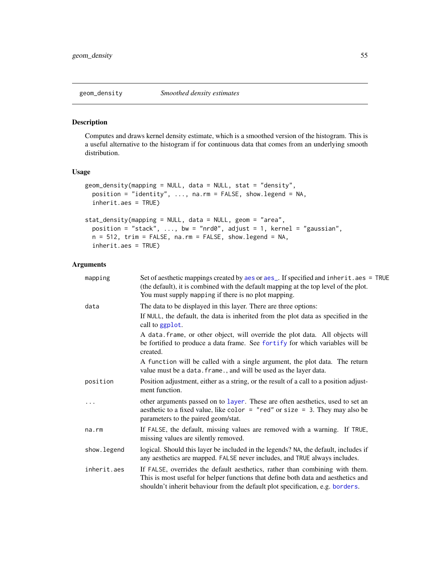<span id="page-54-0"></span>

## Description

Computes and draws kernel density estimate, which is a smoothed version of the histogram. This is a useful alternative to the histogram if for continuous data that comes from an underlying smooth distribution.

### Usage

```
geom_density(mapping = NULL, data = NULL, stat = "density",
 position = "identity", ..., na.rm = FALSE, show.legend = NA,
  inherit.aes = TRUE)
stat_density(mapping = NULL, data = NULL, geom = "area",
 position = "stack", \dots, bw = "nrd0", adjust = 1, kernel = "gaussian",
 n = 512, trim = FALSE, na.rm = FALSE, show.legend = NA,
  inherit.aes = TRUE)
```

| mapping      | Set of aesthetic mappings created by aes or aes_. If specified and inherit.aes = TRUE<br>(the default), it is combined with the default mapping at the top level of the plot.<br>You must supply mapping if there is no plot mapping.               |
|--------------|-----------------------------------------------------------------------------------------------------------------------------------------------------------------------------------------------------------------------------------------------------|
| data         | The data to be displayed in this layer. There are three options:                                                                                                                                                                                    |
|              | If NULL, the default, the data is inherited from the plot data as specified in the<br>call to ggplot.                                                                                                                                               |
|              | A data frame, or other object, will override the plot data. All objects will<br>be fortified to produce a data frame. See fortify for which variables will be<br>created.                                                                           |
|              | A function will be called with a single argument, the plot data. The return<br>value must be a data. frame., and will be used as the layer data.                                                                                                    |
| position     | Position adjustment, either as a string, or the result of a call to a position adjust-<br>ment function.                                                                                                                                            |
|              | other arguments passed on to layer. These are often aesthetics, used to set an<br>aesthetic to a fixed value, like color = "red" or size = 3. They may also be<br>parameters to the paired geom/stat.                                               |
| na.rm        | If FALSE, the default, missing values are removed with a warning. If TRUE,<br>missing values are silently removed.                                                                                                                                  |
| show. legend | logical. Should this layer be included in the legends? NA, the default, includes if<br>any aesthetics are mapped. FALSE never includes, and TRUE always includes.                                                                                   |
| inherit.aes  | If FALSE, overrides the default aesthetics, rather than combining with them.<br>This is most useful for helper functions that define both data and aesthetics and<br>shouldn't inherit behaviour from the default plot specification, e.g. borders. |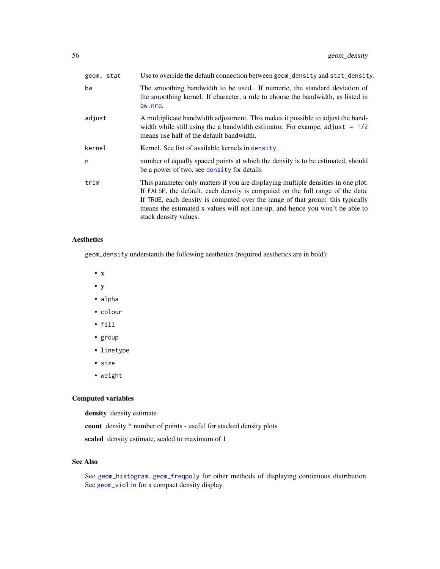| geom, stat | Use to override the default connection between geom_density and stat_density.                                                                                                                                                                                                                                                                                   |
|------------|-----------------------------------------------------------------------------------------------------------------------------------------------------------------------------------------------------------------------------------------------------------------------------------------------------------------------------------------------------------------|
| bw         | The smoothing bandwidth to be used. If numeric, the standard deviation of<br>the smoothing kernel. If character, a rule to choose the bandwidth, as listed in<br>bw.nrd.                                                                                                                                                                                        |
| adjust     | A multiplicate bandwidth adjustment. This makes it possible to adjust the band-<br>width while still using the a bandwidth estimator. For exampe, adjust $= 1/2$<br>means use half of the default bandwidth.                                                                                                                                                    |
| kernel     | Kernel. See list of available kernels in density.                                                                                                                                                                                                                                                                                                               |
| n          | number of equally spaced points at which the density is to be estimated, should<br>be a power of two, see density for details                                                                                                                                                                                                                                   |
| trim       | This parameter only matters if you are displaying multiple densities in one plot.<br>If FALSE, the default, each density is computed on the full range of the data.<br>If TRUE, each density is computed over the range of that group: this typically<br>means the estimated x values will not line-up, and hence you won't be able to<br>stack density values. |

# Aesthetics

geom\_density understands the following aesthetics (required aesthetics are in bold):

- x
- y
- alpha
- colour
- fill
- group
- linetype
- size
- weight

## Computed variables

density density estimate

count density \* number of points - useful for stacked density plots

scaled density estimate, scaled to maximum of 1

### See Also

See [geom\\_histogram](#page-63-0), [geom\\_freqpoly](#page-63-1) for other methods of displaying continuous distribution. See [geom\\_violin](#page-101-0) for a compact density display.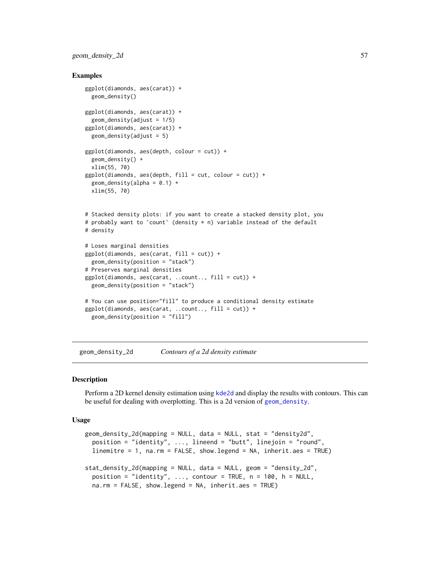## geom\_density\_2d 57

### Examples

```
ggplot(diamonds, aes(carat)) +
 geom_density()
ggplot(diamonds, aes(carat)) +
 geom_density(adjust = 1/5)
ggplot(diamonds, aes(carat)) +
 geom_density(adjust = 5)
ggplot(diamonds, aes(depth, colour = cut)) +geom_density() +
 xlim(55, 70)
ggplot(diamonds, aes(depth, fill = cut, colour = cut)) +geom\_density(alpha = 0.1) +xlim(55, 70)
# Stacked density plots: if you want to create a stacked density plot, you
# probably want to 'count' (density * n) variable instead of the default
# density
# Loses marginal densities
ggplot(diamonds, aes(carat, fill = cut)) +geom_density(position = "stack")
# Preserves marginal densities
ggplot(diamonds, aes(carat, ..count.., fill = cut)) +
 geom_density(position = "stack")
# You can use position="fill" to produce a conditional density estimate
ggplot(diamonds, aes(carat, ..count., fill = cut)) +geom_density(position = "fill")
```
<span id="page-56-0"></span>geom\_density\_2d *Contours of a 2d density estimate*

## Description

Perform a 2D kernel density estimation using [kde2d](#page-0-0) and display the results with contours. This can be useful for dealing with overplotting. This is a 2d version of [geom\\_density](#page-54-0).

#### Usage

```
geom_density_2d(mapping = NULL, data = NULL, stat = "density2d",
 position = "identity", ..., lineend = "butt", linejoin = "round",
  linemitre = 1, na.rm = FALSE, show.legend = NA, inherit.aes = TRUE)
stat_density_2d(mapping = NULL, data = NULL, geom = "density_2d",
 position = "identity", \ldots, contour = TRUE, n = 100, h = NULL,
 na.rm = FALSE, show.legend = NA, inherit.aes = TRUE)
```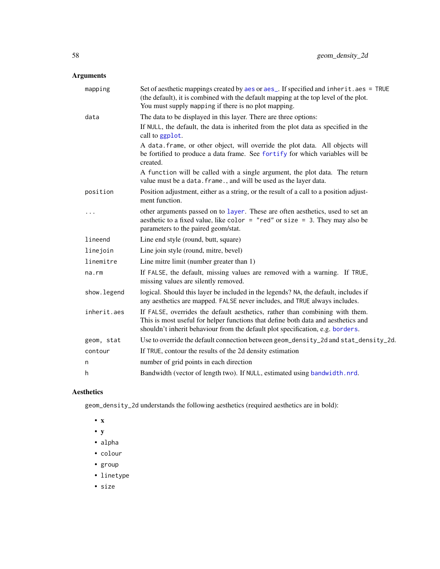# Arguments

| mapping      | Set of aesthetic mappings created by aes or aes_. If specified and inherit.aes = TRUE<br>(the default), it is combined with the default mapping at the top level of the plot.<br>You must supply mapping if there is no plot mapping.               |
|--------------|-----------------------------------------------------------------------------------------------------------------------------------------------------------------------------------------------------------------------------------------------------|
| data         | The data to be displayed in this layer. There are three options:                                                                                                                                                                                    |
|              | If NULL, the default, the data is inherited from the plot data as specified in the<br>call to ggplot.                                                                                                                                               |
|              | A data. frame, or other object, will override the plot data. All objects will<br>be fortified to produce a data frame. See fortify for which variables will be<br>created.                                                                          |
|              | A function will be called with a single argument, the plot data. The return<br>value must be a data. frame., and will be used as the layer data.                                                                                                    |
| position     | Position adjustment, either as a string, or the result of a call to a position adjust-<br>ment function.                                                                                                                                            |
|              | other arguments passed on to layer. These are often aesthetics, used to set an<br>aesthetic to a fixed value, like color = "red" or size = 3. They may also be<br>parameters to the paired geom/stat.                                               |
| lineend      | Line end style (round, butt, square)                                                                                                                                                                                                                |
| linejoin     | Line join style (round, mitre, bevel)                                                                                                                                                                                                               |
| linemitre    | Line mitre limit (number greater than 1)                                                                                                                                                                                                            |
| na.rm        | If FALSE, the default, missing values are removed with a warning. If TRUE,<br>missing values are silently removed.                                                                                                                                  |
| show. legend | logical. Should this layer be included in the legends? NA, the default, includes if<br>any aesthetics are mapped. FALSE never includes, and TRUE always includes.                                                                                   |
| inherit.aes  | If FALSE, overrides the default aesthetics, rather than combining with them.<br>This is most useful for helper functions that define both data and aesthetics and<br>shouldn't inherit behaviour from the default plot specification, e.g. borders. |
| geom, stat   | Use to override the default connection between geom_density_2d and stat_density_2d.                                                                                                                                                                 |
| contour      | If TRUE, contour the results of the 2d density estimation                                                                                                                                                                                           |
| n            | number of grid points in each direction                                                                                                                                                                                                             |
| h            | Bandwidth (vector of length two). If NULL, estimated using bandwidth.nrd.                                                                                                                                                                           |

# Aesthetics

geom\_density\_2d understands the following aesthetics (required aesthetics are in bold):

- x
- y
- alpha
- colour
- group
- linetype
- size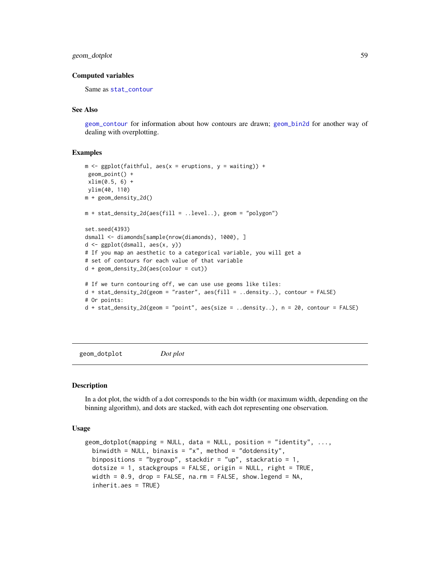## geom\_dotplot 59

#### Computed variables

Same as [stat\\_contour](#page-47-0)

#### See Also

[geom\\_contour](#page-47-1) for information about how contours are drawn; [geom\\_bin2d](#page-41-0) for another way of dealing with overplotting.

#### Examples

```
m \leq ggplot(faithful, aes(x = eruptions, y = waiting)) +
 geom_point() +
 xlim(0.5, 6) +ylim(40, 110)
m + geom_density_2d()
m + stat_density_2d(aes(fill = ..level..), geom = "polygon")
set.seed(4393)
dsmall <- diamonds[sample(nrow(diamonds), 1000), ]
d <- ggplot(dsmall, aes(x, y))
# If you map an aesthetic to a categorical variable, you will get a
# set of contours for each value of that variable
d + geom_density_2d(aes(colour = cut))
# If we turn contouring off, we can use use geoms like tiles:
d + stat_density_2d(geom = "raster", aes(fill = ..density..), contour = FALSE)
# Or points:
d + stat_density_2d(geom = "point", aes(size = ..density..), n = 20, contour = FALSE)
```
geom\_dotplot *Dot plot*

#### Description

In a dot plot, the width of a dot corresponds to the bin width (or maximum width, depending on the binning algorithm), and dots are stacked, with each dot representing one observation.

#### Usage

```
geom_dotplot(mapping = NULL, data = NULL, position = "identity", ...,
 binwidth = NULL, binaxis = "x", method = "dotdensity",
 binpositions = "bygroup", stackdir = "up", stackratio = 1,
  dotsize = 1, stackgroups = FALSE, origin = NULL, right = TRUE,
 width = 0.9, drop = FALSE, na.rm = FALSE, show.legend = NA,
  inherit.aes = TRUE)
```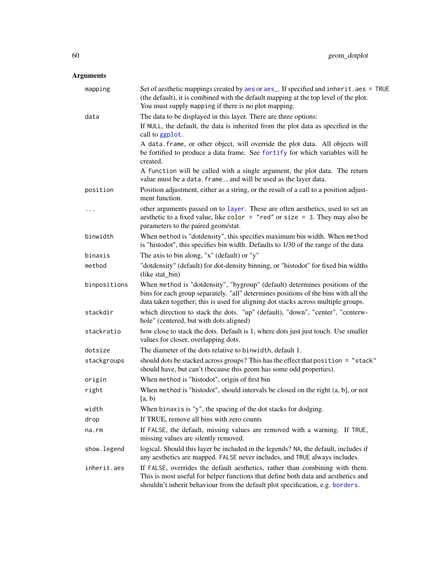| mapping      | Set of aesthetic mappings created by aes or aes_. If specified and inherit.aes = TRUE<br>(the default), it is combined with the default mapping at the top level of the plot.<br>You must supply mapping if there is no plot mapping.                    |
|--------------|----------------------------------------------------------------------------------------------------------------------------------------------------------------------------------------------------------------------------------------------------------|
| data         | The data to be displayed in this layer. There are three options:                                                                                                                                                                                         |
|              | If NULL, the default, the data is inherited from the plot data as specified in the<br>call to ggplot.                                                                                                                                                    |
|              | A data. frame, or other object, will override the plot data. All objects will<br>be fortified to produce a data frame. See fortify for which variables will be<br>created.                                                                               |
|              | A function will be called with a single argument, the plot data. The return<br>value must be a data. frame., and will be used as the layer data.                                                                                                         |
| position     | Position adjustment, either as a string, or the result of a call to a position adjust-<br>ment function.                                                                                                                                                 |
| $\cdots$     | other arguments passed on to layer. These are often aesthetics, used to set an<br>aesthetic to a fixed value, like color = "red" or size = 3. They may also be<br>parameters to the paired geom/stat.                                                    |
| binwidth     | When method is "dotdensity", this specifies maximum bin width. When method<br>is "histodot", this specifies bin width. Defaults to 1/30 of the range of the data                                                                                         |
| binaxis      | The axis to bin along, "x" (default) or "y"                                                                                                                                                                                                              |
| method       | "dotdensity" (default) for dot-density binning, or "histodot" for fixed bin widths<br>(like stat_bin)                                                                                                                                                    |
| binpositions | When method is "dotdensity", "bygroup" (default) determines positions of the<br>bins for each group separately. "all" determines positions of the bins with all the<br>data taken together; this is used for aligning dot stacks across multiple groups. |
| stackdir     | which direction to stack the dots. "up" (default), "down", "center", "centerw-<br>hole" (centered, but with dots aligned)                                                                                                                                |
| stackratio   | how close to stack the dots. Default is 1, where dots just just touch. Use smaller<br>values for closer, overlapping dots.                                                                                                                               |
| dotsize      | The diameter of the dots relative to binwidth, default 1.                                                                                                                                                                                                |
| stackgroups  | should dots be stacked across groups? This has the effect that position = "stack"<br>should have, but can't (because this geom has some odd properties).                                                                                                 |
| origin       | When method is "histodot", origin of first bin                                                                                                                                                                                                           |
| right        | When method is "histodot", should intervals be closed on the right (a, b], or not<br>[a, b)                                                                                                                                                              |
| width        | When binaxis is "y", the spacing of the dot stacks for dodging.                                                                                                                                                                                          |
| drop         | If TRUE, remove all bins with zero counts                                                                                                                                                                                                                |
| na.rm        | If FALSE, the default, missing values are removed with a warning. If TRUE,<br>missing values are silently removed.                                                                                                                                       |
| show.legend  | logical. Should this layer be included in the legends? NA, the default, includes if<br>any aesthetics are mapped. FALSE never includes, and TRUE always includes.                                                                                        |
| inherit.aes  | If FALSE, overrides the default aesthetics, rather than combining with them.<br>This is most useful for helper functions that define both data and aesthetics and<br>shouldn't inherit behaviour from the default plot specification, e.g. borders.      |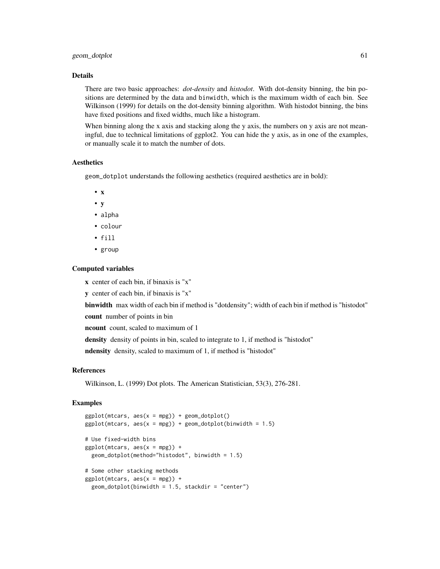### geom\_dotplot 61

#### Details

There are two basic approaches: *dot-density* and *histodot*. With dot-density binning, the bin positions are determined by the data and binwidth, which is the maximum width of each bin. See Wilkinson (1999) for details on the dot-density binning algorithm. With histodot binning, the bins have fixed positions and fixed widths, much like a histogram.

When binning along the x axis and stacking along the y axis, the numbers on y axis are not meaningful, due to technical limitations of ggplot2. You can hide the y axis, as in one of the examples, or manually scale it to match the number of dots.

#### Aesthetics

geom\_dotplot understands the following aesthetics (required aesthetics are in bold):

- x
- y
- alpha
- colour
- fill
- group

### Computed variables

x center of each bin, if binaxis is "x"

y center of each bin, if binaxis is "x"

binwidth max width of each bin if method is "dotdensity"; width of each bin if method is "histodot"

count number of points in bin

ncount count, scaled to maximum of 1

density density of points in bin, scaled to integrate to 1, if method is "histodot"

ndensity density, scaled to maximum of 1, if method is "histodot"

### References

Wilkinson, L. (1999) Dot plots. The American Statistician, 53(3), 276-281.

#### Examples

```
ggplot(mtcars, aes(x = mpg)) + geom_dotplot()ggplot(mtcars, aes(x = mp)) + geom_dotplot(binwidth = 1.5)# Use fixed-width bins
ggplot(mtcars, aes(x = mpg)) +geom_dotplot(method="histodot", binwidth = 1.5)
# Some other stacking methods
ggplot(mtcars, aes(x = mpg)) +geom\_dotplot(binwidth = 1.5, stackdir = "center")
```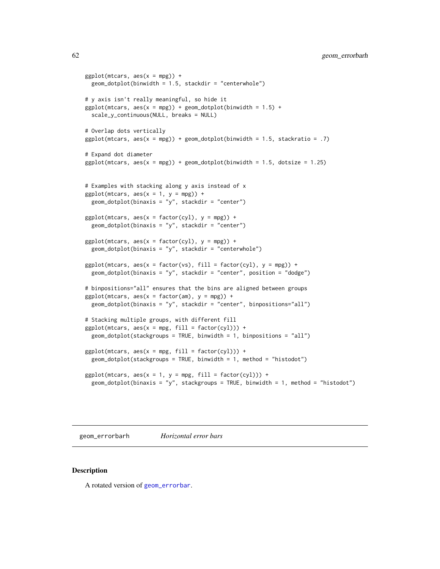```
ggplot(mtcars, aes(x = mpg)) +geom_dotplot(binwidth = 1.5, stackdir = "centerwhole")
# y axis isn't really meaningful, so hide it
ggplot(mtcars, aes(x = mpg)) + geom_dotplot(binwidth = 1.5) +scale_y_continuous(NULL, breaks = NULL)
# Overlap dots vertically
ggplot(mtcars, aes(x = mpg)) + geom_dotplot(binwidth = 1.5, stackratio = .7)# Expand dot diameter
ggplot(mtcars, aes(x = mp)) + geom_dotplot(binwidth = 1.5, dotsize = 1.25)# Examples with stacking along y axis instead of x
ggplot(mtcars, aes(x = 1, y = mpg)) +geom_dotplot(binaxis = "y", stackdir = "center")
ggplot(mtcars, aes(x = factor(cyl), y = mpg)) +geom_dofplot(binaxis = "y", stackdir = "center")ggplot(mtcars, aes(x = factor(cyl), y = mp)) +geom_dotplot(binaxis = "y", stackdir = "centerwhole")
ggplot(mtcars, aes(x = factor(vs), fill = factor(cyl), y = mpg)) +geom_dotplot(binaxis = "y", stackdir = "center", position = "dodge")
# binpositions="all" ensures that the bins are aligned between groups
ggplot(mtcars, aes(x = factor(am), y = mpg)) +geom_dotplot(binaxis = "y", stackdir = "center", binpositions="all")
# Stacking multiple groups, with different fill
ggplot(mtcars, aes(x = mpg, fill = factor(cyl))) +geom_dotplot(stackgroups = TRUE, binwidth = 1, binpositions = "all")
ggplot(mtcars, aes(x = mpg, fill = factor(cyl))) +geom\_dotplot(statgroups = TRUE, binwidth = 1, method = "histodot")ggplot(mtcars, aes(x = 1, y = mpg, fill = factor(cyl))) +geom_dofplot(binaxis = "y", stackgroups = TRUE, binwidth = 1, method = "histodot")
```
<span id="page-61-0"></span>geom\_errorbarh *Horizontal error bars*

#### Description

A rotated version of [geom\\_errorbar](#page-51-0).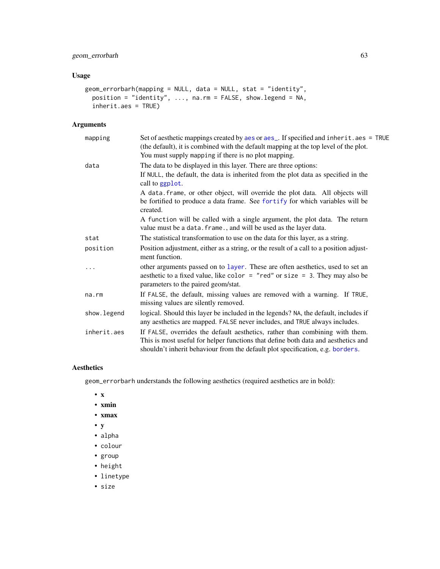# geom\_errorbarh 63

## Usage

```
geom_errorbarh(mapping = NULL, data = NULL, stat = "identity",
 position = "identity", ..., na.rm = FALSE, show.legend = NA,
  inherit.aes = TRUE)
```
## Arguments

| mapping     | Set of aesthetic mappings created by aes or aes_. If specified and inherit.aes = TRUE<br>(the default), it is combined with the default mapping at the top level of the plot.<br>You must supply mapping if there is no plot mapping.               |
|-------------|-----------------------------------------------------------------------------------------------------------------------------------------------------------------------------------------------------------------------------------------------------|
| data        | The data to be displayed in this layer. There are three options:                                                                                                                                                                                    |
|             | If NULL, the default, the data is inherited from the plot data as specified in the<br>call to ggplot.                                                                                                                                               |
|             | A data frame, or other object, will override the plot data. All objects will<br>be fortified to produce a data frame. See fortify for which variables will be<br>created.                                                                           |
|             | A function will be called with a single argument, the plot data. The return<br>value must be a data. frame., and will be used as the layer data.                                                                                                    |
| stat        | The statistical transformation to use on the data for this layer, as a string.                                                                                                                                                                      |
| position    | Position adjustment, either as a string, or the result of a call to a position adjust-<br>ment function.                                                                                                                                            |
| .           | other arguments passed on to layer. These are often aesthetics, used to set an<br>aesthetic to a fixed value, like color = "red" or size = 3. They may also be<br>parameters to the paired geom/stat.                                               |
| na.rm       | If FALSE, the default, missing values are removed with a warning. If TRUE,<br>missing values are silently removed.                                                                                                                                  |
| show.legend | logical. Should this layer be included in the legends? NA, the default, includes if<br>any aesthetics are mapped. FALSE never includes, and TRUE always includes.                                                                                   |
| inherit.aes | If FALSE, overrides the default aesthetics, rather than combining with them.<br>This is most useful for helper functions that define both data and aesthetics and<br>shouldn't inherit behaviour from the default plot specification, e.g. borders. |

# Aesthetics

geom\_errorbarh understands the following aesthetics (required aesthetics are in bold):

- x
- xmin
- xmax
- y
- alpha
- colour
- group
- height
- linetype
- size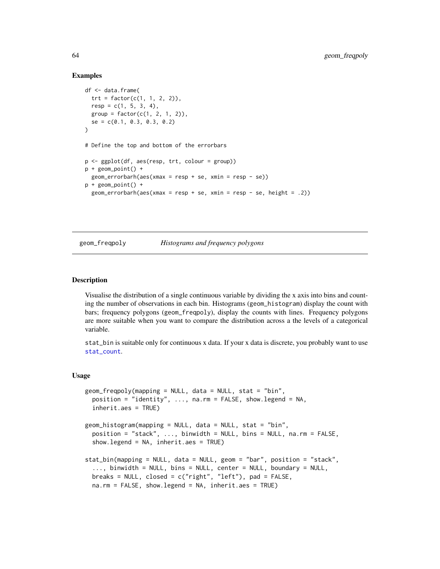#### Examples

```
df <- data.frame(
 trt = factor(c(1, 1, 2, 2)),resp = c(1, 5, 3, 4),group = factor(c(1, 2, 1, 2)),se = c(0.1, 0.3, 0.3, 0.2)
\lambda# Define the top and bottom of the errorbars
p <- ggplot(df, aes(resp, trt, colour = group))
p + geom\_point() +geom_errorbarh(aes(xmax = resp + se, xmin = resp - se))
p + geom_point() +
 geom_error (2))
```
<span id="page-63-1"></span>

### geom\_freqpoly *Histograms and frequency polygons*

#### <span id="page-63-0"></span>**Description**

Visualise the distribution of a single continuous variable by dividing the x axis into bins and counting the number of observations in each bin. Histograms (geom\_histogram) display the count with bars; frequency polygons (geom\_freqpoly), display the counts with lines. Frequency polygons are more suitable when you want to compare the distribution across a the levels of a categorical variable.

stat\_bin is suitable only for continuous x data. If your x data is discrete, you probably want to use [stat\\_count](#page-38-0).

#### Usage

```
geom_freqpoly(mapping = NULL, data = NULL, stat = "bin",
 position = "identity", ..., na.rm = FALSE, show.legend = NA,
  inherit.aes = TRUE)
geom_histogram(mapping = NULL, data = NULL, stat = "bin",
 position = "stack", ..., binwidth = NULL, bins = NULL, na.rm = FALSE,
  show.legend = NA, inherit.aes = TRUE)
stat_bin(mapping = NULL, data = NULL, geom = "bar", position = "stack",
  ..., binwidth = NULL, bins = NULL, center = NULL, boundary = NULL,
 breaks = NULL, closed = c("right", "left"), pad = FALSE,
 na.rm = FALSE, show.legend = NA, inherit.aes = TRUE)
```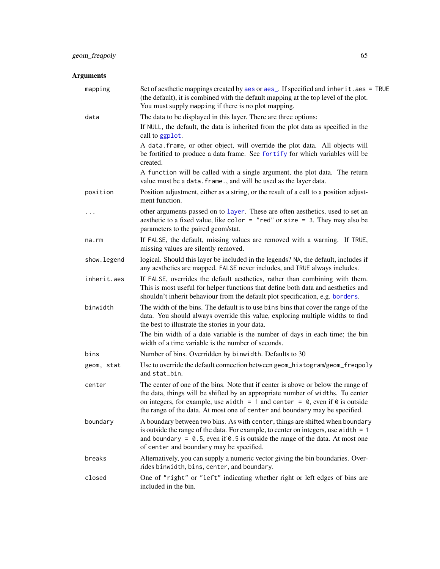| mapping     | Set of aesthetic mappings created by aes or aes_. If specified and inherit.aes = TRUE<br>(the default), it is combined with the default mapping at the top level of the plot.<br>You must supply mapping if there is no plot mapping.                                                                                                             |
|-------------|---------------------------------------------------------------------------------------------------------------------------------------------------------------------------------------------------------------------------------------------------------------------------------------------------------------------------------------------------|
| data        | The data to be displayed in this layer. There are three options:<br>If NULL, the default, the data is inherited from the plot data as specified in the<br>call to ggplot.                                                                                                                                                                         |
|             | A data. frame, or other object, will override the plot data. All objects will<br>be fortified to produce a data frame. See fortify for which variables will be<br>created.                                                                                                                                                                        |
|             | A function will be called with a single argument, the plot data. The return<br>value must be a data. frame., and will be used as the layer data.                                                                                                                                                                                                  |
| position    | Position adjustment, either as a string, or the result of a call to a position adjust-<br>ment function.                                                                                                                                                                                                                                          |
|             | other arguments passed on to layer. These are often aesthetics, used to set an<br>aesthetic to a fixed value, like color = "red" or size = 3. They may also be<br>parameters to the paired geom/stat.                                                                                                                                             |
| na.rm       | If FALSE, the default, missing values are removed with a warning. If TRUE,<br>missing values are silently removed.                                                                                                                                                                                                                                |
| show.legend | logical. Should this layer be included in the legends? NA, the default, includes if<br>any aesthetics are mapped. FALSE never includes, and TRUE always includes.                                                                                                                                                                                 |
| inherit.aes | If FALSE, overrides the default aesthetics, rather than combining with them.<br>This is most useful for helper functions that define both data and aesthetics and<br>shouldn't inherit behaviour from the default plot specification, e.g. borders.                                                                                               |
| binwidth    | The width of the bins. The default is to use bins bins that cover the range of the<br>data. You should always override this value, exploring multiple widths to find<br>the best to illustrate the stories in your data.                                                                                                                          |
|             | The bin width of a date variable is the number of days in each time; the bin<br>width of a time variable is the number of seconds.                                                                                                                                                                                                                |
| bins        | Number of bins. Overridden by binwidth. Defaults to 30                                                                                                                                                                                                                                                                                            |
| geom, stat  | Use to override the default connection between geom_histogram/geom_freqpoly<br>and stat_bin.                                                                                                                                                                                                                                                      |
| center      | The center of one of the bins. Note that if center is above or below the range of<br>the data, things will be shifted by an appropriate number of widths. To center<br>on integers, for example, use width = 1 and center = $\theta$ , even if $\theta$ is outside<br>the range of the data. At most one of center and boundary may be specified. |
| boundary    | A boundary between two bins. As with center, things are shifted when boundary<br>is outside the range of the data. For example, to center on integers, use width $= 1$<br>and boundary = $0.5$ , even if $0.5$ is outside the range of the data. At most one<br>of center and boundary may be specified.                                          |
| breaks      | Alternatively, you can supply a numeric vector giving the bin boundaries. Over-<br>rides binwidth, bins, center, and boundary.                                                                                                                                                                                                                    |
| closed      | One of "right" or "left" indicating whether right or left edges of bins are<br>included in the bin.                                                                                                                                                                                                                                               |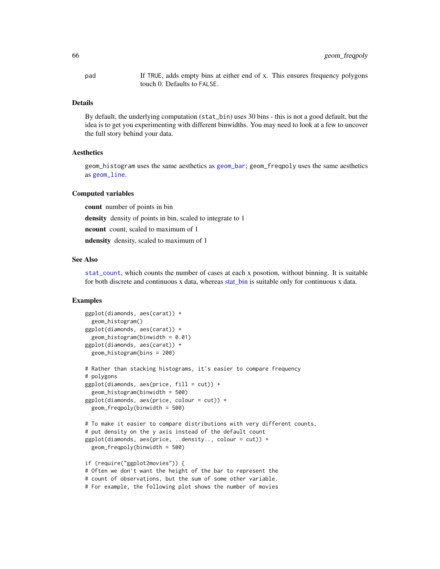pad If TRUE, adds empty bins at either end of x. This ensures frequency polygons touch 0. Defaults to FALSE.

### Details

By default, the underlying computation (stat\_bin) uses 30 bins - this is not a good default, but the idea is to get you experimenting with different binwidths. You may need to look at a few to uncover the full story behind your data.

#### Aesthetics

geom\_histogram uses the same aesthetics as [geom\\_bar](#page-38-1); geom\_freqpoly uses the same aesthetics as [geom\\_line](#page-76-0).

### Computed variables

count number of points in bin density density of points in bin, scaled to integrate to 1 ncount count, scaled to maximum of 1 ndensity density, scaled to maximum of 1

#### See Also

[stat\\_count](#page-38-0), which counts the number of cases at each x posotion, without binning. It is suitable for both discrete and continuous x data, whereas stat bin is suitable only for continuous x data.

### Examples

```
ggplot(diamonds, aes(carat)) +
 geom_histogram()
ggplot(diamonds, aes(carat)) +
 geom_histogram(binwidth = 0.01)
ggplot(diamonds, aes(carat)) +
 geom_histogram(bins = 200)
# Rather than stacking histograms, it's easier to compare frequency
# polygons
ggplot(diamonds, aes(price, fill = cut)) +geom_histogram(binwidth = 500)
ggplot(diamonds, aes(price, colour = cut)) +
 geom_freqpoly(binwidth = 500)
# To make it easier to compare distributions with very different counts,
# put density on the y axis instead of the default count
ggplot(diamonds, aes(price, ..density.., colour = cut)) +
 geom_freqpoly(binwidth = 500)
if (require("ggplot2movies")) {
# Often we don't want the height of the bar to represent the
# count of observations, but the sum of some other variable.
# For example, the following plot shows the number of movies
```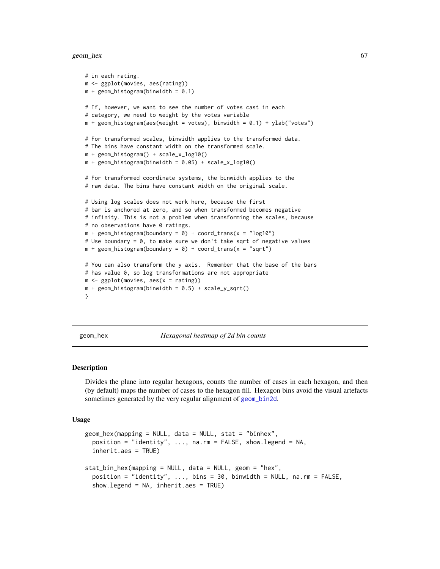#### geom\_hex 67

```
# in each rating.
m <- ggplot(movies, aes(rating))
m + geom\_histogram(binwidth = 0.1)# If, however, we want to see the number of votes cast in each
# category, we need to weight by the votes variable
m + geom\_histogram(aes(weight = votes), binwidth = 0.1) + ylab("votes")# For transformed scales, binwidth applies to the transformed data.
# The bins have constant width on the transformed scale.
m + geom_histogram() + scale_x_log10()
m + geom\_histogram(binwidth = 0.05) + scale_x_log10()# For transformed coordinate systems, the binwidth applies to the
# raw data. The bins have constant width on the original scale.
# Using log scales does not work here, because the first
# bar is anchored at zero, and so when transformed becomes negative
# infinity. This is not a problem when transforming the scales, because
# no observations have 0 ratings.
m + geom\_histogram(boundary = 0) + coord\_trans(x = "log10")# Use boundary = 0, to make sure we don't take sqrt of negative values
m + geom\_histogram(boundary = 0) + coord\_trans(x = "sqrt")# You can also transform the y axis. Remember that the base of the bars
# has value 0, so log transformations are not appropriate
m \leftarrow ggplot(movies, aes(x = rating))
m + geom\_histogram(binwidth = 0.5) + scale_y_sqrt()}
```
geom\_hex *Hexagonal heatmap of 2d bin counts*

#### <span id="page-66-0"></span>Description

Divides the plane into regular hexagons, counts the number of cases in each hexagon, and then (by default) maps the number of cases to the hexagon fill. Hexagon bins avoid the visual artefacts sometimes generated by the very regular alignment of [geom\\_bin2d](#page-41-0).

#### Usage

```
geom_hex(mapping = NULL, data = NULL, stat = "binhex",
 position = "identity", \ldots, na.rm = FALSE, show.legend = NA,
  inherit.aes = TRUE)
stat_bin_hex(mapping = NULL, data = NULL, geom = "hex",
  position = "identity", \ldots, bins = 30, binwidth = NULL, na.rm = FALSE,
  show.legend = NA, inherit.aes = TRUE)
```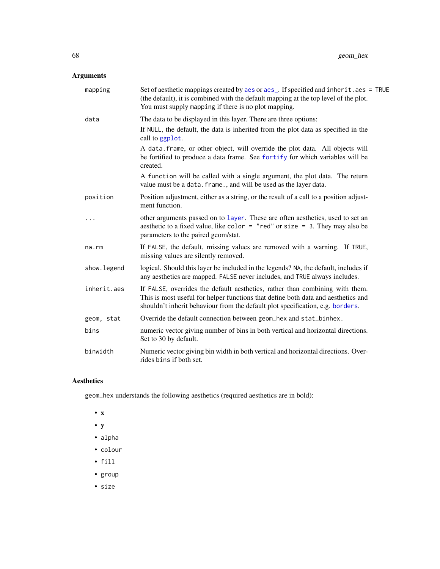# Arguments

| mapping     | Set of aesthetic mappings created by aes or aes_. If specified and inherit.aes = TRUE<br>(the default), it is combined with the default mapping at the top level of the plot.<br>You must supply mapping if there is no plot mapping.               |
|-------------|-----------------------------------------------------------------------------------------------------------------------------------------------------------------------------------------------------------------------------------------------------|
| data        | The data to be displayed in this layer. There are three options:<br>If NULL, the default, the data is inherited from the plot data as specified in the<br>call to ggplot.                                                                           |
|             | A data frame, or other object, will override the plot data. All objects will<br>be fortified to produce a data frame. See fortify for which variables will be<br>created.                                                                           |
|             | A function will be called with a single argument, the plot data. The return<br>value must be a data. frame., and will be used as the layer data.                                                                                                    |
| position    | Position adjustment, either as a string, or the result of a call to a position adjust-<br>ment function.                                                                                                                                            |
| .           | other arguments passed on to layer. These are often aesthetics, used to set an<br>aesthetic to a fixed value, like color = "red" or size = 3. They may also be<br>parameters to the paired geom/stat.                                               |
| na.rm       | If FALSE, the default, missing values are removed with a warning. If TRUE,<br>missing values are silently removed.                                                                                                                                  |
| show.legend | logical. Should this layer be included in the legends? NA, the default, includes if<br>any aesthetics are mapped. FALSE never includes, and TRUE always includes.                                                                                   |
| inherit.aes | If FALSE, overrides the default aesthetics, rather than combining with them.<br>This is most useful for helper functions that define both data and aesthetics and<br>shouldn't inherit behaviour from the default plot specification, e.g. borders. |
| geom, stat  | Override the default connection between geom_hex and stat_binhex.                                                                                                                                                                                   |
| bins        | numeric vector giving number of bins in both vertical and horizontal directions.<br>Set to 30 by default.                                                                                                                                           |
| binwidth    | Numeric vector giving bin width in both vertical and horizontal directions. Over-<br>rides bins if both set.                                                                                                                                        |

## Aesthetics

geom\_hex understands the following aesthetics (required aesthetics are in bold):

- x
- $y$
- alpha
- colour
- fill
- group
- size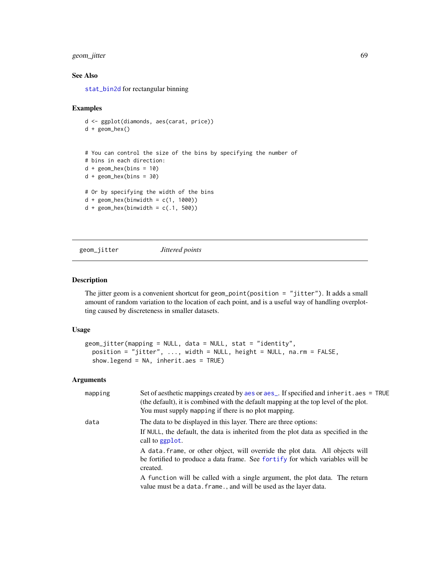## geom\_jitter 69

## See Also

[stat\\_bin2d](#page-41-1) for rectangular binning

#### Examples

```
d <- ggplot(diamonds, aes(carat, price))
d + geom_hex()
# You can control the size of the bins by specifying the number of
# bins in each direction:
d + geom\_hex(bins = 10)d + geom\_hex(bins = 30)# Or by specifying the width of the bins
d + geom\_hex(binwidth = c(1, 1000))d + geom\_hex(binwidth = c(.1, 500))
```
<span id="page-68-0"></span>geom\_jitter *Jittered points*

### Description

The jitter geom is a convenient shortcut for geom\_point(position = "jitter"). It adds a small amount of random variation to the location of each point, and is a useful way of handling overplotting caused by discreteness in smaller datasets.

#### Usage

```
geom_jitter(mapping = NULL, data = NULL, stat = "identity",
 position = "jitter", ..., width = NULL, height = NULL, na.rm = FALSE,
  show.legend = NA, inherit.aes = TRUE)
```

| mapping | Set of aesthetic mappings created by aes or aes_. If specified and inherit.aes = TRUE<br>(the default), it is combined with the default mapping at the top level of the plot.<br>You must supply mapping if there is no plot mapping. |
|---------|---------------------------------------------------------------------------------------------------------------------------------------------------------------------------------------------------------------------------------------|
| data    | The data to be displayed in this layer. There are three options:                                                                                                                                                                      |
|         | If NULL, the default, the data is inherited from the plot data as specified in the<br>call to ggplot.                                                                                                                                 |
|         | A data frame, or other object, will override the plot data. All objects will<br>be fortified to produce a data frame. See fortify for which variables will be<br>created.                                                             |
|         | A function will be called with a single argument, the plot data. The return<br>value must be a data. frame., and will be used as the layer data.                                                                                      |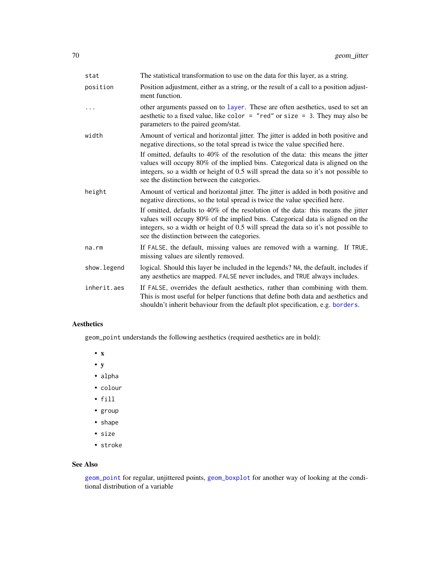| stat         | The statistical transformation to use on the data for this layer, as a string.                                                                                                                                                                                                                          |
|--------------|---------------------------------------------------------------------------------------------------------------------------------------------------------------------------------------------------------------------------------------------------------------------------------------------------------|
| position     | Position adjustment, either as a string, or the result of a call to a position adjust-<br>ment function.                                                                                                                                                                                                |
| $\cdots$     | other arguments passed on to layer. These are often aesthetics, used to set an<br>aesthetic to a fixed value, like color = "red" or size = 3. They may also be<br>parameters to the paired geom/stat.                                                                                                   |
| width        | Amount of vertical and horizontal jitter. The jitter is added in both positive and<br>negative directions, so the total spread is twice the value specified here.                                                                                                                                       |
|              | If omitted, defaults to 40% of the resolution of the data: this means the jitter<br>values will occupy 80% of the implied bins. Categorical data is aligned on the<br>integers, so a width or height of 0.5 will spread the data so it's not possible to<br>see the distinction between the categories. |
| height       | Amount of vertical and horizontal jitter. The jitter is added in both positive and<br>negative directions, so the total spread is twice the value specified here.                                                                                                                                       |
|              | If omitted, defaults to 40% of the resolution of the data: this means the jitter<br>values will occupy 80% of the implied bins. Categorical data is aligned on the<br>integers, so a width or height of 0.5 will spread the data so it's not possible to<br>see the distinction between the categories. |
| na.rm        | If FALSE, the default, missing values are removed with a warning. If TRUE,<br>missing values are silently removed.                                                                                                                                                                                      |
| show. legend | logical. Should this layer be included in the legends? NA, the default, includes if<br>any aesthetics are mapped. FALSE never includes, and TRUE always includes.                                                                                                                                       |
| inherit.aes  | If FALSE, overrides the default aesthetics, rather than combining with them.<br>This is most useful for helper functions that define both data and aesthetics and<br>shouldn't inherit behaviour from the default plot specification, e.g. borders.                                                     |

# Aesthetics

geom\_point understands the following aesthetics (required aesthetics are in bold):

- x
- y
- alpha
- colour
- fill
- group
- shape
- size
- stroke

### See Also

[geom\\_point](#page-79-0) for regular, unjittered points, [geom\\_boxplot](#page-43-0) for another way of looking at the conditional distribution of a variable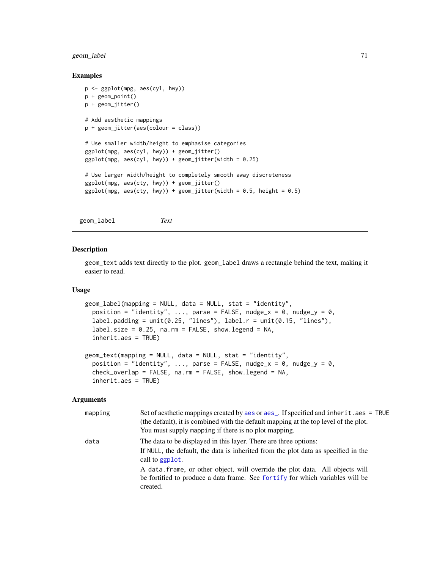## geom\_label 71

#### Examples

```
p <- ggplot(mpg, aes(cyl, hwy))
p + geom_point()
p + geom_jitter()
# Add aesthetic mappings
p + geom_jitter(aes(colour = class))
# Use smaller width/height to emphasise categories
ggplot(mpg, aes(cyl, hwy)) + geom_jitter()
ggplot(mpg, aes(cyl, hwy)) + geom_jitter(width = 0.25)
# Use larger width/height to completely smooth away discreteness
ggplot(mpg, aes(cty, hwy)) + geom_jitter()
ggplot(mpg, aes(cty, hwy)) + geom_Jitter(width = 0.5, height = 0.5)
```

```
geom_label Text
```
### Description

geom\_text adds text directly to the plot. geom\_label draws a rectangle behind the text, making it easier to read.

#### Usage

```
geom_label(mapping = NULL, data = NULL, stat = "identity",
 position = "identity", ..., parse = FALSE, nudge_x = 0, nudge_y = 0,
  label.padding = unit(0.25, "lines"), label.r = unit(0.15, "lines"),
  label.size = 0.25, na.rm = FALSE, show.legend = NA,
  inherit.aes = TRUE)
geom_text(mapping = NULL, data = NULL, stat = "identity",
```

```
position = "identity", ..., parse = FALSE, nudge_x = 0, nudge_y = 0,
check_overlap = FALSE, na.rm = FALSE, show. legend = NA,inherit.aes = TRUE)
```

| mapping | Set of aesthetic mappings created by aes or aes_. If specified and inherit.aes = TRUE<br>(the default), it is combined with the default mapping at the top level of the plot.<br>You must supply mapping if there is no plot mapping.                                                                                                                  |
|---------|--------------------------------------------------------------------------------------------------------------------------------------------------------------------------------------------------------------------------------------------------------------------------------------------------------------------------------------------------------|
| data    | The data to be displayed in this layer. There are three options:<br>If NULL, the default, the data is inherited from the plot data as specified in the<br>call to ggplot.<br>A data frame, or other object, will override the plot data. All objects will<br>be fortified to produce a data frame. See fortify for which variables will be<br>created. |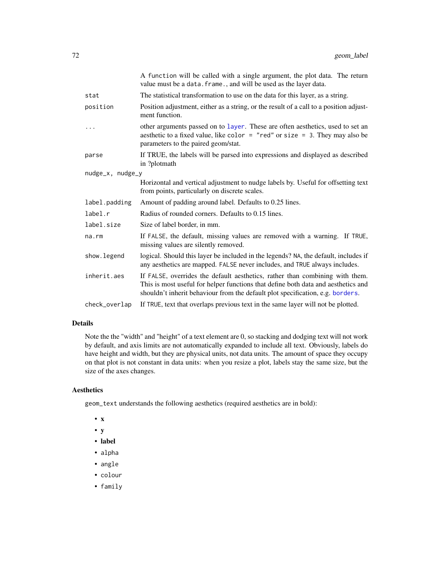|                  | A function will be called with a single argument, the plot data. The return<br>value must be a data. frame., and will be used as the layer data.                                                                                                    |
|------------------|-----------------------------------------------------------------------------------------------------------------------------------------------------------------------------------------------------------------------------------------------------|
| stat             | The statistical transformation to use on the data for this layer, as a string.                                                                                                                                                                      |
| position         | Position adjustment, either as a string, or the result of a call to a position adjust-<br>ment function.                                                                                                                                            |
| .                | other arguments passed on to layer. These are often aesthetics, used to set an<br>aesthetic to a fixed value, like color = "red" or size = 3. They may also be<br>parameters to the paired geom/stat.                                               |
| parse            | If TRUE, the labels will be parsed into expressions and displayed as described<br>in ?plotmath                                                                                                                                                      |
| nudge_x, nudge_y |                                                                                                                                                                                                                                                     |
|                  | Horizontal and vertical adjustment to nudge labels by. Useful for offsetting text<br>from points, particularly on discrete scales.                                                                                                                  |
| label.padding    | Amount of padding around label. Defaults to 0.25 lines.                                                                                                                                                                                             |
| label.r          | Radius of rounded corners. Defaults to 0.15 lines.                                                                                                                                                                                                  |
| label.size       | Size of label border, in mm.                                                                                                                                                                                                                        |
| na.rm            | If FALSE, the default, missing values are removed with a warning. If TRUE,<br>missing values are silently removed.                                                                                                                                  |
| show.legend      | logical. Should this layer be included in the legends? NA, the default, includes if<br>any aesthetics are mapped. FALSE never includes, and TRUE always includes.                                                                                   |
| inherit.aes      | If FALSE, overrides the default aesthetics, rather than combining with them.<br>This is most useful for helper functions that define both data and aesthetics and<br>shouldn't inherit behaviour from the default plot specification, e.g. borders. |
| check_overlap    | If TRUE, text that overlaps previous text in the same layer will not be plotted.                                                                                                                                                                    |

### Details

Note the the "width" and "height" of a text element are 0, so stacking and dodging text will not work by default, and axis limits are not automatically expanded to include all text. Obviously, labels do have height and width, but they are physical units, not data units. The amount of space they occupy on that plot is not constant in data units: when you resize a plot, labels stay the same size, but the size of the axes changes.

### Aesthetics

geom\_text understands the following aesthetics (required aesthetics are in bold):

- x
- y
- label
- alpha
- angle
- colour
- family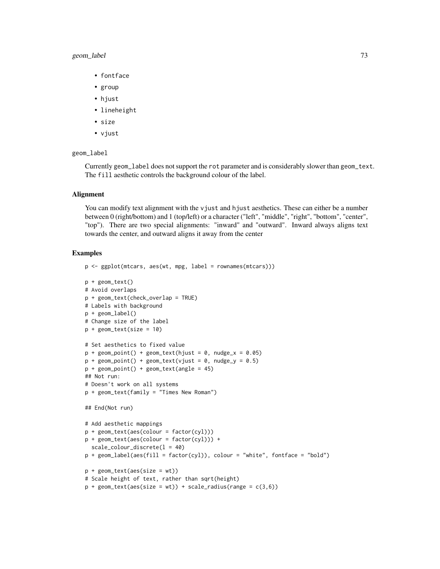### geom\_label 73

- fontface
- group
- hjust
- lineheight
- size
- vjust

#### geom\_label

Currently geom\_label does not support the rot parameter and is considerably slower than geom\_text. The fill aesthetic controls the background colour of the label.

#### Alignment

You can modify text alignment with the vjust and hjust aesthetics. These can either be a number between 0 (right/bottom) and 1 (top/left) or a character ("left", "middle", "right", "bottom", "center", "top"). There are two special alignments: "inward" and "outward". Inward always aligns text towards the center, and outward aligns it away from the center

```
p <- ggplot(mtcars, aes(wt, mpg, label = rownames(mtcars)))
p + geom_text()
# Avoid overlaps
p + geom_text(check_overlap = TRUE)
# Labels with background
p + geom_label()
# Change size of the label
p + geom\_text(size = 10)# Set aesthetics to fixed value
p + geom\_point() + geom\_text(hjust = 0, nudge_x = 0.05)p + geom\_point() + geom\_text(vjust = 0, nudge_y = 0.5)p + geom\_point() + geom\_text(name = 45)## Not run:
# Doesn't work on all systems
p + geom_text(family = "Times New Roman")
## End(Not run)
# Add aesthetic mappings
p + geom_text(aes(colour = factor(cyl)))
p + geom\_text(aes(colour = factor(cyl))) +scale_colour_discrete(l = 40)
p + geom_label(aes(fill = factor(cyl)), colour = "white", fontface = "bold")
p + geom\_text(aes(size = wt))# Scale height of text, rather than sqrt(height)
p + geom\_text(aes(size = wt)) + scale\_radius(range = c(3,6))
```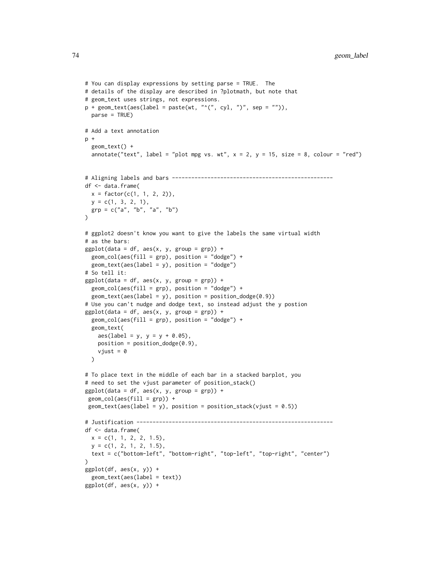```
# You can display expressions by setting parse = TRUE. The
# details of the display are described in ?plotmath, but note that
# geom_text uses strings, not expressions.
p + geom\_text(aes(label = paste(wt, "^(", cyl, "))^", sep = "")),
 parse = TRUE)
# Add a text annotation
p +geom_text() +
 annotate("text", label = "plot mpg vs. wt", x = 2, y = 15, size = 8, colour = "red")
# Aligning labels and bars --------------------------------------------------
df <- data.frame(
 x = factor(c(1, 1, 2, 2)),y = c(1, 3, 2, 1),grp = c("a", "b", "a", "b")
\lambda# ggplot2 doesn't know you want to give the labels the same virtual width
# as the bars:
ggplot(data = df, aes(x, y, group = grp)) +geom\_col(aes(fill = grp), position = "dodge") +geom_text(aes(label = y), position = "dodge")
# So tell it:
ggplot(data = df, aes(x, y, group = grp)) +geom\_col(aes(fill = grp), position = "dodge") +geom_text(aes(label = y), position = position_dodge(0.9))
# Use you can't nudge and dodge text, so instead adjust the y postion
ggplot(data = df, aes(x, y, group = grp)) +geom\_col(aes(fill = grp), position = "dodge") +geom_text(
   aes(label = y, y = y + 0.05),
   position = position\_dodge(0.9),
   vjust = 0\lambda# To place text in the middle of each bar in a stacked barplot, you
# need to set the vjust parameter of position_stack()
ggplot(data = df, aes(x, y, group = grp)) +geom\_col(aes(fill = grp)) +geom\_text(aes(label = y), position = position_stack(vjust = 0.5))
# Justification -------------------------------------------------------------
df <- data.frame(
 x = c(1, 1, 2, 2, 1.5),
 y = c(1, 2, 1, 2, 1.5),
 text = c("bottom-left", "bottom-right", "top-left", "top-right", "center")
\lambdaggplot(df, aes(x, y)) +
 geom_text(aes(label = text))
ggplot(df, aes(x, y)) +
```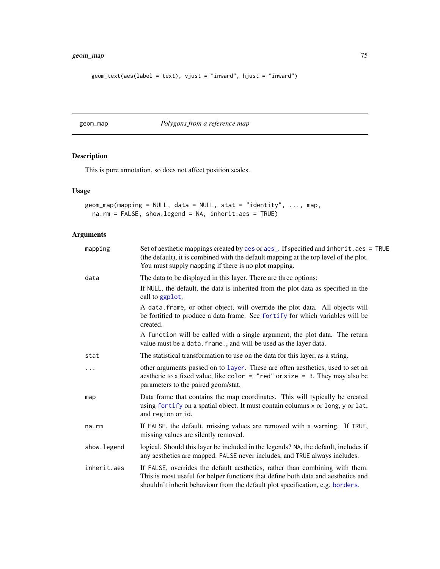# geom\_map 75

```
geom_text(aes(label = text), vjust = "inward", hjust = "inward")
```
geom\_map *Polygons from a reference map*

## Description

This is pure annotation, so does not affect position scales.

# Usage

```
geom_map(mapping = NULL, data = NULL, stat = "identity", ..., map,
 na.rm = FALSE, show.legend = NA, inherit.aes = TRUE)
```

| mapping      | Set of aesthetic mappings created by aes or aes_. If specified and inherit.aes = TRUE<br>(the default), it is combined with the default mapping at the top level of the plot.<br>You must supply mapping if there is no plot mapping.               |
|--------------|-----------------------------------------------------------------------------------------------------------------------------------------------------------------------------------------------------------------------------------------------------|
| data         | The data to be displayed in this layer. There are three options:                                                                                                                                                                                    |
|              | If NULL, the default, the data is inherited from the plot data as specified in the<br>call to ggplot.                                                                                                                                               |
|              | A data. frame, or other object, will override the plot data. All objects will<br>be fortified to produce a data frame. See fortify for which variables will be<br>created.                                                                          |
|              | A function will be called with a single argument, the plot data. The return<br>value must be a data. frame., and will be used as the layer data.                                                                                                    |
| stat         | The statistical transformation to use on the data for this layer, as a string.                                                                                                                                                                      |
| .            | other arguments passed on to layer. These are often aesthetics, used to set an<br>aesthetic to a fixed value, like color = "red" or size = 3. They may also be<br>parameters to the paired geom/stat.                                               |
| map          | Data frame that contains the map coordinates. This will typically be created<br>using fortify on a spatial object. It must contain columns x or long, y or lat,<br>and region or id.                                                                |
| na.rm        | If FALSE, the default, missing values are removed with a warning. If TRUE,<br>missing values are silently removed.                                                                                                                                  |
| show. legend | logical. Should this layer be included in the legends? NA, the default, includes if<br>any aesthetics are mapped. FALSE never includes, and TRUE always includes.                                                                                   |
| inherit.aes  | If FALSE, overrides the default aesthetics, rather than combining with them.<br>This is most useful for helper functions that define both data and aesthetics and<br>shouldn't inherit behaviour from the default plot specification, e.g. borders. |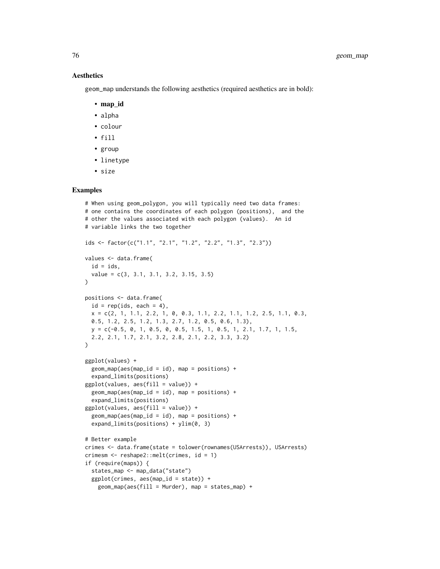## Aesthetics

geom\_map understands the following aesthetics (required aesthetics are in bold):

- map\_id
- alpha
- colour
- fill
- group
- linetype
- size

```
# When using geom_polygon, you will typically need two data frames:
# one contains the coordinates of each polygon (positions), and the
# other the values associated with each polygon (values). An id
# variable links the two together
ids <- factor(c("1.1", "2.1", "1.2", "2.2", "1.3", "2.3"))
values <- data.frame(
  id = ids,
  value = c(3, 3.1, 3.1, 3.2, 3.15, 3.5)
\lambdapositions <- data.frame(
  id = rep(ids, each = 4),x = c(2, 1, 1.1, 2.2, 1, 0, 0.3, 1.1, 2.2, 1.1, 1.2, 2.5, 1.1, 0.3,0.5, 1.2, 2.5, 1.2, 1.3, 2.7, 1.2, 0.5, 0.6, 1.3),
  y = c(-0.5, 0, 1, 0.5, 0, 0.5, 1.5, 1, 0.5, 1, 2.1, 1.7, 1, 1.5,2.2, 2.1, 1.7, 2.1, 3.2, 2.8, 2.1, 2.2, 3.3, 3.2)
)
ggplot(values) +
  geom_map(aes(map_id = id), map = positions) +
  expand_limits(positions)
ggplot(values, aes(fill = value)) +
  geom_map(aes(map_id = id), map = positions) +expand_limits(positions)
ggplot(values, aes(fill = value)) +geom_map(aes(map_id = id), map = positions) +
  expand_limits(positions) + ylim(0, 3)
# Better example
crimes <- data.frame(state = tolower(rownames(USArrests)), USArrests)
crimesm <- reshape2::melt(crimes, id = 1)
if (require(maps)) {
  states_map <- map_data("state")
  ggplot(crimes, aes(map_id = state)) +geom_map(aes(fill = Murder), map = states_map) +
```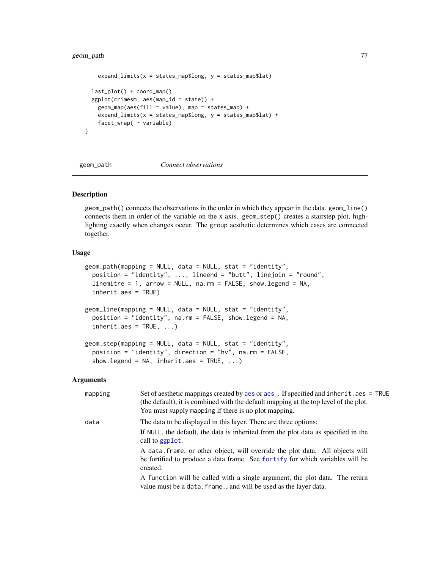## geom\_path 77

```
expand_limits(x = states_map$long, y = states_map$lat)
 last_plot() + coord_map()
 ggplot(crimesm, aes(map_id = state)) +
   geom_map(aes(fill = value), map = states_map) +
   expand_limits(x =states_map$long, y =states_map$lat) +
   facet_wrap( ~ variable)
}
```
<span id="page-76-0"></span>geom\_path *Connect observations*

# <span id="page-76-1"></span>**Description**

geom\_path() connects the observations in the order in which they appear in the data. geom\_line() connects them in order of the variable on the x axis. geom\_step() creates a stairstep plot, highlighting exactly when changes occur. The group aesthetic determines which cases are connected together.

### Usage

```
geom_path(mapping = NULL, data = NULL, stat = "identity",
 position = "identity", ..., lineend = "butt", linejoin = "round",
  linemitre = 1, arrow = NULL, na.rm = FALSE, show.legend = NA,
  inherit.aes = TRUE)
geom_line(mapping = NULL, data = NULL, stat = "identity",
  position = "identity", na.rm = FALSE, show.legend = NA,
  inherit.aes = TRUE, ...geom_step(mapping = NULL, data = NULL, stat = "identity",
 position = "identity", direction = "hv", na.rm = FALSE,
  show.legend = NA, inherit.aes = TRUE, ...)
```

| mapping | Set of aesthetic mappings created by aes or aes_. If specified and inherit.aes = TRUE<br>(the default), it is combined with the default mapping at the top level of the plot.<br>You must supply mapping if there is no plot mapping. |
|---------|---------------------------------------------------------------------------------------------------------------------------------------------------------------------------------------------------------------------------------------|
| data    | The data to be displayed in this layer. There are three options:                                                                                                                                                                      |
|         | If NULL, the default, the data is inherited from the plot data as specified in the<br>call to ggplot.                                                                                                                                 |
|         | A data frame, or other object, will override the plot data. All objects will<br>be fortified to produce a data frame. See fortify for which variables will be<br>created.                                                             |
|         | A function will be called with a single argument, the plot data. The return<br>value must be a data. frame., and will be used as the layer data.                                                                                      |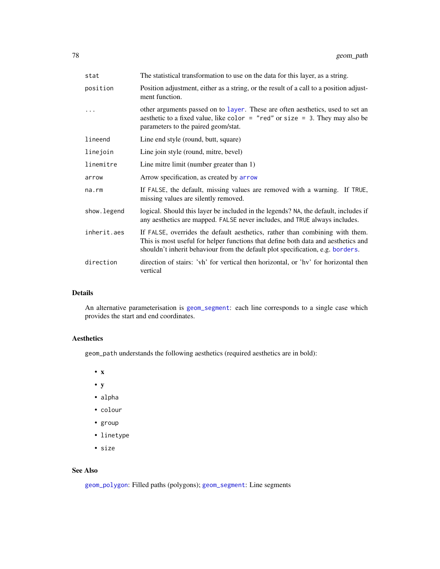| stat        | The statistical transformation to use on the data for this layer, as a string.                                                                                                                                                                      |
|-------------|-----------------------------------------------------------------------------------------------------------------------------------------------------------------------------------------------------------------------------------------------------|
| position    | Position adjustment, either as a string, or the result of a call to a position adjust-<br>ment function.                                                                                                                                            |
|             | other arguments passed on to layer. These are often aesthetics, used to set an<br>aesthetic to a fixed value, like color = "red" or size = 3. They may also be<br>parameters to the paired geom/stat.                                               |
| lineend     | Line end style (round, butt, square)                                                                                                                                                                                                                |
| linejoin    | Line join style (round, mitre, bevel)                                                                                                                                                                                                               |
| linemitre   | Line mitre limit (number greater than 1)                                                                                                                                                                                                            |
| arrow       | Arrow specification, as created by arrow                                                                                                                                                                                                            |
| $na$ . $rm$ | If FALSE, the default, missing values are removed with a warning. If TRUE,<br>missing values are silently removed.                                                                                                                                  |
| show.legend | logical. Should this layer be included in the legends? NA, the default, includes if<br>any aesthetics are mapped. FALSE never includes, and TRUE always includes.                                                                                   |
| inherit.aes | If FALSE, overrides the default aesthetics, rather than combining with them.<br>This is most useful for helper functions that define both data and aesthetics and<br>shouldn't inherit behaviour from the default plot specification, e.g. borders. |
| direction   | direction of stairs: 'vh' for vertical then horizontal, or 'hv' for horizontal then<br>vertical                                                                                                                                                     |

# Details

An alternative parameterisation is [geom\\_segment](#page-94-0): each line corresponds to a single case which provides the start and end coordinates.

# Aesthetics

geom\_path understands the following aesthetics (required aesthetics are in bold):

- x
- y
- alpha
- colour
- group
- linetype
- size

# See Also

[geom\\_polygon](#page-82-0): Filled paths (polygons); [geom\\_segment](#page-94-0): Line segments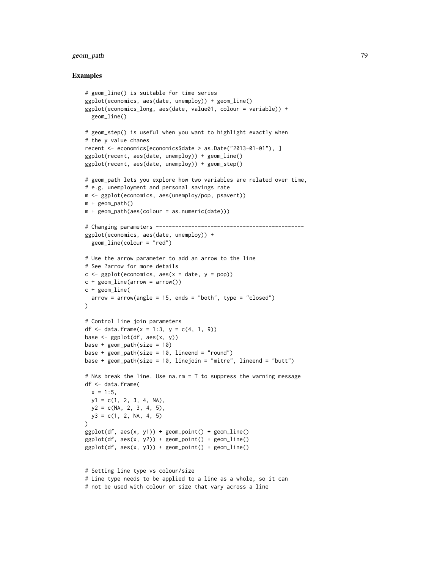## geom\_path 79

```
# geom_line() is suitable for time series
ggplot(economics, aes(date, unemploy)) + geom_line()
ggplot(economics_long, aes(date, value01, colour = variable)) +
  geom_line()
# geom_step() is useful when you want to highlight exactly when
# the y value chanes
recent <- economics[economics$date > as.Date("2013-01-01"), ]
ggplot(recent, aes(date, unemploy)) + geom_line()
ggplot(recent, aes(date, unemploy)) + geom_step()
# geom_path lets you explore how two variables are related over time,
# e.g. unemployment and personal savings rate
m <- ggplot(economics, aes(unemploy/pop, psavert))
m + geom_path()
m + geom_path(aes(colour = as.numeric(date)))
# Changing parameters ----------------------------------------------
ggplot(economics, aes(date, unemploy)) +
  geom_line(colour = "red")
# Use the arrow parameter to add an arrow to the line
# See ?arrow for more details
c \leq - ggplot(economics, aes(x = date, y = pop))
c + geom\_line(arrow = arrow())c + geom_line(
  arrow = arrow(name = 15, ends = "both", type = "closed"))
# Control line join parameters
df <- data.frame(x = 1:3, y = c(4, 1, 9))
base \leftarrow ggplot(df, aes(x, y))
base + geom\_path(size = 10)base + geom\_path(size = 10, lineend = "round")base + geom_path(size = 10, linejoin = "mitre", lineend = "butt")
# NAs break the line. Use na.rm = T to suppress the warning message
df <- data.frame(
 x = 1:5,
 y1 = c(1, 2, 3, 4, NA),
 y2 = c(NA, 2, 3, 4, 5),
 y3 = c(1, 2, NA, 4, 5)\lambdaggplot(df, aes(x, y1)) + geom\_point() + geom\_line()ggplot(df, aes(x, y2)) + geom\_point() + geom\_line()ggplot(df, aes(x, y3)) + geom\_point() + geom\_line()# Setting line type vs colour/size
# Line type needs to be applied to a line as a whole, so it can
# not be used with colour or size that vary across a line
```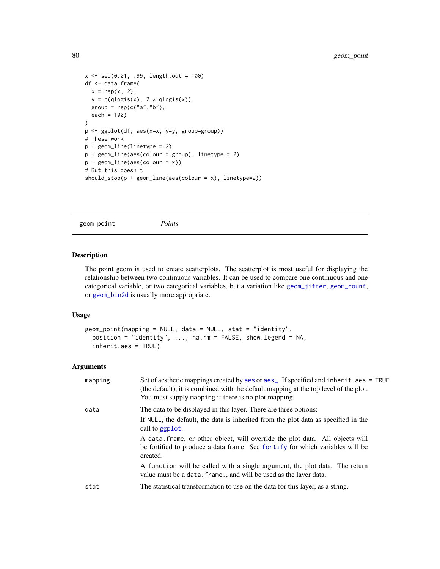```
x \le - seq(0.01, .99, length.out = 100)
df <- data.frame(
 x = rep(x, 2),y = c(qlogis(x), 2 * qlogis(x)),group = rep(c("a", "b"),each = 100)
)
p <- ggplot(df, aes(x=x, y=y, group=group))
# These work
p + geom_line(linetype = 2)
p + geom\_line(aes(colour = group), linetype = 2)p + geom_line(aes(colour = x))
# But this doesn't
should_stop(p + geom_line(aes(colour = x), linetype=2))
```
geom\_point *Points*

### Description

The point geom is used to create scatterplots. The scatterplot is most useful for displaying the relationship between two continuous variables. It can be used to compare one continuous and one categorical variable, or two categorical variables, but a variation like [geom\\_jitter](#page-68-0), [geom\\_count](#page-49-0), or [geom\\_bin2d](#page-41-0) is usually more appropriate.

### Usage

```
geom_point(mapping = NULL, data = NULL, stat = "identity",
 position = "identity", ..., na.rm = FALSE, show.legend = NA,
  inherit.aes = TRUE)
```

| mapping | Set of aesthetic mappings created by aes or aes <sub>-</sub> . If specified and inherit.aes = TRUE<br>(the default), it is combined with the default mapping at the top level of the plot.<br>You must supply mapping if there is no plot mapping. |
|---------|----------------------------------------------------------------------------------------------------------------------------------------------------------------------------------------------------------------------------------------------------|
| data    | The data to be displayed in this layer. There are three options:                                                                                                                                                                                   |
|         | If NULL, the default, the data is inherited from the plot data as specified in the<br>call to ggplot.                                                                                                                                              |
|         | A data frame, or other object, will override the plot data. All objects will<br>be fortified to produce a data frame. See fortify for which variables will be<br>created.                                                                          |
|         | A function will be called with a single argument, the plot data. The return<br>value must be a data. frame., and will be used as the layer data.                                                                                                   |
| stat    | The statistical transformation to use on the data for this layer, as a string.                                                                                                                                                                     |
|         |                                                                                                                                                                                                                                                    |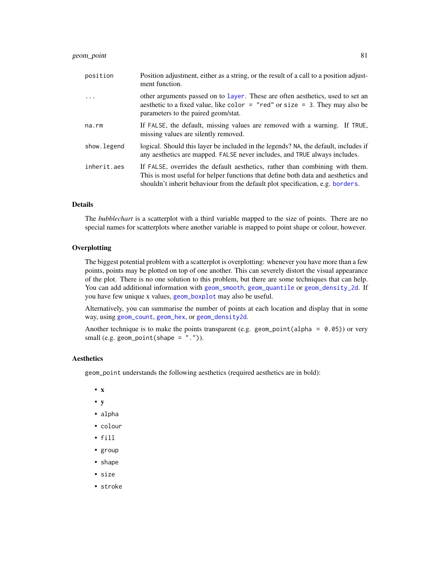## geom\_point 81

| position    | Position adjustment, either as a string, or the result of a call to a position adjust-<br>ment function.                                                                                                                                            |
|-------------|-----------------------------------------------------------------------------------------------------------------------------------------------------------------------------------------------------------------------------------------------------|
| $\ddots$    | other arguments passed on to layer. These are often aesthetics, used to set an<br>aesthetic to a fixed value, like color $=$ "red" or size $=$ 3. They may also be<br>parameters to the paired geom/stat.                                           |
| na.rm       | If FALSE, the default, missing values are removed with a warning. If TRUE,<br>missing values are silently removed.                                                                                                                                  |
| show.legend | logical. Should this layer be included in the legends? NA, the default, includes if<br>any aesthetics are mapped. FALSE never includes, and TRUE always includes.                                                                                   |
| inherit.aes | If FALSE, overrides the default aesthetics, rather than combining with them.<br>This is most useful for helper functions that define both data and aesthetics and<br>shouldn't inherit behaviour from the default plot specification, e.g. borders. |

### Details

The *bubblechart* is a scatterplot with a third variable mapped to the size of points. There are no special names for scatterplots where another variable is mapped to point shape or colour, however.

### **Overplotting**

The biggest potential problem with a scatterplot is overplotting: whenever you have more than a few points, points may be plotted on top of one another. This can severely distort the visual appearance of the plot. There is no one solution to this problem, but there are some techniques that can help. You can add additional information with [geom\\_smooth](#page-96-0), [geom\\_quantile](#page-86-0) or [geom\\_density\\_2d](#page-56-0). If you have few unique x values, [geom\\_boxplot](#page-43-0) may also be useful.

Alternatively, you can summarise the number of points at each location and display that in some way, using [geom\\_count](#page-49-0), [geom\\_hex](#page-66-0), or [geom\\_density2d](#page-56-1).

Another technique is to make the points transparent (e.g. geom\_point(alpha =  $0.05$ )) or very small (e.g. geom\_point(shape =  $"$ .")).

#### Aesthetics

geom\_point understands the following aesthetics (required aesthetics are in bold):

- x
- y
- alpha
- colour
- fill
- group
- shape
- size
- stroke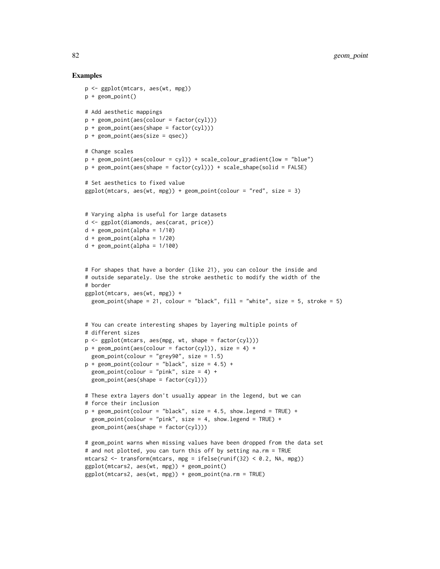```
p <- ggplot(mtcars, aes(wt, mpg))
p + geom_point()
# Add aesthetic mappings
p + geom\_point(aes(colour = factor(cyl)))p + geom_point(aes(shape = factor(cyl)))
p + geom_point(aes(size = qsec))
# Change scales
p + geom_point(aes(colour = cyl)) + scale_colour_gradient(low = "blue")
p + geom\_point(aes(shape = factor(cyl))) + scale\_shape(solid = FALSE)# Set aesthetics to fixed value
ggplot(mtcars, aes(wt, mpg)) + geom-point(colour = "red", size = 3)# Varying alpha is useful for large datasets
d <- ggplot(diamonds, aes(carat, price))
d + geom\_point(alpha = 1/10)d + geom\_point(alpha = 1/20)d + geom\_point(alpha = 1/100)# For shapes that have a border (like 21), you can colour the inside and
# outside separately. Use the stroke aesthetic to modify the width of the
# border
ggplot(mtcars, aes(wt, mpg)) +
  geom_point(shape = 21, colour = "black", fill = "white", size = 5, stroke = 5)
# You can create interesting shapes by layering multiple points of
# different sizes
p <- ggplot(mtcars, aes(mpg, wt, shape = factor(cyl)))
p + geom\_point(aes(colour = factor(cyl)), size = 4) +geom_point(colour = "grey90", size = 1.5)
p + geom\_point(colour = "black", size = 4.5) +geom\_point(colour = "pink", size = 4) +geom_point(aes(shape = factor(cyl)))
# These extra layers don't usually appear in the legend, but we can
# force their inclusion
p + geom\_point(colour = "black", size = 4.5, show. legend = TRUE) +geom_point(colour = "pink", size = 4, show.legend = TRUE) +
  geom_point(aes(shape = factor(cyl)))
# geom_point warns when missing values have been dropped from the data set
# and not plotted, you can turn this off by setting na.rm = TRUE
mtcars2 <- transform(mtcars, mpg = ifelse(runif(32) < 0.2, NA, mpg))
ggplot(mtcars2, aes(wt, mpg)) + geom_point()
ggplot(mtcars2, aes(wt, mpg)) + geom_point(na.rm = TRUE)
```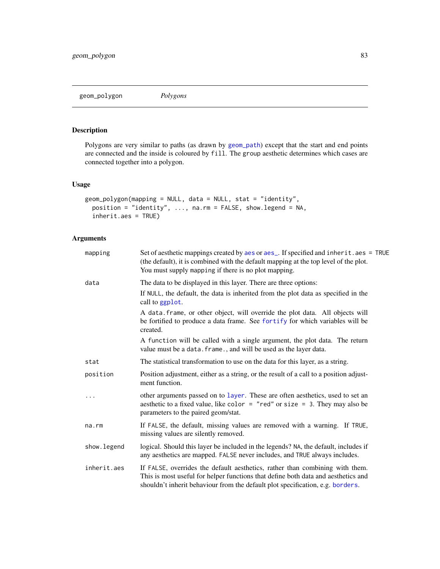<span id="page-82-0"></span>geom\_polygon *Polygons*

# Description

Polygons are very similar to paths (as drawn by [geom\\_path](#page-76-0)) except that the start and end points are connected and the inside is coloured by fill. The group aesthetic determines which cases are connected together into a polygon.

## Usage

```
geom_polygon(mapping = NULL, data = NULL, stat = "identity",
 position = "identity", ..., na.rm = FALSE, show.legend = NA,
  inherit.aes = TRUE)
```

| mapping      | Set of aesthetic mappings created by aes or aes_. If specified and inherit.aes = TRUE<br>(the default), it is combined with the default mapping at the top level of the plot.<br>You must supply mapping if there is no plot mapping.               |
|--------------|-----------------------------------------------------------------------------------------------------------------------------------------------------------------------------------------------------------------------------------------------------|
| data         | The data to be displayed in this layer. There are three options:                                                                                                                                                                                    |
|              | If NULL, the default, the data is inherited from the plot data as specified in the<br>call to ggplot.                                                                                                                                               |
|              | A data frame, or other object, will override the plot data. All objects will<br>be fortified to produce a data frame. See fortify for which variables will be<br>created.                                                                           |
|              | A function will be called with a single argument, the plot data. The return<br>value must be a data. frame., and will be used as the layer data.                                                                                                    |
| stat         | The statistical transformation to use on the data for this layer, as a string.                                                                                                                                                                      |
| position     | Position adjustment, either as a string, or the result of a call to a position adjust-<br>ment function.                                                                                                                                            |
|              | other arguments passed on to layer. These are often aesthetics, used to set an<br>aesthetic to a fixed value, like color = "red" or size = 3. They may also be<br>parameters to the paired geom/stat.                                               |
| na.rm        | If FALSE, the default, missing values are removed with a warning. If TRUE,<br>missing values are silently removed.                                                                                                                                  |
| show. legend | logical. Should this layer be included in the legends? NA, the default, includes if<br>any aesthetics are mapped. FALSE never includes, and TRUE always includes.                                                                                   |
| inherit.aes  | If FALSE, overrides the default aesthetics, rather than combining with them.<br>This is most useful for helper functions that define both data and aesthetics and<br>shouldn't inherit behaviour from the default plot specification, e.g. borders. |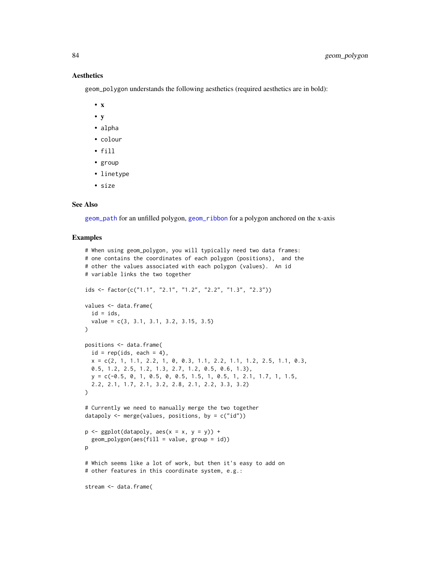### Aesthetics

geom\_polygon understands the following aesthetics (required aesthetics are in bold):

- x
- y
- alpha
- colour
- fill
- group
- linetype
- size

### See Also

[geom\\_path](#page-76-0) for an unfilled polygon, [geom\\_ribbon](#page-90-0) for a polygon anchored on the x-axis

```
# When using geom_polygon, you will typically need two data frames:
# one contains the coordinates of each polygon (positions), and the
# other the values associated with each polygon (values). An id
# variable links the two together
ids <- factor(c("1.1", "2.1", "1.2", "2.2", "1.3", "2.3"))
values <- data.frame(
  id = ids,
  value = c(3, 3.1, 3.1, 3.2, 3.15, 3.5)
)
positions <- data.frame(
  id = rep(ids, each = 4),x = c(2, 1, 1.1, 2.2, 1, 0, 0.3, 1.1, 2.2, 1.1, 1.2, 2.5, 1.1, 0.3,0.5, 1.2, 2.5, 1.2, 1.3, 2.7, 1.2, 0.5, 0.6, 1.3),
  y = c(-0.5, 0, 1, 0.5, 0, 0.5, 1.5, 1, 0.5, 1, 2.1, 1.7, 1, 1.5,
  2.2, 2.1, 1.7, 2.1, 3.2, 2.8, 2.1, 2.2, 3.3, 3.2)
)
# Currently we need to manually merge the two together
datapoly <- merge(values, positions, by = c("id"))
p \leftarrow \text{ggplot}(datapoly, aes(x = x, y = y)) +geom\_polygon(aes(fill = value, group = id))p
# Which seems like a lot of work, but then it's easy to add on
# other features in this coordinate system, e.g.:
stream <- data.frame(
```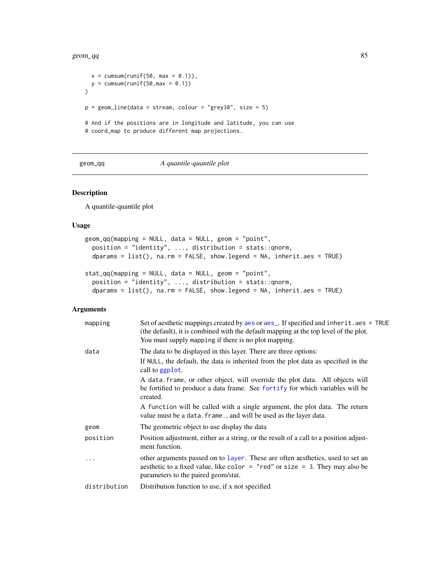#### $geom_qq$  85

```
x = \text{cumsum}(\text{runif}(50, \text{max} = 0.1)),y = \text{cumsum}(\text{runif}(50, \text{max} = 0.1))\mathcal{L}p + geom\_line(data = stream, colour = "grey30", size = 5)# And if the positions are in longitude and latitude, you can use
# coord_map to produce different map projections.
```
#### geom\_qq *A quantile-quantile plot*

## Description

A quantile-quantile plot

### Usage

```
geom_qq(mapping = NULL, data = NULL, geom = "point",
 position = "identity", ..., distribution = stats::qnorm,
  dparams = list(), na.rm = FALSE, show.legend = NA, inherit.aes = TRUE)
```

```
stat_qq(mapping = NULL, data = NULL, geom = "point",
 position = "identity", ..., distribution = stats::qnorm,
 dparams = list(), na.rm = FALSE, show.legend = NA, inherit.aes = TRUE)
```

| mapping      | Set of aesthetic mappings created by aes or aes_. If specified and inherit.aes = TRUE<br>(the default), it is combined with the default mapping at the top level of the plot.<br>You must supply mapping if there is no plot mapping. |
|--------------|---------------------------------------------------------------------------------------------------------------------------------------------------------------------------------------------------------------------------------------|
| data         | The data to be displayed in this layer. There are three options:                                                                                                                                                                      |
|              | If NULL, the default, the data is inherited from the plot data as specified in the<br>call to ggplot.                                                                                                                                 |
|              | A data frame, or other object, will override the plot data. All objects will<br>be fortified to produce a data frame. See fortify for which variables will be<br>created.                                                             |
|              | A function will be called with a single argument, the plot data. The return<br>value must be a data. frame., and will be used as the layer data.                                                                                      |
| geom         | The geometric object to use display the data                                                                                                                                                                                          |
| position     | Position adjustment, either as a string, or the result of a call to a position adjust-<br>ment function.                                                                                                                              |
|              | other arguments passed on to layer. These are often aesthetics, used to set an<br>aesthetic to a fixed value, like color = "red" or size = 3. They may also be<br>parameters to the paired geom/stat.                                 |
| distribution | Distribution function to use, if x not specified                                                                                                                                                                                      |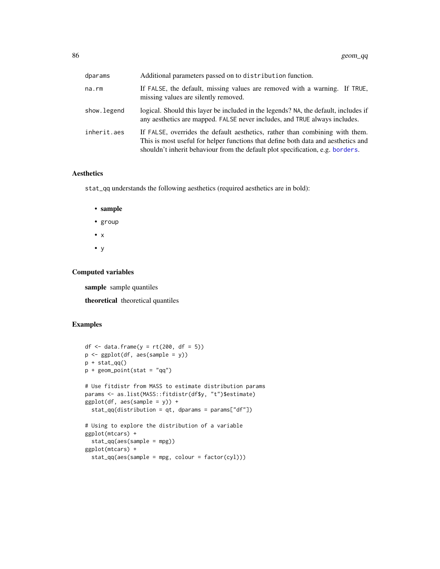| dparams     | Additional parameters passed on to distribution function.                                                                                                                                                                                           |
|-------------|-----------------------------------------------------------------------------------------------------------------------------------------------------------------------------------------------------------------------------------------------------|
| na.rm       | If FALSE, the default, missing values are removed with a warning. If TRUE,<br>missing values are silently removed.                                                                                                                                  |
| show.legend | logical. Should this layer be included in the legends? NA, the default, includes if<br>any aesthetics are mapped. FALSE never includes, and TRUE always includes.                                                                                   |
| inherit.aes | If FALSE, overrides the default aesthetics, rather than combining with them.<br>This is most useful for helper functions that define both data and aesthetics and<br>shouldn't inherit behaviour from the default plot specification, e.g. borders. |

## Aesthetics

stat\_qq understands the following aesthetics (required aesthetics are in bold):

- sample
- group
- $\bullet$  x
- y

## Computed variables

sample sample quantiles

theoretical theoretical quantiles

```
df \le data.frame(y = rt(200, df = 5))
p <- ggplot(df, aes(sample = y))
p + stat_qq()
p + geom\_point(stat = "qq")# Use fitdistr from MASS to estimate distribution params
params <- as.list(MASS::fitdistr(df$y, "t")$estimate)
ggplot(df, aes(sample = y)) +stat_qq(distribution = qt, dparams = params["df"])
# Using to explore the distribution of a variable
ggplot(mtcars) +
  stat_qq(aes(sample = mpg))
ggplot(mtcars) +
  stat_qq(aes(sample = mpg, colour = factor(cyl)))
```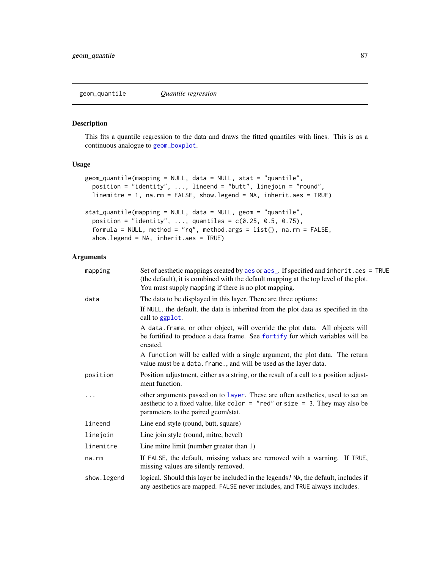### <span id="page-86-0"></span>Description

This fits a quantile regression to the data and draws the fitted quantiles with lines. This is as a continuous analogue to [geom\\_boxplot](#page-43-0).

#### Usage

```
geom_quantile(mapping = NULL, data = NULL, stat = "quantile",
 position = "identity", ..., lineend = "butt", linejoin = "round",
  linemitre = 1, na.rm = FALSE, show.legend = NA, inherit.aes = TRUE)
stat_quantile(mapping = NULL, data = NULL, geom = "quantile",
  position = "identity", ..., quantiles = c(0.25, 0.5, 0.75),
  formula = NULL, method = "rq", method.args = list(), na.rm = FALSE,
  show.legend = NA, inherit.aes = TRUE)
```

| mapping     | Set of aesthetic mappings created by aes or aes_. If specified and inherit.aes = TRUE<br>(the default), it is combined with the default mapping at the top level of the plot.<br>You must supply mapping if there is no plot mapping. |
|-------------|---------------------------------------------------------------------------------------------------------------------------------------------------------------------------------------------------------------------------------------|
| data        | The data to be displayed in this layer. There are three options:                                                                                                                                                                      |
|             | If NULL, the default, the data is inherited from the plot data as specified in the<br>call to ggplot.                                                                                                                                 |
|             | A data frame, or other object, will override the plot data. All objects will<br>be fortified to produce a data frame. See fortify for which variables will be<br>created.                                                             |
|             | A function will be called with a single argument, the plot data. The return<br>value must be a data. frame., and will be used as the layer data.                                                                                      |
| position    | Position adjustment, either as a string, or the result of a call to a position adjust-<br>ment function.                                                                                                                              |
| .           | other arguments passed on to layer. These are often aesthetics, used to set an<br>aesthetic to a fixed value, like color = "red" or size = 3. They may also be<br>parameters to the paired geom/stat.                                 |
| lineend     | Line end style (round, butt, square)                                                                                                                                                                                                  |
| linejoin    | Line join style (round, mitre, bevel)                                                                                                                                                                                                 |
| linemitre   | Line mitre limit (number greater than 1)                                                                                                                                                                                              |
| na.rm       | If FALSE, the default, missing values are removed with a warning. If TRUE,<br>missing values are silently removed.                                                                                                                    |
| show.legend | logical. Should this layer be included in the legends? NA, the default, includes if<br>any aesthetics are mapped. FALSE never includes, and TRUE always includes.                                                                     |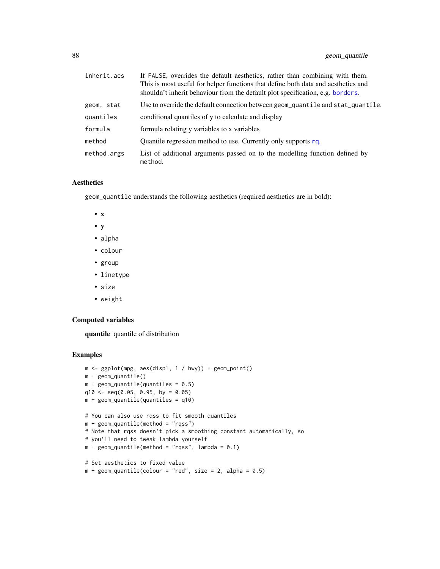| inherit.aes | If FALSE, overrides the default aesthetics, rather than combining with them.<br>This is most useful for helper functions that define both data and aesthetics and<br>shouldn't inherit behaviour from the default plot specification, e.g. borders. |
|-------------|-----------------------------------------------------------------------------------------------------------------------------------------------------------------------------------------------------------------------------------------------------|
| geom, stat  | Use to override the default connection between geom_quantile and stat_quantile.                                                                                                                                                                     |
| quantiles   | conditional quantiles of y to calculate and display                                                                                                                                                                                                 |
| formula     | formula relating y variables to x variables                                                                                                                                                                                                         |
| method      | Quantile regression method to use. Currently only supports rq.                                                                                                                                                                                      |
| method.args | List of additional arguments passed on to the modelling function defined by<br>method.                                                                                                                                                              |

### Aesthetics

geom\_quantile understands the following aesthetics (required aesthetics are in bold):

- x
- y
- alpha
- colour
- group
- linetype
- size
- weight

## Computed variables

quantile quantile of distribution

```
m <- ggplot(mpg, aes(displ, 1 / hwy)) + geom_point()
m + geom_quantile()
m + geom_quantile (quantiles = 0.5)
q10 \leq -\text{seq}(0.05, 0.95, \text{ by } = 0.05)m + geom_quantile(quantiles = q10)
# You can also use rqss to fit smooth quantiles
m + geom_quantile(method = "rqss")
# Note that rqss doesn't pick a smoothing constant automatically, so
# you'll need to tweak lambda yourself
m + geom\_quantile(method = "rqss", lambda = 0.1)# Set aesthetics to fixed value
m + geom\_quantile(colour = "red", size = 2, alpha = 0.5)
```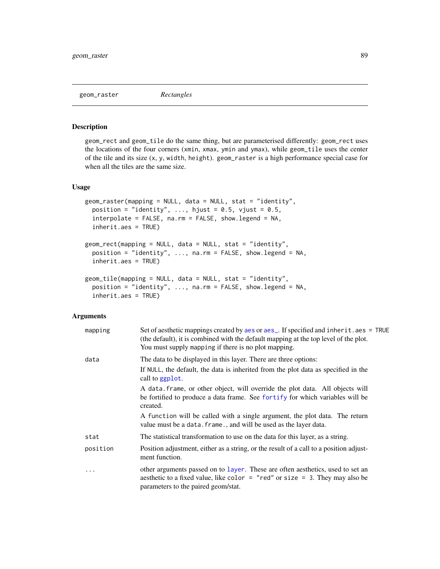# Description

geom\_rect and geom\_tile do the same thing, but are parameterised differently: geom\_rect uses the locations of the four corners (xmin, xmax, ymin and ymax), while geom\_tile uses the center of the tile and its size (x, y, width, height). geom\_raster is a high performance special case for when all the tiles are the same size.

#### Usage

```
geom_raster(mapping = NULL, data = NULL, stat = "identity",
  position = "identity", ..., hjust = 0.5, vjust = 0.5,
  interpolate = FALSE, na.rm = FALSE, show.legend = NA,inherit.aes = TRUE)
geom_rect(mapping = NULL, data = NULL, stat = "identity",
 position = "identity", ..., na.rm = FALSE, show.legend = NA,
  inherit.aes = TRUE)
geom_tile(mapping = NULL, data = NULL, stat = "identity",
  position = "identity", ..., na.rm = FALSE, show.legend = NA,
  inherit.aes = TRUE)
```

| mapping  | Set of aesthetic mappings created by aes or aes_. If specified and inherit.aes = TRUE<br>(the default), it is combined with the default mapping at the top level of the plot.<br>You must supply mapping if there is no plot mapping. |
|----------|---------------------------------------------------------------------------------------------------------------------------------------------------------------------------------------------------------------------------------------|
| data     | The data to be displayed in this layer. There are three options:                                                                                                                                                                      |
|          | If NULL, the default, the data is inherited from the plot data as specified in the<br>call to ggplot.                                                                                                                                 |
|          | A data frame, or other object, will override the plot data. All objects will<br>be fortified to produce a data frame. See fortify for which variables will be<br>created.                                                             |
|          | A function will be called with a single argument, the plot data. The return<br>value must be a data. frame., and will be used as the layer data.                                                                                      |
| stat     | The statistical transformation to use on the data for this layer, as a string.                                                                                                                                                        |
| position | Position adjustment, either as a string, or the result of a call to a position adjust-<br>ment function.                                                                                                                              |
| $\ddots$ | other arguments passed on to layer. These are often aesthetics, used to set an<br>aesthetic to a fixed value, like color = "red" or size = 3. They may also be<br>parameters to the paired geom/stat.                                 |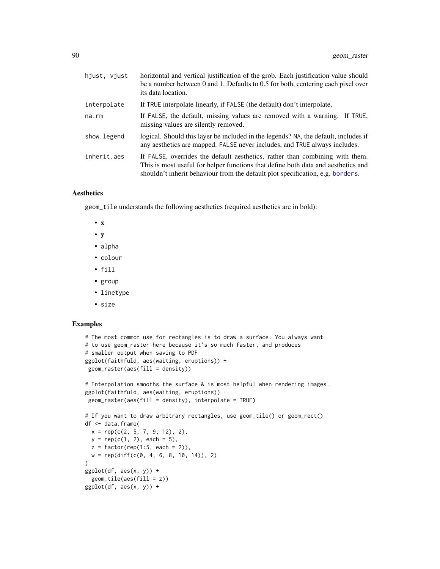| hjust, vjust | horizontal and vertical justification of the grob. Each justification value should<br>be a number between 0 and 1. Defaults to $0.5$ for both, centering each pixel over<br>its data location.                                                      |
|--------------|-----------------------------------------------------------------------------------------------------------------------------------------------------------------------------------------------------------------------------------------------------|
| interpolate  | If TRUE interpolate linearly, if FALSE (the default) don't interpolate.                                                                                                                                                                             |
| na.rm        | If FALSE, the default, missing values are removed with a warning. If TRUE,<br>missing values are silently removed.                                                                                                                                  |
| show.legend  | logical. Should this layer be included in the legends? NA, the default, includes if<br>any aesthetics are mapped. FALSE never includes, and TRUE always includes.                                                                                   |
| inherit.aes  | If FALSE, overrides the default aesthetics, rather than combining with them.<br>This is most useful for helper functions that define both data and aesthetics and<br>shouldn't inherit behaviour from the default plot specification, e.g. borders. |

# **Aesthetics**

geom\_tile understands the following aesthetics (required aesthetics are in bold):

- x
- y
- alpha
- colour
- fill
- group
- linetype
- size

```
# The most common use for rectangles is to draw a surface. You always want
# to use geom_raster here because it's so much faster, and produces
# smaller output when saving to PDF
ggplot(faithfuld, aes(waiting, eruptions)) +
geom_raster(aes(fill = density))
# Interpolation smooths the surface & is most helpful when rendering images.
ggplot(faithfuld, aes(waiting, eruptions)) +
geom_raster(aes(fill = density), interpolate = TRUE)
# If you want to draw arbitrary rectangles, use geom_tile() or geom_rect()
df <- data.frame(
 x = \text{rep}(c(2, 5, 7, 9, 12), 2),y = rep(c(1, 2), each = 5),z = factor(rep(1:5, each = 2)),w = rep(diff(c(0, 4, 6, 8, 10, 14)), 2)
\mathcal{L}ggplot(df, aes(x, y)) +geom_tile(aes(fill = z))
ggplot(df, aes(x, y)) +
```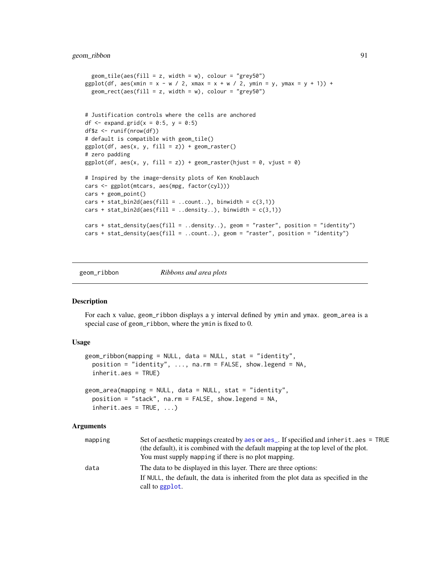```
geom\_tile(aes(fill = z, width = w), colour = "grey50")ggplot(df, aes(xmin = x - w / 2, xmax = x + w / 2, ymin = y, ymax = y + 1)) +geom\_rect(aes(fill = z, width = w), colour = "grey50")# Justification controls where the cells are anchored
df \leq expand.grid(x = 0:5, y = 0:5)
df$z <- runif(nrow(df))
# default is compatible with geom_tile()
ggplot(df, aes(x, y, fill = z)) + geom.raster()# zero padding
ggplot(df, aes(x, y, fill = z)) + geom\_raster(hjust = 0, vjust = 0)# Inspired by the image-density plots of Ken Knoblauch
cars <- ggplot(mtcars, aes(mpg, factor(cyl)))
cars + geom_point()
cars + stat_bin2d(aes(fill = ..count..), binwidth = c(3,1))
cars + stat_bin2d(aes(fill = ..density..), binwidth = c(3,1))
cars + stat_density(aes(fill = ..density..), geom = "raster", position = "identity")
cars + stat_density(aes(fill = ..count..), geom = "raster", position = "identity")
```
<span id="page-90-0"></span>

```
geom_ribbon Ribbons and area plots
```
### Description

For each x value, geom\_ribbon displays a y interval defined by ymin and ymax. geom\_area is a special case of geom\_ribbon, where the ymin is fixed to 0.

### Usage

```
geom_ribbon(mapping = NULL, data = NULL, stat = "identity",
 position = "identity", \dots, na.rm = FALSE, show.legend = NA,
  inherit.aes = TRUE)
geom_area(mapping = NULL, data = NULL, stat = "identity",
 position = "stack", na.rm = FALSE, show.legend = NA,
  inherit.aes = TRUE, ...
```

| mapping | Set of aesthetic mappings created by aes or aes_. If specified and inherit.aes = TRUE<br>(the default), it is combined with the default mapping at the top level of the plot.<br>You must supply mapping if there is no plot mapping. |
|---------|---------------------------------------------------------------------------------------------------------------------------------------------------------------------------------------------------------------------------------------|
| data    | The data to be displayed in this layer. There are three options:                                                                                                                                                                      |
|         | If NULL, the default, the data is inherited from the plot data as specified in the                                                                                                                                                    |
|         | call to ggplot.                                                                                                                                                                                                                       |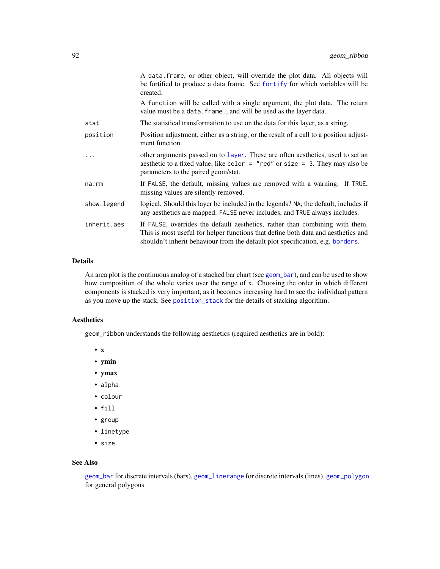|             | A data frame, or other object, will override the plot data. All objects will<br>be fortified to produce a data frame. See fortify for which variables will be<br>created.                                                                           |
|-------------|-----------------------------------------------------------------------------------------------------------------------------------------------------------------------------------------------------------------------------------------------------|
|             | A function will be called with a single argument, the plot data. The return<br>value must be a data. frame., and will be used as the layer data.                                                                                                    |
| stat        | The statistical transformation to use on the data for this layer, as a string.                                                                                                                                                                      |
| position    | Position adjustment, either as a string, or the result of a call to a position adjust-<br>ment function.                                                                                                                                            |
| .           | other arguments passed on to layer. These are often aesthetics, used to set an<br>aesthetic to a fixed value, like color $=$ "red" or size $=$ 3. They may also be<br>parameters to the paired geom/stat.                                           |
| na.rm       | If FALSE, the default, missing values are removed with a warning. If TRUE,<br>missing values are silently removed.                                                                                                                                  |
| show.legend | logical. Should this layer be included in the legends? NA, the default, includes if<br>any aesthetics are mapped. FALSE never includes, and TRUE always includes.                                                                                   |
| inherit.aes | If FALSE, overrides the default aesthetics, rather than combining with them.<br>This is most useful for helper functions that define both data and aesthetics and<br>shouldn't inherit behaviour from the default plot specification, e.g. borders. |

# Details

An area plot is the continuous analog of a stacked bar chart (see [geom\\_bar](#page-38-0)), and can be used to show how composition of the whole varies over the range of x. Choosing the order in which different components is stacked is very important, as it becomes increasing hard to see the individual pattern as you move up the stack. See [position\\_stack](#page-135-0) for the details of stacking algorithm.

# Aesthetics

geom\_ribbon understands the following aesthetics (required aesthetics are in bold):

- x
- ymin
- ymax
- alpha
- colour
- fill
- group
- linetype
- size

## See Also

[geom\\_bar](#page-38-0) for discrete intervals (bars), [geom\\_linerange](#page-51-0) for discrete intervals (lines), [geom\\_polygon](#page-82-0) for general polygons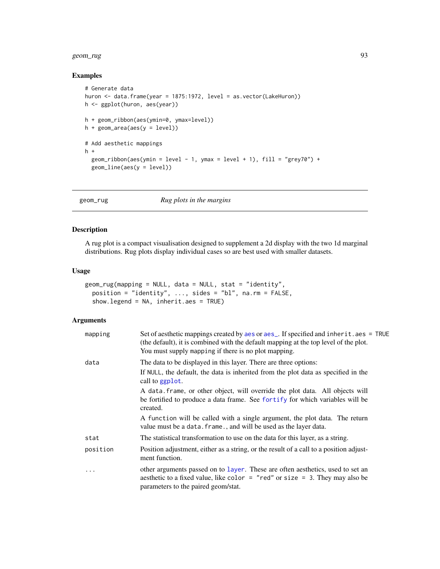#### geom\_rug 33

## Examples

```
# Generate data
huron <- data.frame(year = 1875:1972, level = as.vector(LakeHuron))
h <- ggplot(huron, aes(year))
h + geom_ribbon(aes(ymin=0, ymax=level))
h + geom_area(aes(y = level))
# Add aesthetic mappings
h +geom_ribbon(aes(ymin = level - 1, ymax = level + 1), fill = "grey70") +
  geom_line(aes(y = level))
```
geom\_rug *Rug plots in the margins*

## Description

A rug plot is a compact visualisation designed to supplement a 2d display with the two 1d marginal distributions. Rug plots display individual cases so are best used with smaller datasets.

#### Usage

```
geom_rug(mapping = NULL, data = NULL, stat = "identity",
 position = "identity", \ldots, sides = "bl", na.rm = FALSE,
  show.legend = NA, inherit.aes = TRUE)
```

| mapping   | Set of aesthetic mappings created by aes or aes_. If specified and inherit.aes = TRUE<br>(the default), it is combined with the default mapping at the top level of the plot.<br>You must supply mapping if there is no plot mapping. |
|-----------|---------------------------------------------------------------------------------------------------------------------------------------------------------------------------------------------------------------------------------------|
| data      | The data to be displayed in this layer. There are three options:<br>If NULL, the default, the data is inherited from the plot data as specified in the<br>call to ggplot.                                                             |
|           | A data frame, or other object, will override the plot data. All objects will<br>be fortified to produce a data frame. See fortify for which variables will be<br>created.                                                             |
|           | A function will be called with a single argument, the plot data. The return<br>value must be a data. frame., and will be used as the layer data.                                                                                      |
| stat      | The statistical transformation to use on the data for this layer, as a string.                                                                                                                                                        |
| position  | Position adjustment, either as a string, or the result of a call to a position adjust-<br>ment function.                                                                                                                              |
| $\ddotsc$ | other arguments passed on to layer. These are often aesthetics, used to set an<br>aesthetic to a fixed value, like color = "red" or size = 3. They may also be<br>parameters to the paired geom/stat.                                 |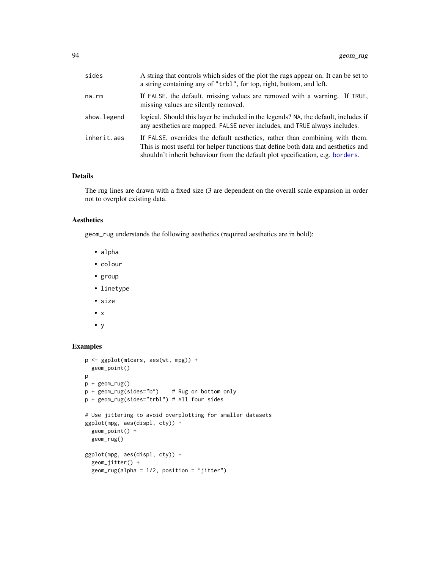| sides       | A string that controls which sides of the plot the rugs appear on. It can be set to<br>a string containing any of "trbl", for top, right, bottom, and left.                                                                                         |
|-------------|-----------------------------------------------------------------------------------------------------------------------------------------------------------------------------------------------------------------------------------------------------|
| na.rm       | If FALSE, the default, missing values are removed with a warning. If TRUE,<br>missing values are silently removed.                                                                                                                                  |
| show.legend | logical. Should this layer be included in the legends? NA, the default, includes if<br>any aesthetics are mapped. FALSE never includes, and TRUE always includes.                                                                                   |
| inherit.aes | If FALSE, overrides the default aesthetics, rather than combining with them.<br>This is most useful for helper functions that define both data and aesthetics and<br>shouldn't inherit behaviour from the default plot specification, e.g. borders. |

## Details

The rug lines are drawn with a fixed size (3 are dependent on the overall scale expansion in order not to overplot existing data.

#### Aesthetics

geom\_rug understands the following aesthetics (required aesthetics are in bold):

- alpha
- colour
- group
- linetype
- size
- x
- y

```
p <- ggplot(mtcars, aes(wt, mpg)) +
  geom_point()
p
p + geom_rug()
p + geom_rug(sides="b") # Rug on bottom only
p + geom_rug(sides="trbl") # All four sides
# Use jittering to avoid overplotting for smaller datasets
ggplot(mpg, aes(displ, cty)) +
  geom_point() +
  geom_rug()
ggplot(mpg, aes(displ, cty)) +
  geom_jitter() +
  geom_rug(alpha = 1/2, position = "jitter")
```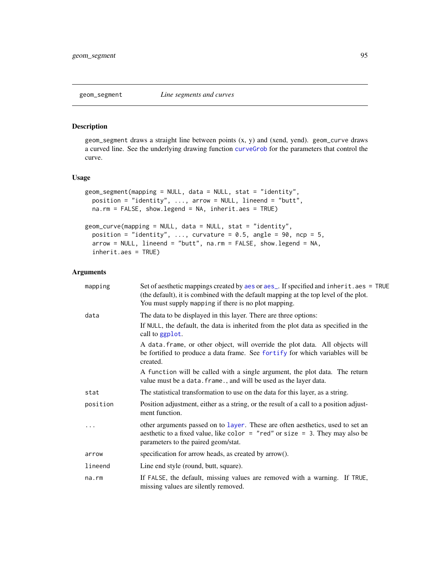<span id="page-94-0"></span>

# Description

geom\_segment draws a straight line between points (x, y) and (xend, yend). geom\_curve draws a curved line. See the underlying drawing function [curveGrob](#page-0-0) for the parameters that control the curve.

### Usage

```
geom_segment(mapping = NULL, data = NULL, stat = "identity",
 position = "identity", ..., arrow = NULL, lineend = "butt",
 na.rm = FALSE, show.legend = NA, inherit.aes = TRUE)
```

```
geom_curve(mapping = NULL, data = NULL, stat = "identity",
 position = "identity", ..., curvature = 0.5, angle = 90, ncp = 5,
  arrow = NULL, lineend = "butt", na.rm = FALSE, show.legend = NA,
  inherit.aes = TRUE)
```

| mapping  | Set of aesthetic mappings created by aes or aes_. If specified and inherit.aes = TRUE<br>(the default), it is combined with the default mapping at the top level of the plot.<br>You must supply mapping if there is no plot mapping. |
|----------|---------------------------------------------------------------------------------------------------------------------------------------------------------------------------------------------------------------------------------------|
| data     | The data to be displayed in this layer. There are three options:                                                                                                                                                                      |
|          | If NULL, the default, the data is inherited from the plot data as specified in the<br>call to ggplot.                                                                                                                                 |
|          | A data frame, or other object, will override the plot data. All objects will<br>be fortified to produce a data frame. See fortify for which variables will be<br>created.                                                             |
|          | A function will be called with a single argument, the plot data. The return<br>value must be a data. frame., and will be used as the layer data.                                                                                      |
| stat     | The statistical transformation to use on the data for this layer, as a string.                                                                                                                                                        |
| position | Position adjustment, either as a string, or the result of a call to a position adjust-<br>ment function.                                                                                                                              |
|          | other arguments passed on to layer. These are often aesthetics, used to set an<br>aesthetic to a fixed value, like color = "red" or size = 3. They may also be<br>parameters to the paired geom/stat.                                 |
| arrow    | specification for arrow heads, as created by arrow().                                                                                                                                                                                 |
| lineend  | Line end style (round, butt, square).                                                                                                                                                                                                 |
| na.rm    | If FALSE, the default, missing values are removed with a warning. If TRUE,<br>missing values are silently removed.                                                                                                                    |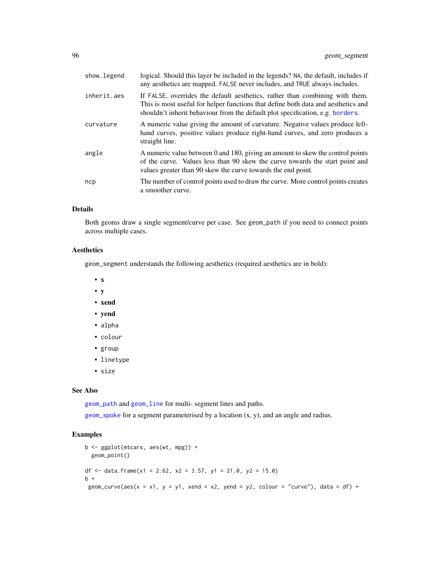| show.legend | logical. Should this layer be included in the legends? NA, the default, includes if<br>any aesthetics are mapped. FALSE never includes, and TRUE always includes.                                                                                   |
|-------------|-----------------------------------------------------------------------------------------------------------------------------------------------------------------------------------------------------------------------------------------------------|
| inherit.aes | If FALSE, overrides the default aesthetics, rather than combining with them.<br>This is most useful for helper functions that define both data and aesthetics and<br>shouldn't inherit behaviour from the default plot specification, e.g. borders. |
| curvature   | A numeric value giving the amount of curvature. Negative values produce left-<br>hand curves, positive values produce right-hand curves, and zero produces a<br>straight line.                                                                      |
| angle       | A numeric value between 0 and 180, giving an amount to skew the control points<br>of the curve. Values less than 90 skew the curve towards the start point and<br>values greater than 90 skew the curve towards the end point.                      |
| ncp         | The number of control points used to draw the curve. More control points creates<br>a smoother curve.                                                                                                                                               |

# Details

Both geoms draw a single segment/curve per case. See geom\_path if you need to connect points across multiple cases.

### Aesthetics

geom\_segment understands the following aesthetics (required aesthetics are in bold):

- x
- y
- xend
- yend
- alpha
- colour
- group
- linetype
- size

## See Also

[geom\\_path](#page-76-0) and [geom\\_line](#page-76-1) for multi- segment lines and paths.

[geom\\_spoke](#page-99-0) for a segment parameterised by a location (x, y), and an angle and radius.

```
b <- ggplot(mtcars, aes(wt, mpg)) +
  geom_point()
df <- data.frame(x1 = 2.62, x2 = 3.57, y1 = 21.0, y2 = 15.0)
b +geom_curve(aes(x = x1, y = y1, xend = x2, yend = y2, colour = "curve"), data = df) +
```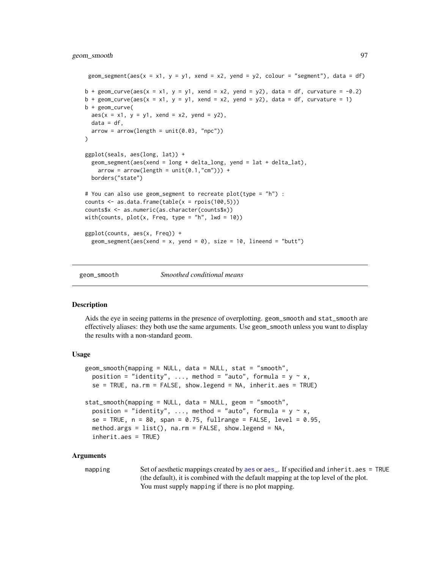## geom\_smooth 97

```
geom_segment(aes(x = x1, y = y1, xend = x2, yend = y2, colour = "segment"), data = df)
b + geom_curve(aes(x = x1, y = y1, xend = x2, yend = y2), data = df, curvature = -0.2)
b + geom_curve(aes(x = x1, y = y1, xend = x2, yend = y2), data = df, curvature = 1)
b + geom_curve(
 aes(x = x1, y = y1, xend = x2, yend = y2),
  data = df,
  arrow = arrow(length = unit(0.03, 'npc")))
ggplot(seals, aes(long, lat)) +
  geom_segment(aes(xend = long + delta_long, yend = lat + delta_lat),
    arrow = arrow(length = unit(0.1, "cm")) +borders("state")
# You can also use geom_segment to recreate plot(type = "h") :
counts \leq as.data.frame(table(x = \text{rpois}(100,5)))
counts$x <- as.numeric(as.character(counts$x))
with(counts, plot(x, Freq, type = "h", lwd = 10))
ggplot(counts, aes(x, Freq)) +
  geom_segment(aes(xend = x, yend = 0), size = 10, lineend = "butt")
```
<span id="page-96-0"></span>

geom\_smooth *Smoothed conditional means*

#### Description

Aids the eye in seeing patterns in the presence of overplotting. geom\_smooth and stat\_smooth are effectively aliases: they both use the same arguments. Use geom\_smooth unless you want to display the results with a non-standard geom.

### Usage

```
geom_smooth(mapping = NULL, data = NULL, stat = "smooth",
 position = "identity", ..., method = "auto", formula = y \sim x,
  se = TRUE, na.rm = FALSE, show.legend = NA, inherit.aes = TRUE)
stat_smooth(mapping = NULL, data = NULL, geom = "smooth",
  position = "identity", ..., method = "auto", formula = y \sim x,
  se = TRUE, n = 80, span = 0.75, fullrange = FALSE, level = 0.95,
  method.args = list(), na.rm = FALSE, show.legend = NA,
  inherit.aes = TRUE)
```
#### Arguments

mapping Set of [aes](#page-5-0)thetic mappings created by aes or [aes\\_](#page-6-0). If specified and inherit.aes = TRUE (the default), it is combined with the default mapping at the top level of the plot. You must supply mapping if there is no plot mapping.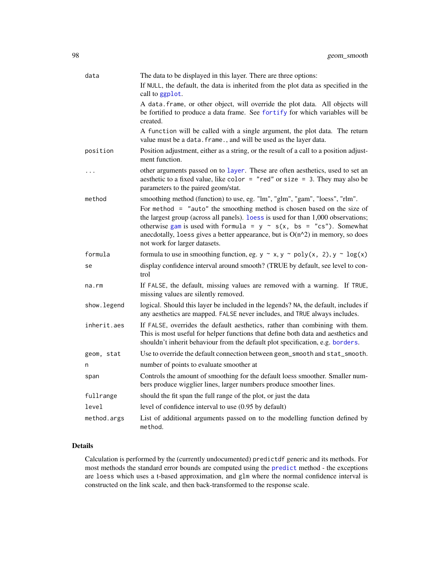| data        | The data to be displayed in this layer. There are three options:                                                                                                                                                                                                                                                                                                                                                                               |
|-------------|------------------------------------------------------------------------------------------------------------------------------------------------------------------------------------------------------------------------------------------------------------------------------------------------------------------------------------------------------------------------------------------------------------------------------------------------|
|             | If NULL, the default, the data is inherited from the plot data as specified in the<br>call to ggplot.                                                                                                                                                                                                                                                                                                                                          |
|             | A data. frame, or other object, will override the plot data. All objects will<br>be fortified to produce a data frame. See fortify for which variables will be<br>created.                                                                                                                                                                                                                                                                     |
|             | A function will be called with a single argument, the plot data. The return<br>value must be a data. frame., and will be used as the layer data.                                                                                                                                                                                                                                                                                               |
| position    | Position adjustment, either as a string, or the result of a call to a position adjust-<br>ment function.                                                                                                                                                                                                                                                                                                                                       |
|             | other arguments passed on to layer. These are often aesthetics, used to set an<br>aesthetic to a fixed value, like color = "red" or size = 3. They may also be<br>parameters to the paired geom/stat.                                                                                                                                                                                                                                          |
| method      | smoothing method (function) to use, eg. "lm", "glm", "gam", "loess", "rlm".<br>For method $=$ "auto" the smoothing method is chosen based on the size of<br>the largest group (across all panels). loess is used for than 1,000 observations;<br>otherwise gam is used with formula = $y \sim s(x, bs = "cs")$ . Somewhat<br>anecdotally, loess gives a better appearance, but is $O(n^2)$ in memory, so does<br>not work for larger datasets. |
| formula     | formula to use in smoothing function, eg. $y \sim x$ , $y \sim poly(x, 2)$ , $y \sim log(x)$                                                                                                                                                                                                                                                                                                                                                   |
| se          | display confidence interval around smooth? (TRUE by default, see level to con-<br>trol                                                                                                                                                                                                                                                                                                                                                         |
| na.rm       | If FALSE, the default, missing values are removed with a warning. If TRUE,<br>missing values are silently removed.                                                                                                                                                                                                                                                                                                                             |
| show.legend | logical. Should this layer be included in the legends? NA, the default, includes if<br>any aesthetics are mapped. FALSE never includes, and TRUE always includes.                                                                                                                                                                                                                                                                              |
| inherit.aes | If FALSE, overrides the default aesthetics, rather than combining with them.<br>This is most useful for helper functions that define both data and aesthetics and<br>shouldn't inherit behaviour from the default plot specification, e.g. borders.                                                                                                                                                                                            |
| geom, stat  | Use to override the default connection between geom_smooth and stat_smooth.                                                                                                                                                                                                                                                                                                                                                                    |
| n           | number of points to evaluate smoother at                                                                                                                                                                                                                                                                                                                                                                                                       |
| span        | Controls the amount of smoothing for the default loess smoother. Smaller num-<br>bers produce wigglier lines, larger numbers produce smoother lines.                                                                                                                                                                                                                                                                                           |
| fullrange   | should the fit span the full range of the plot, or just the data                                                                                                                                                                                                                                                                                                                                                                               |
| level       | level of confidence interval to use (0.95 by default)                                                                                                                                                                                                                                                                                                                                                                                          |
| method.args | List of additional arguments passed on to the modelling function defined by<br>method.                                                                                                                                                                                                                                                                                                                                                         |

## Details

Calculation is performed by the (currently undocumented) predictdf generic and its methods. For most methods the standard error bounds are computed using the [predict](#page-0-0) method - the exceptions are loess which uses a t-based approximation, and glm where the normal confidence interval is constructed on the link scale, and then back-transformed to the response scale.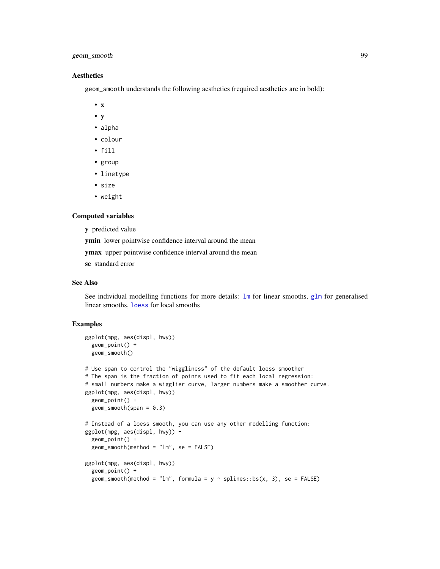## geom\_smooth 99

### Aesthetics

geom\_smooth understands the following aesthetics (required aesthetics are in bold):

- x
- y
- alpha
- colour
- fill
- group
- linetype
- size
- weight

#### Computed variables

y predicted value

ymin lower pointwise confidence interval around the mean

ymax upper pointwise confidence interval around the mean

se standard error

### See Also

See individual modelling functions for more details:  $\text{lm}$  $\text{lm}$  $\text{lm}$  for linear smooths, [glm](#page-0-0) for generalised linear smooths, [loess](#page-0-0) for local smooths

```
ggplot(mpg, aes(displ, hwy)) +
 geom_point() +
 geom_smooth()
# Use span to control the "wiggliness" of the default loess smoother
# The span is the fraction of points used to fit each local regression:
# small numbers make a wigglier curve, larger numbers make a smoother curve.
ggplot(mpg, aes(displ, hwy)) +
 geom_point() +
 geom\_smooth(span = 0.3)# Instead of a loess smooth, you can use any other modelling function:
ggplot(mpg, aes(displ, hwy)) +
 geom_point() +
 geom_smooth(method = "lm", se = FALSE)
ggplot(mpg, aes(displ, hwy)) +
 geom_point() +
 geom_smooth(method = "lm", formula = y \sim splines::bs(x, 3), se = FALSE)
```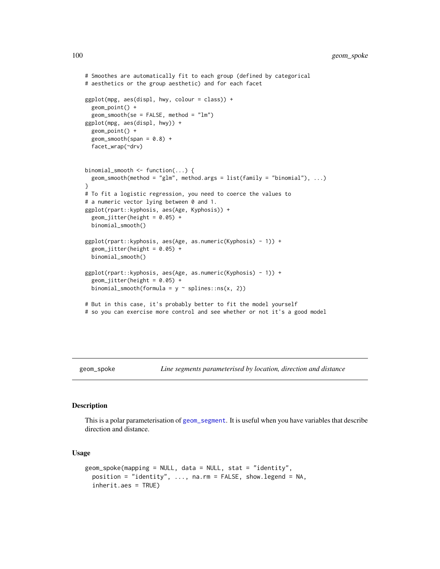```
# Smoothes are automatically fit to each group (defined by categorical
# aesthetics or the group aesthetic) and for each facet
ggplot(mpg, aes(displ, hwy, colour = class)) +
 geom_point() +
 geom_smooth(se = FALSE, method = "lm")
ggplot(mpg, aes(displ, hwy)) +
 geom_point() +
 geom\_smooth(span = 0.8) +
 facet_wrap(~drv)
binomial_smooth <- function(...) {
 geom_smooth(method = "glm", method.args = list(family = "binomial"), ...)
}
# To fit a logistic regression, you need to coerce the values to
# a numeric vector lying between 0 and 1.
ggplot(rpart::kyphosis, aes(Age, Kyphosis)) +
 geom_jitter(height = 0.05) +
 binomial_smooth()
ggplot(rpart::kyphosis, aes(Age, as.numeric(Kyphosis) - 1)) +
 geom_jitter(height = 0.05) +
 binomial_smooth()
ggplot(rpart::kyphosis, aes(Age, as.numeric(Kyphosis) - 1)) +
 geom_jitter(height = 0.05) +binomial_smooth(formula = y \sim splines::ns(x, 2))
# But in this case, it's probably better to fit the model yourself
# so you can exercise more control and see whether or not it's a good model
```
<span id="page-99-0"></span>

geom\_spoke *Line segments parameterised by location, direction and distance*

## Description

This is a polar parameterisation of [geom\\_segment](#page-94-0). It is useful when you have variables that describe direction and distance.

#### Usage

```
geom_spoke(mapping = NULL, data = NULL, stat = "identity",
  position = "identity", \ldots, na.rm = FALSE, show.legend = NA,
  inherit.aes = TRUE)
```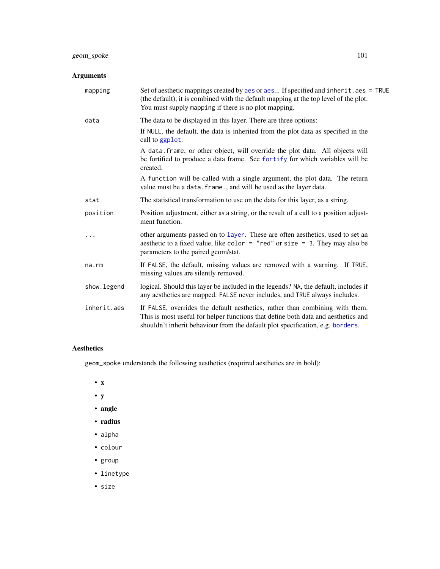# geom\_spoke 101

# Arguments

| mapping      | Set of aesthetic mappings created by aes or aes_. If specified and inherit.aes = TRUE<br>(the default), it is combined with the default mapping at the top level of the plot.<br>You must supply mapping if there is no plot mapping.               |
|--------------|-----------------------------------------------------------------------------------------------------------------------------------------------------------------------------------------------------------------------------------------------------|
| data         | The data to be displayed in this layer. There are three options:                                                                                                                                                                                    |
|              | If NULL, the default, the data is inherited from the plot data as specified in the<br>call to ggplot.                                                                                                                                               |
|              | A data. frame, or other object, will override the plot data. All objects will<br>be fortified to produce a data frame. See fortify for which variables will be<br>created.                                                                          |
|              | A function will be called with a single argument, the plot data. The return<br>value must be a data. frame., and will be used as the layer data.                                                                                                    |
| stat         | The statistical transformation to use on the data for this layer, as a string.                                                                                                                                                                      |
| position     | Position adjustment, either as a string, or the result of a call to a position adjust-<br>ment function.                                                                                                                                            |
|              | other arguments passed on to layer. These are often aesthetics, used to set an<br>aesthetic to a fixed value, like color = "red" or size = 3. They may also be<br>parameters to the paired geom/stat.                                               |
| na.rm        | If FALSE, the default, missing values are removed with a warning. If TRUE,<br>missing values are silently removed.                                                                                                                                  |
| show. legend | logical. Should this layer be included in the legends? NA, the default, includes if<br>any aesthetics are mapped. FALSE never includes, and TRUE always includes.                                                                                   |
| inherit.aes  | If FALSE, overrides the default aesthetics, rather than combining with them.<br>This is most useful for helper functions that define both data and aesthetics and<br>shouldn't inherit behaviour from the default plot specification, e.g. borders. |

# Aesthetics

geom\_spoke understands the following aesthetics (required aesthetics are in bold):

- x
- y
- angle
- radius
- alpha
- colour
- group
- linetype
- size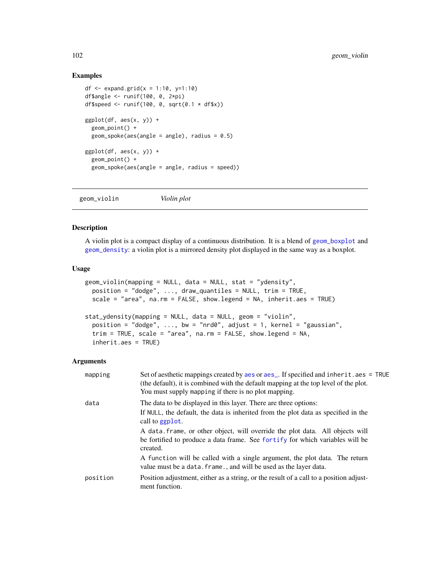### Examples

```
df \le expand.grid(x = 1:10, y=1:10)
df$angle <- runif(100, 0, 2*pi)
df$speed \le- runif(100, 0, sqrt(0.1 \star df$x))
ggplot(df, aes(x, y)) +geom_point() +
  geom\_spoke(aes(angle = angle), radius = 0.5)
ggplot(df, aes(x, y)) +geom_point() +
  geom_spoke(aes(angle = angle, radius = speed))
```
<span id="page-101-0"></span>geom\_violin *Violin plot*

### Description

A violin plot is a compact display of a continuous distribution. It is a blend of [geom\\_boxplot](#page-43-0) and [geom\\_density](#page-54-0): a violin plot is a mirrored density plot displayed in the same way as a boxplot.

#### Usage

```
geom_violin(mapping = NULL, data = NULL, stat = "ydensity",
 position = "dodge", ..., draw_quantiles = NULL, trim = TRUE,
  scale = "area", na.rm = FALSE, show.legend = NA, inherit.aes = TRUE)
stat_ydensity(mapping = NULL, data = NULL, geom = "violin",
  position = "dodge", \ldots, bw = "nrd0", adjust = 1, kernel = "gaussian",
  trim = TRUE, scale = "area", na.rm = FALSE, show.legend = NA,
  inherit.aes = TRUE)
```

| mapping  | Set of aesthetic mappings created by aes or aes_. If specified and inherit.aes = TRUE<br>(the default), it is combined with the default mapping at the top level of the plot.<br>You must supply mapping if there is no plot mapping. |
|----------|---------------------------------------------------------------------------------------------------------------------------------------------------------------------------------------------------------------------------------------|
| data     | The data to be displayed in this layer. There are three options:                                                                                                                                                                      |
|          | If NULL, the default, the data is inherited from the plot data as specified in the<br>call to ggplot.                                                                                                                                 |
|          | A data frame, or other object, will override the plot data. All objects will<br>be fortified to produce a data frame. See fortify for which variables will be<br>created.                                                             |
|          | A function will be called with a single argument, the plot data. The return<br>value must be a data. frame., and will be used as the layer data.                                                                                      |
| position | Position adjustment, either as a string, or the result of a call to a position adjust-<br>ment function.                                                                                                                              |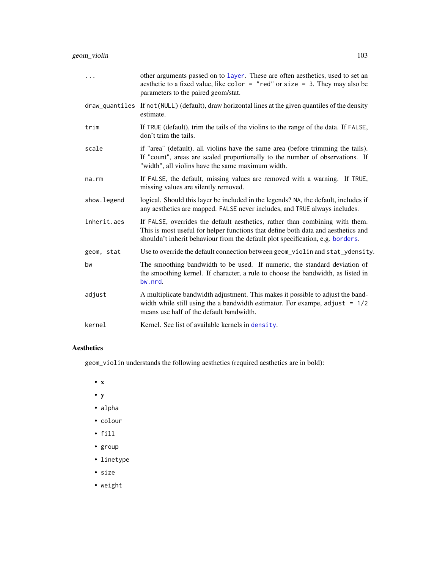| $\cdots$    | other arguments passed on to layer. These are often aesthetics, used to set an<br>aesthetic to a fixed value, like color = "red" or size = 3. They may also be<br>parameters to the paired geom/stat.                                               |
|-------------|-----------------------------------------------------------------------------------------------------------------------------------------------------------------------------------------------------------------------------------------------------|
|             | draw_quantiles If not(NULL) (default), draw horizontal lines at the given quantiles of the density<br>estimate.                                                                                                                                     |
| trim        | If TRUE (default), trim the tails of the violins to the range of the data. If FALSE,<br>don't trim the tails.                                                                                                                                       |
| scale       | if "area" (default), all violins have the same area (before trimming the tails).<br>If "count", areas are scaled proportionally to the number of observations. If<br>"width", all violins have the same maximum width.                              |
| na.rm       | If FALSE, the default, missing values are removed with a warning. If TRUE,<br>missing values are silently removed.                                                                                                                                  |
| show.legend | logical. Should this layer be included in the legends? NA, the default, includes if<br>any aesthetics are mapped. FALSE never includes, and TRUE always includes.                                                                                   |
| inherit.aes | If FALSE, overrides the default aesthetics, rather than combining with them.<br>This is most useful for helper functions that define both data and aesthetics and<br>shouldn't inherit behaviour from the default plot specification, e.g. borders. |
| geom, stat  | Use to override the default connection between geom_violin and stat_ydensity.                                                                                                                                                                       |
| bw          | The smoothing bandwidth to be used. If numeric, the standard deviation of<br>the smoothing kernel. If character, a rule to choose the bandwidth, as listed in<br>bw.nrd.                                                                            |
| adjust      | A multiplicate bandwidth adjustment. This makes it possible to adjust the band-<br>width while still using the a bandwidth estimator. For exampe, adjust $= 1/2$<br>means use half of the default bandwidth.                                        |
| kernel      | Kernel. See list of available kernels in density.                                                                                                                                                                                                   |

# Aesthetics

geom\_violin understands the following aesthetics (required aesthetics are in bold):

- x
- y
- alpha
- colour
- fill
- group
- linetype
- size
- weight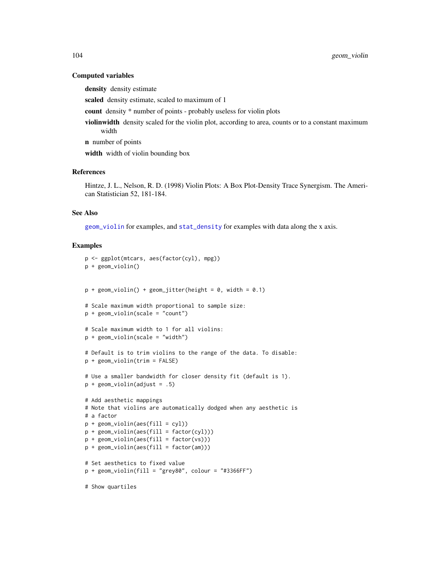#### Computed variables

density density estimate

scaled density estimate, scaled to maximum of 1

count density \* number of points - probably useless for violin plots

violinwidth density scaled for the violin plot, according to area, counts or to a constant maximum width

n number of points

width width of violin bounding box

#### References

Hintze, J. L., Nelson, R. D. (1998) Violin Plots: A Box Plot-Density Trace Synergism. The American Statistician 52, 181-184.

#### See Also

[geom\\_violin](#page-101-0) for examples, and [stat\\_density](#page-54-1) for examples with data along the x axis.

```
p <- ggplot(mtcars, aes(factor(cyl), mpg))
p + geom_violin()
p + geom\_violin() + geom\_jitter(height = 0, width = 0.1)# Scale maximum width proportional to sample size:
p + geom_violin(scale = "count")
# Scale maximum width to 1 for all violins:
p + geom_violin(scale = "width")
# Default is to trim violins to the range of the data. To disable:
p + geom_violin(trim = FALSE)
# Use a smaller bandwidth for closer density fit (default is 1).
p + geom_violin(adjust = .5)
# Add aesthetic mappings
# Note that violins are automatically dodged when any aesthetic is
# a factor
p + geom\_violin(aes(fill = cyl))p + geom_violin(aes(fill = factor(cyl)))
p + geom\_violin(aes(fill = factor(vs)))p + geom\_violin(aes(fill = factor(am)))# Set aesthetics to fixed value
p + geom\_violin(fill = "grey80", colour = "#3366FF")# Show quartiles
```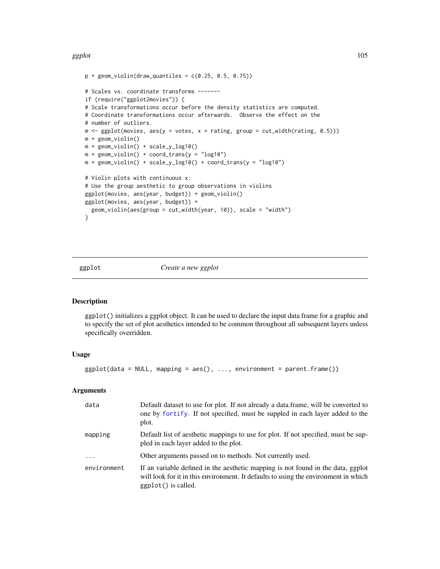#### ggplot the contract of the contract of the contract of the contract of the contract of the contract of the contract of the contract of the contract of the contract of the contract of the contract of the contract of the con

```
p + geom\_violin(draw\_quantiles = c(0.25, 0.5, 0.75))# Scales vs. coordinate transforms -------
if (require("ggplot2movies")) {
# Scale transformations occur before the density statistics are computed.
# Coordinate transformations occur afterwards. Observe the effect on the
# number of outliers.
m \leq - ggplot(movies, aes(y = votes, x = rating, group = cut_width(rating, 0.5)))
m + geom_violin()
m + geom_violin() + scale_y_log10()
m + geom_violin() + coord_trans(y = "log10")
m + geom_violin() + scale_y_log10() + coord_trans(y = "log10")
# Violin plots with continuous x:
# Use the group aesthetic to group observations in violins
ggplot(movies, aes(year, budget)) + geom_violin()
ggplot(movies, aes(year, budget)) +
  geom_violin(aes(group = cut_width(year, 10)), scale = "width")
}
```
<span id="page-104-0"></span>

ggplot *Create a new ggplot*

## Description

ggplot() initializes a ggplot object. It can be used to declare the input data frame for a graphic and to specify the set of plot aesthetics intended to be common throughout all subsequent layers unless specifically overridden.

#### Usage

 $ggplot(data = NULL, mapping = aes(), ..., environment = parent-frame())$ 

| data        | Default dataset to use for plot. If not already a data.frame, will be converted to<br>one by fortify. If not specified, must be suppled in each layer added to the<br>plot.                      |
|-------------|--------------------------------------------------------------------------------------------------------------------------------------------------------------------------------------------------|
| mapping     | Default list of aesthetic mappings to use for plot. If not specified, must be sup-<br>pled in each layer added to the plot.                                                                      |
| $\cdot$     | Other arguments passed on to methods. Not currently used.                                                                                                                                        |
| environment | If an variable defined in the aesthetic mapping is not found in the data, ggplot<br>will look for it in this environment. It defaults to using the environment in which<br>$ggplot()$ is called. |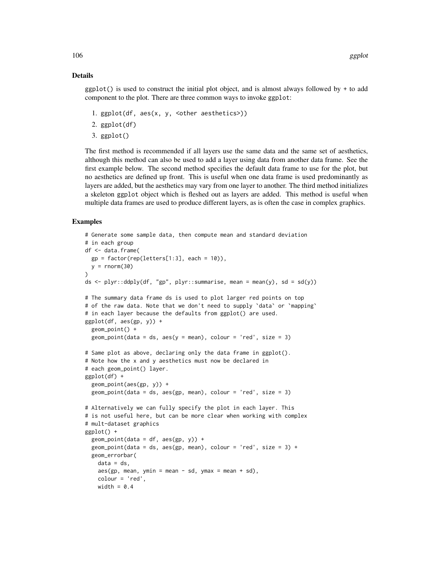#### Details

 $ggplot()$  is used to construct the initial plot object, and is almost always followed by + to add component to the plot. There are three common ways to invoke ggplot:

- 1. ggplot(df, aes(x, y, <other aesthetics>))
- 2. ggplot(df)
- 3. ggplot()

The first method is recommended if all layers use the same data and the same set of aesthetics, although this method can also be used to add a layer using data from another data frame. See the first example below. The second method specifies the default data frame to use for the plot, but no aesthetics are defined up front. This is useful when one data frame is used predominantly as layers are added, but the aesthetics may vary from one layer to another. The third method initializes a skeleton ggplot object which is fleshed out as layers are added. This method is useful when multiple data frames are used to produce different layers, as is often the case in complex graphics.

```
# Generate some sample data, then compute mean and standard deviation
# in each group
df <- data.frame(
  gp = factor(rep(leftters[1:3], each = 10)),y = rnorm(30))
ds \le plyr::ddply(df, "gp", plyr::summarise, mean = mean(y), sd = sd(y))
# The summary data frame ds is used to plot larger red points on top
# of the raw data. Note that we don't need to supply `data` or `mapping`
# in each layer because the defaults from ggplot() are used.
ggplot(df, aes(gp, y)) +
  geom_point() +
  geom_point(data = ds, aes(y = mean), colour = 'red', size = 3)
# Same plot as above, declaring only the data frame in ggplot().
# Note how the x and y aesthetics must now be declared in
# each geom_point() layer.
ggplot(df) +
  geom_point(aes(gp, y)) +
  geom_point(data = ds, aes(gp, mean), colour = 'red', size = 3)
# Alternatively we can fully specify the plot in each layer. This
# is not useful here, but can be more clear when working with complex
# mult-dataset graphics
ggplot() +
  geom\_point(data = df, aes(gp, y)) +
  geom\_point(data = ds, aes(gp, mean), colour = 'red', size = 3) +geom_errorbar(
    data = ds,
    aes(gp, mean, ymin = mean - sd, ymax = mean + sd),colour = 'red',
    width = 0.4
```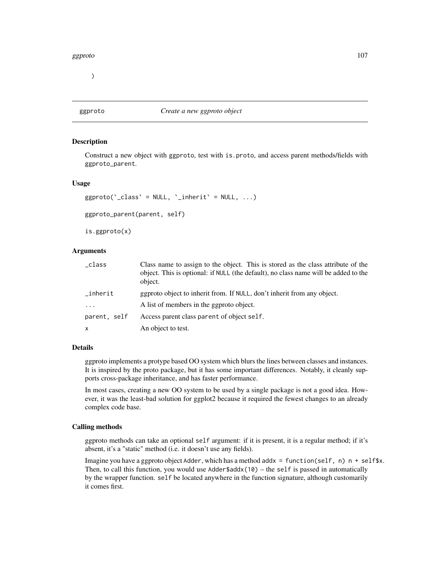)

## ggproto *Create a new ggproto object*

### **Description**

Construct a new object with ggproto, test with is.proto, and access parent methods/fields with ggproto\_parent.

#### Usage

```
ggproto('class' = NULL, 'inherit' = NULL, ...)ggproto_parent(parent, self)
is.ggproto(x)
```
## Arguments

| _class       | Class name to assign to the object. This is stored as the class attribute of the<br>object. This is optional: if NULL (the default), no class name will be added to the<br>object. |
|--------------|------------------------------------------------------------------------------------------------------------------------------------------------------------------------------------|
| inherit      | ggproto object to inherit from. If NULL, don't inherit from any object.                                                                                                            |
| $\cdots$     | A list of members in the ggproto object.                                                                                                                                           |
| parent. self | Access parent class parent of object self.                                                                                                                                         |
| x            | An object to test.                                                                                                                                                                 |

## Details

ggproto implements a protype based OO system which blurs the lines between classes and instances. It is inspired by the proto package, but it has some important differences. Notably, it cleanly supports cross-package inheritance, and has faster performance.

In most cases, creating a new OO system to be used by a single package is not a good idea. However, it was the least-bad solution for ggplot2 because it required the fewest changes to an already complex code base.

### Calling methods

ggproto methods can take an optional self argument: if it is present, it is a regular method; if it's absent, it's a "static" method (i.e. it doesn't use any fields).

Imagine you have a ggproto object Adder, which has a method addx = function(self, n)  $n + self$ \$x. Then, to call this function, you would use Adder\$addx(10) – the self is passed in automatically by the wrapper function. self be located anywhere in the function signature, although customarily it comes first.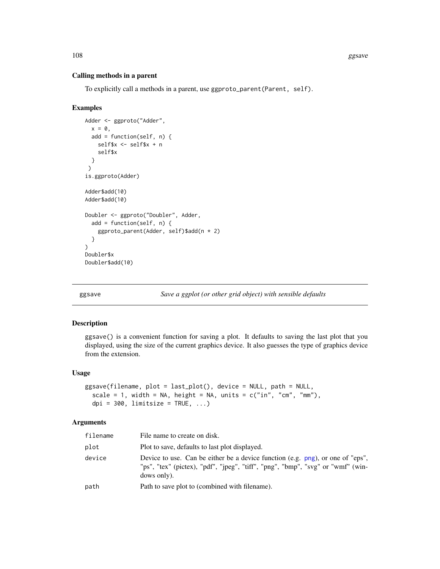#### Calling methods in a parent

To explicitly call a methods in a parent, use ggproto\_parent(Parent, self).

### Examples

```
Adder <- ggproto("Adder",
  x = 0,
  add = function(self, n) {
   self$x <- self$x + n
   self$x
 }
 )
is.ggproto(Adder)
Adder$add(10)
Adder$add(10)
Doubler <- ggproto("Doubler", Adder,
  add = function(self, n) {
    ggproto_parent(Adder, self)$add(n * 2)
  }
)
Doubler$x
Doubler$add(10)
```
ggsave *Save a ggplot (or other grid object) with sensible defaults*

#### Description

ggsave() is a convenient function for saving a plot. It defaults to saving the last plot that you displayed, using the size of the current graphics device. It also guesses the type of graphics device from the extension.

#### Usage

```
ggsave(filename, plot = last_plot(), device = NULL, path = NULL,
 scale = 1, width = NA, height = NA, units = c("in", "cm", "mm"),
 dpi = 300, limitsize = TRUE, ...)
```

| filename | File name to create on disk.                                                                                                                                                     |
|----------|----------------------------------------------------------------------------------------------------------------------------------------------------------------------------------|
| plot     | Plot to save, defaults to last plot displayed.                                                                                                                                   |
| device   | Device to use. Can be either be a device function (e.g. png), or one of "eps",<br>"ps", "tex" (pictex), "pdf", "jpeg", "tiff", "png", "bmp", "svg" or "wmf" (win-<br>dows only). |
| path     | Path to save plot to (combined with filename).                                                                                                                                   |
|          |                                                                                                                                                                                  |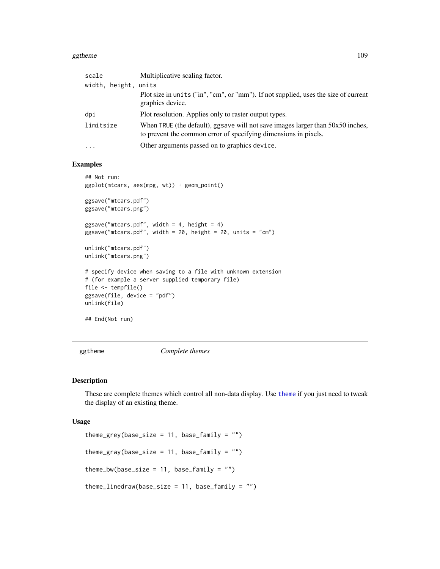#### ggtheme that the state of the state of the state of the state of the state of the state of the state of the state of the state of the state of the state of the state of the state of the state of the state of the state of t

| scale                | Multiplicative scaling factor.                                                                                                                      |
|----------------------|-----------------------------------------------------------------------------------------------------------------------------------------------------|
| width, height, units |                                                                                                                                                     |
|                      | Plot size in units ("in", "cm", or "mm"). If not supplied, uses the size of current<br>graphics device.                                             |
| dpi                  | Plot resolution. Applies only to raster output types.                                                                                               |
| limitsize            | When TRUE (the default), ggsave will not save images larger than $50x50$ inches,<br>to prevent the common error of specifying dimensions in pixels. |
| $\cdots$             | Other arguments passed on to graphics device.                                                                                                       |

## Examples

```
## Not run:
ggplot(mtcars, aes(mpg, wt)) + geom_point()
ggsave("mtcars.pdf")
ggsave("mtcars.png")
ggsave("mtcars.pdf", width = 4, height = 4)ggsave("mtcars.pdf", width = 20, height = 20, units = "cm")
unlink("mtcars.pdf")
unlink("mtcars.png")
# specify device when saving to a file with unknown extension
# (for example a server supplied temporary file)
file <- tempfile()
ggsave(file, device = "pdf")
unlink(file)
## End(Not run)
```
ggtheme *Complete themes*

#### Description

These are complete themes which control all non-data display. Use [theme](#page-176-0) if you just need to tweak the display of an existing theme.

#### Usage

```
theme_grey(base_size = 11, base_family = "")
theme_gray(base_size = 11, base_family = "")
theme_bw(base_size = 11, base_family = "")
theme_linedraw(base_size = 11, base_family = "")
```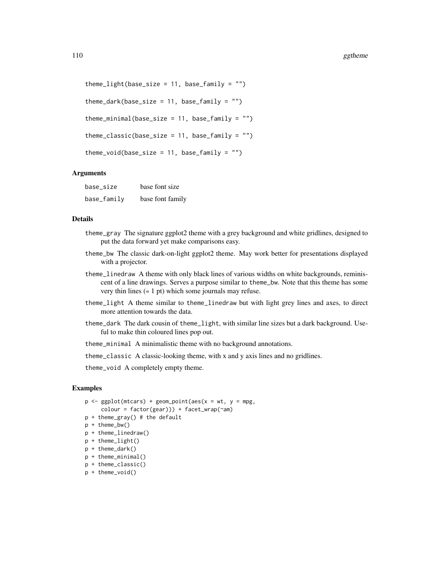```
theme_light(base_size = 11, base_family = ")
```

```
theme_dark(base_size = 11, base_family = "")
```

```
theme_minimal(base_size = 11, base_family = "")
```

```
theme_classic(base_size = 11, base_family = "")
```

```
theme_void(base_size = 11, base_family = "")
```
## Arguments

| base_size   | base font size   |
|-------------|------------------|
| base_family | base font family |

## Details

- theme\_gray The signature ggplot2 theme with a grey background and white gridlines, designed to put the data forward yet make comparisons easy.
- theme\_bw The classic dark-on-light ggplot2 theme. May work better for presentations displayed with a projector.
- theme\_linedraw A theme with only black lines of various widths on white backgrounds, reminiscent of a line drawings. Serves a purpose similar to theme\_bw. Note that this theme has some very thin lines (« 1 pt) which some journals may refuse.
- theme\_light A theme similar to theme\_linedraw but with light grey lines and axes, to direct more attention towards the data.
- theme\_dark The dark cousin of theme\_light, with similar line sizes but a dark background. Useful to make thin coloured lines pop out.

theme\_minimal A minimalistic theme with no background annotations.

theme\_classic A classic-looking theme, with x and y axis lines and no gridlines.

theme\_void A completely empty theme.

```
p \leq - ggplot(mtcars) + geom_point(aes(x = wt, y = mpg,
     color = factor(gear)) + facet_wrap(\text{ram})p + theme_gray() # the default
p + theme_bw()
p + theme_linedraw()
p + theme_light()
p + theme_dark()
p + theme_minimal()
p + theme_classic()
p + theme_void()
```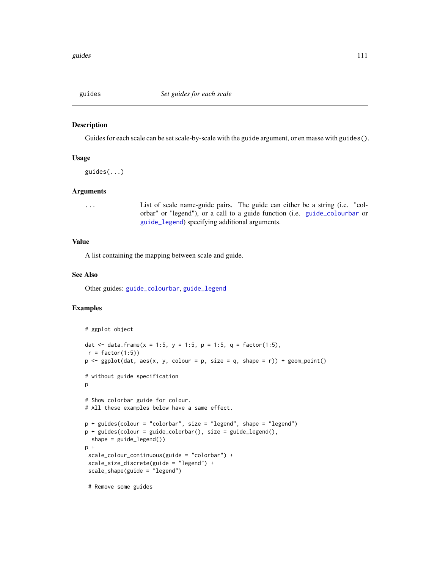<span id="page-110-0"></span>

### Description

Guides for each scale can be set scale-by-scale with the guide argument, or en masse with guides().

## Usage

guides(...)

#### Arguments

... List of scale name-guide pairs. The guide can either be a string (i.e. "colorbar" or "legend"), or a call to a guide function (i.e. [guide\\_colourbar](#page-111-0) or [guide\\_legend](#page-114-0)) specifying additional arguments.

## Value

A list containing the mapping between scale and guide.

#### See Also

Other guides: [guide\\_colourbar](#page-111-0), [guide\\_legend](#page-114-0)

```
# ggplot object
dat <- data.frame(x = 1:5, y = 1:5, p = 1:5, q = factor(1:5),
r = factor(1:5)p \leftarrow \text{ggplot}(dat, aes(x, y, colour = p, size = q, shape = r)) + geom\_point()# without guide specification
p
# Show colorbar guide for colour.
# All these examples below have a same effect.
p + guides(colour = "colorbar", size = "legend", shape = "legend")
p + guides(colour = guide_colorbar(), size = guide_legend(),
 shape = guide\_legend()p +
scale_colour_continuous(guide = "colorbar") +
scale_size_discrete(guide = "legend") +
scale_shape(guide = "legend")
 # Remove some guides
```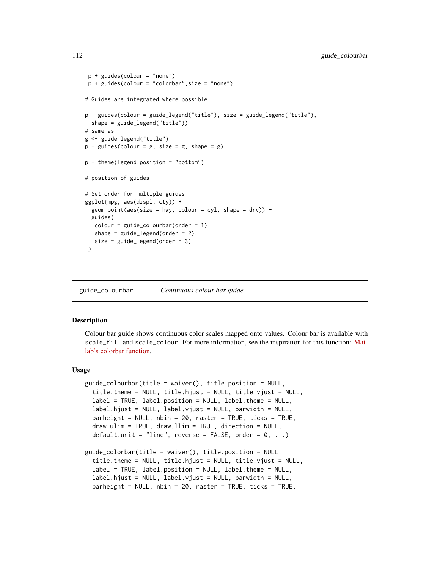```
p + guides(colour = "none")
p + guides(colour = "colorbar",size = "none")
# Guides are integrated where possible
p + guides(colour = guide_legend("title"), size = guide_legend("title"),
 shape = guide_legend("title"))
# same as
g <- guide_legend("title")
p + guides(colour = g, size = g, shape = g)p + theme(legend.position = "bottom")
# position of guides
# Set order for multiple guides
ggplot(mpg, aes(displ, cty)) +
 geom\_point(aes(size = hwy, colour = cyl, shape = dry)) +guides(
  color = guide\_colourbar(order = 1),
  shape = guide\_legend(order = 2),
  size = guide_legend(order = 3)
 \mathcal{L}
```
<span id="page-111-0"></span>guide\_colourbar *Continuous colour bar guide*

## Description

Colour bar guide shows continuous color scales mapped onto values. Colour bar is available with scale\_fill and scale\_colour. For more information, see the inspiration for this function: [Mat](http://www.mathworks.com/help/techdoc/ref/colorbar.html)[lab's colorbar function.](http://www.mathworks.com/help/techdoc/ref/colorbar.html)

#### Usage

```
guide_colourbar(title = waiver(), title.position = NULL,
  title.theme = NULL, title.hjust = NULL, title.vjust = NULL,
  label = TRUE, label.position = NULL, label.theme = NULL,
  label.hjust = NULL, label.vjust = NULL, barwidth = NULL,
 barheight = NULL, nbin = 20, raster = TRUE, ticks = TRUE,
  draw.utilim = TRUE, draw.Ilim = TRUE, direction = NULL,default.unit = "line", reverse = FALSE, order = 0, ...)
guide_colorbar(title = waiver(), title.position = NULL,
  title.theme = NULL, title.hjust = NULL, title.vjust = NULL,
  label = TRUE, label.position = NULL, label.theme = NULL,
  label.hjust = NULL, label.vjust = NULL, barwidth = NULL,
```

```
barheight = NULL, nbin = 20, raster = TRUE, ticks = TRUE,
```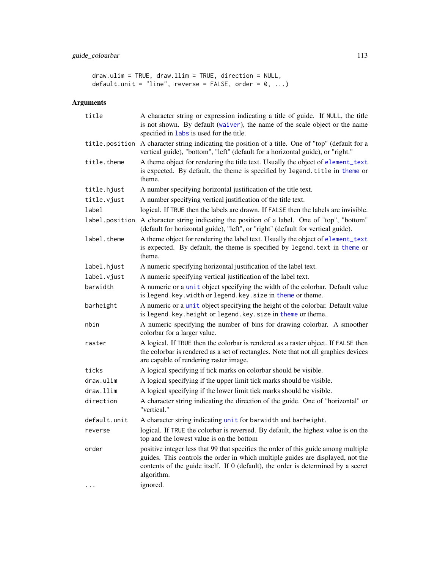```
draw.ulim = TRUE, draw.llim = TRUE, direction = NULL,
default.unit = "line", reverse = FALSE, order = 0, ...)
```
## Arguments

| title          | A character string or expression indicating a title of guide. If NULL, the title<br>is not shown. By default (waiver), the name of the scale object or the name<br>specified in labs is used for the title.                                                               |
|----------------|---------------------------------------------------------------------------------------------------------------------------------------------------------------------------------------------------------------------------------------------------------------------------|
| title.position | A character string indicating the position of a title. One of "top" (default for a<br>vertical guide), "bottom", "left" (default for a horizontal guide), or "right."                                                                                                     |
| title.theme    | A theme object for rendering the title text. Usually the object of element_text<br>is expected. By default, the theme is specified by legend. title in theme or<br>theme.                                                                                                 |
| title.hjust    | A number specifying horizontal justification of the title text.                                                                                                                                                                                                           |
| title.vjust    | A number specifying vertical justification of the title text.                                                                                                                                                                                                             |
| label          | logical. If TRUE then the labels are drawn. If FALSE then the labels are invisible.                                                                                                                                                                                       |
| label.position | A character string indicating the position of a label. One of "top", "bottom"<br>(default for horizontal guide), "left", or "right" (default for vertical guide).                                                                                                         |
| label.theme    | A theme object for rendering the label text. Usually the object of element_text<br>is expected. By default, the theme is specified by legend. text in theme or<br>theme.                                                                                                  |
| label.hjust    | A numeric specifying horizontal justification of the label text.                                                                                                                                                                                                          |
| label.vjust    | A numeric specifying vertical justification of the label text.                                                                                                                                                                                                            |
| barwidth       | A numeric or a unit object specifying the width of the colorbar. Default value<br>is legend. key. width or legend. key. size in theme or theme.                                                                                                                           |
| barheight      | A numeric or a unit object specifying the height of the colorbar. Default value<br>is legend. key. height or legend. key. size in theme or theme.                                                                                                                         |
| nbin           | A numeric specifying the number of bins for drawing colorbar. A smoother<br>colorbar for a larger value.                                                                                                                                                                  |
| raster         | A logical. If TRUE then the colorbar is rendered as a raster object. If FALSE then<br>the colorbar is rendered as a set of rectangles. Note that not all graphics devices<br>are capable of rendering raster image.                                                       |
| ticks          | A logical specifying if tick marks on colorbar should be visible.                                                                                                                                                                                                         |
| draw.ulim      | A logical specifying if the upper limit tick marks should be visible.                                                                                                                                                                                                     |
| draw.llim      | A logical specifying if the lower limit tick marks should be visible.                                                                                                                                                                                                     |
| direction      | A character string indicating the direction of the guide. One of "horizontal" or<br>"vertical."                                                                                                                                                                           |
| default.unit   | A character string indicating unit for barwidth and barheight.                                                                                                                                                                                                            |
| reverse        | logical. If TRUE the colorbar is reversed. By default, the highest value is on the<br>top and the lowest value is on the bottom                                                                                                                                           |
| order          | positive integer less that 99 that specifies the order of this guide among multiple<br>guides. This controls the order in which multiple guides are displayed, not the<br>contents of the guide itself. If 0 (default), the order is determined by a secret<br>algorithm. |
| .              | ignored.                                                                                                                                                                                                                                                                  |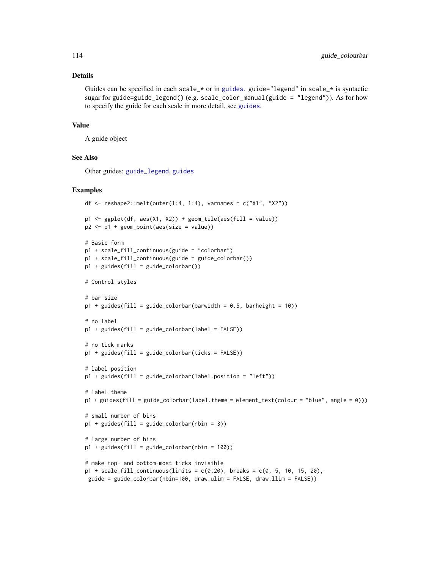#### Details

Guides can be specified in each scale\_ $\star$  or in [guides](#page-110-0). guide="legend" in scale\_ $\star$  is syntactic sugar for guide=guide\_legend() (e.g. scale\_color\_manual(guide =  $"legend")$ ). As for how to specify the guide for each scale in more detail, see [guides](#page-110-0).

#### Value

A guide object

## See Also

Other guides: [guide\\_legend](#page-114-0), [guides](#page-110-0)

```
df \le reshape2::melt(outer(1:4, 1:4), varnames = c("X1", "X2"))
p1 \leftarrow ggplot(df, aes(X1, X2)) + geom\_tile(aes(fill = value))p2 \leq -p1 + geom\_point(aes(size = value))# Basic form
p1 + scale_fill_continuous(guide = "colorbar")
p1 + scale_fill_continuous(guide = guide_colorbar())
p1 + guides(fill = guide\_colorbar())# Control styles
# bar size
p1 + guides(fill = guide-colorbar(barwidth = 0.5, barheight = 10))# no label
p1 + guides(fill = guide_colorbar(label = FALSE))
# no tick marks
p1 + guides(fill = guide_colorbar(ticks = FALSE))
# label position
p1 + guides(fill = guide_colorbar(label.position = "left"))
# label theme
p1 + guides(fill = guide_colorbar(label.theme = element_text(colour = "blue", angle = 0)))
# small number of bins
p1 + guides(fill = guide\_colorbar(hin = 3))# large number of bins
p1 + guides(fill = guide\_colorbar(hlin = 100))# make top- and bottom-most ticks invisible
p1 + scale_fill_continuous(limits = c(0, 20), breaks = c(0, 5, 10, 15, 20),
 guide = guide_colorbar(nbin=100, draw.ulim = FALSE, draw.llim = FALSE))
```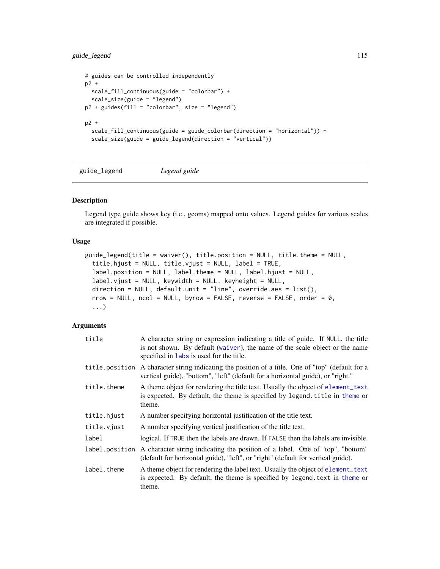## guide\_legend 115

```
# guides can be controlled independently
p2 +
 scale_fill_continuous(guide = "colorbar") +
  scale_size(guide = "legend")
p2 + guides(fill = "colorbar", size = "legend")p2 +
  scale_fill_continuous(guide = guide_colorbar(direction = "horizontal")) +
  scale_size(guide = guide_legend(direction = "vertical"))
```
<span id="page-114-0"></span>guide\_legend *Legend guide*

## Description

Legend type guide shows key (i.e., geoms) mapped onto values. Legend guides for various scales are integrated if possible.

## Usage

```
guide_legend(title = waiver(), title.position = NULL, title.theme = NULL,
  title.hjust = NULL, title.vjust = NULL, label = TRUE,
  label.position = NULL, label.theme = NULL, label.hjust = NULL,
  label.vjust = NULL, keywidth = NULL, keyheight = NULL,direction = NULL, default.out = "line", override.aes = list(),nrow = NULL, ncol = NULL, byrow = FALSE, reverse = FALSE, order = 0,
  ...)
```
#### **Arguments**

| title          | A character string or expression indicating a title of guide. If NULL, the title<br>is not shown. By default (waiver), the name of the scale object or the name<br>specified in labs is used for the title. |
|----------------|-------------------------------------------------------------------------------------------------------------------------------------------------------------------------------------------------------------|
|                | title position A character string indicating the position of a title. One of "top" (default for a<br>vertical guide), "bottom", "left" (default for a horizontal guide), or "right."                        |
| title.theme    | A theme object for rendering the title text. Usually the object of element_text<br>is expected. By default, the theme is specified by legend. title in theme or<br>theme.                                   |
| title.hjust    | A number specifying horizontal justification of the title text.                                                                                                                                             |
| title.vjust    | A number specifying vertical justification of the title text.                                                                                                                                               |
| label          | logical. If TRUE then the labels are drawn. If FALSE then the labels are invisible.                                                                                                                         |
| label.position | A character string indicating the position of a label. One of "top", "bottom"<br>(default for horizontal guide), "left", or "right" (default for vertical guide).                                           |
| label.theme    | A theme object for rendering the label text. Usually the object of element_text<br>is expected. By default, the theme is specified by legend. text in theme or<br>theme.                                    |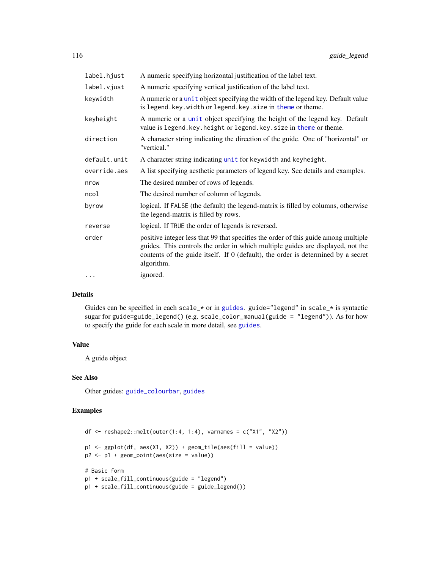| label.hjust  | A numeric specifying horizontal justification of the label text.                                                                                                                                                                                                          |
|--------------|---------------------------------------------------------------------------------------------------------------------------------------------------------------------------------------------------------------------------------------------------------------------------|
| label.vjust  | A numeric specifying vertical justification of the label text.                                                                                                                                                                                                            |
| keywidth     | A numeric or a unit object specifying the width of the legend key. Default value<br>is legend. key. width or legend. key. size in theme or theme.                                                                                                                         |
| keyheight    | A numeric or a unit object specifying the height of the legend key. Default<br>value is legend. key. height or legend. key. size in theme or theme.                                                                                                                       |
| direction    | A character string indicating the direction of the guide. One of "horizontal" or<br>"vertical."                                                                                                                                                                           |
| default.unit | A character string indicating unit for keywidth and keyheight.                                                                                                                                                                                                            |
| override.aes | A list specifying aesthetic parameters of legend key. See details and examples.                                                                                                                                                                                           |
| nrow         | The desired number of rows of legends.                                                                                                                                                                                                                                    |
| ncol         | The desired number of column of legends.                                                                                                                                                                                                                                  |
| byrow        | logical. If FALSE (the default) the legend-matrix is filled by columns, otherwise<br>the legend-matrix is filled by rows.                                                                                                                                                 |
| reverse      | logical. If TRUE the order of legends is reversed.                                                                                                                                                                                                                        |
| order        | positive integer less that 99 that specifies the order of this guide among multiple<br>guides. This controls the order in which multiple guides are displayed, not the<br>contents of the guide itself. If 0 (default), the order is determined by a secret<br>algorithm. |
| $\cdots$     | ignored.                                                                                                                                                                                                                                                                  |

## Details

Guides can be specified in each scale\_\* or in [guides](#page-110-0). guide="legend" in scale\_\* is syntactic sugar for guide=guide\_legend() (e.g. scale\_color\_manual(guide = "legend")). As for how to specify the guide for each scale in more detail, see [guides](#page-110-0).

## Value

A guide object

## See Also

Other guides: [guide\\_colourbar](#page-111-0), [guides](#page-110-0)

```
df \leq reshape2::melt(outer(1:4, 1:4), varnames = c("X1", "X2"))
p1 \leftarrow ggplot(df, aes(X1, X2)) + geom\_tile(aes(fill = value))p2 <- p1 + geom_point(aes(size = value))
# Basic form
p1 + scale_fill_continuous(guide = "legend")
p1 + scale_fill_continuous(guide = guide_legend())
```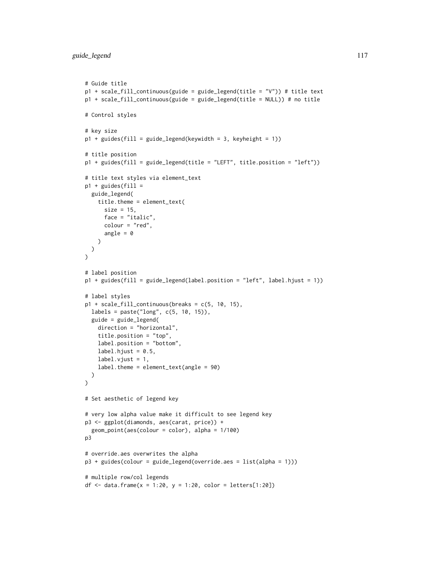```
# Guide title
p1 + scale_fill_continuous(guide = guide_legend(title = "V")) # title text
p1 + scale_fill_continuous(guide = guide_legend(title = NULL)) # no title
# Control styles
# key size
p1 + guides(fill = guide_length(keywidth = 3, keyheight = 1))# title position
p1 + guides(fill = guide_legend(title = "LEFT", title.position = "left"))
# title text styles via element_text
p1 + guides(fill =
  guide_legend(
    title.theme = element_text(
      size = 15,
      face = "italic",
     colour = "red",
      angle = \theta)
 )
)
# label position
p1 + guides(fill = guide_legend(label.position = "left", label.hjust = 1))
# label styles
p1 + scale_fill_continuous(breaks = c(5, 10, 15),
 labels = paste("long", c(5, 10, 15)),guide = guide_legend(
   direction = "horizontal",
    title.position = "top",
   label.position = "bottom",
   label.hjust = 0.5,
   label.vjust = 1,
    label.theme = element_text(angle = 90)
 )
\mathcal{L}# Set aesthetic of legend key
# very low alpha value make it difficult to see legend key
p3 <- ggplot(diamonds, aes(carat, price)) +
  geom_point(aes(colour = color), alpha = 1/100)
p3
# override.aes overwrites the alpha
p3 + guides(colour = guide_legend(override.aes = list(alpha = 1)))
# multiple row/col legends
df <- data.frame(x = 1:20, y = 1:20, color = letters[1:20])
```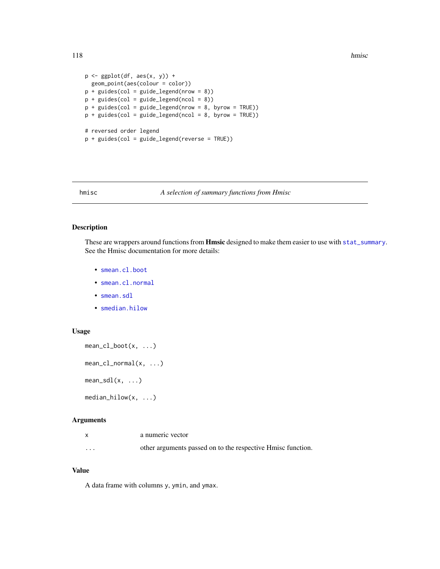```
p \leftarrow \text{gplot}(df, \text{aes}(x, y)) +
  geom_point(aes(colour = color))
p + guides(col = guide\_legend(nrow = 8))p + guides(col = guide\_legend(ncol = 8))p + guides(col = guide\_legend(nrow = 8, byrow = TRUE))p + guides(col = guide\_legend(ncol = 8, byrow = TRUE))# reversed order legend
p + guides(col = guide\_legend(reverse = TRUE))
```
#### hmisc *A selection of summary functions from Hmisc*

#### Description

These are wrappers around functions from **Hmsic** designed to make them easier to use with [stat\\_summary](#page-172-0). See the Hmisc documentation for more details:

- [smean.cl.boot](#page-0-0)
- [smean.cl.normal](#page-0-0)
- [smean.sdl](#page-0-0)
- [smedian.hilow](#page-0-0)

## Usage

```
mean_cl_boot(x, ...)
mean_cl_normal(x, ...)
mean_sdl(x, \ldots)median_hilow(x, ...)
```
## Arguments

|          | a numeric vector                                            |
|----------|-------------------------------------------------------------|
| $\cdots$ | other arguments passed on to the respective Hmisc function. |

## Value

A data frame with columns y, ymin, and ymax.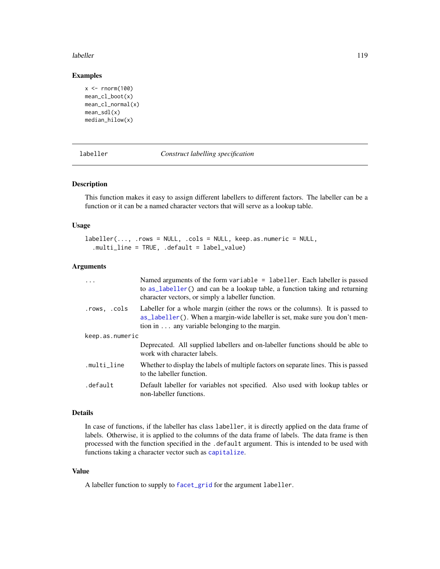#### labeller the contract of the contract of the contract of the contract of the contract of the contract of the contract of the contract of the contract of the contract of the contract of the contract of the contract of the c

## Examples

```
x \le rnorm(100)
mean_cl_boot(x)
mean_cl_normal(x)
mean_sdl(x)
median_hilow(x)
```
<span id="page-118-0"></span>labeller *Construct labelling specification*

## Description

This function makes it easy to assign different labellers to different factors. The labeller can be a function or it can be a named character vectors that will serve as a lookup table.

#### Usage

```
labeller(..., .rows = NULL, .cols = NULL, keep.as.numeric = NULL,
  .multi_line = TRUE, .default = label_value)
```
#### Arguments

| $\ddots$        | Named arguments of the form variable = labeller. Each labeller is passed<br>to as labeller () and can be a lookup table, a function taking and returning<br>character vectors, or simply a labeller function.          |
|-----------------|------------------------------------------------------------------------------------------------------------------------------------------------------------------------------------------------------------------------|
| .rows, .cols    | Labeller for a whole margin (either the rows or the columns). It is passed to<br>as _labeller(). When a margin-wide labeller is set, make sure you don't men-<br>tion in $\dots$ any variable belonging to the margin. |
| keep.as.numeric |                                                                                                                                                                                                                        |
|                 | Deprecated. All supplied labellers and on-labeller functions should be able to<br>work with character labels.                                                                                                          |
| .multi_line     | Whether to display the labels of multiple factors on separate lines. This is passed<br>to the labeller function.                                                                                                       |
| .default        | Default labeller for variables not specified. Also used with lookup tables or<br>non-labeller functions.                                                                                                               |

#### Details

In case of functions, if the labeller has class labeller, it is directly applied on the data frame of labels. Otherwise, it is applied to the columns of the data frame of labels. The data frame is then processed with the function specified in the .default argument. This is intended to be used with functions taking a character vector such as [capitalize](#page-0-0).

## Value

A labeller function to supply to [facet\\_grid](#page-30-0) for the argument labeller.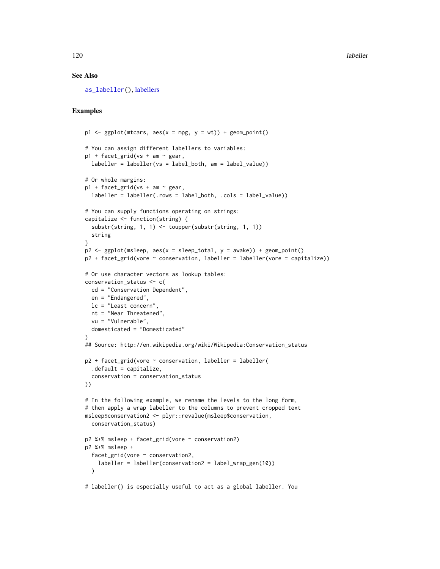#### See Also

[as\\_labeller\(](#page-0-0)), [labellers](#page-120-0)

```
p1 \leq - ggplot(mtcars, aes(x = mpg, y = wt)) + geom_point()
# You can assign different labellers to variables:
p1 + facet_grid(vs + am \sim gear,
  labeller = labeller(vs = label_both, am = label_value))
# Or whole margins:
p1 + facet_grid(vs + am \sim gear,
  labeller = labeller(.rows = label_both, .cols = label_value))
# You can supply functions operating on strings:
capitalize <- function(string) {
  substr(string, 1, 1) <- toupper(substr(string, 1, 1))
  string
}
p2 \leq ggplot(msleep, aes(x = sleep\_total, y = awake)) + geom\_point()p2 + \text{facet\_grid}(vore \sim \text{conservation}, \text{ labeller} = \text{labeller}(vore = \text{capitalize})# Or use character vectors as lookup tables:
conservation_status <- c(
 cd = "Conservation Dependent",
 en = "Endangered",
 lc = "Least concern",
 nt = "Near Threatened",
  vu = "Vulnerable",
  domesticated = "Domesticated"
\lambda## Source: http://en.wikipedia.org/wiki/Wikipedia:Conservation_status
p2 + \text{facet\_grid}(vore \sim \text{conservation}, \text{labeller} = \text{labeller}(.default = capitalize,
  conservation = conservation_status
))
# In the following example, we rename the levels to the long form,
# then apply a wrap labeller to the columns to prevent cropped text
msleep$conservation2 <- plyr::revalue(msleep$conservation,
  conservation_status)
p2 %+% msleep + facet_grid(vore ~ conservation2)
p2 %+% msleep +
  facet_grid(vore ~ conservation2,
    labeller = labeller(conservation2 = label_wrap_gen(10))
  )
# labeller() is especially useful to act as a global labeller. You
```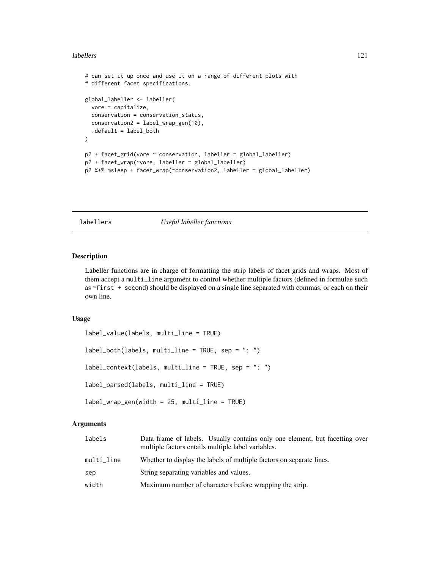#### labellers and the contract of the contract of the contract of the contract of the contract of the contract of the contract of the contract of the contract of the contract of the contract of the contract of the contract of

```
# can set it up once and use it on a range of different plots with
# different facet specifications.
global_labeller <- labeller(
  vore = capitalize,
  conservation = conservation_status,
  conservation2 = label_wrap_gen(10),
  .default = label_both
\lambdap2 + facet_grid(vore ~ conservation, labeller = global_labeller)
p2 + facet_wrap(~vore, labeller = global_labeller)
p2 %+% msleep + facet_wrap(~conservation2, labeller = global_labeller)
```
## <span id="page-120-0"></span>labellers *Useful labeller functions*

## Description

Labeller functions are in charge of formatting the strip labels of facet grids and wraps. Most of them accept a multi\_line argument to control whether multiple factors (defined in formulae such as ~first + second) should be displayed on a single line separated with commas, or each on their own line.

### Usage

```
label_value(labels, multi_line = TRUE)
label_both(labels, multi_line = TRUE, sep = ": ")
label_context(labels, multi_line = TRUE, sep = ": ")
label_parsed(labels, multi_line = TRUE)
```
label\_wrap\_gen(width = 25, multi\_line = TRUE)

## **Arguments**

| labels     | Data frame of labels. Usually contains only one element, but facetting over<br>multiple factors entails multiple label variables. |
|------------|-----------------------------------------------------------------------------------------------------------------------------------|
| multi_line | Whether to display the labels of multiple factors on separate lines.                                                              |
| sep        | String separating variables and values.                                                                                           |
| width      | Maximum number of characters before wrapping the strip.                                                                           |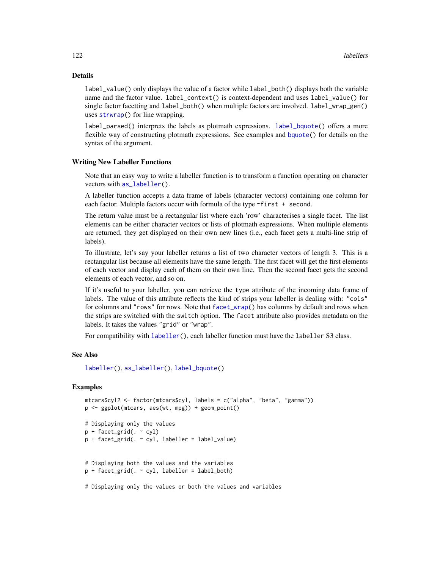## Details

label\_value() only displays the value of a factor while label\_both() displays both the variable name and the factor value. label\_context() is context-dependent and uses label\_value() for single factor facetting and label\_both() when multiple factors are involved. label\_wrap\_gen() uses [strwrap\(](#page-0-0)) for line wrapping.

label\_parsed() interprets the labels as plotmath expressions. [label\\_bquote\(](#page-122-0)) offers a more flexible way of constructing plotmath expressions. See examples and [bquote\(](#page-0-0)) for details on the syntax of the argument.

#### Writing New Labeller Functions

Note that an easy way to write a labeller function is to transform a function operating on character vectors with [as\\_labeller\(](#page-0-0)).

A labeller function accepts a data frame of labels (character vectors) containing one column for each factor. Multiple factors occur with formula of the type ~first + second.

The return value must be a rectangular list where each 'row' characterises a single facet. The list elements can be either character vectors or lists of plotmath expressions. When multiple elements are returned, they get displayed on their own new lines (i.e., each facet gets a multi-line strip of labels).

To illustrate, let's say your labeller returns a list of two character vectors of length 3. This is a rectangular list because all elements have the same length. The first facet will get the first elements of each vector and display each of them on their own line. Then the second facet gets the second elements of each vector, and so on.

If it's useful to your labeller, you can retrieve the type attribute of the incoming data frame of labels. The value of this attribute reflects the kind of strips your labeller is dealing with: "cols" for columns and "rows" for rows. Note that [facet\\_wrap\(](#page-33-0)) has columns by default and rows when the strips are switched with the switch option. The facet attribute also provides metadata on the labels. It takes the values "grid" or "wrap".

For compatibility with [labeller\(](#page-118-0)), each labeller function must have the labeller S3 class.

## See Also

[labeller\(](#page-118-0)), [as\\_labeller\(](#page-0-0)), [label\\_bquote\(](#page-122-0))

#### Examples

```
mtcars$cyl2 <- factor(mtcars$cyl, labels = c("alpha", "beta", "gamma"))
p <- ggplot(mtcars, aes(wt, mpg)) + geom_point()
# Displaying only the values
```

```
p + facet_grid(. \sim cyl)
```

```
p + facet_grid(. \sim cyl, labeller = label_value)
```

```
# Displaying both the values and the variables
```

```
p + facet_grid(. ~ cyl, labeller = label_both)
```
# Displaying only the values or both the values and variables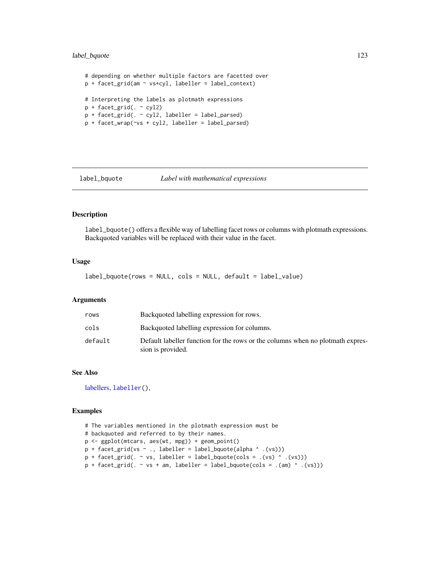## label\_bquote 123

```
# depending on whether multiple factors are facetted over
p + facet_grid(am ~ vs+cyl, labeller = label_context)
# Interpreting the labels as plotmath expressions
p + facet_grid(. ~ cyl2)
p + facet_grid(. ~ cyl2, labeller = label_parsed)
p + facet_wrap(~vs + cyl2, labeller = label_parsed)
```
<span id="page-122-0"></span>

#### label\_bquote *Label with mathematical expressions*

## Description

label\_bquote() offers a flexible way of labelling facet rows or columns with plotmath expressions. Backquoted variables will be replaced with their value in the facet.

## Usage

label\_bquote(rows = NULL, cols = NULL, default = label\_value)

## Arguments

| rows    | Backguoted labelling expression for rows.                                                           |
|---------|-----------------------------------------------------------------------------------------------------|
| cols    | Backquoted labelling expression for columns.                                                        |
| default | Default labeller function for the rows or the columns when no plotmath expres-<br>sion is provided. |

## See Also

[labellers,](#page-120-0) [labeller\(](#page-118-0)),

```
# The variables mentioned in the plotmath expression must be
# backquoted and referred to by their names.
p <- ggplot(mtcars, aes(wt, mpg)) + geom_point()
p + facet\_grid(vs ~ ~ ., labeller = label_bquote(alpha ~ . (vs)))p + \text{facet\_grid}. ~ vs, labeller = label_bquote(cols = .(vs) ^ .(vs)))
p + facet\_grid( . ~ vs + am, labeller = label_bquote(cols = .(am) ^ (vs)))
```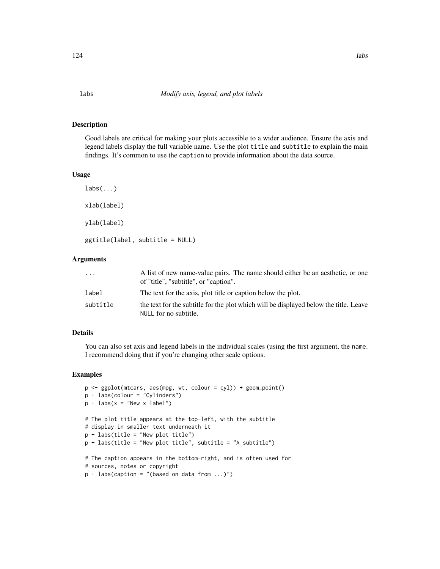#### <span id="page-123-0"></span>Description

Good labels are critical for making your plots accessible to a wider audience. Ensure the axis and legend labels display the full variable name. Use the plot title and subtitle to explain the main findings. It's common to use the caption to provide information about the data source.

## Usage

 $\text{labs}(\ldots)$ xlab(label) ylab(label) ggtitle(label, subtitle = NULL)

## Arguments

| .        | A list of new name-value pairs. The name should either be an aesthetic, or one<br>of "title", "subtitle", or "caption". |
|----------|-------------------------------------------------------------------------------------------------------------------------|
| label    | The text for the axis, plot title or caption below the plot.                                                            |
| subtitle | the text for the subtitle for the plot which will be displayed below the title. Leave<br>NULL for no subtitle.          |

## Details

You can also set axis and legend labels in the individual scales (using the first argument, the name. I recommend doing that if you're changing other scale options.

```
p <- ggplot(mtcars, aes(mpg, wt, colour = cyl)) + geom_point()
p + labs(colour = "Cylinders")
p + \text{ labs}(x = "New x label")# The plot title appears at the top-left, with the subtitle
# display in smaller text underneath it
p + labs(title = "New plot title")
p + labs(title = "New plot title", subtitle = "A subtitle")
# The caption appears in the bottom-right, and is often used for
# sources, notes or copyright
p + labs(caption = "(based on data from ...)")
```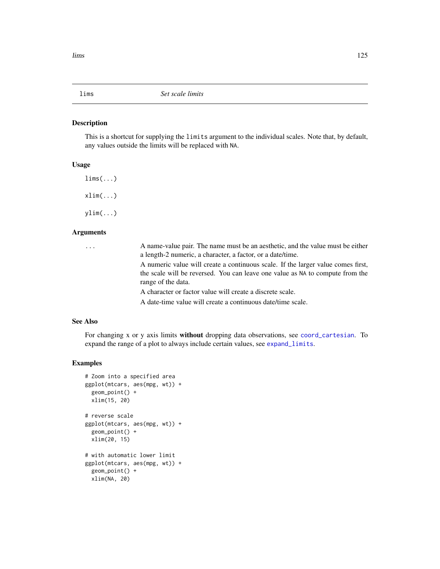## Description

This is a shortcut for supplying the limits argument to the individual scales. Note that, by default, any values outside the limits will be replaced with NA.

#### Usage

lims(...)  $xlim(...)$ 

ylim(...)

## Arguments

| $\cdot \cdot \cdot$ | A name-value pair. The name must be an aesthetic, and the value must be either<br>a length-2 numeric, a character, a factor, or a date/time.                                            |
|---------------------|-----------------------------------------------------------------------------------------------------------------------------------------------------------------------------------------|
|                     | A numeric value will create a continuous scale. If the larger value comes first,<br>the scale will be reversed. You can leave one value as NA to compute from the<br>range of the data. |
|                     | A character or factor value will create a discrete scale.                                                                                                                               |
|                     | A date-time value will create a continuous date/time scale.                                                                                                                             |

## See Also

For changing x or y axis limits without dropping data observations, see [coord\\_cartesian](#page-19-0). To expand the range of a plot to always include certain values, see [expand\\_limits](#page-30-1).

```
# Zoom into a specified area
ggplot(mtcars, aes(mpg, wt)) +
 geom_point() +
 xlim(15, 20)
# reverse scale
ggplot(mtcars, aes(mpg, wt)) +
 geom_point() +
 xlim(20, 15)
# with automatic lower limit
ggplot(mtcars, aes(mpg, wt)) +
 geom_point() +
 xlim(NA, 20)
```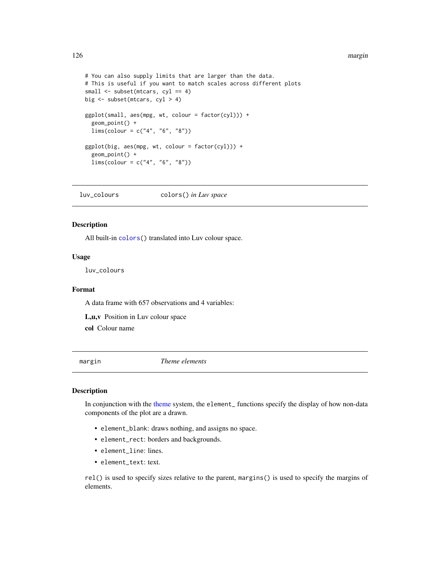```
# You can also supply limits that are larger than the data.
# This is useful if you want to match scales across different plots
small <- subset(mtcars, cyl == 4)
big <- subset(mtcars, cyl > 4)
ggplot(small, aes(mpg, wt, colour = factor(cyl))) +
  geom_point() +
  lims(colour = c("4", "6", "8"))
ggplot(big, \text{aes(mpg, wt, colour = factor(cyl))) +geom_point() +
  lims(colour = c("4", "6", "8"))
```
luv\_colours colors() *in Luv space*

## Description

All built-in [colors\(](#page-0-0)) translated into Luv colour space.

## Usage

luv\_colours

## Format

A data frame with 657 observations and 4 variables:

L,u,v Position in Luv colour space

col Colour name

<span id="page-125-1"></span>margin *Theme elements*

### <span id="page-125-0"></span>**Description**

In conjunction with the [theme](#page-176-0) system, the element\_ functions specify the display of how non-data components of the plot are a drawn.

- element\_blank: draws nothing, and assigns no space.
- element\_rect: borders and backgrounds.
- element\_line: lines.
- element\_text: text.

rel() is used to specify sizes relative to the parent, margins() is used to specify the margins of elements.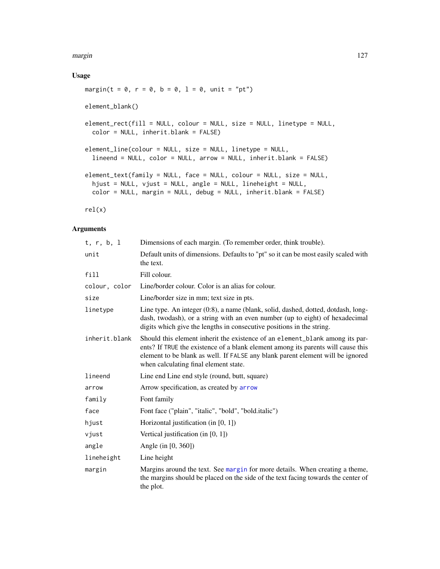#### margin the contract of the contract of the contract of the contract of the contract of the contract of the contract of the contract of the contract of the contract of the contract of the contract of the contract of the con

## Usage

```
margin(t = 0, r = 0, b = 0, 1 = 0, unit = "pt")element_blank()
element_rect(fill = NULL, colour = NULL, size = NULL, linetype = NULL,
 color = NULL, inherit.blank = FALSE)
element_line(colour = NULL, size = NULL, linetype = NULL,
  lineend = NULL, color = NULL, arrow = NULL, inherit.blank = FALSE)
element_text(family = NULL, face = NULL, colour = NULL, size = NULL,
 hjust = NULL, vjust = NULL, angle = NULL, lineheight = NULL,
 color = NULL, margin = NULL, debug = NULL, inherit.blank = FALSE)
```
rel(x)

## Arguments

| t, r, b, 1    | Dimensions of each margin. (To remember order, think trouble).                                                                                                                                                                                                                              |
|---------------|---------------------------------------------------------------------------------------------------------------------------------------------------------------------------------------------------------------------------------------------------------------------------------------------|
| unit          | Default units of dimensions. Defaults to "pt" so it can be most easily scaled with<br>the text.                                                                                                                                                                                             |
| fill          | Fill colour.                                                                                                                                                                                                                                                                                |
| colour, color | Line/border colour. Color is an alias for colour.                                                                                                                                                                                                                                           |
| size          | Line/border size in mm; text size in pts.                                                                                                                                                                                                                                                   |
| linetype      | Line type. An integer (0:8), a name (blank, solid, dashed, dotted, dotdash, long-<br>dash, twodash), or a string with an even number (up to eight) of hexadecimal<br>digits which give the lengths in consecutive positions in the string.                                                  |
| inherit.blank | Should this element inherit the existence of an element_blank among its par-<br>ents? If TRUE the existence of a blank element among its parents will cause this<br>element to be blank as well. If FALSE any blank parent element will be ignored<br>when calculating final element state. |
| lineend       | Line end Line end style (round, butt, square)                                                                                                                                                                                                                                               |
| arrow         | Arrow specification, as created by arrow                                                                                                                                                                                                                                                    |
| family        | Font family                                                                                                                                                                                                                                                                                 |
| face          | Font face ("plain", "italic", "bold", "bold.italic")                                                                                                                                                                                                                                        |
| hjust         | Horizontal justification (in $[0, 1]$ )                                                                                                                                                                                                                                                     |
| vjust         | Vertical justification (in [0, 1])                                                                                                                                                                                                                                                          |
| angle         | Angle (in [0, 360])                                                                                                                                                                                                                                                                         |
| lineheight    | Line height                                                                                                                                                                                                                                                                                 |
| margin        | Margins around the text. See margin for more details. When creating a theme,<br>the margins should be placed on the side of the text facing towards the center of<br>the plot.                                                                                                              |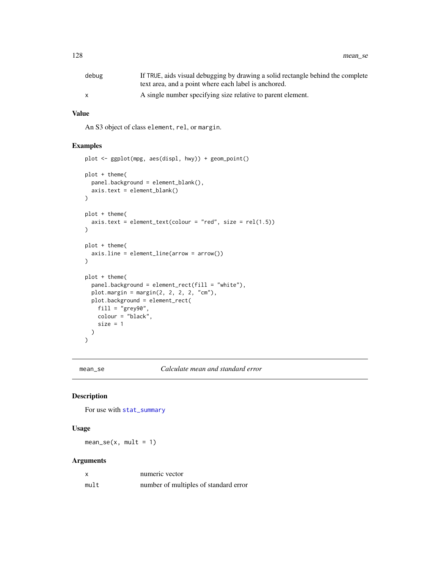| debug | If TRUE, aids visual debugging by drawing a solid rectangle behind the complete<br>text area, and a point where each label is anchored. |
|-------|-----------------------------------------------------------------------------------------------------------------------------------------|
|       | A single number specifying size relative to parent element.                                                                             |

#### Value

An S3 object of class element, rel, or margin.

## Examples

```
plot <- ggplot(mpg, aes(displ, hwy)) + geom_point()
plot + theme(
  panel.background = element_blank(),
  axis.text = element_blank()
\mathcal{L}plot + theme(
  axis. text = element\_text(colour = "red", size = rel(1.5))\lambdaplot + theme(
  axis.line = element_line(arrow = arrow())
\overline{)}plot + theme(
  panel.background = element_rect(fill = "white"),
  plot.margin = margin(2, 2, 2, 2, "cm"),
 plot.background = element_rect(
   fill = "grey90",
    colour = "black",
    size = 1)
)
```
mean\_se *Calculate mean and standard error*

#### Description

For use with [stat\\_summary](#page-172-0)

#### Usage

 $mean\_se(x, mult = 1)$ 

#### Arguments

|      | numeric vector                        |
|------|---------------------------------------|
| mult | number of multiples of standard error |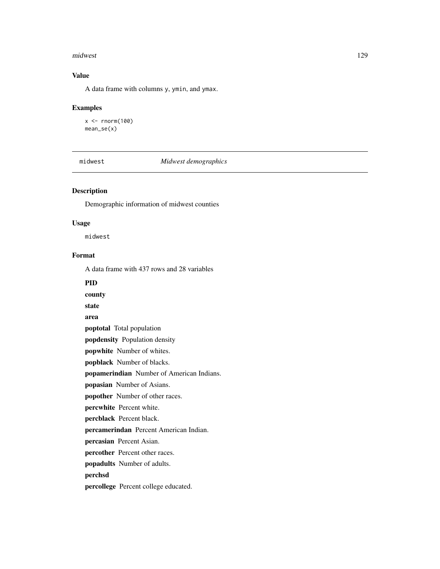#### midwest 229

## Value

A data frame with columns y, ymin, and ymax.

#### Examples

 $x < -$  rnorm(100) mean\_se(x)

#### midwest *Midwest demographics*

## Description

Demographic information of midwest counties

#### Usage

midwest

## Format

A data frame with 437 rows and 28 variables

## PID

county

state

area

poptotal Total population

popdensity Population density

popwhite Number of whites.

popblack Number of blacks.

popamerindian Number of American Indians.

popasian Number of Asians.

popother Number of other races.

percwhite Percent white.

percblack Percent black.

percamerindan Percent American Indian.

percasian Percent Asian.

percother Percent other races.

popadults Number of adults.

## perchsd

percollege Percent college educated.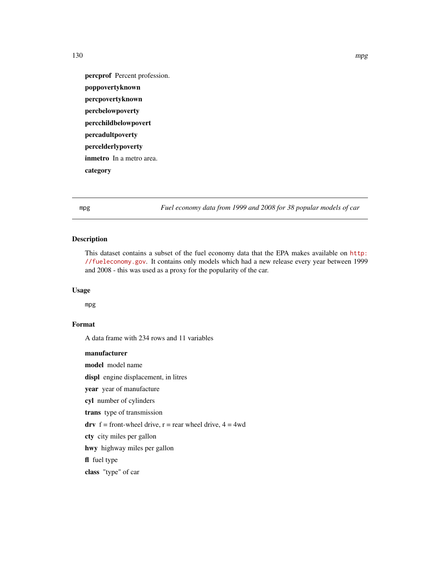percprof Percent profession. poppovertyknown percpovertyknown percbelowpoverty percchildbelowpovert percadultpoverty percelderlypoverty inmetro In a metro area. category

mpg *Fuel economy data from 1999 and 2008 for 38 popular models of car*

## Description

This dataset contains a subset of the fuel economy data that the EPA makes available on [http:](http://fueleconomy.gov) [//fueleconomy.gov](http://fueleconomy.gov). It contains only models which had a new release every year between 1999 and 2008 - this was used as a proxy for the popularity of the car.

#### Usage

mpg

## Format

A data frame with 234 rows and 11 variables

manufacturer model model name displ engine displacement, in litres year year of manufacture cyl number of cylinders trans type of transmission drv  $f =$  front-wheel drive,  $r =$  rear wheel drive,  $4 = 4wd$ cty city miles per gallon hwy highway miles per gallon fl fuel type class "type" of car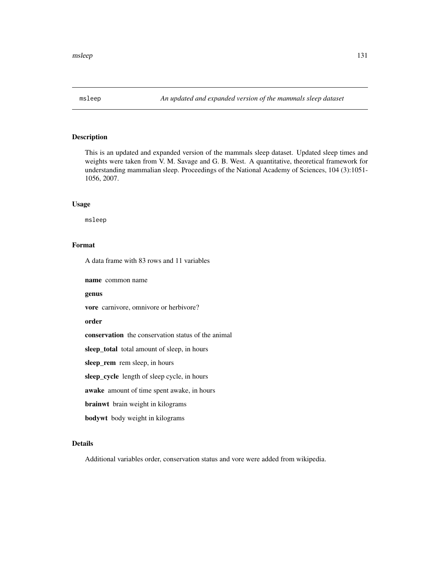#### Description

This is an updated and expanded version of the mammals sleep dataset. Updated sleep times and weights were taken from V. M. Savage and G. B. West. A quantitative, theoretical framework for understanding mammalian sleep. Proceedings of the National Academy of Sciences, 104 (3):1051- 1056, 2007.

#### Usage

msleep

## Format

A data frame with 83 rows and 11 variables

name common name

#### genus

vore carnivore, omnivore or herbivore?

#### order

conservation the conservation status of the animal

sleep\_total total amount of sleep, in hours

sleep\_rem rem sleep, in hours

sleep\_cycle length of sleep cycle, in hours

awake amount of time spent awake, in hours

brainwt brain weight in kilograms

bodywt body weight in kilograms

## Details

Additional variables order, conservation status and vore were added from wikipedia.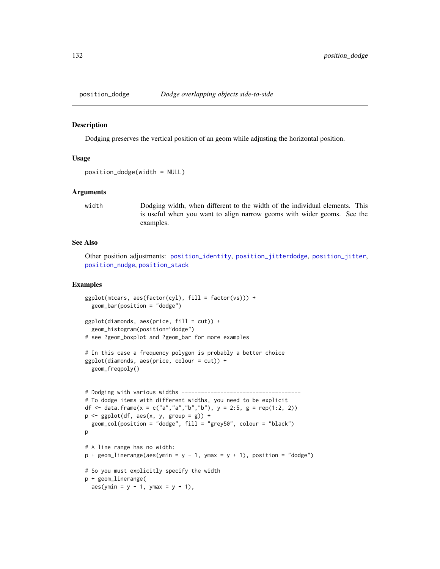<span id="page-131-0"></span>

#### Description

Dodging preserves the vertical position of an geom while adjusting the horizontal position.

## Usage

```
position_dodge(width = NULL)
```
#### Arguments

width Dodging width, when different to the width of the individual elements. This is useful when you want to align narrow geoms with wider geoms. See the examples.

#### See Also

Other position adjustments: [position\\_identity](#page-132-0), [position\\_jitterdodge](#page-133-0), [position\\_jitter](#page-132-1), [position\\_nudge](#page-134-0), [position\\_stack](#page-135-0)

```
ggplot(mtcars, aes(factor(cyl), fill = factor(vs))) +geom_bar(position = "dodge")
ggplot(diamonds, aes(price, fill = cut)) +geom_histogram(position="dodge")
# see ?geom_boxplot and ?geom_bar for more examples
# In this case a frequency polygon is probably a better choice
ggplot(diamonds, aes(price, colour = cut)) +geom_freqpoly()
# Dodging with various widths -------------------------------------
# To dodge items with different widths, you need to be explicit
df <- data.frame(x = c("a","a","b","b"), y = 2:5, g = rep(1:2, 2))
p \leftarrow ggplot(df, aes(x, y, group = g)) +
 geom_col(position = "dodge", fill = "grey50", colour = "black")
p
# A line range has no width:
p + geom\_linearange(aes(ymin = y - 1, ymax = y + 1), position = "dodge")# So you must explicitly specify the width
p + geom_linerange(
 aes(ymin = y - 1, ymax = y + 1),
```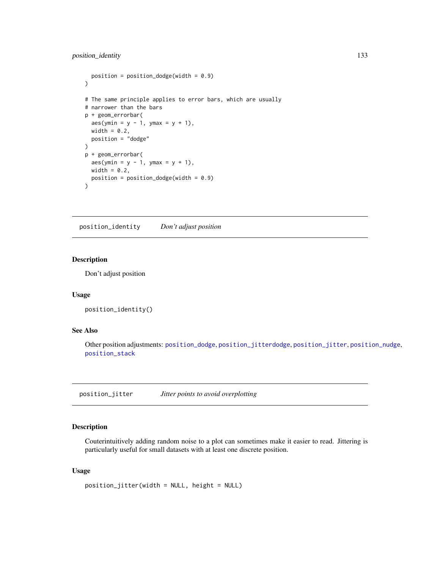## position\_identity 133

```
position = position\_dodge(width = 0.9)\mathcal{L}# The same principle applies to error bars, which are usually
# narrower than the bars
p + geom_errorbar(
  aes(ymin = y - 1, ymax = y + 1),width = 0.2,
  position = "dodge"
\lambdap + geom_errorbar(
  aes(ymin = y - 1, ymax = y + 1),width = 0.2,
  position = position\_dodge(width = 0.9)\mathcal{L}
```
<span id="page-132-0"></span>position\_identity *Don't adjust position*

#### Description

Don't adjust position

#### Usage

```
position_identity()
```
## See Also

Other position adjustments: [position\\_dodge](#page-131-0), [position\\_jitterdodge](#page-133-0), [position\\_jitter](#page-132-1), [position\\_nudge](#page-134-0), [position\\_stack](#page-135-0)

<span id="page-132-1"></span>position\_jitter *Jitter points to avoid overplotting*

## Description

Couterintuitively adding random noise to a plot can sometimes make it easier to read. Jittering is particularly useful for small datasets with at least one discrete position.

## Usage

```
position_jitter(width = NULL, height = NULL)
```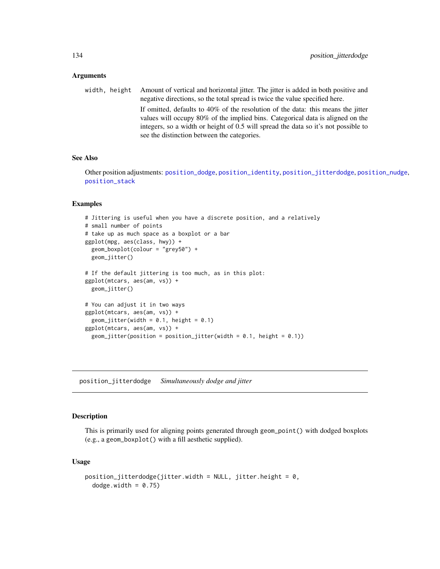#### Arguments

width, height Amount of vertical and horizontal jitter. The jitter is added in both positive and negative directions, so the total spread is twice the value specified here. If omitted, defaults to 40% of the resolution of the data: this means the jitter values will occupy 80% of the implied bins. Categorical data is aligned on the integers, so a width or height of 0.5 will spread the data so it's not possible to see the distinction between the categories.

## See Also

Other position adjustments: [position\\_dodge](#page-131-0), [position\\_identity](#page-132-0), [position\\_jitterdodge](#page-133-0), [position\\_nudge](#page-134-0), [position\\_stack](#page-135-0)

#### Examples

```
# Jittering is useful when you have a discrete position, and a relatively
# small number of points
# take up as much space as a boxplot or a bar
ggplot(mpg, aes(class, hwy)) +
 geom_boxplot(colour = "grey50") +
 geom_jitter()
# If the default jittering is too much, as in this plot:
ggplot(mtcars, aes(am, vs)) +
 geom_jitter()
# You can adjust it in two ways
ggplot(mtcars, aes(am, vs)) +
 geom_jitter(width = 0.1, height = 0.1)
ggplot(mtcars, aes(am, vs)) +
 geom_jitter(position = position_jitter(width = 0.1, height = 0.1))
```
<span id="page-133-0"></span>position\_jitterdodge *Simultaneously dodge and jitter*

#### Description

This is primarily used for aligning points generated through geom\_point() with dodged boxplots (e.g., a geom\_boxplot() with a fill aesthetic supplied).

#### Usage

```
position\_jitterdodge(jitter<u>.width = NULL, jitter.height = 0,</u>
  dodge.width = 0.75)
```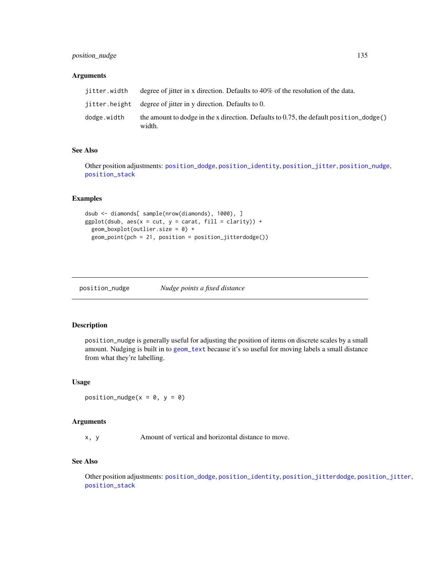## position\_nudge 135

#### **Arguments**

| jitter.width | degree of jitter in x direction. Defaults to $40\%$ of the resolution of the data.                        |
|--------------|-----------------------------------------------------------------------------------------------------------|
|              | jitter, height degree of jitter in y direction. Defaults to 0.                                            |
| dodge.width  | the amount to dodge in the x direction. Defaults to 0.75, the default position $\Delta$ dodge()<br>width. |

## See Also

Other position adjustments: [position\\_dodge](#page-131-0), [position\\_identity](#page-132-0), [position\\_jitter](#page-132-1), [position\\_nudge](#page-134-0), [position\\_stack](#page-135-0)

#### Examples

```
dsub <- diamonds[ sample(nrow(diamonds), 1000), ]
ggplot(dsub, aes(x = cut, y = carat, fill = clarity)) +geom_boxplot(outlier.size = 0) +
 geom_point(pch = 21, position = position_jitterdodge())
```
<span id="page-134-0"></span>position\_nudge *Nudge points a fixed distance*

## Description

position\_nudge is generally useful for adjusting the position of items on discrete scales by a small amount. Nudging is built in to [geom\\_text](#page-70-0) because it's so useful for moving labels a small distance from what they're labelling.

#### Usage

```
position_nudge(x = 0, y = 0)
```
#### Arguments

x, y Amount of vertical and horizontal distance to move.

## See Also

Other position adjustments: [position\\_dodge](#page-131-0), [position\\_identity](#page-132-0), [position\\_jitterdodge](#page-133-0), [position\\_jitter](#page-132-1), [position\\_stack](#page-135-0)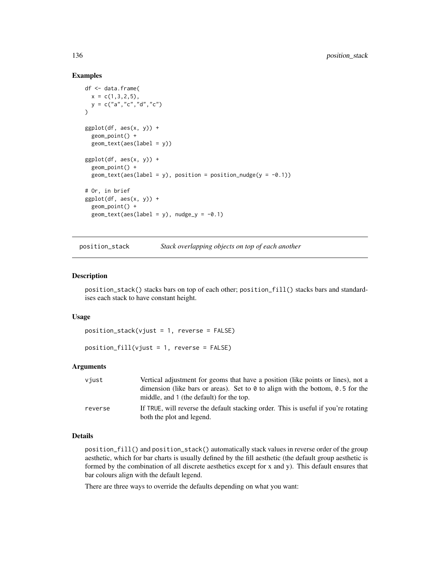#### Examples

```
df <- data.frame(
 x = c(1, 3, 2, 5),
  y = c("a", "c", "d", "c")\lambdaggplot(df, aes(x, y)) +
  geom_point() +
  geom_text(aes(label = y))
ggplot(df, aes(x, y)) +geom_point() +
  geom_text(aes(label = y), position = position_nudge(y = -0.1))
# Or, in brief
ggplot(df, aes(x, y)) +
  geom_point() +
  geom\_text(aes(label = y), nudge_y = -0.1)
```
<span id="page-135-0"></span>position\_stack *Stack overlapping objects on top of each another*

## Description

position\_stack() stacks bars on top of each other; position\_fill() stacks bars and standardises each stack to have constant height.

#### Usage

```
position_stack(vjust = 1, reverse = FALSE)
```
position\_fill(vjust = 1, reverse = FALSE)

## Arguments

| viust   | Vertical adjustment for geoms that have a position (like points or lines), not a<br>dimension (like bars or areas). Set to $\theta$ to align with the bottom, 0.5 for the<br>middle, and 1 (the default) for the top. |
|---------|-----------------------------------------------------------------------------------------------------------------------------------------------------------------------------------------------------------------------|
| reverse | If TRUE, will reverse the default stacking order. This is useful if you're rotating<br>both the plot and legend.                                                                                                      |

#### Details

position\_fill() and position\_stack() automatically stack values in reverse order of the group aesthetic, which for bar charts is usually defined by the fill aesthetic (the default group aesthetic is formed by the combination of all discrete aesthetics except for x and y). This default ensures that bar colours align with the default legend.

There are three ways to override the defaults depending on what you want: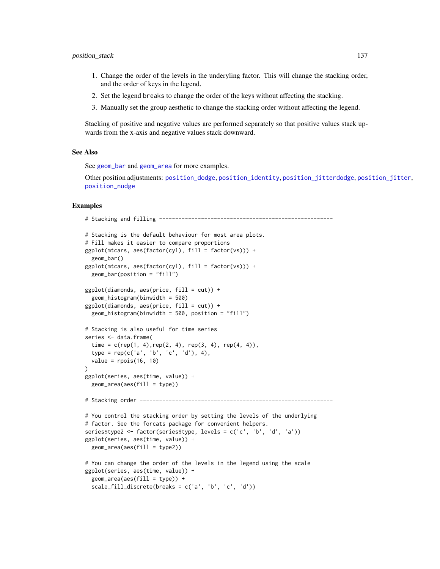#### position\_stack 137

- 1. Change the order of the levels in the underyling factor. This will change the stacking order, and the order of keys in the legend.
- 2. Set the legend breaks to change the order of the keys without affecting the stacking.
- 3. Manually set the group aesthetic to change the stacking order without affecting the legend.

Stacking of positive and negative values are performed separately so that positive values stack upwards from the x-axis and negative values stack downward.

#### See Also

See [geom\\_bar](#page-38-0) and [geom\\_area](#page-90-0) for more examples.

Other position adjustments: [position\\_dodge](#page-131-0), [position\\_identity](#page-132-0), [position\\_jitterdodge](#page-133-0), [position\\_jitter](#page-132-1), [position\\_nudge](#page-134-0)

```
# Stacking and filling ------------------------------------------------------
# Stacking is the default behaviour for most area plots.
# Fill makes it easier to compare proportions
ggplot(mtcars, aes(factor(cyl), fill = factor(vs))) +geom_bar()
ggplot(mtcars, aes(factor(cyl), fill = factor(vs))) +
 geom_bar(position = "fill")
ggplot(diamonds, aes(price, fill = cut)) +geom_histogram(binwidth = 500)
ggplot(diamonds, aes(price, fill = cut)) +geom_histogram(binwidth = 500, position = "fill")
# Stacking is also useful for time series
series <- data.frame(
 time = c(rep(1, 4), rep(2, 4), rep(3, 4), rep(4, 4)),type = rep(c('a', 'b', 'c', 'd'), 4),
 value = rpois(16, 10))
ggplot(series, aes(time, value)) +
 geom_area(aes(fill = type))
# Stacking order ------------------------------------------------------------
# You control the stacking order by setting the levels of the underlying
# factor. See the forcats package for convenient helpers.
series$type2 <- factor(series$type, levels = c('c', 'b', 'd', 'a'))
ggplot(series, aes(time, value)) +
 geom_area(aes(fill = type2))
# You can change the order of the levels in the legend using the scale
ggplot(series, aes(time, value)) +
 geom_area(aes(fill = type)) +scale_fill_discrete(breaks = c('a', 'b', 'c', 'd'))
```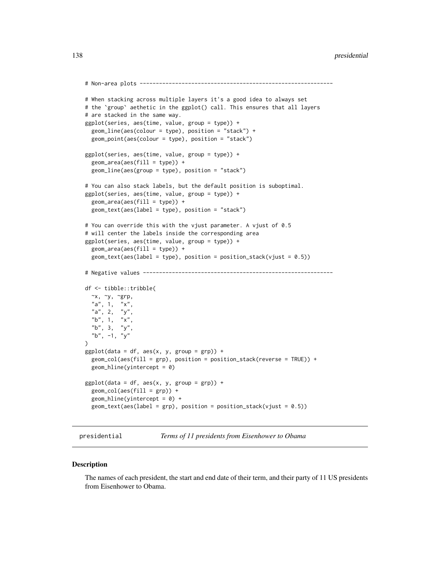```
# Non-area plots ------------------------------------------------------------
# When stacking across multiple layers it's a good idea to always set
# the `group` aethetic in the ggplot() call. This ensures that all layers
# are stacked in the same way.
ggplot(series, aes(time, value, group = type)) +
 geom_line(aes(colour = type), position = "stack") +
 geom_point(aes(colour = type), position = "stack")
ggplot(series, aes(time, value, group = type)) +
 geom_area(aes(fill = type)) +geom_line(aes(group = type), position = "stack")
# You can also stack labels, but the default position is suboptimal.
ggplot(series, aes(time, value, group = type)) +
 geom_area(aes(fill = type)) +
 geom_text(aes(label = type), position = "stack")
# You can override this with the vjust parameter. A vjust of 0.5
# will center the labels inside the corresponding area
ggplot(series, aes(time, value, group = type)) +
 geom_area(aes(fill = type)) +
 geom_text(aes(label = type), position = position_stack(vjust = 0.5))
# Negative values -----------------------------------------------------------
df <- tibble::tribble(
  \simx, \simy, \simgrp,
  "a", 1, "x",
 "a", 2, "y",
 "b", 1, "x","b", 3, "y",
  "b", -1, "y"
)
ggplot(data = df, aes(x, y, group = grp)) +geom_col(aes(fill = grp), position = position_stack(reverse = TRUE)) +
 geom_hline(yintercept = 0)
ggplot(data = df, aes(x, y, group = grp)) +geom\_col(aes(fill = grp)) +geom_hline(yintercept = 0) +
 geom_text(aes(label = grp), position = position_stack(vjust = 0.5))
```
presidential *Terms of 11 presidents from Eisenhower to Obama*

#### **Description**

The names of each president, the start and end date of their term, and their party of 11 US presidents from Eisenhower to Obama.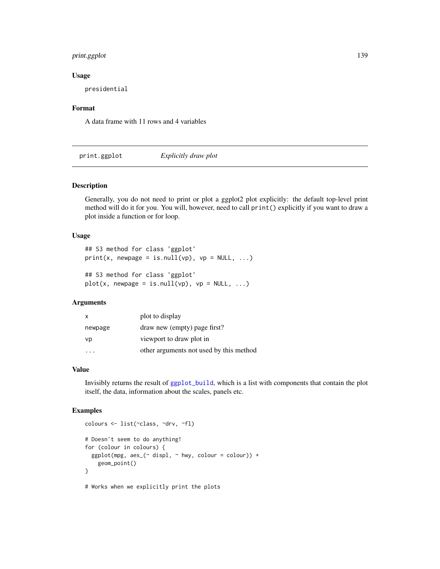## print.ggplot 139

#### Usage

presidential

#### Format

A data frame with 11 rows and 4 variables

print.ggplot *Explicitly draw plot*

## Description

Generally, you do not need to print or plot a ggplot2 plot explicitly: the default top-level print method will do it for you. You will, however, need to call print() explicitly if you want to draw a plot inside a function or for loop.

#### Usage

```
## S3 method for class 'ggplot'
print(x, newpage = is.null(vp), vp = NULL, ...)## S3 method for class 'ggplot'
```
# $plot(x, newpage = is.null(vp), vp = NULL, ...)$

## Arguments

| $\mathsf{x}$ | plot to display                         |
|--------------|-----------------------------------------|
| newpage      | draw new (empty) page first?            |
| vp           | viewport to draw plot in                |
|              | other arguments not used by this method |

## Value

Invisibly returns the result of [ggplot\\_build](#page-0-0), which is a list with components that contain the plot itself, the data, information about the scales, panels etc.

## Examples

```
colours <- list(~class, ~drv, ~fl)
# Doesn't seem to do anything!
for (colour in colours) {
  ggplot(mpg, aes_(~displ, ~hwy, colour = colour)) +geom_point()
}
```
# Works when we explicitly print the plots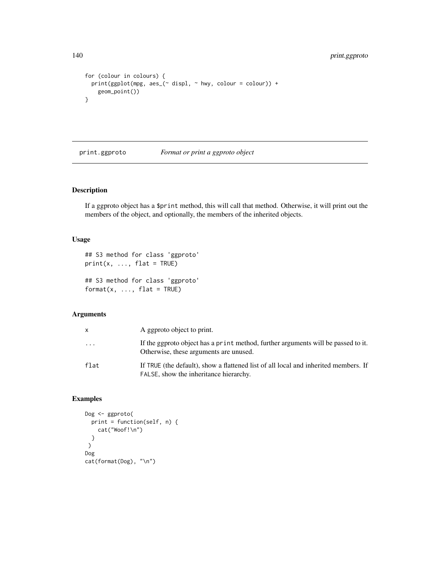```
for (colour in colours) {
  print(ggplot(mpg, aes_(~ displ, ~ hwy, colour = colour)) +
   geom_point())
}
```
print.ggproto *Format or print a ggproto object*

## Description

If a ggproto object has a \$print method, this will call that method. Otherwise, it will print out the members of the object, and optionally, the members of the inherited objects.

## Usage

```
## S3 method for class 'ggproto'
print(x, ..., flat = TRUE)
```
## S3 method for class 'ggproto'  $format(x, ..., flat = TRUE)$ 

## Arguments

| X        | A ggproto object to print.                                                                                                    |
|----------|-------------------------------------------------------------------------------------------------------------------------------|
| $\cdots$ | If the ggproto object has a print method, further arguments will be passed to it.<br>Otherwise, these arguments are unused.   |
| flat     | If TRUE (the default), show a flattened list of all local and inherited members. If<br>FALSE, show the inheritance hierarchy. |

```
Dog <- ggproto(
  print = function(self, n) {
   cat("Woof!\n")
  }
 )
Dog
cat(format(Dog), "\n")
```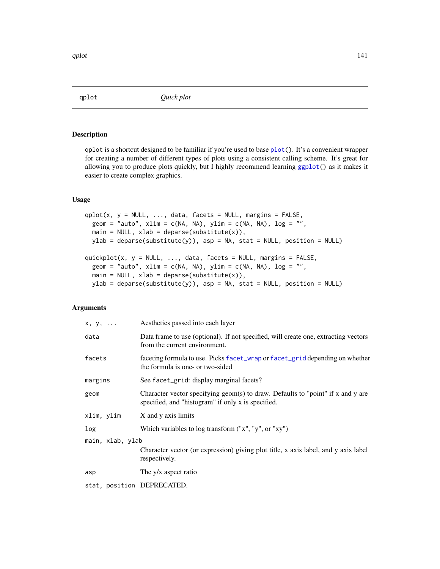## Description

qplot is a shortcut designed to be familiar if you're used to base  $plot()$  $plot()$ . It's a convenient wrapper for creating a number of different types of plots using a consistent calling scheme. It's great for allowing you to produce plots quickly, but I highly recommend learning [ggplot\(](#page-104-0)) as it makes it easier to create complex graphics.

#### Usage

```
qplot(x, y = NULL, ..., data, facets = NULL, margins = FALSE,geom = "auto", x \lim = c(NA, NA), y \lim = c(NA, NA), \log = "",main = NULL, xlab = deparse(substitute(x)),ylab = deparse(substitute(y)), asp = NA, stat = NULL, position = NULL)
quickplot(x, y = NULL, ..., data, facets = NULL, margins = FALSE,
  geom = "auto", xlim = c(NA, NA), ylim = c(NA, NA), log = "",
 main = NULL, xlab = deparse(substitute(x)),ylab = deparse(substitute(y)), asp = NA, stat = NULL, position = NULL)
```
## Arguments

| $x, y, \ldots$             | Aesthetics passed into each layer                                                                                                     |
|----------------------------|---------------------------------------------------------------------------------------------------------------------------------------|
| data                       | Data frame to use (optional). If not specified, will create one, extracting vectors<br>from the current environment.                  |
| facets                     | faceting formula to use. Picks facet_wrap or facet_grid depending on whether<br>the formula is one- or two-sided                      |
| margins                    | See facet_grid: display marginal facets?                                                                                              |
| geom                       | Character vector specifying geom(s) to draw. Defaults to "point" if x and y are<br>specified, and "histogram" if only x is specified. |
| xlim, ylim                 | X and y axis limits                                                                                                                   |
| log                        | Which variables to log transform $("x", "y", or "xy")$                                                                                |
| main, xlab, ylab           |                                                                                                                                       |
|                            | Character vector (or expression) giving plot title, x axis label, and y axis label<br>respectively.                                   |
| asp                        | The y/x aspect ratio                                                                                                                  |
| stat, position DEPRECATED. |                                                                                                                                       |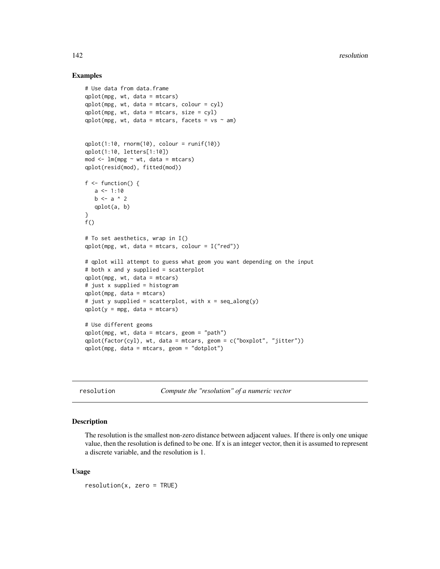#### Examples

```
# Use data from data.frame
qplot(mpg, wt, data = mtcars)
qplot(mpg, wt, data = mtcars, colour = cyl)qplot(mpg, wt, data = mtcars, size = cyl)
qplot(mpg, wt, data = mtcars, facets = vs \sim am)
qplot(1:10, rnorm(10), colour = runif(10))
qplot(1:10, letters[1:10])
mod < -1m(mpg \sim wt, data = mtcars)
qplot(resid(mod), fitted(mod))
f \leftarrow function() {
  a \le -1:10b \leq a \land 2qplot(a, b)
}
f()# To set aesthetics, wrap in I()
qplot(mpg, wt, data = mtcars, colour = I("red"))# qplot will attempt to guess what geom you want depending on the input
# both x and y supplied = scatterplot
qplot(mpg, wt, data = mtcars)
# just x supplied = histogram
qplot(mpg, data = mtcars)
# just y supplied = scatterplot, with x = \text{seq\_along}(y)qplot(y = mpg, data = mtcars)# Use different geoms
qplot(mpg, wt, data = mtcars, geom = "path")
qplot(factor(cyl), wt, data = mtcars, geom = c("boxplot", "jitter"))
qplot(mpg, data = mtcars, geom = "dotplot")
```

|--|

Compute the "resolution" of a numeric vector

## Description

The resolution is the smallest non-zero distance between adjacent values. If there is only one unique value, then the resolution is defined to be one. If x is an integer vector, then it is assumed to represent a discrete variable, and the resolution is 1.

#### Usage

resolution(x, zero = TRUE)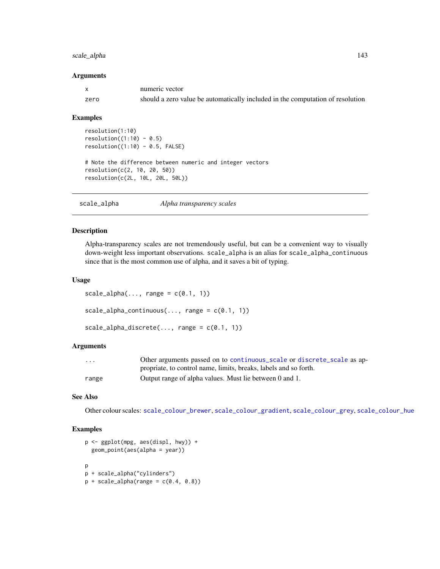## scale\_alpha 143

#### **Arguments**

|      | numeric vector                                                                 |
|------|--------------------------------------------------------------------------------|
| zero | should a zero value be automatically included in the computation of resolution |

## Examples

```
resolution(1:10)
resolution((1:10) - 0.5)resolution((1:10) - 0.5, FALSE)# Note the difference between numeric and integer vectors
resolution(c(2, 10, 20, 50))
resolution(c(2L, 10L, 20L, 50L))
```
scale\_alpha *Alpha transparency scales*

#### Description

Alpha-transparency scales are not tremendously useful, but can be a convenient way to visually down-weight less important observations. scale\_alpha is an alias for scale\_alpha\_continuous since that is the most common use of alpha, and it saves a bit of typing.

## Usage

```
scale\_alpha(..., range = c(0.1, 1))scale_alpha_continuous(..., range = c(0.1, 1))scale\_alpha\_discrete(..., range = c(0.1, 1))
```
## Arguments

| $\cdot$ $\cdot$ $\cdot$ | Other arguments passed on to continuous_scale or discrete_scale as ap- |
|-------------------------|------------------------------------------------------------------------|
|                         | propriate, to control name, limits, breaks, labels and so forth.       |
| range                   | Output range of alpha values. Must lie between 0 and 1.                |

## See Also

Other colour scales: [scale\\_colour\\_brewer](#page-143-0), [scale\\_colour\\_gradient](#page-145-0), [scale\\_colour\\_grey](#page-147-0), [scale\\_colour\\_hue](#page-148-0)

```
p <- ggplot(mpg, aes(displ, hwy)) +
  geom_point(aes(alpha = year))
p
p + scale_alpha("cylinders")
p + scale_{al}pha(range = c(0.4, 0.8))
```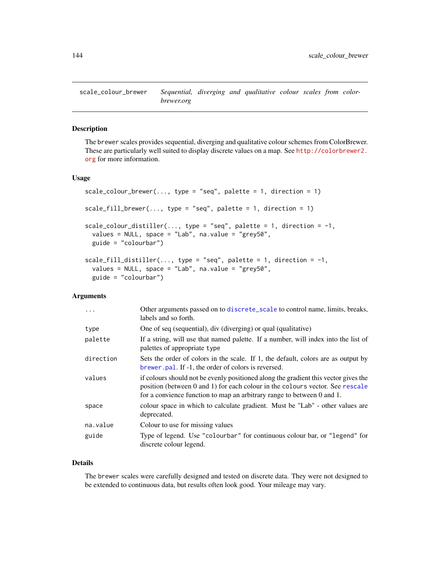<span id="page-143-0"></span>scale\_colour\_brewer *Sequential, diverging and qualitative colour scales from colorbrewer.org*

#### Description

The brewer scales provides sequential, diverging and qualitative colour schemes from ColorBrewer. These are particularly well suited to display discrete values on a map. See [http://colorbrewer2.](http://colorbrewer2.org) [org](http://colorbrewer2.org) for more information.

#### Usage

```
scale_colour_brewer(..., type = "seq", palette = 1, direction = 1)
scale_fill_brewer(..., type = "seq", palette = 1, direction = 1)
scale_colour_distiller(..., type = "seq", palette = 1, direction = -1,
 values = NULL, space = "Lab", na.value = "grey50",
 guide = "colourbar")
scale_fill_distiller(..., type = "seq", palette = 1, direction = -1,
  values = NULL, space = "Lab", na.value = "grey50",
  guide = "colourbar")
```
## Arguments

| .         | Other arguments passed on to discrete_scale to control name, limits, breaks,<br>labels and so forth.                                                                                                                                           |
|-----------|------------------------------------------------------------------------------------------------------------------------------------------------------------------------------------------------------------------------------------------------|
| type      | One of seq (sequential), div (diverging) or qual (qualitative)                                                                                                                                                                                 |
| palette   | If a string, will use that named palette. If a number, will index into the list of<br>palettes of appropriate type                                                                                                                             |
| direction | Sets the order of colors in the scale. If 1, the default, colors are as output by<br>brewer.pal. If -1, the order of colors is reversed.                                                                                                       |
| values    | if colours should not be evenly positioned along the gradient this vector gives the<br>position (between 0 and 1) for each colour in the colours vector. See rescale<br>for a convience function to map an arbitrary range to between 0 and 1. |
| space     | colour space in which to calculate gradient. Must be "Lab" - other values are<br>deprecated.                                                                                                                                                   |
| na.value  | Colour to use for missing values                                                                                                                                                                                                               |
| guide     | Type of legend. Use "colourbar" for continuous colour bar, or "legend" for<br>discrete colour legend.                                                                                                                                          |

## Details

The brewer scales were carefully designed and tested on discrete data. They were not designed to be extended to continuous data, but results often look good. Your mileage may vary.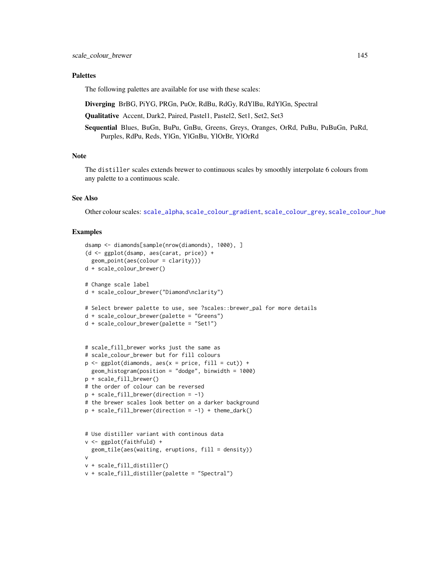## **Palettes**

The following palettes are available for use with these scales:

Diverging BrBG, PiYG, PRGn, PuOr, RdBu, RdGy, RdYlBu, RdYlGn, Spectral

Qualitative Accent, Dark2, Paired, Pastel1, Pastel2, Set1, Set2, Set3

Sequential Blues, BuGn, BuPu, GnBu, Greens, Greys, Oranges, OrRd, PuBu, PuBuGn, PuRd, Purples, RdPu, Reds, YlGn, YlGnBu, YlOrBr, YlOrRd

## Note

The distiller scales extends brewer to continuous scales by smoothly interpolate 6 colours from any palette to a continuous scale.

#### See Also

Other colour scales: [scale\\_alpha](#page-142-0), [scale\\_colour\\_gradient](#page-145-0), [scale\\_colour\\_grey](#page-147-0), [scale\\_colour\\_hue](#page-148-0)

```
dsamp <- diamonds[sample(nrow(diamonds), 1000), ]
(d <- ggplot(dsamp, aes(carat, price)) +
  geom_point(aes(colour = clarity)))
d + scale_colour_brewer()
# Change scale label
d + scale_colour_brewer("Diamond\nclarity")
# Select brewer palette to use, see ?scales::brewer_pal for more details
d + scale_colour_brewer(palette = "Greens")
d + scale_colour_brewer(palette = "Set1")
# scale_fill_brewer works just the same as
# scale_colour_brewer but for fill colours
p \leftarrow ggplot(diamonds, aes(x = price, fill = cut)) +
 geom_histogram(position = "dodge", binwidth = 1000)
p + scale_fill_brewer()
# the order of colour can be reversed
p + scale_fill_brewer(direction = -1)
# the brewer scales look better on a darker background
p + scale_fill_brewer(direction = -1) + themedark()# Use distiller variant with continous data
v <- ggplot(faithfuld) +
  geom_tile(aes(waiting, eruptions, fill = density))
v
v + scale_fill_distiller()
v + scale_fill_distiller(palette = "Spectral")
```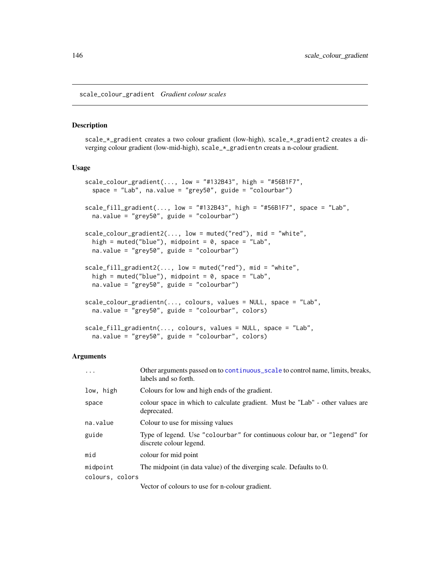<span id="page-145-0"></span>scale\_colour\_gradient *Gradient colour scales*

#### Description

scale\_\*\_gradient creates a two colour gradient (low-high), scale\_\*\_gradient2 creates a diverging colour gradient (low-mid-high), scale\_\*\_gradientn creats a n-colour gradient.

#### Usage

```
scale\_colour\_gradient(..., low = "#132B43", high = "#56B1F7",space = "Lab", na.value = "grey50", guide = "colourbar")
scale_fill_gradient(..., low = "#132B43", high = "#56B1F7", space = "Lab",
 na.value = "grey50", guide = "colourbar")
scale_colour_gradient2(..., low = muted("red"), mid = "white",
 high = muted("blue"), midpoint = 0, space = "Lab",
 na.value = "grey50", guide = "colourbar")
scale_fill\_gradient2(..., low = muted("red"), mid = "white",high = muted("blue"), midpoint = 0, space = "Lab",
 na.value = "grey50", guide = "colourbar")
scale_colour_gradientn(..., colours, values = NULL, space = "Lab",
  na.value = "grey50", guide = "colourbar", colors)
scale_fill_gradientn(..., colours, values = NULL, space = "Lab",
```
## na.value = "grey50", guide = "colourbar", colors)

| .               | Other arguments passed on to continuous_scale to control name, limits, breaks,<br>labels and so forth. |
|-----------------|--------------------------------------------------------------------------------------------------------|
| low, high       | Colours for low and high ends of the gradient.                                                         |
| space           | colour space in which to calculate gradient. Must be "Lab" - other values are<br>deprecated.           |
| na.value        | Colour to use for missing values                                                                       |
| guide           | Type of legend. Use "colourbar" for continuous colour bar, or "legend" for<br>discrete colour legend.  |
| mid             | colour for mid point                                                                                   |
| midpoint        | The midpoint (in data value) of the diverging scale. Defaults to 0.                                    |
| colours, colors |                                                                                                        |
|                 | Vector of colours to use for n-colour gradient.                                                        |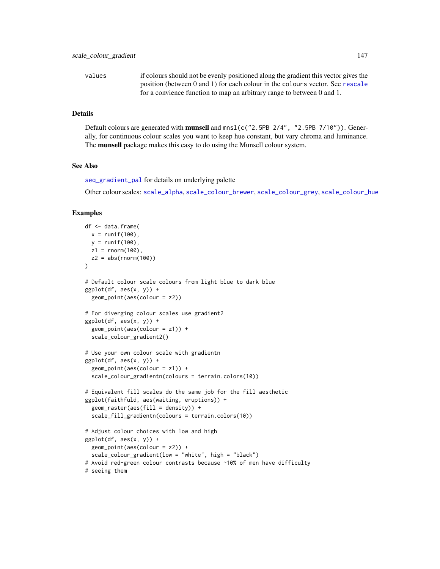values if colours should not be evenly positioned along the gradient this vector gives the position (between 0 and 1) for each colour in the colours vector. See [rescale](#page-0-0) for a convience function to map an arbitrary range to between 0 and 1.

#### Details

Default colours are generated with **munsell** and  $mnsl$  (c( $"2.5PB$  2/4",  $"2.5PB$  7/10")). Generally, for continuous colour scales you want to keep hue constant, but vary chroma and luminance. The **munsell** package makes this easy to do using the Munsell colour system.

## See Also

[seq\\_gradient\\_pal](#page-0-0) for details on underlying palette

Other colour scales: [scale\\_alpha](#page-142-0), [scale\\_colour\\_brewer](#page-143-0), [scale\\_colour\\_grey](#page-147-0), [scale\\_colour\\_hue](#page-148-0)

```
df <- data.frame(
  x = runif(100),
  y = runif(100),
  z1 = rnorm(100),
  z2 = abs(rnorm(100)))
# Default colour scale colours from light blue to dark blue
ggplot(df, aes(x, y)) +geom_point(aes(colour = z2))
# For diverging colour scales use gradient2
ggplot(df, aes(x, y)) +geom_point(aes(colour = z1)) +
  scale_colour_gradient2()
# Use your own colour scale with gradientn
ggplot(df, aes(x, y)) +geom_point(aes(colour = z1)) +
  scale_colour_gradientn(colours = terrain.colors(10))
# Equivalent fill scales do the same job for the fill aesthetic
ggplot(faithfuld, aes(waiting, eruptions)) +
  geom_raster(aes(fill = density)) +
  scale_fill_gradientn(colours = terrain.colors(10))
# Adjust colour choices with low and high
ggplot(df, aes(x, y)) +geom_point(aes(colour = z2)) +
  scale_colour_gradient(low = "white", high = "black")
# Avoid red-green colour contrasts because ~10% of men have difficulty
# seeing them
```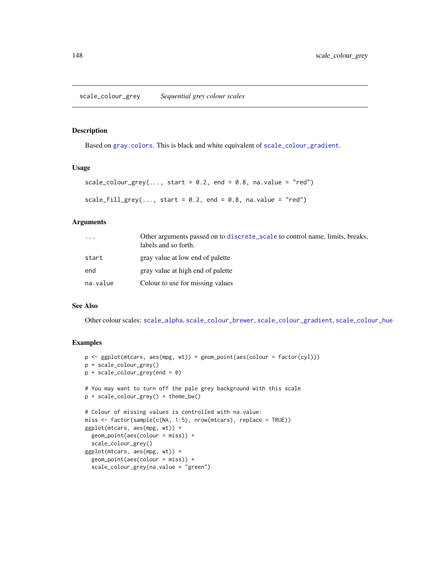<span id="page-147-0"></span>Based on [gray.colors](#page-0-0). This is black and white equivalent of [scale\\_colour\\_gradient](#page-145-0).

#### Usage

```
scale\_colour\_grey(..., start = 0.2, end = 0.8, na.value = "red")
```

```
scale_fill\_grey(..., start = 0.2, end = 0.8, na.value = "red")
```
#### Arguments

| $\cdots$ | Other arguments passed on to discrete_scale to control name, limits, breaks,<br>labels and so forth. |
|----------|------------------------------------------------------------------------------------------------------|
| start    | gray value at low end of palette                                                                     |
| end      | gray value at high end of palette                                                                    |
| na.value | Colour to use for missing values                                                                     |

## See Also

Other colour scales: [scale\\_alpha](#page-142-0), [scale\\_colour\\_brewer](#page-143-0), [scale\\_colour\\_gradient](#page-145-0), [scale\\_colour\\_hue](#page-148-0)

```
p <- ggplot(mtcars, aes(mpg, wt)) + geom_point(aes(colour = factor(cyl)))
p + scale_colour_grey()
p + scale_colour_grey(end = 0)
# You may want to turn off the pale grey background with this scale
p + scale_colour_grey() + theme_bw()
# Colour of missing values is controlled with na.value:
miss <- factor(sample(c(NA, 1:5), nrow(mtcars), replace = TRUE))
ggplot(mtcars, aes(mpg, wt)) +
  geom_point(aes(colour = miss)) +
  scale_colour_grey()
ggplot(mtcars, aes(mpg, wt)) +
  geom_point(aes(colour = miss)) +
  scale_colour_grey(na.value = "green")
```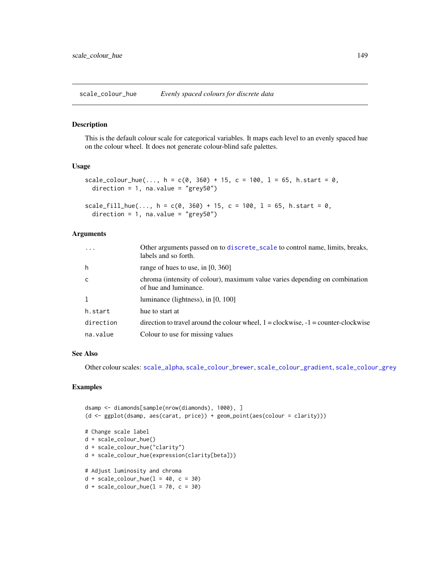<span id="page-148-0"></span>scale\_colour\_hue *Evenly spaced colours for discrete data*

#### Description

This is the default colour scale for categorical variables. It maps each level to an evenly spaced hue on the colour wheel. It does not generate colour-blind safe palettes.

#### Usage

```
scale_colour_hue(..., h = c(0, 360) + 15, c = 100, l = 65, h.start = 0,
 direction = 1, na.value = "grey50")
```

```
scale_fill\_hue(..., h = c(0, 360) + 15, c = 100, l = 65, h.start = 0,direction = 1, na.value = "grey50")
```
# Arguments

| $\ddots$  | Other arguments passed on to discrete_scale to control name, limits, breaks,<br>labels and so forth. |
|-----------|------------------------------------------------------------------------------------------------------|
| h         | range of hues to use, in $[0, 360]$                                                                  |
| C         | chroma (intensity of colour), maximum value varies depending on combination<br>of hue and luminance. |
| 1         | luminance (lightness), in $[0, 100]$                                                                 |
| h.start   | hue to start at                                                                                      |
| direction | direction to travel around the colour wheel, $1 =$ clockwise, $-1 =$ counter-clockwise               |
| na.value  | Colour to use for missing values                                                                     |

## See Also

Other colour scales: [scale\\_alpha](#page-142-0), [scale\\_colour\\_brewer](#page-143-0), [scale\\_colour\\_gradient](#page-145-0), [scale\\_colour\\_grey](#page-147-0)

```
dsamp <- diamonds[sample(nrow(diamonds), 1000), ]
(d <- ggplot(dsamp, aes(carat, price)) + geom_point(aes(colour = clarity)))
# Change scale label
d + scale_colour_hue()
d + scale_colour_hue("clarity")
d + scale_colour_hue(expression(clarity[beta]))
# Adjust luminosity and chroma
d + scale\_colour\_hue(1 = 40, c = 30)d + scale\_colour\_hue(1 = 70, c = 30)
```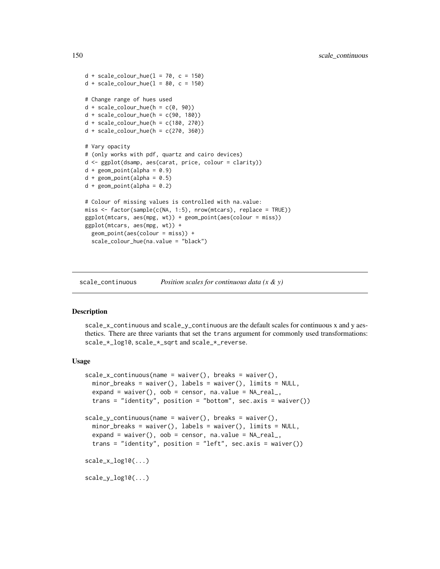```
d + scale\_colour\_hue(1 = 70, c = 150)d + scale_{colour_{hue}(l = 80, c = 150)}# Change range of hues used
d + scale\_colour\_hue(h = c(0, 90))d + scale\_colour\_hue(h = c(90, 180))d + scale\_colour\_hue(h = c(180, 270))d + scale\_colour\_hue(h = c(270, 360))# Vary opacity
# (only works with pdf, quartz and cairo devices)
d <- ggplot(dsamp, aes(carat, price, colour = clarity))
d + geom\_point(alpha = 0.9)d + geom\_point(alpha = 0.5)d + geom\_point(alpha = 0.2)# Colour of missing values is controlled with na.value:
miss <- factor(sample(c(NA, 1:5), nrow(mtcars), replace = TRUE))
ggplot(mtcars, aes(mpg, wt)) + geom_point(aes(colour = miss))
ggplot(mtcars, aes(mpg, wt)) +
 geom_point(aes(colour = miss)) +
 scale_colour_hue(na.value = "black")
```
scale\_continuous *Position scales for continuous data (x & y)*

#### <span id="page-149-0"></span>Description

scale\_x\_continuous and scale\_y\_continuous are the default scales for continuous x and y aesthetics. There are three variants that set the trans argument for commonly used transformations: scale\_\*\_log10, scale\_\*\_sqrt and scale\_\*\_reverse.

#### Usage

```
scale_x_{continuous(name = waire(), breaks = waire(),minor_breaks = waiver(), labels = waiver(), limits = NULL,
  expand = waiver(), oob = censor, na.value = NA_{real},
  trans = "identity", position = "bottom", sec.axis = waiver())
scale_y_continuous(name = waiver(), breaks = waiver(),
  minor_breaks = waiver(), labels = waiver(), limits = NULL,
  expand = waiver(), oob = censor, na.value = NA_real_,trans = "identity", position = "left", sec. axis = wavier()scale_x_log10(...)scale_y_log10(...)
```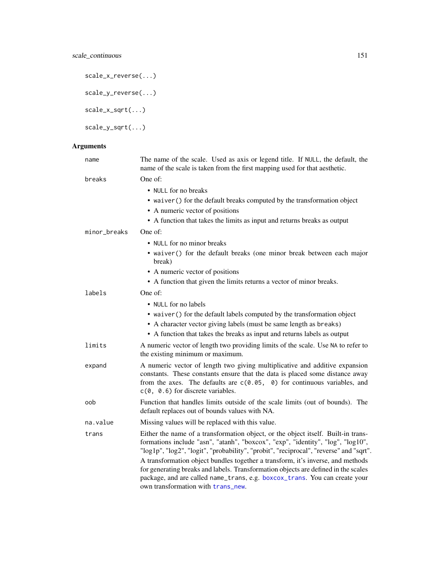```
scale_x_reverse(...)
scale_y_reverse(...)
scale_x_sqrt(...)
scale_y_sqrt(...)
```

| name         | The name of the scale. Used as axis or legend title. If NULL, the default, the<br>name of the scale is taken from the first mapping used for that aesthetic.                                                                                                                              |
|--------------|-------------------------------------------------------------------------------------------------------------------------------------------------------------------------------------------------------------------------------------------------------------------------------------------|
| breaks       | One of:                                                                                                                                                                                                                                                                                   |
|              | • NULL for no breaks<br>• waiver () for the default breaks computed by the transformation object<br>• A numeric vector of positions                                                                                                                                                       |
|              | • A function that takes the limits as input and returns breaks as output                                                                                                                                                                                                                  |
| minor_breaks | One of:                                                                                                                                                                                                                                                                                   |
|              | • NULL for no minor breaks                                                                                                                                                                                                                                                                |
|              | • waiver() for the default breaks (one minor break between each major<br>break)                                                                                                                                                                                                           |
|              | • A numeric vector of positions                                                                                                                                                                                                                                                           |
|              | • A function that given the limits returns a vector of minor breaks.                                                                                                                                                                                                                      |
| labels       | One of:                                                                                                                                                                                                                                                                                   |
|              | • NULL for no labels                                                                                                                                                                                                                                                                      |
|              | • waiver () for the default labels computed by the transformation object                                                                                                                                                                                                                  |
|              | • A character vector giving labels (must be same length as breaks)                                                                                                                                                                                                                        |
|              | • A function that takes the breaks as input and returns labels as output                                                                                                                                                                                                                  |
| limits       | A numeric vector of length two providing limits of the scale. Use NA to refer to<br>the existing minimum or maximum.                                                                                                                                                                      |
| expand       | A numeric vector of length two giving multiplicative and additive expansion<br>constants. These constants ensure that the data is placed some distance away<br>from the axes. The defaults are $c(0.05, 0)$ for continuous variables, and<br>$c(0, 0.6)$ for discrete variables.          |
| oob          | Function that handles limits outside of the scale limits (out of bounds). The<br>default replaces out of bounds values with NA.                                                                                                                                                           |
| na.value     | Missing values will be replaced with this value.                                                                                                                                                                                                                                          |
| trans        | Either the name of a transformation object, or the object itself. Built-in trans-<br>formations include "asn", "atanh", "boxcox", "exp", "identity", "log", "log10",<br>"log1p", "log2", "logit", "probability", "probit", "reciprocal", "reverse" and "sqrt".                            |
|              | A transformation object bundles together a transform, it's inverse, and methods<br>for generating breaks and labels. Transformation objects are defined in the scales<br>package, and are called name_trans, e.g. boxcox_trans. You can create your<br>own transformation with trans_new. |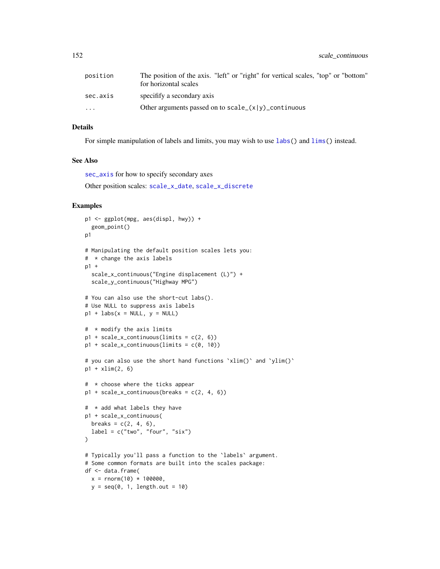| position                | The position of the axis. "left" or "right" for vertical scales, "top" or "bottom"<br>for horizontal scales |
|-------------------------|-------------------------------------------------------------------------------------------------------------|
| sec.axis                | specifity a secondary axis                                                                                  |
| $\cdot$ $\cdot$ $\cdot$ | Other arguments passed on to scale_ $(x y)$ _continuous                                                     |

## Details

For simple manipulation of labels and limits, you may wish to use  $\text{labs}()$  and  $\text{lims}()$  instead.

#### See Also

[sec\\_axis](#page-162-0) for how to specify secondary axes

Other position scales: [scale\\_x\\_date](#page-152-0), [scale\\_x\\_discrete](#page-160-0)

```
p1 <- ggplot(mpg, aes(displ, hwy)) +
  geom_point()
p1
# Manipulating the default position scales lets you:
# * change the axis labels
p1 +
  scale_x_continuous("Engine displacement (L)") +
  scale_y_continuous("Highway MPG")
# You can also use the short-cut labs().
# Use NULL to suppress axis labels
p1 + \text{ labs}(x = \text{NULL}, y = \text{NULL})# * modify the axis limits
p1 + scale_x_continuous(limits = c(2, 6))p1 + scale_xjcontinuous(limits = c(0, 10))
# you can also use the short hand functions `xlim()` and `ylim()`
p1 + xlim(2, 6)# * choose where the ticks appear
p1 + scale_x_{continuous(breaks = c(2, 4, 6))# * add what labels they have
p1 + scale_x_continuous(
  breaks = c(2, 4, 6),label = c("two", "four", "six"))
# Typically you'll pass a function to the `labels` argument.
# Some common formats are built into the scales package:
df <- data.frame(
 x = rnorm(10) * 100000,
 y = seq(0, 1, length.out = 10)
```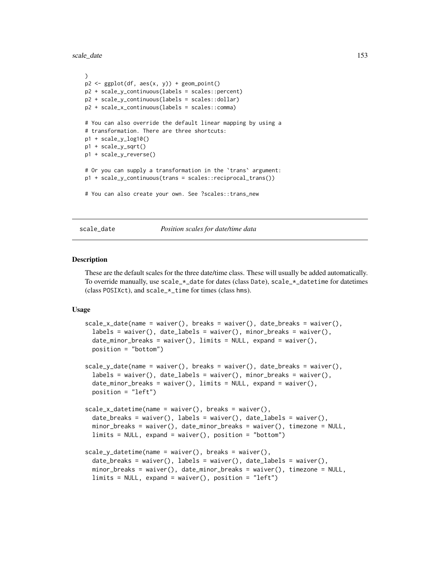scale\_date 153

```
)
p2 \leq-ggplot(df, aes(x, y)) + geom\_point()p2 + scale_y_continuous(labels = scales::percent)
p2 + scale_y_continuous(labels = scales::dollar)
p2 + scale_x_continuous(labels = scales::comma)
# You can also override the default linear mapping by using a
# transformation. There are three shortcuts:
p1 + scale_y_log10()
p1 + scale_y_sqrt()
p1 + scale_y_reverse()
# Or you can supply a transformation in the `trans` argument:
p1 + scale_y_continuous(trans = scales::reciprocal_trans())
# You can also create your own. See ?scales::trans_new
```
scale\_date *Position scales for date/time data*

#### <span id="page-152-0"></span>Description

These are the default scales for the three date/time class. These will usually be added automatically. To override manually, use scale\_\*\_date for dates (class Date), scale\_\*\_datetime for datetimes (class POSIXct), and scale\_\*\_time for times (class hms).

#### Usage

```
scale_x_data(name = waiver(), breaks = waiver(), date_breaks = waiver(),labels = waitver(), date_labels = waitver(), minor_breaks = waitver(),date_minor_breaks = waiver(), limits = NULL, expand = waiver(),
 position = "bottom")
scale_y_data(name = waiver(), breaks = waiver(), date_breaks = waiver(),labeleds = waiver(), date_labels = waiver(), minor_breaks = waiver(),date_minor_breaks = waiver(), limits = NULL, expand = waiver(),
 position = "left")
scale_x_datetime(name = waiver(), breaks = waiver(),
 date_breaks = waiver(), labels = waiver(), date_labels = waiver(),
 minor_breaks = waiver(), date_minor_breaks = waiver(), timezone = NULL,
 limits = NULL, expand = waiver(), position = "bottom")
scale_y_datatime(name = waire(), breaks = waire(),date_breaks = waiver(), labels = waiver(), date_labels = waiver(),
 minor_breaks = waiver(), date_minor_breaks = waiver(), timezone = NULL,
 limits = NULL, expand = waiver(), position = "left")
```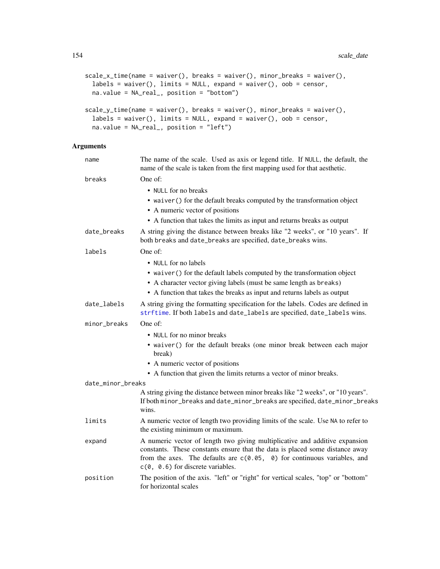```
scale_x_time(name = wavier(), \text{breaks = waire(), \text{minor\_breaks = waire(), \text{cdot}})labels = wavier(), limits = NULL, expand = waire(), oob = censor,na.value = NA_real_, position = "bottom")
```

```
scale_y_time(name = waiver(), breaks = waiver(), minor_breaks = waiver(),
  labels = wavier(), limits = NULL, expand = waire(), oob = censor,na.value = NA_real_, position = "left")
```

| name              | The name of the scale. Used as axis or legend title. If NULL, the default, the<br>name of the scale is taken from the first mapping used for that aesthetic.                                                                                                                     |
|-------------------|----------------------------------------------------------------------------------------------------------------------------------------------------------------------------------------------------------------------------------------------------------------------------------|
| breaks            | One of:                                                                                                                                                                                                                                                                          |
|                   | • NULL for no breaks                                                                                                                                                                                                                                                             |
|                   | • waiver () for the default breaks computed by the transformation object                                                                                                                                                                                                         |
|                   | • A numeric vector of positions                                                                                                                                                                                                                                                  |
|                   | • A function that takes the limits as input and returns breaks as output                                                                                                                                                                                                         |
| date_breaks       | A string giving the distance between breaks like "2 weeks", or "10 years". If<br>both breaks and date_breaks are specified, date_breaks wins.                                                                                                                                    |
| labels            | One of:                                                                                                                                                                                                                                                                          |
|                   | • NULL for no labels                                                                                                                                                                                                                                                             |
|                   | • waiver () for the default labels computed by the transformation object<br>• A character vector giving labels (must be same length as breaks)                                                                                                                                   |
|                   | • A function that takes the breaks as input and returns labels as output                                                                                                                                                                                                         |
| date_labels       | A string giving the formatting specification for the labels. Codes are defined in<br>strftime. If both labels and date_labels are specified, date_labels wins.                                                                                                                   |
| minor_breaks      | One of:                                                                                                                                                                                                                                                                          |
|                   | • NULL for no minor breaks                                                                                                                                                                                                                                                       |
|                   | • waiver () for the default breaks (one minor break between each major<br>break)                                                                                                                                                                                                 |
|                   | • A numeric vector of positions                                                                                                                                                                                                                                                  |
|                   | • A function that given the limits returns a vector of minor breaks.                                                                                                                                                                                                             |
| date_minor_breaks |                                                                                                                                                                                                                                                                                  |
|                   | A string giving the distance between minor breaks like "2 weeks", or "10 years".<br>If both minor_breaks and date_minor_breaks are specified, date_minor_breaks<br>wins.                                                                                                         |
| limits            | A numeric vector of length two providing limits of the scale. Use NA to refer to<br>the existing minimum or maximum.                                                                                                                                                             |
| expand            | A numeric vector of length two giving multiplicative and additive expansion<br>constants. These constants ensure that the data is placed some distance away<br>from the axes. The defaults are $c(0.05, 0)$ for continuous variables, and<br>$c(0, 0.6)$ for discrete variables. |
| position          | The position of the axis. "left" or "right" for vertical scales, "top" or "bottom"<br>for horizontal scales                                                                                                                                                                      |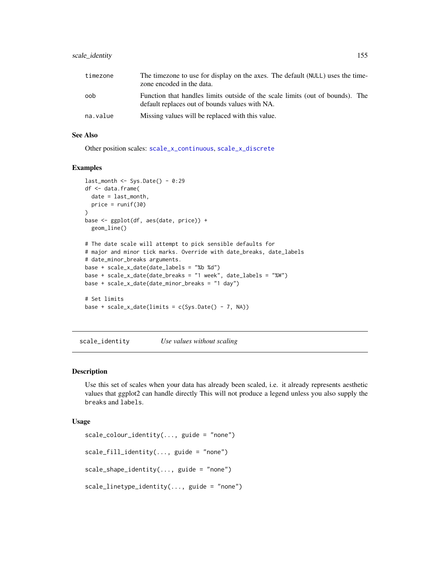## scale\_identity 155

| timezone | The timezone to use for display on the axes. The default (NULL) uses the time-<br>zone encoded in the data.                     |
|----------|---------------------------------------------------------------------------------------------------------------------------------|
| oob      | Function that handles limits outside of the scale limits (out of bounds). The<br>default replaces out of bounds values with NA. |
| na.value | Missing values will be replaced with this value.                                                                                |

## See Also

Other position scales: [scale\\_x\\_continuous](#page-149-0), [scale\\_x\\_discrete](#page-160-0)

#### Examples

```
last_month <- Sys.Date() - 0:29
df <- data.frame(
  date = last_month,
 price = runif(30))
base <- ggplot(df, aes(date, price)) +
  geom_line()
# The date scale will attempt to pick sensible defaults for
# major and minor tick marks. Override with date_breaks, date_labels
# date_minor_breaks arguments.
base + scale_x_date(date_labels = "%b %d")
base + scale_x_date(date_breaks = "1 week", date_labels = "%W")
base + scale_x_date(date_minor_breaks = "1 day")
# Set limits
base + scale_x_date(limits = c(Sys.DataFrame() - 7, NA))
```
scale\_identity *Use values without scaling*

## Description

Use this set of scales when your data has already been scaled, i.e. it already represents aesthetic values that ggplot2 can handle directly This will not produce a legend unless you also supply the breaks and labels.

#### Usage

```
scale_colour_identity(..., guide = "none")
scale_fill_identity(..., guide = "none")scale_shape_identity(..., guide = "none")
scale_linetype_identity(..., guide = "none")
```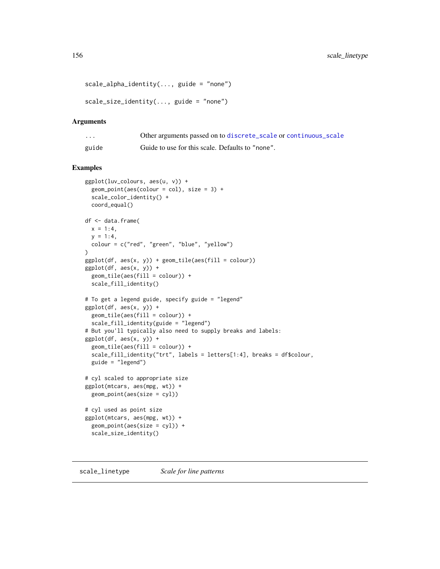```
scale_alpha_identity(..., guide = "none")
```
 $scale\_size\_identity(..., guide = "none")$ 

#### Arguments

| .     | Other arguments passed on to discrete_scale or continuous_scale |
|-------|-----------------------------------------------------------------|
| guide | Guide to use for this scale. Defaults to "none".                |

#### Examples

```
ggplot(luv_colours, aes(u, v)) +
  geom\_point(aes(colour = col), size = 3) +scale_color_identity() +
  coord_equal()
df <- data.frame(
 x = 1:4,
  y = 1:4,
  colour = c("red", "green", "blue", "yellow")
\mathcal{L}ggplot(df, aes(x, y)) + geom\_tile(aes(fill = colour))ggplot(df, aes(x, y)) +
  geom_tile(aes(fill = colour)) +
  scale_fill_identity()
# To get a legend guide, specify guide = "legend"
ggplot(df, aes(x, y)) +geom_tile(aes(fill = colour)) +
  scale_fill_identity(guide = "legend")
# But you'll typically also need to supply breaks and labels:
ggplot(df, aes(x, y)) +geom_tile(aes(fill = colour)) +
  scale_fill_identity("trt", labels = letters[1:4], breaks = df$colour,
  guide = "legend")
# cyl scaled to appropriate size
ggplot(mtcars, aes(mpg, wt)) +
  geom_point(aes(size = cyl))
# cyl used as point size
ggplot(mtcars, aes(mpg, wt)) +
  geom_point(aes(size = cyl)) +
  scale_size_identity()
```
#### scale\_linetype *Scale for line patterns*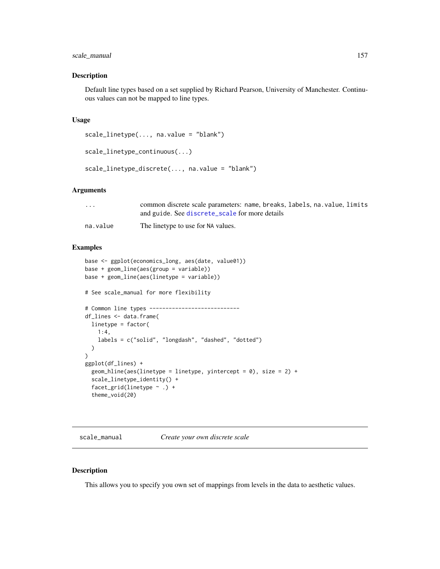## scale\_manual 157

#### Description

Default line types based on a set supplied by Richard Pearson, University of Manchester. Continuous values can not be mapped to line types.

#### Usage

```
scale_linetype(..., na.value = "blank")
```

```
scale_linetype_continuous(...)
```

```
scale_linetype_discrete(..., na.value = "blank")
```
#### Arguments

| $\cdot$ $\cdot$ $\cdot$ | common discrete scale parameters: name, breaks, labels, na. value, limits |
|-------------------------|---------------------------------------------------------------------------|
|                         | and guide. See discrete_scale for more details                            |
| na.value                | The linetype to use for NA values.                                        |

## Examples

```
base <- ggplot(economics_long, aes(date, value01))
base + geom_line(aes(group = variable))
base + geom_line(aes(linetype = variable))
# See scale_manual for more flexibility
# Common line types ----------------------------
df_lines <- data.frame(
 linetype = factor(
    1:4,
    labels = c("solid", "longdash", "dashed", "dotted")
  )
\mathcal{L}ggplot(df_lines) +
  geom_hline(aes(linetype = linetype, yintercept = 0), size = 2) +
  scale_linetype_identity() +
  facet_grid(linetype ~ .) +
  theme_void(20)
```
scale\_manual *Create your own discrete scale*

## <span id="page-156-0"></span>Description

This allows you to specify you own set of mappings from levels in the data to aesthetic values.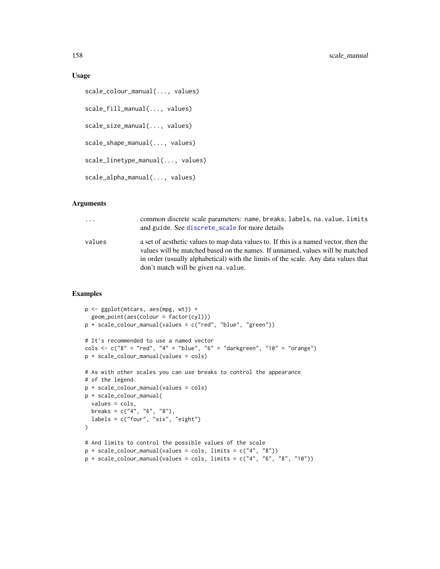#### Usage

```
scale_colour_manual(..., values)
scale_fill_manual(..., values)
scale_size_manual(..., values)
scale_shape_manual(..., values)
scale_linetype_manual(..., values)
scale_alpha_manual(..., values)
```
#### Arguments

| $\cdots$ | common discrete scale parameters: name, breaks, labels, na. value, limits<br>and guide. See discrete_scale for more details                                                                                                                                                                         |
|----------|-----------------------------------------------------------------------------------------------------------------------------------------------------------------------------------------------------------------------------------------------------------------------------------------------------|
| values   | a set of aesthetic values to map data values to. If this is a named vector, then the<br>values will be matched based on the names. If unnamed, values will be matched<br>in order (usually alphabetical) with the limits of the scale. Any data values that<br>don't match will be given na. value. |

```
p <- ggplot(mtcars, aes(mpg, wt)) +
  geom_point(aes(colour = factor(cyl)))
p + scale_colour_manual(values = c("red", "blue", "green"))
# It's recommended to use a named vector
cols <- c("8" = "red", "4" = "blue", "6" = "darkgreen", "10" = "orange")
p + scale_colour_manual(values = cols)
# As with other scales you can use breaks to control the appearance
# of the legend.
p + scale_colour_manual(values = cols)
p + scale_colour_manual(
  values = cols,
 breaks = c("4", "6", "8"),
  labels = c("four", "six", "eight")\lambda# And limits to control the possible values of the scale
p + scale_colour_manual(values = cols, limits = c("4", "8"))
p + scale\_colour\_manual(vvalues = obs, limits = c("4", "6", "8", "10"))
```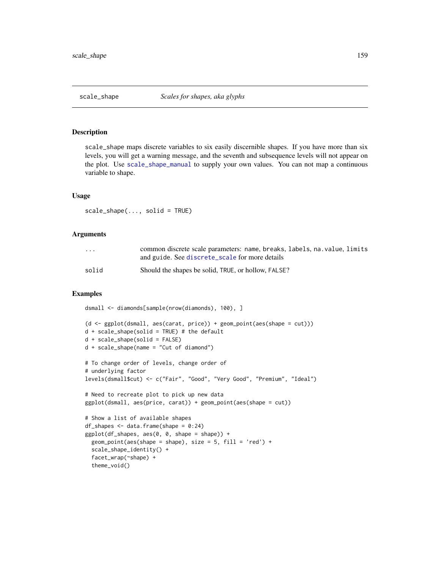scale\_shape maps discrete variables to six easily discernible shapes. If you have more than six levels, you will get a warning message, and the seventh and subsequence levels will not appear on the plot. Use [scale\\_shape\\_manual](#page-156-0) to supply your own values. You can not map a continuous variable to shape.

#### Usage

scale\_shape(..., solid = TRUE)

#### Arguments

| $\cdot$ $\cdot$ $\cdot$ | common discrete scale parameters: name, breaks, labels, na. value, limits<br>and guide. See discrete_scale for more details |
|-------------------------|-----------------------------------------------------------------------------------------------------------------------------|
| solid                   | Should the shapes be solid, TRUE, or hollow, FALSE?                                                                         |

#### Examples

dsmall <- diamonds[sample(nrow(diamonds), 100), ]

```
(d <- ggplot(dsmall, aes(carat, price)) + geom_point(aes(shape = cut)))
d + scale_shape(solid = TRUE) # the default
d + scale_shape(solid = FALSE)
d + scale_shape(name = "Cut of diamond")
# To change order of levels, change order of
# underlying factor
levels(dsmall$cut) <- c("Fair", "Good", "Very Good", "Premium", "Ideal")
```

```
# Need to recreate plot to pick up new data
ggplot(dsmall, aes(price, carat)) + geom_point(aes(shape = cut))
```

```
# Show a list of available shapes
df_shapes \leq data.frame(shape = 0:24)
ggplot(df_shapes, aes(0, 0, shape = shape)) +geom\_point(aes(shape = shape), size = 5, fill = 'red') +scale_shape_identity() +
 facet_wrap(~shape) +
 theme_void()
```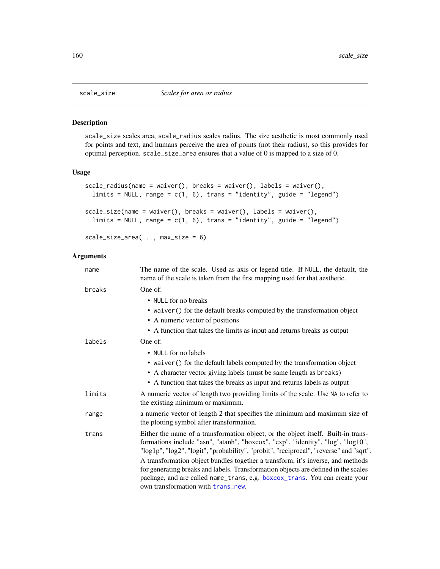scale\_size scales area, scale\_radius scales radius. The size aesthetic is most commonly used for points and text, and humans perceive the area of points (not their radius), so this provides for optimal perception. scale\_size\_area ensures that a value of 0 is mapped to a size of 0.

#### Usage

```
scale_radius(name = waiver(), breaks = waiver(), labels = waiver(),
 limits = NULL, range = c(1, 6), trans = "identity", guide = "legend")
scale_size(name = waiver(), breaks = waiver(), labels = waiver(),
 limits = NULL, range = c(1, 6), trans = "identity", guide = "legend")
```
 $scale_size_area(..., max_size = 6)$ 

| name   | The name of the scale. Used as axis or legend title. If NULL, the default, the<br>name of the scale is taken from the first mapping used for that aesthetic.                                                                                                                              |
|--------|-------------------------------------------------------------------------------------------------------------------------------------------------------------------------------------------------------------------------------------------------------------------------------------------|
| breaks | One of:                                                                                                                                                                                                                                                                                   |
|        | • NULL for no breaks<br>• waiver () for the default breaks computed by the transformation object<br>• A numeric vector of positions<br>• A function that takes the limits as input and returns breaks as output                                                                           |
| labels | One of:                                                                                                                                                                                                                                                                                   |
|        | • NULL for no labels<br>• waiver () for the default labels computed by the transformation object<br>• A character vector giving labels (must be same length as breaks)<br>• A function that takes the breaks as input and returns labels as output                                        |
| limits | A numeric vector of length two providing limits of the scale. Use NA to refer to<br>the existing minimum or maximum.                                                                                                                                                                      |
| range  | a numeric vector of length 2 that specifies the minimum and maximum size of<br>the plotting symbol after transformation.                                                                                                                                                                  |
| trans  | Either the name of a transformation object, or the object itself. Built-in trans-<br>formations include "asn", "atanh", "boxcox", "exp", "identity", "log", "log10",<br>"log1p", "log2", "logit", "probability", "probit", "reciprocal", "reverse" and "sqrt".                            |
|        | A transformation object bundles together a transform, it's inverse, and methods<br>for generating breaks and labels. Transformation objects are defined in the scales<br>package, and are called name_trans, e.g. boxcox_trans. You can create your<br>own transformation with trans_new. |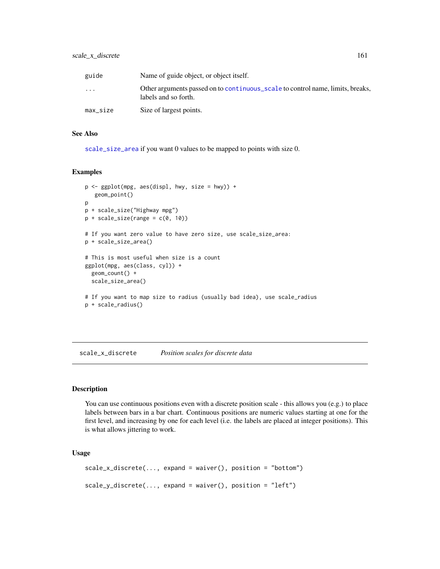| guide     | Name of guide object, or object itself.                                                                |
|-----------|--------------------------------------------------------------------------------------------------------|
| $\ddotsc$ | Other arguments passed on to continuous_scale to control name, limits, breaks,<br>labels and so forth. |
| max_size  | Size of largest points.                                                                                |

#### See Also

[scale\\_size\\_area](#page-159-0) if you want 0 values to be mapped to points with size 0.

#### Examples

```
p <- ggplot(mpg, aes(displ, hwy, size = hwy)) +
   geom_point()
p
p + scale_size("Highway mpg")
p + scale\_size(range = c(0, 10))# If you want zero value to have zero size, use scale_size_area:
p + scale_size_area()
# This is most useful when size is a count
ggplot(mpg, aes(class, cyl)) +
  geom_count() +
  scale_size_area()
# If you want to map size to radius (usually bad idea), use scale_radius
p + scale_radius()
```
<span id="page-160-0"></span>scale\_x\_discrete *Position scales for discrete data*

#### Description

You can use continuous positions even with a discrete position scale - this allows you (e.g.) to place labels between bars in a bar chart. Continuous positions are numeric values starting at one for the first level, and increasing by one for each level (i.e. the labels are placed at integer positions). This is what allows jittering to work.

#### Usage

```
scale_x_discrete(..., expand = waire(), position = "bottom")scale_y_discrete(..., expand = waiver(), position = "left")
```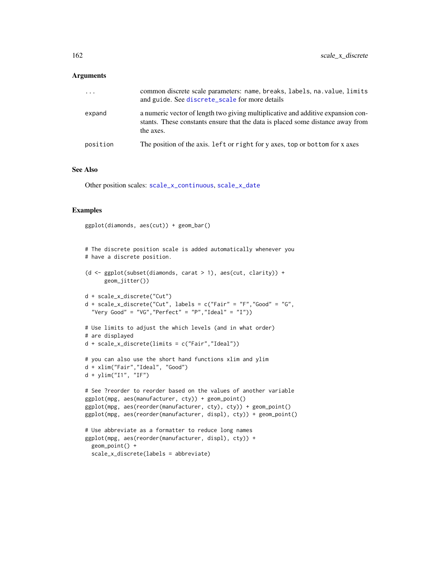#### **Arguments**

| $\cdot$  | common discrete scale parameters: name, breaks, labels, na. value, limits<br>and guide. See discrete_scale for more details                                                     |
|----------|---------------------------------------------------------------------------------------------------------------------------------------------------------------------------------|
| expand   | a numeric vector of length two giving multiplicative and additive expansion con-<br>stants. These constants ensure that the data is placed some distance away from<br>the axes. |
| position | The position of the axis. left or right for y axes, top or bottom for x axes                                                                                                    |

## See Also

Other position scales: [scale\\_x\\_continuous](#page-149-0), [scale\\_x\\_date](#page-152-0)

#### Examples

ggplot(diamonds, aes(cut)) + geom\_bar()

```
# The discrete position scale is added automatically whenever you
# have a discrete position.
```

```
(d <- ggplot(subset(diamonds, carat > 1), aes(cut, clarity)) +
     geom_jitter())
```

```
d + scale_x_discrete("Cut")
d + scale_x_discrete("Cut", labels = c("Fair" = "F","Good" = "G",
 "Very Good" = "VG", "Perfect" = "P", "Ideal" = "I"))
```

```
# Use limits to adjust the which levels (and in what order)
# are displayed
d + scale_x_discrete(limits = c("Fair","Ideal"))
```

```
# you can also use the short hand functions xlim and ylim
d + xlim("Fair","Ideal", "Good")
d + ylim("I1", "IF")
```

```
# See ?reorder to reorder based on the values of another variable
ggplot(mpg, aes(manufacturer, cty)) + geom_point()
ggplot(mpg, aes(reorder(manufacturer, cty), cty)) + geom_point()
ggplot(mpg, aes(reorder(manufacturer, displ), cty)) + geom_point()
```

```
# Use abbreviate as a formatter to reduce long names
ggplot(mpg, aes(reorder(manufacturer, displ), cty)) +
 geom_point() +
 scale_x_discrete(labels = abbreviate)
```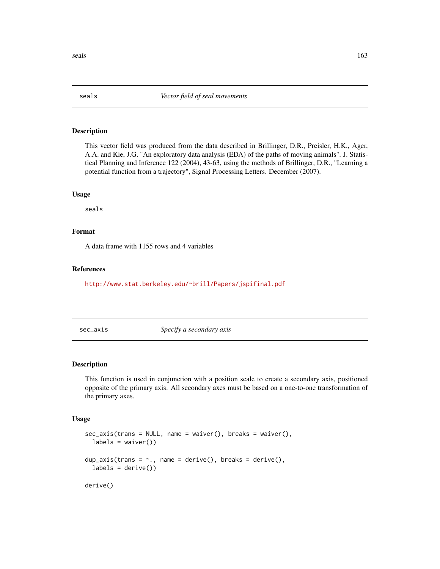This vector field was produced from the data described in Brillinger, D.R., Preisler, H.K., Ager, A.A. and Kie, J.G. "An exploratory data analysis (EDA) of the paths of moving animals". J. Statistical Planning and Inference 122 (2004), 43-63, using the methods of Brillinger, D.R., "Learning a potential function from a trajectory", Signal Processing Letters. December (2007).

#### Usage

seals

#### Format

A data frame with 1155 rows and 4 variables

#### References

<http://www.stat.berkeley.edu/~brill/Papers/jspifinal.pdf>

<span id="page-162-0"></span>sec\_axis *Specify a secondary axis*

## Description

This function is used in conjunction with a position scale to create a secondary axis, positioned opposite of the primary axis. All secondary axes must be based on a one-to-one transformation of the primary axes.

#### Usage

```
sec_axis(trains = NULL, name = waire(), breaks = waire(),labels = waire()dup_axis(trans = \sim., name = derive(), breaks = derive(),
  labels = derive()derive()
```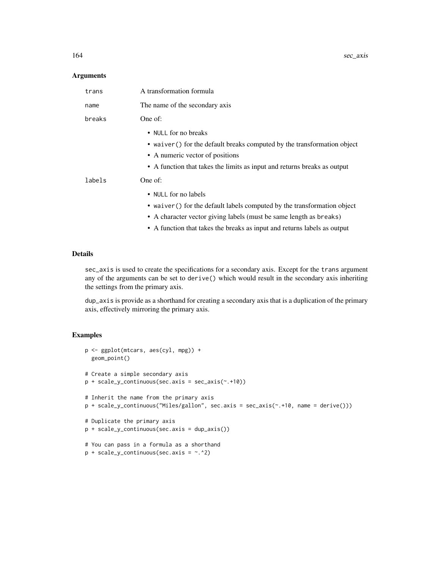#### Arguments

| trans  | A transformation formula                                                                                                                                                                                                                                      |
|--------|---------------------------------------------------------------------------------------------------------------------------------------------------------------------------------------------------------------------------------------------------------------|
| name   | The name of the secondary axis                                                                                                                                                                                                                                |
| breaks | One of:                                                                                                                                                                                                                                                       |
|        | • NULL for no breaks<br>• waiver () for the default breaks computed by the transformation object<br>• A numeric vector of positions<br>• A function that takes the limits as input and returns breaks as output                                               |
| labels | One of:<br>• NULL for no labels<br>• waiver () for the default labels computed by the transformation object<br>• A character vector giving labels (must be same length as breaks)<br>• A function that takes the breaks as input and returns labels as output |

## Details

sec\_axis is used to create the specifications for a secondary axis. Except for the trans argument any of the arguments can be set to derive() which would result in the secondary axis inheriting the settings from the primary axis.

dup\_axis is provide as a shorthand for creating a secondary axis that is a duplication of the primary axis, effectively mirroring the primary axis.

```
p <- ggplot(mtcars, aes(cyl, mpg)) +
 geom_point()
# Create a simple secondary axis
p + scale_y_{continuous(sec. axis = sec_axis(*. +10))# Inherit the name from the primary axis
p + scale_y_continuous("Miles/gallon", sec.axis = sec_axis(~.+10, name = derive()))
# Duplicate the primary axis
p + scale_y_continuous(sec.axis = dup_axis())
# You can pass in a formula as a shorthand
p + scale_y_{continuous(sec. axis = ~. ^2)
```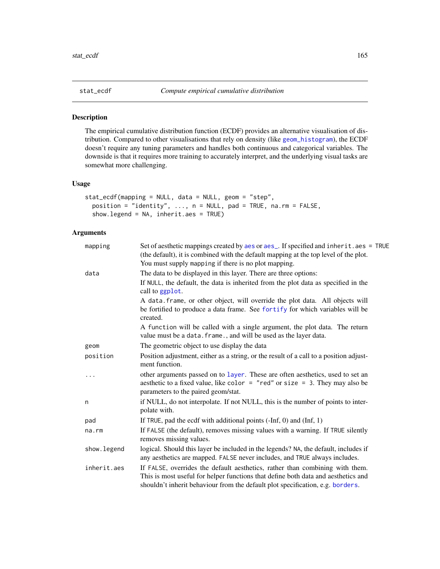The empirical cumulative distribution function (ECDF) provides an alternative visualisation of distribution. Compared to other visualisations that rely on density (like [geom\\_histogram](#page-63-0)), the ECDF doesn't require any tuning parameters and handles both continuous and categorical variables. The downside is that it requires more training to accurately interpret, and the underlying visual tasks are somewhat more challenging.

#### Usage

```
stat_ecdf(mapping = NULL, data = NULL, geom = "step",
 position = "identity", \dots, n = NULL, pad = TRUE, na.rm = FALSE,
  show.legend = NA, inherit.aes = TRUE)
```

| mapping      | Set of aesthetic mappings created by aes or aes_. If specified and inherit.aes = TRUE<br>(the default), it is combined with the default mapping at the top level of the plot.<br>You must supply mapping if there is no plot mapping.               |
|--------------|-----------------------------------------------------------------------------------------------------------------------------------------------------------------------------------------------------------------------------------------------------|
| data         | The data to be displayed in this layer. There are three options:                                                                                                                                                                                    |
|              | If NULL, the default, the data is inherited from the plot data as specified in the<br>call to ggplot.                                                                                                                                               |
|              | A data. frame, or other object, will override the plot data. All objects will<br>be fortified to produce a data frame. See fortify for which variables will be<br>created.                                                                          |
|              | A function will be called with a single argument, the plot data. The return<br>value must be a data. frame., and will be used as the layer data.                                                                                                    |
| geom         | The geometric object to use display the data                                                                                                                                                                                                        |
| position     | Position adjustment, either as a string, or the result of a call to a position adjust-<br>ment function.                                                                                                                                            |
|              | other arguments passed on to layer. These are often aesthetics, used to set an<br>aesthetic to a fixed value, like color = "red" or size = 3. They may also be<br>parameters to the paired geom/stat.                                               |
| n            | if NULL, do not interpolate. If not NULL, this is the number of points to inter-<br>polate with.                                                                                                                                                    |
| pad          | If TRUE, pad the ecdf with additional points $(-Inf, 0)$ and $(Inf, 1)$                                                                                                                                                                             |
| na.rm        | If FALSE (the default), removes missing values with a warning. If TRUE silently<br>removes missing values.                                                                                                                                          |
| show. legend | logical. Should this layer be included in the legends? NA, the default, includes if<br>any aesthetics are mapped. FALSE never includes, and TRUE always includes.                                                                                   |
| inherit.aes  | If FALSE, overrides the default aesthetics, rather than combining with them.<br>This is most useful for helper functions that define both data and aesthetics and<br>shouldn't inherit behaviour from the default plot specification, e.g. borders. |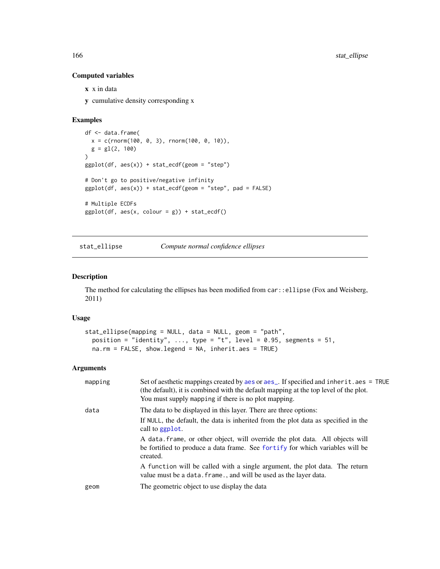## Computed variables

x x in data

y cumulative density corresponding x

## Examples

```
df <- data.frame(
  x = c(rnorm(100, 0, 3), rnorm(100, 0, 10)),g = gl(2, 100))
ggplot(df, aes(x)) + stat_ccdf(geom = "step")# Don't go to positive/negative infinity
ggplot(df, aes(x)) + stat_ecdf(geom = "step", pad = FALSE)
# Multiple ECDFs
ggplot(df, aes(x, colour = g)) + stat_ecdf()
```
stat\_ellipse *Compute normal confidence ellipses*

## Description

The method for calculating the ellipses has been modified from car::ellipse (Fox and Weisberg, 2011)

#### Usage

```
stat_ellipse(mapping = NULL, data = NULL, geom = "path",
 position = "identity", ..., type = "t", level = 0.95, segments = 51,
 na.rm = FALSE, show.legend = NA, inherit.aes = TRUE)
```

| mapping | Set of aesthetic mappings created by aes or aes <sub>-</sub> . If specified and inherit.aes = TRUE<br>(the default), it is combined with the default mapping at the top level of the plot.<br>You must supply mapping if there is no plot mapping. |
|---------|----------------------------------------------------------------------------------------------------------------------------------------------------------------------------------------------------------------------------------------------------|
| data    | The data to be displayed in this layer. There are three options:                                                                                                                                                                                   |
|         | If NULL, the default, the data is inherited from the plot data as specified in the<br>call to ggplot.                                                                                                                                              |
|         | A data frame, or other object, will override the plot data. All objects will<br>be fortified to produce a data frame. See fortify for which variables will be<br>created.                                                                          |
|         | A function will be called with a single argument, the plot data. The return<br>value must be a data. frame., and will be used as the layer data.                                                                                                   |
| geom    | The geometric object to use display the data                                                                                                                                                                                                       |
|         |                                                                                                                                                                                                                                                    |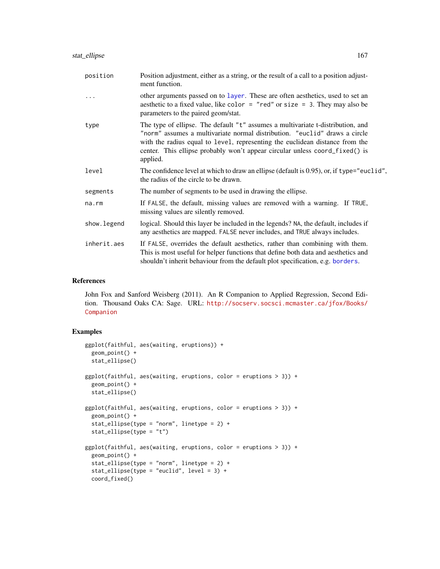| position     | Position adjustment, either as a string, or the result of a call to a position adjust-<br>ment function.                                                                                                                                                                                                                                 |
|--------------|------------------------------------------------------------------------------------------------------------------------------------------------------------------------------------------------------------------------------------------------------------------------------------------------------------------------------------------|
| $\ddots$     | other arguments passed on to layer. These are often aesthetics, used to set an<br>aesthetic to a fixed value, like color = "red" or size = 3. They may also be<br>parameters to the paired geom/stat.                                                                                                                                    |
| type         | The type of ellipse. The default "t" assumes a multivariate t-distribution, and<br>"norm" assumes a multivariate normal distribution. "euclid" draws a circle<br>with the radius equal to level, representing the euclidean distance from the<br>center. This ellipse probably won't appear circular unless coord_fixed() is<br>applied. |
| level        | The confidence level at which to draw an ellipse (default is 0.95), or, if type="euclid",<br>the radius of the circle to be drawn.                                                                                                                                                                                                       |
| segments     | The number of segments to be used in drawing the ellipse.                                                                                                                                                                                                                                                                                |
| $na$ . $rm$  | If FALSE, the default, missing values are removed with a warning. If TRUE,<br>missing values are silently removed.                                                                                                                                                                                                                       |
| show. legend | logical. Should this layer be included in the legends? NA, the default, includes if<br>any aesthetics are mapped. FALSE never includes, and TRUE always includes.                                                                                                                                                                        |
| inherit.aes  | If FALSE, overrides the default aesthetics, rather than combining with them.<br>This is most useful for helper functions that define both data and aesthetics and<br>shouldn't inherit behaviour from the default plot specification, e.g. borders.                                                                                      |

#### References

John Fox and Sanford Weisberg (2011). An R Companion to Applied Regression, Second Edition. Thousand Oaks CA: Sage. URL: [http://socserv.socsci.mcmaster.ca/jfox/Books/](http://socserv.socsci.mcmaster.ca/jfox/Books/Companion) [Companion](http://socserv.socsci.mcmaster.ca/jfox/Books/Companion)

```
ggplot(faithful, aes(waiting, eruptions)) +
  geom_point() +
  stat_ellipse()
ggplot(faithful, aes(waiting, eruptions, color = eruptions > 3)) +
  geom_point() +
  stat_ellipse()
ggplot(faithful, aes(waiting, eruptions, color = eruptions > 3)) +
  geom_point() +
  stat_ellipse(type = "norm", linetype = 2) +
  stat_ellipse(type = "t")
ggplot(faithful, aes(waiting, eruptions, color = eruptions > 3)) +
  geom_point() +
  stat_ellipse(type = "norm", linetype = 2) +
  stat_ellipse(type = "euclid", level = 3) +
  coord_fixed()
```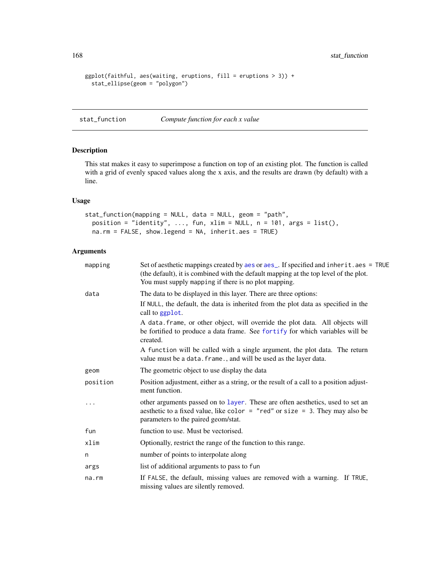```
ggplot(faithful, aes(waiting, eruptions, fill = eruptions > 3)) +stat_ellipse(geom = "polygon")
```
stat\_function *Compute function for each x value*

## Description

This stat makes it easy to superimpose a function on top of an existing plot. The function is called with a grid of evenly spaced values along the x axis, and the results are drawn (by default) with a line.

## Usage

```
stat_function(mapping = NULL, data = NULL, geom = "path",
 position = "identity", ..., fun, xlim = NULL, n = 101, args = list(),
 na.rm = FALSE, show.legend = NA, inherit.aes = TRUE)
```

| mapping                 | Set of aesthetic mappings created by aes or aes_. If specified and inherit.aes = TRUE<br>(the default), it is combined with the default mapping at the top level of the plot.<br>You must supply mapping if there is no plot mapping. |
|-------------------------|---------------------------------------------------------------------------------------------------------------------------------------------------------------------------------------------------------------------------------------|
| data                    | The data to be displayed in this layer. There are three options:                                                                                                                                                                      |
|                         | If NULL, the default, the data is inherited from the plot data as specified in the<br>call to ggplot.                                                                                                                                 |
|                         | A data frame, or other object, will override the plot data. All objects will<br>be fortified to produce a data frame. See fortify for which variables will be<br>created.                                                             |
|                         | A function will be called with a single argument, the plot data. The return<br>value must be a data. frame., and will be used as the layer data.                                                                                      |
| geom                    | The geometric object to use display the data                                                                                                                                                                                          |
| position                | Position adjustment, either as a string, or the result of a call to a position adjust-<br>ment function.                                                                                                                              |
| $\cdot$ $\cdot$ $\cdot$ | other arguments passed on to layer. These are often aesthetics, used to set an<br>aesthetic to a fixed value, like color = "red" or size = 3. They may also be<br>parameters to the paired geom/stat.                                 |
| fun                     | function to use. Must be vectorised.                                                                                                                                                                                                  |
| xlim                    | Optionally, restrict the range of the function to this range.                                                                                                                                                                         |
| n                       | number of points to interpolate along                                                                                                                                                                                                 |
| args                    | list of additional arguments to pass to fun                                                                                                                                                                                           |
| $na$ . $rm$             | If FALSE, the default, missing values are removed with a warning. If TRUE,<br>missing values are silently removed.                                                                                                                    |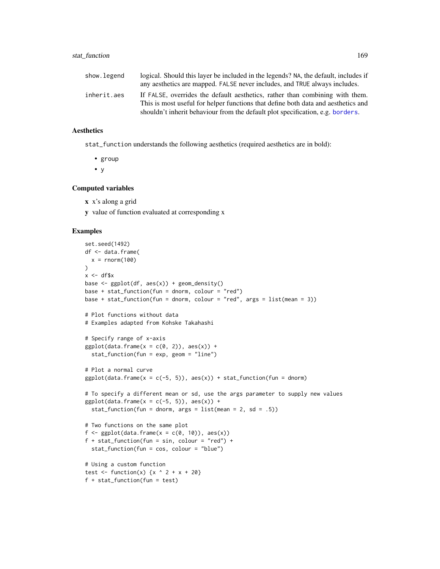| show.legend | logical. Should this layer be included in the legends? NA, the default, includes if                                                                               |
|-------------|-------------------------------------------------------------------------------------------------------------------------------------------------------------------|
|             | any aesthetics are mapped. FALSE never includes, and TRUE always includes.                                                                                        |
| inherit.aes | If FALSE, overrides the default aesthetics, rather than combining with them.<br>This is most useful for helper functions that define both data and aesthetics and |
|             | shouldn't inherit behaviour from the default plot specification, e.g. borders.                                                                                    |

#### Aesthetics

stat\_function understands the following aesthetics (required aesthetics are in bold):

• group

• y

#### Computed variables

- x x's along a grid
- y value of function evaluated at corresponding x

```
set.seed(1492)
df <- data.frame(
 x = rnorm(100)\lambdax < -df$x
base <- ggplot(df, aes(x)) + geom_density()
base + stat_function(fun = dnorm, colour = "red")
base + stat_function(fun = dnorm, colour = "red", args = list(mean = 3))# Plot functions without data
# Examples adapted from Kohske Takahashi
# Specify range of x-axis
ggplot(data, frame(x = c(0, 2)), aes(x)) +stat_function(fun = exp, geom = "line")
# Plot a normal curve
ggplot(data.fname(x = c(-5, 5)), aes(x)) + stat_function(fun = donorm)# To specify a different mean or sd, use the args parameter to supply new values
ggplot(data.frame(x = c(-5, 5)), aes(x)) +stat_function(fun = dnorm, args = list(mean = 2, sd = .5))# Two functions on the same plot
f \leftarrow \text{gplot(data frame}(x = c(0, 10)), \text{aes}(x))f + stat_function(fun = sin, colour = "red") +stat_function(fun = cos, colour = "blue")
# Using a custom function
test \le function(x) {x ^ 2 + x + 20}
f + stat_function(fun = test)
```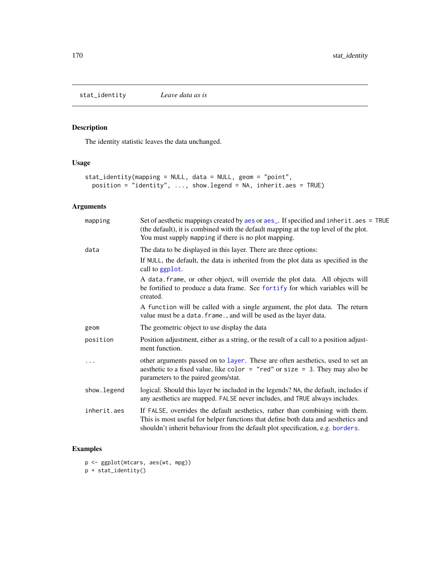stat\_identity *Leave data as is*

# Description

The identity statistic leaves the data unchanged.

# Usage

```
stat_identity(mapping = NULL, data = NULL, geom = "point",
 position = "identity", ..., show.legend = NA, inherit.aes = TRUE)
```
# Arguments

| mapping     | Set of aesthetic mappings created by aes or aes_. If specified and inherit.aes = TRUE<br>(the default), it is combined with the default mapping at the top level of the plot.<br>You must supply mapping if there is no plot mapping.               |
|-------------|-----------------------------------------------------------------------------------------------------------------------------------------------------------------------------------------------------------------------------------------------------|
| data        | The data to be displayed in this layer. There are three options:                                                                                                                                                                                    |
|             | If NULL, the default, the data is inherited from the plot data as specified in the<br>call to ggplot.                                                                                                                                               |
|             | A data frame, or other object, will override the plot data. All objects will<br>be fortified to produce a data frame. See fortify for which variables will be<br>created.                                                                           |
|             | A function will be called with a single argument, the plot data. The return<br>value must be a data. frame., and will be used as the layer data.                                                                                                    |
| geom        | The geometric object to use display the data                                                                                                                                                                                                        |
| position    | Position adjustment, either as a string, or the result of a call to a position adjust-<br>ment function.                                                                                                                                            |
|             | other arguments passed on to layer. These are often aesthetics, used to set an<br>aesthetic to a fixed value, like color = "red" or size = 3. They may also be<br>parameters to the paired geom/stat.                                               |
| show.legend | logical. Should this layer be included in the legends? NA, the default, includes if<br>any aesthetics are mapped. FALSE never includes, and TRUE always includes.                                                                                   |
| inherit.aes | If FALSE, overrides the default aesthetics, rather than combining with them.<br>This is most useful for helper functions that define both data and aesthetics and<br>shouldn't inherit behaviour from the default plot specification, e.g. borders. |

```
p <- ggplot(mtcars, aes(wt, mpg))
p + stat_identity()
```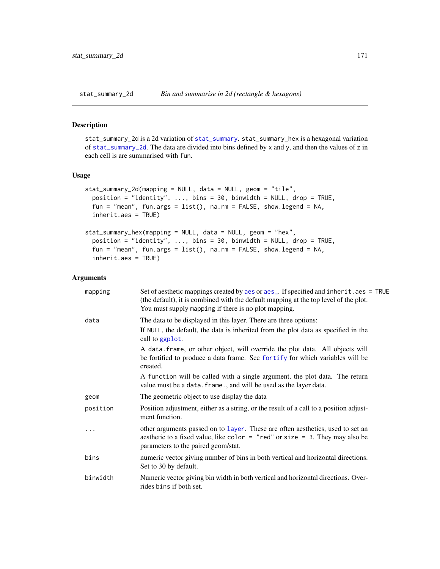<span id="page-170-1"></span><span id="page-170-0"></span>stat\_summary\_2d is a 2d variation of [stat\\_summary](#page-172-0). stat\_summary\_hex is a hexagonal variation of [stat\\_summary\\_2d](#page-170-0). The data are divided into bins defined by x and y, and then the values of z in each cell is are summarised with fun.

## Usage

```
stat_summary_2d(mapping = NULL, data = NULL, geom = "tile",
  position = "identity", \ldots, bins = 30, binwidth = NULL, drop = TRUE,
  fun = "mean", fun.args = list(), na.rm = FALSE, show.legend = NA,
  inherit.aes = TRUE)
stat_summary_hex(mapping = NULL, data = NULL, geom = "hex",
  position = "identity", \ldots, bins = 30, binwidth = NULL, drop = TRUE,
  fun = "mean", fun.args = list(), na.rm = FALSE, show.legend = NA,
  inherit.aes = TRUE)
```

| mapping  | Set of aesthetic mappings created by aes or aes_. If specified and inherit.aes = TRUE<br>(the default), it is combined with the default mapping at the top level of the plot.<br>You must supply mapping if there is no plot mapping. |
|----------|---------------------------------------------------------------------------------------------------------------------------------------------------------------------------------------------------------------------------------------|
| data     | The data to be displayed in this layer. There are three options:                                                                                                                                                                      |
|          | If NULL, the default, the data is inherited from the plot data as specified in the<br>call to ggplot.                                                                                                                                 |
|          | A data frame, or other object, will override the plot data. All objects will<br>be fortified to produce a data frame. See fortify for which variables will be<br>created.                                                             |
|          | A function will be called with a single argument, the plot data. The return<br>value must be a data. frame., and will be used as the layer data.                                                                                      |
| geom     | The geometric object to use display the data                                                                                                                                                                                          |
| position | Position adjustment, either as a string, or the result of a call to a position adjust-<br>ment function.                                                                                                                              |
|          | other arguments passed on to layer. These are often aesthetics, used to set an<br>aesthetic to a fixed value, like color = "red" or size = 3. They may also be<br>parameters to the paired geom/stat.                                 |
| bins     | numeric vector giving number of bins in both vertical and horizontal directions.<br>Set to 30 by default.                                                                                                                             |
| binwidth | Numeric vector giving bin width in both vertical and horizontal directions. Over-<br>rides bins if both set.                                                                                                                          |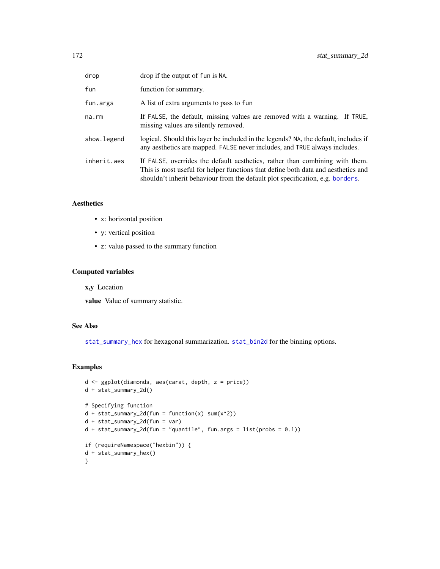| drop         | drop if the output of fun is NA.                                                                                                                                                                                                                    |
|--------------|-----------------------------------------------------------------------------------------------------------------------------------------------------------------------------------------------------------------------------------------------------|
| fun          | function for summary.                                                                                                                                                                                                                               |
| fun.args     | A list of extra arguments to pass to fun                                                                                                                                                                                                            |
| na.rm        | If FALSE, the default, missing values are removed with a warning. If TRUE,<br>missing values are silently removed.                                                                                                                                  |
| show. legend | logical. Should this layer be included in the legends? NA, the default, includes if<br>any aesthetics are mapped. FALSE never includes, and TRUE always includes.                                                                                   |
| inherit.aes  | If FALSE, overrides the default aesthetics, rather than combining with them.<br>This is most useful for helper functions that define both data and aesthetics and<br>shouldn't inherit behaviour from the default plot specification, e.g. borders. |

## Aesthetics

- x: horizontal position
- y: vertical position
- z: value passed to the summary function

## Computed variables

x,y Location

value Value of summary statistic.

#### See Also

[stat\\_summary\\_hex](#page-170-1) for hexagonal summarization. [stat\\_bin2d](#page-41-0) for the binning options.

```
d <- ggplot(diamonds, aes(carat, depth, z = price))
d + stat_summary_2d()
# Specifying function
d + stat_summary_2d(fun = function(x) sum(x^2))d + stat_summary_2d(fun = var)
d + stat\_summary_2d(fun = "quantile", fun.args = list(probs = 0.1))if (requireNamespace("hexbin")) {
d + stat_summary_hex()
}
```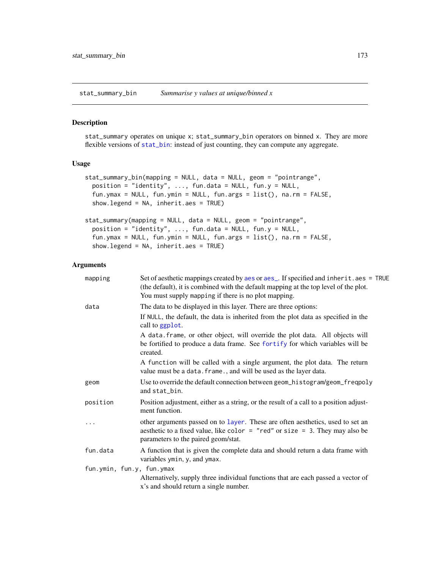stat\_summary\_bin *Summarise y values at unique/binned x*

show.legend = NA, inherit.aes = TRUE)

## <span id="page-172-0"></span>Description

stat\_summary operates on unique x; stat\_summary\_bin operators on binned x. They are more flexible versions of [stat\\_bin](#page-63-0): instead of just counting, they can compute any aggregate.

#### Usage

```
stat_summary_bin(mapping = NULL, data = NULL, geom = "pointrange",
 position = "identity", ..., fun.data = NULL, fun.y = NULL,
  fun.ymax = NULL, fun.ymin = NULL, fun.args = list(), na.rm = FALSE,
  show.legend = NA, inherit.aes = TRUE)
stat_summary(mapping = NULL, data = NULL, geom = "pointrange",
 position = "identity", \ldots, fun.data = NULL, fun.y = NULL,
 fun.ymax = NULL, fun.ymin = NULL, fun.args = list(), na.rm = FALSE,
```

| mapping                   | Set of aesthetic mappings created by aes or aes_. If specified and inherit.aes = TRUE<br>(the default), it is combined with the default mapping at the top level of the plot.<br>You must supply mapping if there is no plot mapping. |
|---------------------------|---------------------------------------------------------------------------------------------------------------------------------------------------------------------------------------------------------------------------------------|
| data                      | The data to be displayed in this layer. There are three options:                                                                                                                                                                      |
|                           | If NULL, the default, the data is inherited from the plot data as specified in the<br>call to ggplot.                                                                                                                                 |
|                           | A data frame, or other object, will override the plot data. All objects will<br>be fortified to produce a data frame. See fortify for which variables will be<br>created.                                                             |
|                           | A function will be called with a single argument, the plot data. The return<br>value must be a data. frame., and will be used as the layer data.                                                                                      |
| geom                      | Use to override the default connection between geom_histogram/geom_freqpoly<br>and stat_bin.                                                                                                                                          |
| position                  | Position adjustment, either as a string, or the result of a call to a position adjust-<br>ment function.                                                                                                                              |
|                           | other arguments passed on to layer. These are often aesthetics, used to set an<br>aesthetic to a fixed value, like color = "red" or size = 3. They may also be<br>parameters to the paired geom/stat.                                 |
| fun.data                  | A function that is given the complete data and should return a data frame with<br>variables ymin, y, and ymax.                                                                                                                        |
| fun.ymin, fun.y, fun.ymax |                                                                                                                                                                                                                                       |
|                           | Alternatively, supply three individual functions that are each passed a vector of<br>x's and should return a single number.                                                                                                           |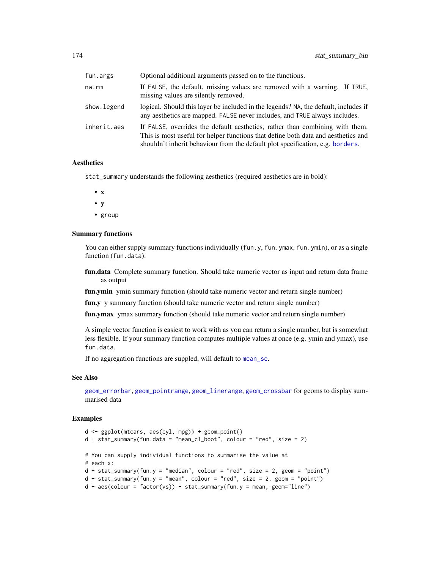| fun.args    | Optional additional arguments passed on to the functions.                                                                                                                                                                                           |
|-------------|-----------------------------------------------------------------------------------------------------------------------------------------------------------------------------------------------------------------------------------------------------|
| na.rm       | If FALSE, the default, missing values are removed with a warning. If TRUE,<br>missing values are silently removed.                                                                                                                                  |
| show.legend | logical. Should this layer be included in the legends? NA, the default, includes if<br>any aesthetics are mapped. FALSE never includes, and TRUE always includes.                                                                                   |
| inherit.aes | If FALSE, overrides the default aesthetics, rather than combining with them.<br>This is most useful for helper functions that define both data and aesthetics and<br>shouldn't inherit behaviour from the default plot specification, e.g. borders. |

#### Aesthetics

stat\_summary understands the following aesthetics (required aesthetics are in bold):

- x
- y
- group

#### Summary functions

You can either supply summary functions individually (fun.y, fun.ymax, fun.ymin), or as a single function (fun.data):

fun.data Complete summary function. Should take numeric vector as input and return data frame as output

fun.ymin ymin summary function (should take numeric vector and return single number)

fun.y y summary function (should take numeric vector and return single number)

fun.ymax ymax summary function (should take numeric vector and return single number)

A simple vector function is easiest to work with as you can return a single number, but is somewhat less flexible. If your summary function computes multiple values at once (e.g. ymin and ymax), use fun.data.

If no aggregation functions are suppled, will default to [mean\\_se](#page-127-0).

#### See Also

[geom\\_errorbar](#page-51-0), [geom\\_pointrange](#page-51-0), [geom\\_linerange](#page-51-0), [geom\\_crossbar](#page-51-1) for geoms to display summarised data

```
d <- ggplot(mtcars, aes(cyl, mpg)) + geom_point()
d + stat_summary(fun.data = "mean_cl_boot", colour = "red", size = 2)
# You can supply individual functions to summarise the value at
# each x:
d + stat\_summary(fun.y = "median", colour = "red", size = 2, geom = "point")d + stat\_summary(fun.y = "mean", colour = "red", size = 2, geom = "point")d + aes(colour = factor(vs)) + stat_summary(fun.y = mean, geom="line")
```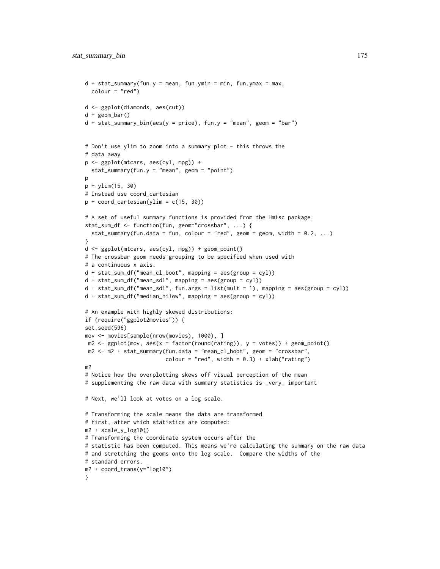```
d + stat_summary(fun.y = mean, fun.ymin = min, fun.ymax = max,
  colour = "red")
d <- ggplot(diamonds, aes(cut))
d + geom_bar()
d + stat_summary_bin(aes(y = price), fun.y = "mean", geom = "bar")
# Don't use ylim to zoom into a summary plot - this throws the
# data away
p <- ggplot(mtcars, aes(cyl, mpg)) +
  stat_summary(fun.y = "mean", geom = "point")
p
p + ylim(15, 30)
# Instead use coord_cartesian
p + coord_cartesian(ylim = c(15, 30))
# A set of useful summary functions is provided from the Hmisc package:
stat_sum_df <- function(fun, geom="crossbar", ...) {
  stat_summary(fun.data = fun, colour = "red", geom = geom, width = 0.2, ...)
}
d <- ggplot(mtcars, aes(cyl, mpg)) + geom_point()
# The crossbar geom needs grouping to be specified when used with
# a continuous x axis.
d + stat_sum_df("mean_cl_boot", mapping = aes(group = cyl))
d + stat_sum_df("mean_sdl", mapping = aes(group = cyl))
d + stat_sum_df("mean_sdl", fun.args = list(mult = 1), mapping = aes(group = cyl))
d + stat_sum_df("median_hilow", mapping = aes(group = cyl))
# An example with highly skewed distributions:
if (require("ggplot2movies")) {
set.seed(596)
mov <- movies[sample(nrow(movies), 1000), ]
m2 \leq gphot(mov, \text{aes}(x = factor(round(rating)), y = votes)) + geom\_point()m2 \le -m2 + stat\_summary(fun.data = "mean_cl\_boot", geom = "crossbar",colour = "red", width = 0.3) + xlab("rating")
m2
# Notice how the overplotting skews off visual perception of the mean
# supplementing the raw data with summary statistics is _very_ important
# Next, we'll look at votes on a log scale.
# Transforming the scale means the data are transformed
# first, after which statistics are computed:
m2 + scale_y_log10()
# Transforming the coordinate system occurs after the
# statistic has been computed. This means we're calculating the summary on the raw data
# and stretching the geoms onto the log scale. Compare the widths of the
# standard errors.
m2 + coord_trans(y="log10")
}
```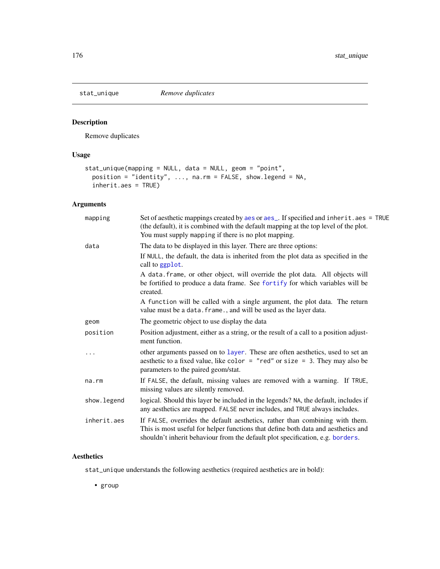Remove duplicates

# Usage

```
stat_unique(mapping = NULL, data = NULL, geom = "point",
 position = "identity", ..., na.rm = FALSE, show.legend = NA,
 inherit.aes = TRUE)
```
# Arguments

| mapping      | Set of aesthetic mappings created by aes or aes_. If specified and inherit.aes = TRUE<br>(the default), it is combined with the default mapping at the top level of the plot.<br>You must supply mapping if there is no plot mapping.               |
|--------------|-----------------------------------------------------------------------------------------------------------------------------------------------------------------------------------------------------------------------------------------------------|
| data         | The data to be displayed in this layer. There are three options:                                                                                                                                                                                    |
|              | If NULL, the default, the data is inherited from the plot data as specified in the<br>call to ggplot.                                                                                                                                               |
|              | A data frame, or other object, will override the plot data. All objects will<br>be fortified to produce a data frame. See fortify for which variables will be<br>created.                                                                           |
|              | A function will be called with a single argument, the plot data. The return<br>value must be a data. frame., and will be used as the layer data.                                                                                                    |
| geom         | The geometric object to use display the data                                                                                                                                                                                                        |
| position     | Position adjustment, either as a string, or the result of a call to a position adjust-<br>ment function.                                                                                                                                            |
| .            | other arguments passed on to layer. These are often aesthetics, used to set an<br>aesthetic to a fixed value, like color = "red" or size = 3. They may also be<br>parameters to the paired geom/stat.                                               |
| na.rm        | If FALSE, the default, missing values are removed with a warning. If TRUE,<br>missing values are silently removed.                                                                                                                                  |
| show. legend | logical. Should this layer be included in the legends? NA, the default, includes if<br>any aesthetics are mapped. FALSE never includes, and TRUE always includes.                                                                                   |
| inherit.aes  | If FALSE, overrides the default aesthetics, rather than combining with them.<br>This is most useful for helper functions that define both data and aesthetics and<br>shouldn't inherit behaviour from the default plot specification, e.g. borders. |

# Aesthetics

stat\_unique understands the following aesthetics (required aesthetics are in bold):

• group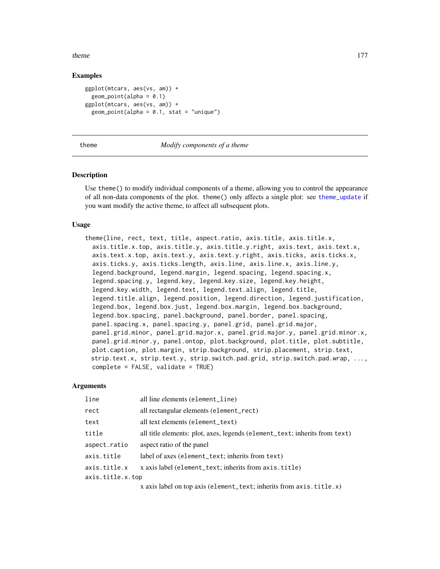#### theme the state of the state of the state of the state of the state of the state of the state of the state of the state of the state of the state of the state of the state of the state of the state of the state of the stat

## Examples

```
ggplot(mtcars, aes(vs, am)) +
 geom\_point(alpha = 0.1)ggplot(mtcars, aes(vs, am)) +
 geom\_point(alpha = 0.1, stat = "unique")
```
#### theme *Modify components of a theme*

#### **Description**

Use theme() to modify individual components of a theme, allowing you to control the appearance of all non-data components of the plot. theme() only affects a single plot: see [theme\\_update](#page-181-0) if you want modify the active theme, to affect all subsequent plots.

#### Usage

theme(line, rect, text, title, aspect.ratio, axis.title, axis.title.x, axis.title.x.top, axis.title.y, axis.title.y.right, axis.text, axis.text.x, axis.text.x.top, axis.text.y, axis.text.y.right, axis.ticks, axis.ticks.x, axis.ticks.y, axis.ticks.length, axis.line, axis.line.x, axis.line.y, legend.background, legend.margin, legend.spacing, legend.spacing.x, legend.spacing.y, legend.key, legend.key.size, legend.key.height, legend.key.width, legend.text, legend.text.align, legend.title, legend.title.align, legend.position, legend.direction, legend.justification, legend.box, legend.box.just, legend.box.margin, legend.box.background, legend.box.spacing, panel.background, panel.border, panel.spacing, panel.spacing.x, panel.spacing.y, panel.grid, panel.grid.major, panel.grid.minor, panel.grid.major.x, panel.grid.major.y, panel.grid.minor.x, panel.grid.minor.y, panel.ontop, plot.background, plot.title, plot.subtitle, plot.caption, plot.margin, strip.background, strip.placement, strip.text, strip.text.x, strip.text.y, strip.switch.pad.grid, strip.switch.pad.wrap, ..., complete = FALSE, validate = TRUE)

| line             | all line elements (element_line)                                           |
|------------------|----------------------------------------------------------------------------|
| rect             | all rectangular elements (element_rect)                                    |
| text             | all text elements (element_text)                                           |
| title            | all title elements: plot, axes, legends (element_text; inherits from text) |
| aspect.ratio     | aspect ratio of the panel                                                  |
| axis.title       | label of axes (element_text; inherits from text)                           |
| axis.title.x     | x axis label (element_text; inherits from axis.title)                      |
| axis.title.x.top |                                                                            |
|                  | x axis label on top axis (element_text; inherits from axis.title.x)        |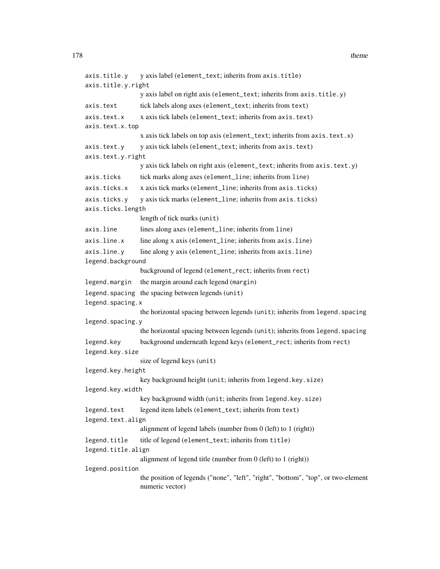```
axis.title.y y axis label (element_text; inherits from axis.title)
axis.title.y.right
                 y axis label on right axis (element_text; inherits from axis.title.y)
axis.text tick labels along axes (element_text; inherits from text)
axis.text.x x axis tick labels (element_text; inherits from axis.text)
axis.text.x.top
                 x axis tick labels on top axis (element_text; inherits from axis.text.x)
axis.text.y y axis tick labels (element_text; inherits from axis.text)
axis.text.y.right
                 y axis tick labels on right axis (element_text; inherits from axis.text.y)
axis.ticks tick marks along axes (element_line; inherits from line)
axis.ticks.x x axis tick marks (element_line; inherits from axis.ticks)
axis.ticks.y y axis tick marks (element_line; inherits from axis.ticks)
axis.ticks.length
                 length of tick marks (unit)
axis.line lines along axes (element_line; inherits from line)
axis.line.x line along x axis (element_line; inherits from axis.line)
axis.line.y line along y axis (element_line; inherits from axis.line)
legend.background
                 background of legend (element_rect; inherits from rect)
legend.margin the margin around each legend (margin)
legend.spacing the spacing between legends (unit)
legend.spacing.x
                 the horizontal spacing between legends (unit); inherits from legend. spacing
legend.spacing.y
                 the horizontal spacing between legends (unit); inherits from legend.spacing
legend.key background underneath legend keys (element_rect; inherits from rect)
legend.key.size
                 size of legend keys (unit)
legend.key.height
                 key background height (unit; inherits from legend.key.size)
legend.key.width
                 key background width (unit; inherits from legend.key.size)
legend.text legend item labels (element_text; inherits from text)
legend.text.align
                 alignment of legend labels (number from 0 (left) to 1 (right))
legend.title title of legend (element_text; inherits from title)
legend.title.align
                 alignment of legend title (number from 0 (left) to 1 (right))
legend.position
                 the position of legends ("none", "left", "right", "bottom", "top", or two-element
                 numeric vector)
```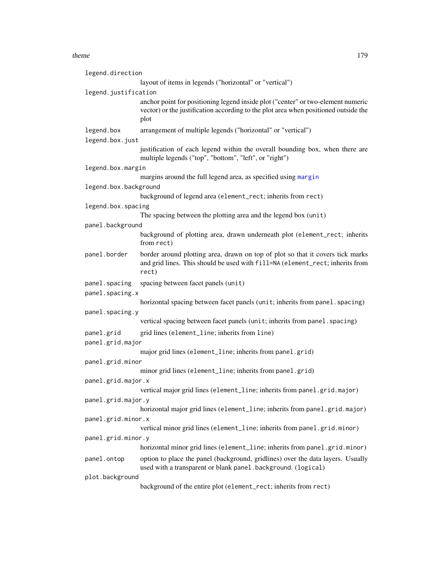#### theme the state of  $\sim$  179

| legend.direction      |                                                                                                                                                                                 |
|-----------------------|---------------------------------------------------------------------------------------------------------------------------------------------------------------------------------|
|                       | layout of items in legends ("horizontal" or "vertical")                                                                                                                         |
| legend.justification  |                                                                                                                                                                                 |
|                       | anchor point for positioning legend inside plot ("center" or two-element numeric<br>vector) or the justification according to the plot area when positioned outside the<br>plot |
| legend.box            | arrangement of multiple legends ("horizontal" or "vertical")                                                                                                                    |
| legend.box.just       |                                                                                                                                                                                 |
|                       | justification of each legend within the overall bounding box, when there are<br>multiple legends ("top", "bottom", "left", or "right")                                          |
| legend.box.margin     |                                                                                                                                                                                 |
|                       | margins around the full legend area, as specified using margin                                                                                                                  |
| legend.box.background |                                                                                                                                                                                 |
|                       | background of legend area (element_rect; inherits from rect)                                                                                                                    |
| legend.box.spacing    | The spacing between the plotting area and the legend box (unit)                                                                                                                 |
| panel.background      |                                                                                                                                                                                 |
|                       | background of plotting area, drawn underneath plot (element_rect; inherits<br>from rect)                                                                                        |
| panel.border          | border around plotting area, drawn on top of plot so that it covers tick marks<br>and grid lines. This should be used with fill=NA (element_rect; inherits from<br>rect)        |
| panel.spacing         | spacing between facet panels (unit)                                                                                                                                             |
| panel.spacing.x       |                                                                                                                                                                                 |
|                       | horizontal spacing between facet panels (unit; inherits from panel. spacing)                                                                                                    |
| panel.spacing.y       |                                                                                                                                                                                 |
|                       | vertical spacing between facet panels (unit; inherits from panel. spacing)                                                                                                      |
| panel.grid            | grid lines (element_line; inherits from line)                                                                                                                                   |
| panel.grid.major      |                                                                                                                                                                                 |
|                       | major grid lines (element_line; inherits from panel.grid)                                                                                                                       |
| panel.grid.minor      |                                                                                                                                                                                 |
|                       | minor grid lines (element_line; inherits from panel.grid)                                                                                                                       |
| panel.grid.major.x    | vertical major grid lines (element_line; inherits from panel.grid.major)                                                                                                        |
| panel.grid.major.y    |                                                                                                                                                                                 |
|                       | horizontal major grid lines (element_line; inherits from panel.grid.major)                                                                                                      |
| panel.grid.minor.x    |                                                                                                                                                                                 |
|                       | vertical minor grid lines (element_line; inherits from panel.grid.minor)                                                                                                        |
| panel.grid.minor.y    |                                                                                                                                                                                 |
|                       | horizontal minor grid lines (element_line; inherits from panel.grid.minor)                                                                                                      |
| panel.ontop           | option to place the panel (background, gridlines) over the data layers. Usually<br>used with a transparent or blank panel.background. (logical)                                 |
| plot.background       |                                                                                                                                                                                 |
|                       | background of the entire plot (element_rect; inherits from rect)                                                                                                                |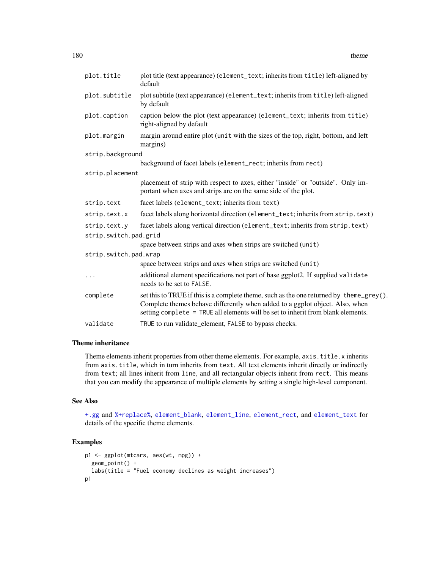| plot.title            | plot title (text appearance) (element_text; inherits from title) left-aligned by<br>default                                                                                                                                                                 |
|-----------------------|-------------------------------------------------------------------------------------------------------------------------------------------------------------------------------------------------------------------------------------------------------------|
| plot.subtitle         | plot subtitle (text appearance) (element_text; inherits from title) left-aligned<br>by default                                                                                                                                                              |
| plot.caption          | caption below the plot (text appearance) (element_text; inherits from title)<br>right-aligned by default                                                                                                                                                    |
| plot.margin           | margin around entire plot (unit with the sizes of the top, right, bottom, and left<br>margins)                                                                                                                                                              |
| strip.background      |                                                                                                                                                                                                                                                             |
|                       | background of facet labels (element_rect; inherits from rect)                                                                                                                                                                                               |
| strip.placement       |                                                                                                                                                                                                                                                             |
|                       | placement of strip with respect to axes, either "inside" or "outside". Only im-<br>portant when axes and strips are on the same side of the plot.                                                                                                           |
| strip.text            | facet labels (element_text; inherits from text)                                                                                                                                                                                                             |
| strip.text.x          | facet labels along horizontal direction (element_text; inherits from strip. text)                                                                                                                                                                           |
| strip.text.y          | facet labels along vertical direction (element_text; inherits from strip.text)                                                                                                                                                                              |
| strip.switch.pad.grid | space between strips and axes when strips are switched (unit)                                                                                                                                                                                               |
| strip.switch.pad.wrap |                                                                                                                                                                                                                                                             |
|                       | space between strips and axes when strips are switched (unit)                                                                                                                                                                                               |
| $\cdots$              | additional element specifications not part of base ggplot2. If supplied validate<br>needs to be set to FALSE.                                                                                                                                               |
| complete              | set this to TRUE if this is a complete theme, such as the one returned by theme_grey().<br>Complete themes behave differently when added to a ggplot object. Also, when<br>setting complete = TRUE all elements will be set to inherit from blank elements. |
| validate              | TRUE to run validate_element, FALSE to bypass checks.                                                                                                                                                                                                       |

#### Theme inheritance

Theme elements inherit properties from other theme elements. For example, axis.title.x inherits from axis.title, which in turn inherits from text. All text elements inherit directly or indirectly from text; all lines inherit from line, and all rectangular objects inherit from rect. This means that you can modify the appearance of multiple elements by setting a single high-level component.

# See Also

[+.gg](#page-4-0) and [%+replace%](#page-181-0), [element\\_blank](#page-125-1), [element\\_line](#page-125-1), [element\\_rect](#page-125-1), and [element\\_text](#page-125-1) for details of the specific theme elements.

```
p1 <- ggplot(mtcars, aes(wt, mpg)) +
  geom_point() +
  labs(title = "Fuel economy declines as weight increases")
p1
```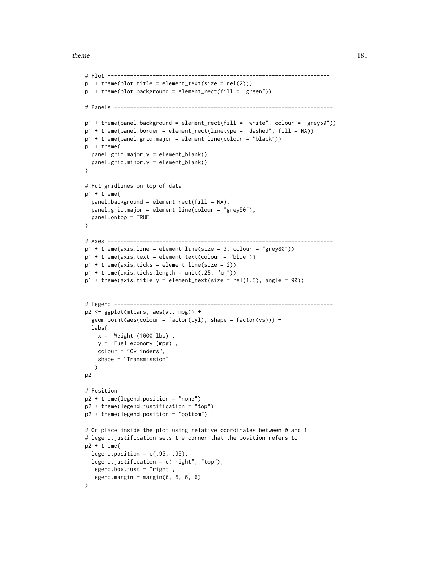#### theme and the state of the state of the state of the state of the state of the state of the state of the state of the state of the state of the state of the state of the state of the state of the state of the state of the

```
# Plot ---------------------------------------------------------------------
p1 + theme(plot.title = element_text(size = rel(2)))
p1 + theme(plot.background = element_rect(fill = "green"))
# Panels --------------------------------------------------------------------
p1 + theme(panel.background = element_rect(fill = "white", colour = "grey50"))
p1 + theme(panel.border = element_rect(linetype = "dashed", fill = NA))
p1 + theme(panel.grid.major = element_line(colour = "black"))
p1 + theme(
  panel.grid.major.y = element_blank(),
  panel.grid.minor.y = element_blank()
)
# Put gridlines on top of data
p1 + theme(
  panel.background = element_rect(fill = NA),
  panel.grid.major = element_line(colour = "grey50"),
  panel.ontop = TRUE
)
# Axes ----------------------------------------------------------------------
p1 + theme(axis.line = element_line(size = 3, colour = "grey80"))
p1 + theme(axis.text = element_text(colour = "blue"))
p1 + theme(axis.ticks = element_line(size = 2))
p1 + theme(axis.ticks.length = unit(.25, "cm"))
p1 + \text{theme}(axis.title.y = element\_text(size = rel(1.5), angle = 90))# Legend --------------------------------------------------------------------
p2 <- ggplot(mtcars, aes(wt, mpg)) +
  geom\_point(aes(colour = factor(cyl), shape = factor(vs))) +labs(
   x = "Weight (1000 lbs)",
   y = "Fuel economy (mpg)",
   colour = "Cylinders",
    shape = "Transmission"
   )
p2
# Position
p2 + theme(legend.position = "none")
p2 + theme(legend.justification = "top")
p2 + theme(legend.position = "bottom")
# Or place inside the plot using relative coordinates between 0 and 1
# legend.justification sets the corner that the position refers to
p2 + theme(
  legend.position = c(.95, .95),
  legend.justification = c("right", "top"),
  legend.box.just = "right",
  legend.margin = margin(6, 6, 6, 6)
)
```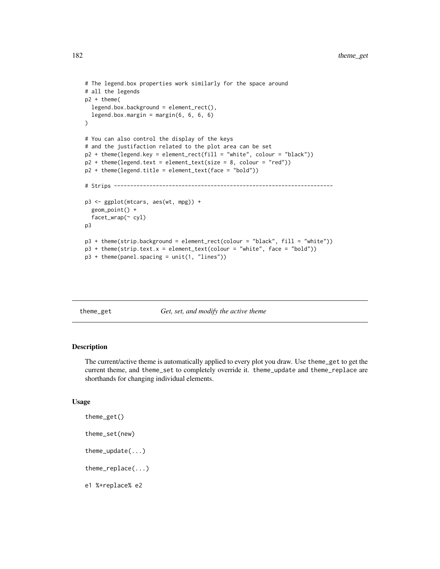```
# The legend.box properties work similarly for the space around
# all the legends
p2 + theme(
 legend.box.background = element_rect(),
  legend.box.margin = margin(6, 6, 6, 6)
)
# You can also control the display of the keys
# and the justifaction related to the plot area can be set
p2 + theme(legend.key = element_rect(fill = "white", colour = "black"))
p2 + theme(legend.text = element_text(size = 8, colour = "red"))
p2 + theme(legend.title = element_text(face = "bold"))
# Strips --------------------------------------------------------------------
p3 <- ggplot(mtcars, aes(wt, mpg)) +
  geom_point() +
  facet_wrap(~ cyl)
p3
p3 + theme(strip.background = element_rect(colour = "black", fill = "white"))
p3 + theme(strip.text.x = element_text(colour = "white", face = "bold"))
p3 + theme(panel.spacing = unit(1, "lines"))
```
# theme\_get *Get, set, and modify the active theme*

#### Description

The current/active theme is automatically applied to every plot you draw. Use theme\_get to get the current theme, and theme\_set to completely override it. theme\_update and theme\_replace are shorthands for changing individual elements.

#### Usage

```
theme_get()
theme_set(new)
theme_update(...)
theme_replace(...)
e1 %+replace% e2
```
<span id="page-181-0"></span>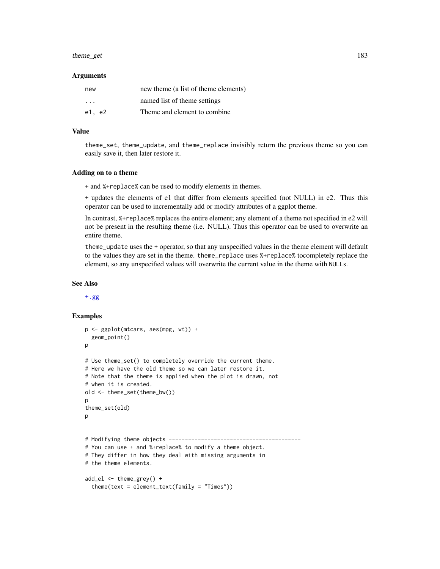#### <span id="page-182-0"></span>theme\_get 183

#### Arguments

| new    | new theme (a list of theme elements) |
|--------|--------------------------------------|
| .      | named list of theme settings         |
| e1, e2 | Theme and element to combine.        |

# Value

theme\_set, theme\_update, and theme\_replace invisibly return the previous theme so you can easily save it, then later restore it.

## Adding on to a theme

+ and %+replace% can be used to modify elements in themes.

+ updates the elements of e1 that differ from elements specified (not NULL) in e2. Thus this operator can be used to incrementally add or modify attributes of a ggplot theme.

In contrast, %+replace% replaces the entire element; any element of a theme not specified in e2 will not be present in the resulting theme (i.e. NULL). Thus this operator can be used to overwrite an entire theme.

theme\_update uses the + operator, so that any unspecified values in the theme element will default to the values they are set in the theme. theme\_replace uses %+replace% tocompletely replace the element, so any unspecified values will overwrite the current value in the theme with NULLs.

# See Also

[+.gg](#page-4-0)

# Examples

```
p <- ggplot(mtcars, aes(mpg, wt)) +
 geom_point()
p
# Use theme_set() to completely override the current theme.
# Here we have the old theme so we can later restore it.
# Note that the theme is applied when the plot is drawn, not
# when it is created.
old <- theme_set(theme_bw())
\mathbf{p}theme_set(old)
p
# Modifying theme objects -----------------------------------------
# You can use + and %+replace% to modify a theme object.
# They differ in how they deal with missing arguments in
# the theme elements.
add_el <- theme_grey() +
 theme(text = element_text(family = "Times"))
```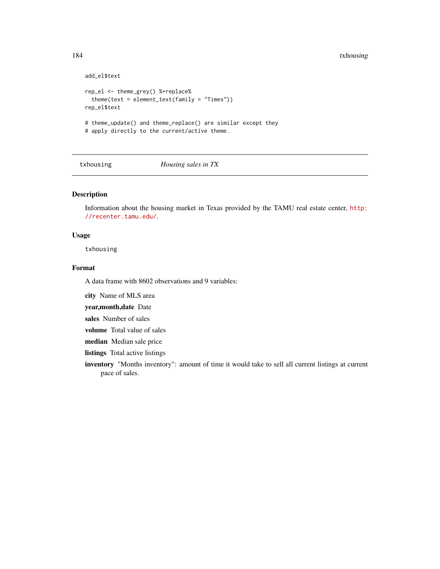#### <span id="page-183-0"></span>184 txhousing the contract of the contract of the contract of the contract of the contract of the contract of the contract of the contract of the contract of the contract of the contract of the contract of the contract of

```
add_el$text
rep_el <- theme_grey() %+replace%
 theme(text = element_text(family = "Times"))
rep_el$text
# theme_update() and theme_replace() are similar except they
# apply directly to the current/active theme.
```
#### txhousing *Housing sales in TX*

# Description

Information about the housing market in Texas provided by the TAMU real estate center, [http:](http://recenter.tamu.edu/) [//recenter.tamu.edu/](http://recenter.tamu.edu/).

#### Usage

txhousing

# Format

A data frame with 8602 observations and 9 variables:

city Name of MLS area

year,month,date Date

sales Number of sales

volume Total value of sales

median Median sale price

listings Total active listings

inventory "Months inventory": amount of time it would take to sell all current listings at current pace of sales.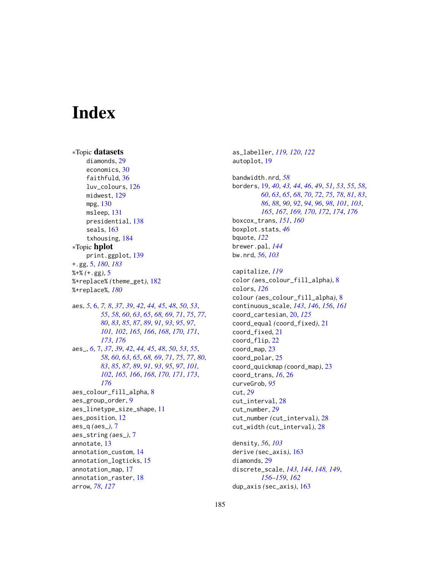# **Index**

∗Topic datasets diamonds, [29](#page-28-0) economics, [30](#page-29-0) faithfuld, [36](#page-35-0) luv\_colours, [126](#page-125-0) midwest, [129](#page-128-0) mpg, [130](#page-129-0) msleep, [131](#page-130-0) presidential, [138](#page-137-0) seals, [163](#page-162-0) txhousing, [184](#page-183-0) ∗Topic hplot print.ggplot, [139](#page-138-0) +.gg, [5,](#page-4-1) *[180](#page-179-0)*, *[183](#page-182-0)* %+% *(*+.gg*)*, [5](#page-4-1) %+replace% *(*theme\_get*)*, [182](#page-181-0) %+replace%, *[180](#page-179-0)* aes, *[5](#page-4-1)*, [6,](#page-5-0) *[7,](#page-6-0) [8](#page-7-0)*, *[37](#page-36-0)*, *[39](#page-38-0)*, *[42](#page-41-0)*, *[44,](#page-43-0) [45](#page-44-0)*, *[48](#page-47-0)*, *[50](#page-49-0)*, *[53](#page-52-0)*, *[55](#page-54-0)*, *[58](#page-57-0)*, *[60](#page-59-0)*, *[63](#page-62-0)*, *[65](#page-64-0)*, *[68,](#page-67-0) [69](#page-68-0)*, *[71](#page-70-0)*, *[75](#page-74-0)*, *[77](#page-76-0)*, *[80](#page-79-0)*, *[83](#page-82-0)*, *[85](#page-84-0)*, *[87](#page-86-0)*, *[89](#page-88-0)*, *[91](#page-90-0)*, *[93](#page-92-0)*, *[95](#page-94-0)*, *[97](#page-96-0)*, *[101,](#page-100-0) [102](#page-101-0)*, *[165,](#page-164-0) [166](#page-165-0)*, *[168](#page-167-0)*, *[170,](#page-169-0) [171](#page-170-0)*, *[173](#page-172-0)*, *[176](#page-175-0)* aes\_, *[6](#page-5-0)*, [7,](#page-6-0) *[37](#page-36-0)*, *[39](#page-38-0)*, *[42](#page-41-0)*, *[44,](#page-43-0) [45](#page-44-0)*, *[48](#page-47-0)*, *[50](#page-49-0)*, *[53](#page-52-0)*, *[55](#page-54-0)*, *[58](#page-57-0)*, *[60](#page-59-0)*, *[63](#page-62-0)*, *[65](#page-64-0)*, *[68,](#page-67-0) [69](#page-68-0)*, *[71](#page-70-0)*, *[75](#page-74-0)*, *[77](#page-76-0)*, *[80](#page-79-0)*, *[83](#page-82-0)*, *[85](#page-84-0)*, *[87](#page-86-0)*, *[89](#page-88-0)*, *[91](#page-90-0)*, *[93](#page-92-0)*, *[95](#page-94-0)*, *[97](#page-96-0)*, *[101,](#page-100-0) [102](#page-101-0)*, *[165,](#page-164-0) [166](#page-165-0)*, *[168](#page-167-0)*, *[170,](#page-169-0) [171](#page-170-0)*, *[173](#page-172-0)*, *[176](#page-175-0)* aes\_colour\_fill\_alpha, [8](#page-7-0) aes\_group\_order, [9](#page-8-0) aes\_linetype\_size\_shape, [11](#page-10-0) aes\_position, [12](#page-11-0) aes\_q *(*aes\_*)*, [7](#page-6-0) aes\_string *(*aes\_*)*, [7](#page-6-0) annotate, [13](#page-12-0) annotation\_custom, [14](#page-13-0) annotation\_logticks, [15](#page-14-0) annotation\_map, [17](#page-16-0) annotation\_raster, [18](#page-17-0) arrow, *[78](#page-77-0)*, *[127](#page-126-0)*

as\_labeller, *[119,](#page-118-0) [120](#page-119-0)*, *[122](#page-121-0)* autoplot, [19](#page-18-0)

bandwidth.nrd, *[58](#page-57-0)* borders, [19,](#page-18-0) *[40](#page-39-0)*, *[43,](#page-42-0) [44](#page-43-0)*, *[46](#page-45-0)*, *[49](#page-48-0)*, *[51](#page-50-0)*, *[53](#page-52-0)*, *[55](#page-54-0)*, *[58](#page-57-0)*, *[60](#page-59-0)*, *[63](#page-62-0)*, *[65](#page-64-0)*, *[68](#page-67-0)*, *[70](#page-69-0)*, *[72](#page-71-0)*, *[75](#page-74-0)*, *[78](#page-77-0)*, *[81](#page-80-0)*, *[83](#page-82-0)*, *[86](#page-85-0)*, *[88](#page-87-0)*, *[90](#page-89-0)*, *[92](#page-91-0)*, *[94](#page-93-0)*, *[96](#page-95-0)*, *[98](#page-97-0)*, *[101](#page-100-0)*, *[103](#page-102-0)*, *[165](#page-164-0)*, *[167](#page-166-0)*, *[169,](#page-168-0) [170](#page-169-0)*, *[172](#page-171-0)*, *[174](#page-173-0)*, *[176](#page-175-0)* boxcox\_trans, *[151](#page-150-0)*, *[160](#page-159-0)* boxplot.stats, *[46](#page-45-0)* bquote, *[122](#page-121-0)* brewer.pal, *[144](#page-143-0)* bw.nrd, *[56](#page-55-0)*, *[103](#page-102-0)*

capitalize, *[119](#page-118-0)* color *(*aes\_colour\_fill\_alpha*)*, [8](#page-7-0) colors, *[126](#page-125-0)* colour *(*aes\_colour\_fill\_alpha*)*, [8](#page-7-0) continuous\_scale, *[143](#page-142-0)*, *[146](#page-145-0)*, *[156](#page-155-0)*, *[161](#page-160-0)* coord\_cartesian, [20,](#page-19-0) *[125](#page-124-0)* coord\_equal *(*coord\_fixed*)*, [21](#page-20-0) coord\_fixed, [21](#page-20-0) coord\_flip, [22](#page-21-0) coord\_map, [23](#page-22-0) coord\_polar, [25](#page-24-0) coord\_quickmap *(*coord\_map*)*, [23](#page-22-0) coord\_trans, *[16](#page-15-0)*, [26](#page-25-0) curveGrob, *[95](#page-94-0)* cut, *[29](#page-28-0)* cut\_interval, [28](#page-27-0) cut\_number, *[29](#page-28-0)* cut\_number *(*cut\_interval*)*, [28](#page-27-0) cut\_width *(*cut\_interval*)*, [28](#page-27-0)

density, *[56](#page-55-0)*, *[103](#page-102-0)* derive *(*sec\_axis*)*, [163](#page-162-0) diamonds, [29](#page-28-0) discrete\_scale, *[143,](#page-142-0) [144](#page-143-0)*, *[148,](#page-147-0) [149](#page-148-0)*, *[156](#page-155-0)[–159](#page-158-0)*, *[162](#page-161-0)* dup\_axis *(*sec\_axis*)*, [163](#page-162-0)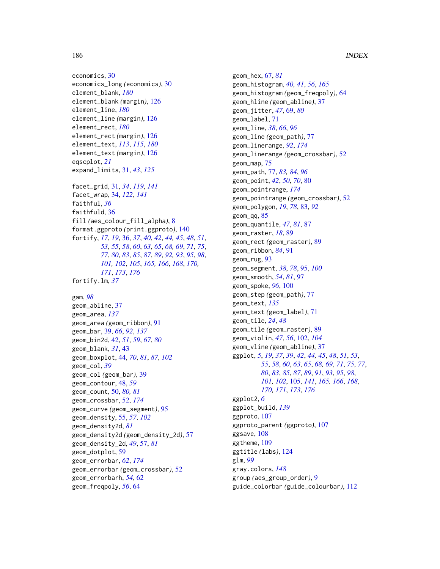economics, [30](#page-29-0) economics\_long *(*economics*)*, [30](#page-29-0) element\_blank, *[180](#page-179-0)* element\_blank *(*margin*)*, [126](#page-125-0) element\_line, *[180](#page-179-0)* element\_line *(*margin*)*, [126](#page-125-0) element\_rect, *[180](#page-179-0)* element\_rect *(*margin*)*, [126](#page-125-0) element\_text, *[113](#page-112-0)*, *[115](#page-114-0)*, *[180](#page-179-0)* element\_text *(*margin*)*, [126](#page-125-0) eqscplot, *[21](#page-20-0)* expand\_limits, [31,](#page-30-0) *[43](#page-42-0)*, *[125](#page-124-0)* facet\_grid, [31,](#page-30-0) *[34](#page-33-0)*, *[119](#page-118-0)*, *[141](#page-140-0)* facet\_wrap, [34,](#page-33-0) *[122](#page-121-0)*, *[141](#page-140-0)* faithful, *[36](#page-35-0)* faithfuld, [36](#page-35-0) fill *(*aes\_colour\_fill\_alpha*)*, [8](#page-7-0) format.ggproto *(*print.ggproto*)*, [140](#page-139-0) fortify, *[17](#page-16-0)*, *[19](#page-18-0)*, [36,](#page-35-0) *[37](#page-36-0)*, *[40](#page-39-0)*, *[42](#page-41-0)*, *[44,](#page-43-0) [45](#page-44-0)*, *[48](#page-47-0)*, *[51](#page-50-0)*, *[53](#page-52-0)*, *[55](#page-54-0)*, *[58](#page-57-0)*, *[60](#page-59-0)*, *[63](#page-62-0)*, *[65](#page-64-0)*, *[68,](#page-67-0) [69](#page-68-0)*, *[71](#page-70-0)*, *[75](#page-74-0)*, *[77](#page-76-0)*, *[80](#page-79-0)*, *[83](#page-82-0)*, *[85](#page-84-0)*, *[87](#page-86-0)*, *[89](#page-88-0)*, *[92,](#page-91-0) [93](#page-92-0)*, *[95](#page-94-0)*, *[98](#page-97-0)*, *[101,](#page-100-0) [102](#page-101-0)*, *[105](#page-104-0)*, *[165,](#page-164-0) [166](#page-165-0)*, *[168](#page-167-0)*, *[170,](#page-169-0) [171](#page-170-0)*, *[173](#page-172-0)*, *[176](#page-175-0)* fortify.lm, *[37](#page-36-0)* gam, *[98](#page-97-0)* geom\_abline, [37](#page-36-0) geom\_area, *[137](#page-136-0)* geom\_area *(*geom\_ribbon*)*, [91](#page-90-0) geom\_bar, [39,](#page-38-0) *[66](#page-65-0)*, *[92](#page-91-0)*, *[137](#page-136-0)* geom\_bin2d, [42,](#page-41-0) *[51](#page-50-0)*, *[59](#page-58-0)*, *[67](#page-66-0)*, *[80](#page-79-0)* geom\_blank, *[31](#page-30-0)*, [43](#page-42-0) geom\_boxplot, [44,](#page-43-0) *[70](#page-69-0)*, *[81](#page-80-0)*, *[87](#page-86-0)*, *[102](#page-101-0)* geom\_col, *[39](#page-38-0)* geom\_col *(*geom\_bar*)*, [39](#page-38-0) geom\_contour, [48,](#page-47-0) *[59](#page-58-0)* geom\_count, [50,](#page-49-0) *[80,](#page-79-0) [81](#page-80-0)* geom\_crossbar, [52,](#page-51-0) *[174](#page-173-0)* geom\_curve *(*geom\_segment*)*, [95](#page-94-0) geom\_density, [55,](#page-54-0) *[57](#page-56-0)*, *[102](#page-101-0)* geom\_density2d, *[81](#page-80-0)* geom\_density2d *(*geom\_density\_2d*)*, [57](#page-56-0) geom\_density\_2d, *[49](#page-48-0)*, [57,](#page-56-0) *[81](#page-80-0)* geom\_dotplot, [59](#page-58-0) geom\_errorbar, *[62](#page-61-0)*, *[174](#page-173-0)* geom\_errorbar *(*geom\_crossbar*)*, [52](#page-51-0) geom\_errorbarh, *[54](#page-53-0)*, [62](#page-61-0) geom\_freqpoly, *[56](#page-55-0)*, [64](#page-63-0)

geom\_hex, [67,](#page-66-0) *[81](#page-80-0)* geom\_histogram, *[40,](#page-39-0) [41](#page-40-0)*, *[56](#page-55-0)*, *[165](#page-164-0)* geom\_histogram *(*geom\_freqpoly*)*, [64](#page-63-0) geom\_hline *(*geom\_abline*)*, [37](#page-36-0) geom\_jitter, *[47](#page-46-0)*, [69,](#page-68-0) *[80](#page-79-0)* geom\_label, [71](#page-70-0) geom\_line, *[38](#page-37-0)*, *[66](#page-65-0)*, *[96](#page-95-0)* geom\_line *(*geom\_path*)*, [77](#page-76-0) geom\_linerange, *[92](#page-91-0)*, *[174](#page-173-0)* geom\_linerange *(*geom\_crossbar*)*, [52](#page-51-0) geom\_map, [75](#page-74-0) geom\_path, [77,](#page-76-0) *[83,](#page-82-0) [84](#page-83-0)*, *[96](#page-95-0)* geom\_point, *[42](#page-41-0)*, *[50](#page-49-0)*, *[70](#page-69-0)*, [80](#page-79-0) geom\_pointrange, *[174](#page-173-0)* geom\_pointrange *(*geom\_crossbar*)*, [52](#page-51-0) geom\_polygon, *[19](#page-18-0)*, *[78](#page-77-0)*, [83,](#page-82-0) *[92](#page-91-0)* geom\_qq, [85](#page-84-0) geom\_quantile, *[47](#page-46-0)*, *[81](#page-80-0)*, [87](#page-86-0) geom\_raster, *[18](#page-17-0)*, [89](#page-88-0) geom\_rect *(*geom\_raster*)*, [89](#page-88-0) geom\_ribbon, *[84](#page-83-0)*, [91](#page-90-0) geom\_rug, [93](#page-92-0) geom\_segment, *[38](#page-37-0)*, *[78](#page-77-0)*, [95,](#page-94-0) *[100](#page-99-0)* geom\_smooth, *[54](#page-53-0)*, *[81](#page-80-0)*, [97](#page-96-0) geom\_spoke, *[96](#page-95-0)*, [100](#page-99-0) geom\_step *(*geom\_path*)*, [77](#page-76-0) geom\_text, *[135](#page-134-0)* geom\_text *(*geom\_label*)*, [71](#page-70-0) geom\_tile, *[24](#page-23-0)*, *[48](#page-47-0)* geom\_tile *(*geom\_raster*)*, [89](#page-88-0) geom\_violin, *[47](#page-46-0)*, *[56](#page-55-0)*, [102,](#page-101-0) *[104](#page-103-0)* geom\_vline *(*geom\_abline*)*, [37](#page-36-0) ggplot, *[5](#page-4-1)*, *[19](#page-18-0)*, *[37](#page-36-0)*, *[39](#page-38-0)*, *[42](#page-41-0)*, *[44,](#page-43-0) [45](#page-44-0)*, *[48](#page-47-0)*, *[51](#page-50-0)*, *[53](#page-52-0)*, *[55](#page-54-0)*, *[58](#page-57-0)*, *[60](#page-59-0)*, *[63](#page-62-0)*, *[65](#page-64-0)*, *[68,](#page-67-0) [69](#page-68-0)*, *[71](#page-70-0)*, *[75](#page-74-0)*, *[77](#page-76-0)*, *[80](#page-79-0)*, *[83](#page-82-0)*, *[85](#page-84-0)*, *[87](#page-86-0)*, *[89](#page-88-0)*, *[91](#page-90-0)*, *[93](#page-92-0)*, *[95](#page-94-0)*, *[98](#page-97-0)*, *[101,](#page-100-0) [102](#page-101-0)*, [105,](#page-104-0) *[141](#page-140-0)*, *[165,](#page-164-0) [166](#page-165-0)*, *[168](#page-167-0)*, *[170,](#page-169-0) [171](#page-170-0)*, *[173](#page-172-0)*, *[176](#page-175-0)* ggplot2, *[6](#page-5-0)* ggplot\_build, *[139](#page-138-0)* ggproto, [107](#page-106-0) ggproto\_parent *(*ggproto*)*, [107](#page-106-0) ggsave, [108](#page-107-0) ggtheme, [109](#page-108-0) ggtitle *(*labs*)*, [124](#page-123-0) glm, *[99](#page-98-0)* gray.colors, *[148](#page-147-0)* group *(*aes\_group\_order*)*, [9](#page-8-0) guide\_colorbar *(*guide\_colourbar*)*, [112](#page-111-0)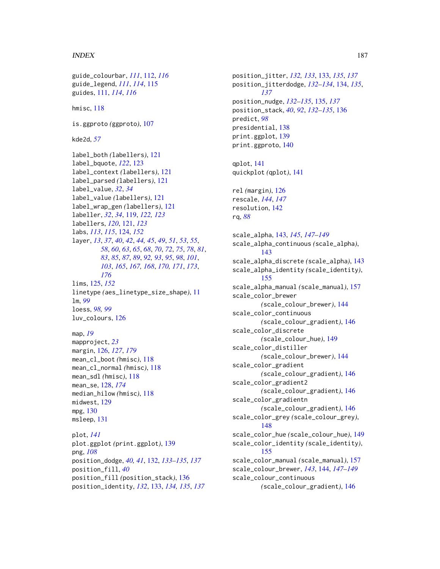## INDEX  $187$

```
guide_colourbar, 111, 112, 116
guide_legend, 111, 114, 115
guides, 111, 114, 116
hmisc, 118
is.ggproto (ggproto), 107
kde2d, 57
label_both (labellers), 121
label_bquote, 122, 123
label_context (labellers), 121
label_parsed (labellers), 121
label_value, 32, 34
label_value (labellers), 121
label_wrap_gen (labellers), 121
labeller, 32, 34, 119, 122, 123
labellers, 120, 121, 123
labs, 113, 115, 124, 152
layer, 13, 37, 40, 42, 44, 45, 49, 51, 53, 55,
         58, 60, 63, 65, 68, 70, 72, 75, 78, 81,
         83, 85, 87, 89, 92, 93, 95, 98, 101,
         103, 165, 167, 168, 170, 171, 173,
         176
lims, 125, 152
linetype (aes_linetype_size_shape), 11
lm, 99
loess, 98, 99
luv_colours, 126
map, 19
mapproject, 23
margin, 126, 127, 179
mean_cl_boot (hmisc), 118
mean_cl_normal (hmisc), 118
mean_sdl (hmisc), 118
mean_se, 128, 174
median_hilow (hmisc), 118
midwest, 129
mpg, 130
msleep, 131
plot, 141
plot.ggplot (print.ggplot), 139
png, 108
position_dodge, 40, 41, 132, 133–135, 137
position_fill, 40
position_fill (position_stack), 136
position_identity, 132, 133, 134, 135, 137
```

```
position_jitter, 132, 133, 133, 135, 137
position_jitterdodge, 132–134, 134, 135,
        137
position_nudge, 132–135, 135, 137
position_stack, 40, 92, 132–135, 136
predict, 98
presidential, 138
print.ggplot, 139
print.ggproto, 140
qplot, 141
quickplot (qplot), 141
rel (margin), 126
rescale, 144, 147
resolution, 142
rq, 88
scale_alpha, 143, 145, 147–149
scale_alpha_continuous (scale_alpha),
        143
scale_alpha_discrete (scale_alpha), 143
scale_alpha_identity (scale_identity),
        155
scale_alpha_manual (scale_manual), 157
scale_color_brewer
        (scale_colour_brewer), 144
scale_color_continuous
        (scale_colour_gradient), 146
scale_color_discrete
        (scale_colour_hue), 149
scale_color_distiller
        (scale_colour_brewer), 144
scale_color_gradient
        (scale_colour_gradient), 146
scale_color_gradient2
        (scale_colour_gradient), 146
scale_color_gradientn
        (scale_colour_gradient), 146
scale_color_grey (scale_colour_grey),
        148
scale_color_hue (scale_colour_hue), 149
scale_color_identity (scale_identity),
        155
scale_color_manual (scale_manual), 157
scale_colour_brewer, 143, 144, 147–149
scale_colour_continuous
        (scale_colour_gradient), 146
```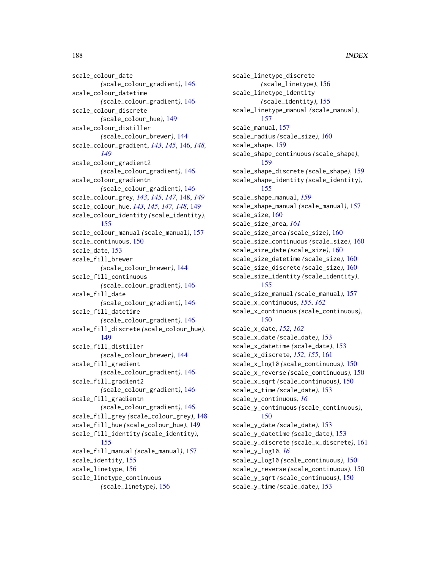scale\_colour\_date *(*scale\_colour\_gradient*)*, [146](#page-145-0) scale colour datetime *(*scale\_colour\_gradient*)*, [146](#page-145-0) scale\_colour\_discrete *(*scale\_colour\_hue*)*, [149](#page-148-0) scale\_colour\_distiller *(*scale\_colour\_brewer*)*, [144](#page-143-0) scale\_colour\_gradient, *[143](#page-142-0)*, *[145](#page-144-0)*, [146,](#page-145-0) *[148,](#page-147-0) [149](#page-148-0)* scale\_colour\_gradient2 *(*scale\_colour\_gradient*)*, [146](#page-145-0) scale\_colour\_gradientn *(*scale\_colour\_gradient*)*, [146](#page-145-0) scale\_colour\_grey, *[143](#page-142-0)*, *[145](#page-144-0)*, *[147](#page-146-0)*, [148,](#page-147-0) *[149](#page-148-0)* scale\_colour\_hue, *[143](#page-142-0)*, *[145](#page-144-0)*, *[147,](#page-146-0) [148](#page-147-0)*, [149](#page-148-0) scale\_colour\_identity *(*scale\_identity*)*, [155](#page-154-0) scale\_colour\_manual *(*scale\_manual*)*, [157](#page-156-0) scale\_continuous, [150](#page-149-0) scale\_date, [153](#page-152-0) scale\_fill\_brewer *(*scale\_colour\_brewer*)*, [144](#page-143-0) scale\_fill\_continuous *(*scale\_colour\_gradient*)*, [146](#page-145-0) scale\_fill\_date *(*scale\_colour\_gradient*)*, [146](#page-145-0) scale\_fill\_datetime *(*scale\_colour\_gradient*)*, [146](#page-145-0) scale\_fill\_discrete *(*scale\_colour\_hue*)*, [149](#page-148-0) scale\_fill\_distiller *(*scale\_colour\_brewer*)*, [144](#page-143-0) scale\_fill\_gradient *(*scale\_colour\_gradient*)*, [146](#page-145-0) scale\_fill\_gradient2 *(*scale\_colour\_gradient*)*, [146](#page-145-0) scale\_fill\_gradientn *(*scale\_colour\_gradient*)*, [146](#page-145-0) scale\_fill\_grey *(*scale\_colour\_grey*)*, [148](#page-147-0) scale\_fill\_hue *(*scale\_colour\_hue*)*, [149](#page-148-0) scale\_fill\_identity *(*scale\_identity*)*, [155](#page-154-0) scale\_fill\_manual *(*scale\_manual*)*, [157](#page-156-0) scale\_identity, [155](#page-154-0) scale\_linetype, [156](#page-155-0) scale\_linetype\_continuous *(*scale\_linetype*)*, [156](#page-155-0)

scale\_linetype\_discrete *(*scale\_linetype*)*, [156](#page-155-0) scale\_linetype\_identity *(*scale\_identity*)*, [155](#page-154-0) scale\_linetype\_manual *(*scale\_manual*)*, [157](#page-156-0) scale\_manual, [157](#page-156-0) scale\_radius *(*scale\_size*)*, [160](#page-159-0) scale\_shape, [159](#page-158-0) scale\_shape\_continuous *(*scale\_shape*)*, [159](#page-158-0) scale\_shape\_discrete *(*scale\_shape*)*, [159](#page-158-0) scale\_shape\_identity *(*scale\_identity*)*, [155](#page-154-0) scale\_shape\_manual, *[159](#page-158-0)* scale\_shape\_manual *(*scale\_manual*)*, [157](#page-156-0) scale\_size, [160](#page-159-0) scale\_size\_area, *[161](#page-160-0)* scale\_size\_area *(*scale\_size*)*, [160](#page-159-0) scale\_size\_continuous *(*scale\_size*)*, [160](#page-159-0) scale\_size\_date *(*scale\_size*)*, [160](#page-159-0) scale\_size\_datetime *(*scale\_size*)*, [160](#page-159-0) scale\_size\_discrete *(*scale\_size*)*, [160](#page-159-0) scale\_size\_identity *(*scale\_identity*)*, [155](#page-154-0) scale\_size\_manual *(*scale\_manual*)*, [157](#page-156-0) scale\_x\_continuous, *[155](#page-154-0)*, *[162](#page-161-0)* scale\_x\_continuous *(*scale\_continuous*)*, [150](#page-149-0) scale\_x\_date, *[152](#page-151-0)*, *[162](#page-161-0)* scale\_x\_date *(*scale\_date*)*, [153](#page-152-0) scale\_x\_datetime *(*scale\_date*)*, [153](#page-152-0) scale\_x\_discrete, *[152](#page-151-0)*, *[155](#page-154-0)*, [161](#page-160-0) scale\_x\_log10 *(*scale\_continuous*)*, [150](#page-149-0) scale\_x\_reverse *(*scale\_continuous*)*, [150](#page-149-0) scale\_x\_sqrt *(*scale\_continuous*)*, [150](#page-149-0) scale\_x\_time *(*scale\_date*)*, [153](#page-152-0) scale\_y\_continuous, *[16](#page-15-0)* scale\_y\_continuous *(*scale\_continuous*)*, [150](#page-149-0) scale\_y\_date *(*scale\_date*)*, [153](#page-152-0) scale\_y\_datetime *(*scale\_date*)*, [153](#page-152-0) scale\_y\_discrete *(*scale\_x\_discrete*)*, [161](#page-160-0) scale\_y\_log10, *[16](#page-15-0)* scale\_y\_log10 *(*scale\_continuous*)*, [150](#page-149-0) scale\_y\_reverse *(*scale\_continuous*)*, [150](#page-149-0) scale\_y\_sqrt *(*scale\_continuous*)*, [150](#page-149-0) scale\_y\_time *(*scale\_date*)*, [153](#page-152-0)